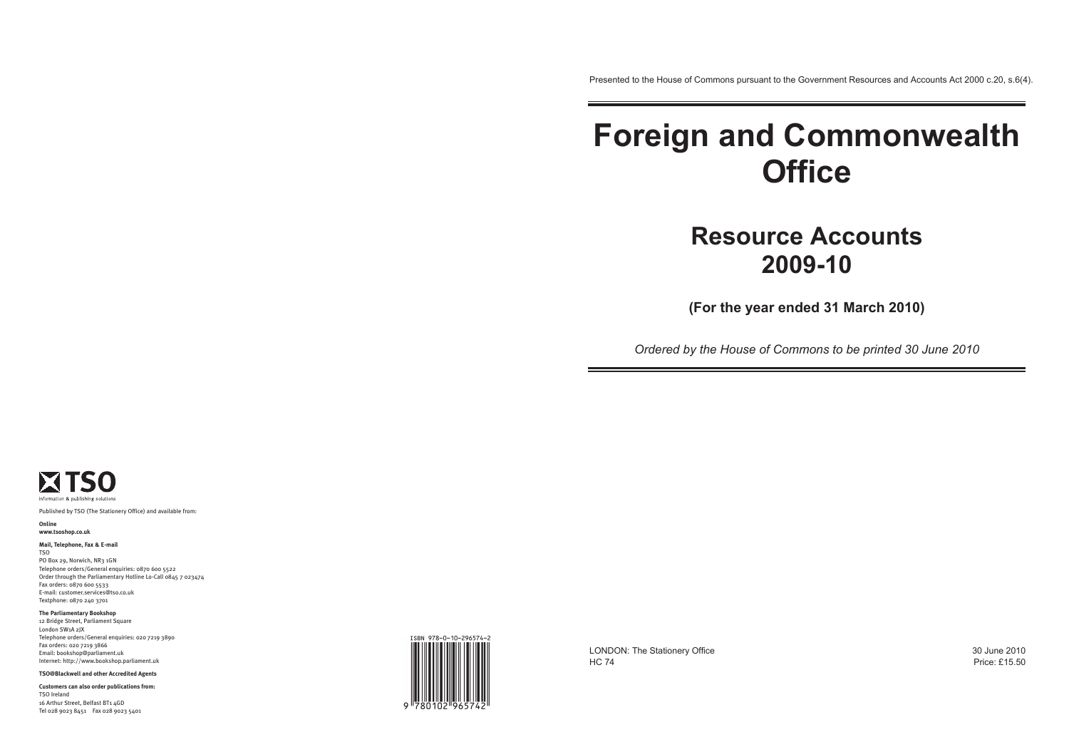LONDON: The Stationery Office 30 June 2010 HC 74 Price: £15.50

Presented to the House of Commons pursuant to the Government Resources and Accounts Act 2000 c.20, s.6(4).

# **Foreign and Commonwealth Office**

## **Resource Accounts 2009-10**

**(For the year ended 31 March 2010)** 

*Ordered by the House of Commons to be printed 30 June 2010* 



Published by TSO (The Stationery Office) and available from:

**Online www.tsoshop.co.uk**

**Mail, Telephone, Fax & E-mail**

TSO PO Box 29, Norwich, NR3 1GN Telephone orders/General enquiries: 0870 600 5522 Order through the Parliamentary Hotline Lo-Call 0845 7 023474 Fax orders: 0870 600 5533 E-mail: customer.services@tso.co.uk Textphone: 0870 240 3701

**The Parliamentary Bookshop**

12 Bridge Street, Parliament Square London SW1A 2JX Telephone orders/General enquiries: 020 7219 3890 Fax orders: 020 7219 3866 Email: bookshop@parliament.uk Internet: http://www.bookshop.parliament.uk

**TSO@Blackwell and other Accredited Agents**

**Customers can also order publications from:** TSO Ireland 16 Arthur Street, Belfast BT1 4GD Tel 028 9023 8451 Fax 028 9023 5401

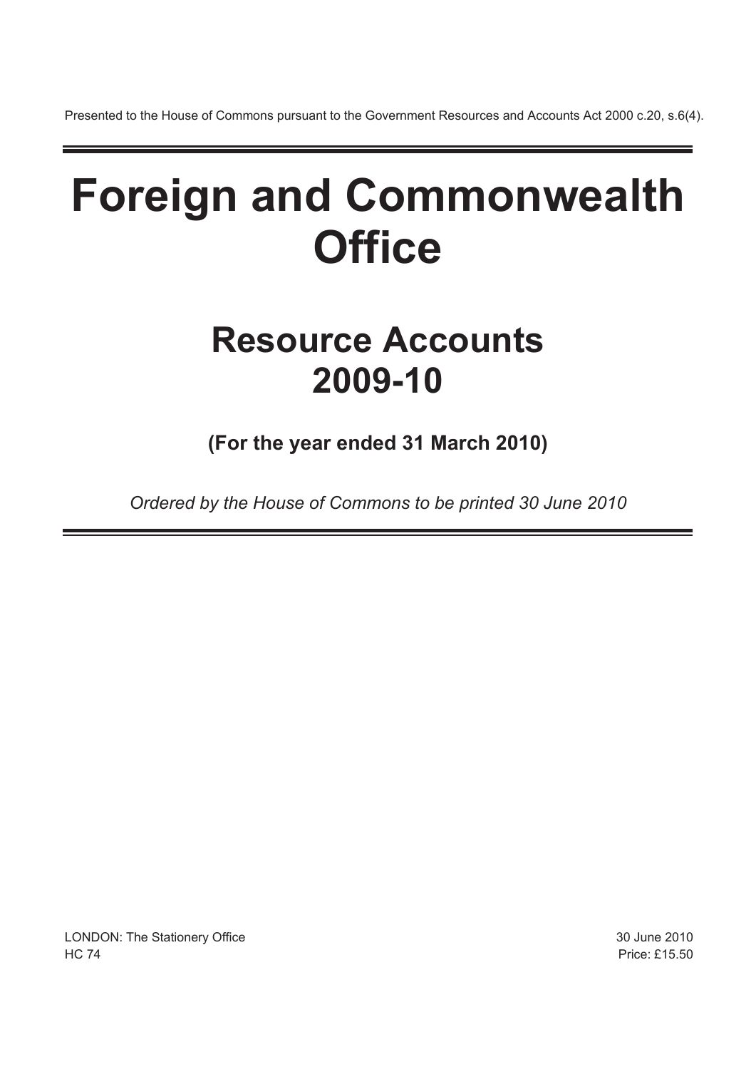Presented to the House of Commons pursuant to the Government Resources and Accounts Act 2000 c.20, s.6(4).

# **Foreign and Commonwealth Office**

## **Resource Accounts 2009-10**

**(For the year ended 31 March 2010)** 

*Ordered by the House of Commons to be printed 30 June 2010* 

LONDON: The Stationery Office 30 June 2010  $H$ C 74 Price: £15.50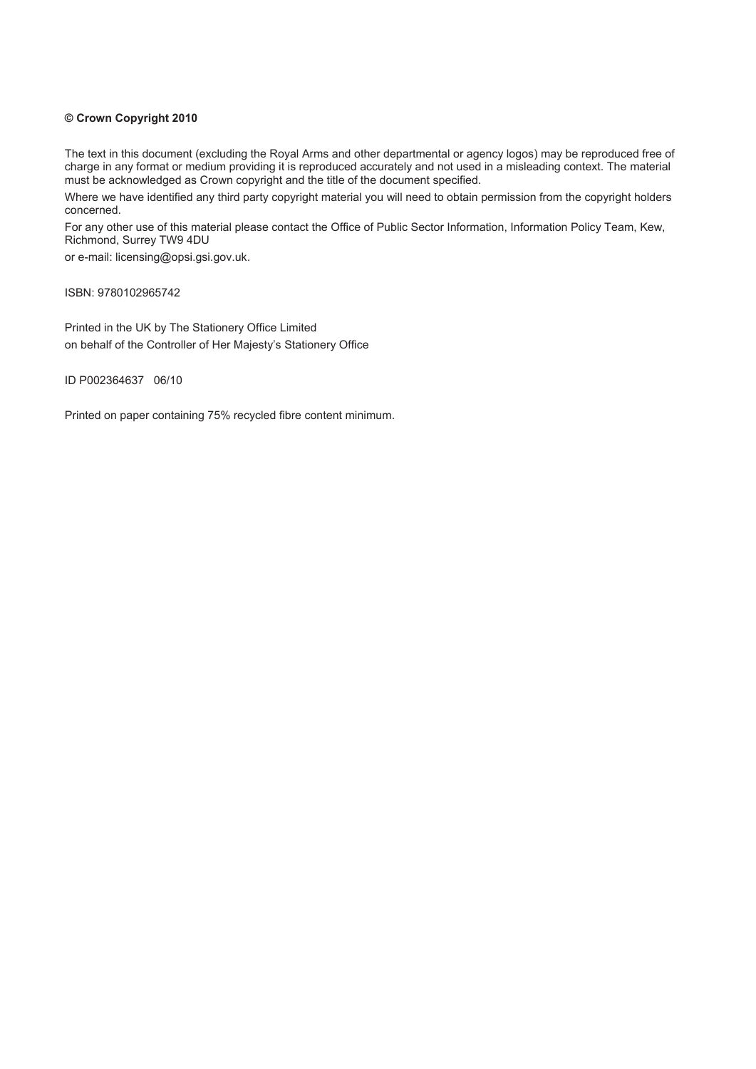#### **© Crown Copyright 2010**

The text in this document (excluding the Royal Arms and other departmental or agency logos) may be reproduced free of charge in any format or medium providing it is reproduced accurately and not used in a misleading context. The material must be acknowledged as Crown copyright and the title of the document specified.

Where we have identified any third party copyright material you will need to obtain permission from the copyright holders concerned.

For any other use of this material please contact the Office of Public Sector Information, Information Policy Team, Kew, Richmond, Surrey TW9 4DU

or e-mail: licensing@opsi.gsi.gov.uk.

ISBN: 9780102965742

Printed in the UK by The Stationery Office Limited on behalf of the Controller of Her Majesty's Stationery Office

ID P002364637 06/10

Printed on paper containing 75% recycled fibre content minimum.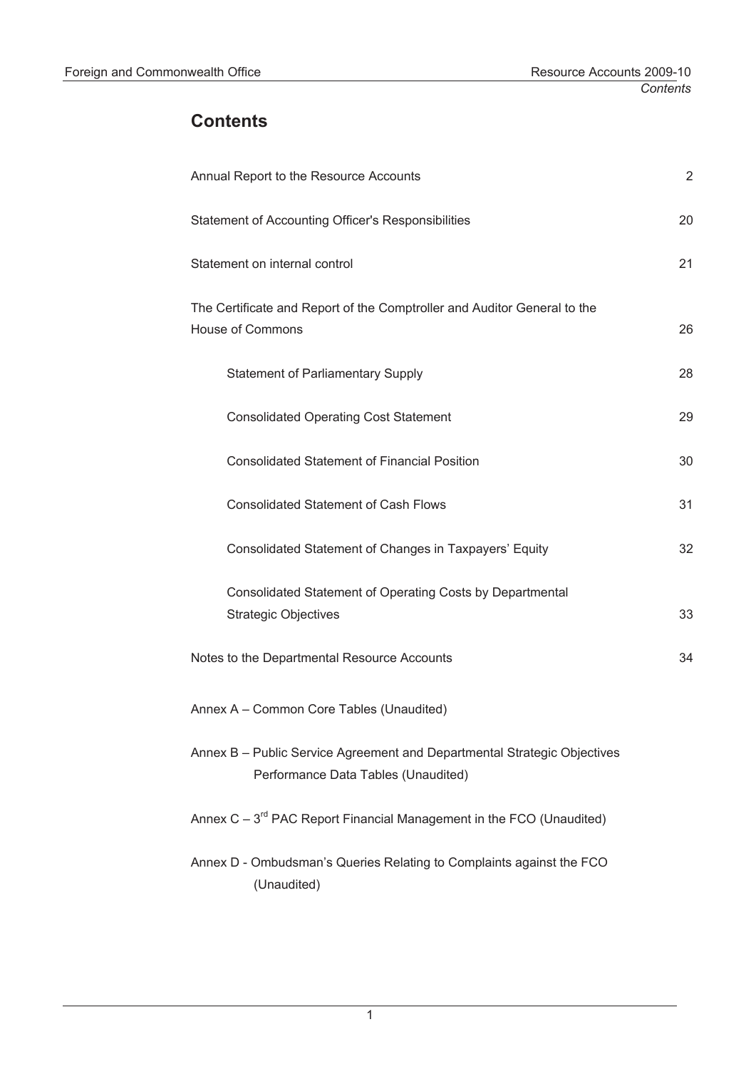## **Contents**

| Annual Report to the Resource Accounts                                                                          |    |  |  |  |  |
|-----------------------------------------------------------------------------------------------------------------|----|--|--|--|--|
| <b>Statement of Accounting Officer's Responsibilities</b>                                                       | 20 |  |  |  |  |
| Statement on internal control                                                                                   | 21 |  |  |  |  |
| The Certificate and Report of the Comptroller and Auditor General to the<br><b>House of Commons</b>             | 26 |  |  |  |  |
| <b>Statement of Parliamentary Supply</b>                                                                        | 28 |  |  |  |  |
| <b>Consolidated Operating Cost Statement</b>                                                                    | 29 |  |  |  |  |
| <b>Consolidated Statement of Financial Position</b>                                                             | 30 |  |  |  |  |
| <b>Consolidated Statement of Cash Flows</b>                                                                     | 31 |  |  |  |  |
| Consolidated Statement of Changes in Taxpayers' Equity                                                          | 32 |  |  |  |  |
| Consolidated Statement of Operating Costs by Departmental<br><b>Strategic Objectives</b>                        | 33 |  |  |  |  |
| Notes to the Departmental Resource Accounts                                                                     | 34 |  |  |  |  |
| Annex A - Common Core Tables (Unaudited)                                                                        |    |  |  |  |  |
| Annex B - Public Service Agreement and Departmental Strategic Objectives<br>Performance Data Tables (Unaudited) |    |  |  |  |  |
| Annex $C - 3^{rd}$ PAC Report Financial Management in the FCO (Unaudited)                                       |    |  |  |  |  |
| Annex D - Ombudsman's Queries Relating to Complaints against the FCO<br>(Unaudited)                             |    |  |  |  |  |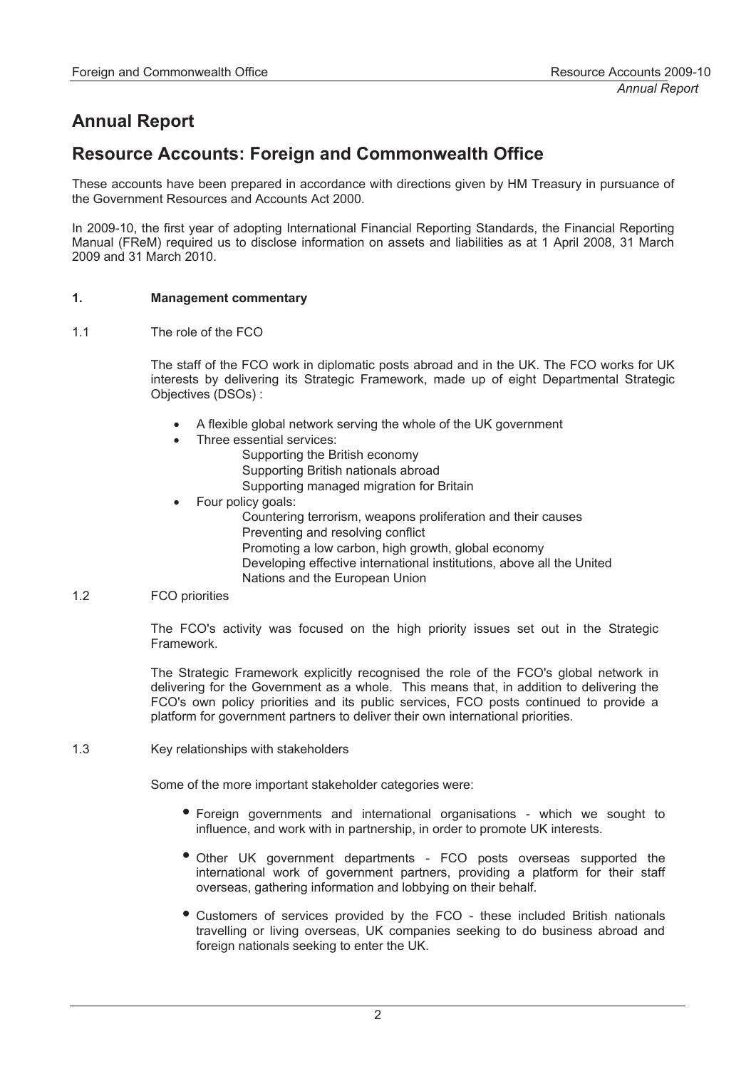## **Annual Report**

## **Resource Accounts: Foreign and Commonwealth Office**

These accounts have been prepared in accordance with directions given by HM Treasury in pursuance of the Government Resources and Accounts Act 2000.

In 2009-10, the first year of adopting International Financial Reporting Standards, the Financial Reporting Manual (FReM) required us to disclose information on assets and liabilities as at 1 April 2008, 31 March 2009 and 31 March 2010.

#### **1. Management commentary**

1.1 The role of the FCO

The staff of the FCO work in diplomatic posts abroad and in the UK. The FCO works for UK interests by delivering its Strategic Framework, made up of eight Departmental Strategic Objectives (DSOs) :

- A flexible global network serving the whole of the UK government
- Three essential services: Supporting the British economy Supporting British nationals abroad Supporting managed migration for Britain
	- Four policy goals: Countering terrorism, weapons proliferation and their causes Preventing and resolving conflict Promoting a low carbon, high growth, global economy Developing effective international institutions, above all the United Nations and the European Union

#### 1.2 FCO priorities

The FCO's activity was focused on the high priority issues set out in the Strategic Framework.

The Strategic Framework explicitly recognised the role of the FCO's global network in delivering for the Government as a whole. This means that, in addition to delivering the FCO's own policy priorities and its public services, FCO posts continued to provide a platform for government partners to deliver their own international priorities.

1.3 Key relationships with stakeholders

Some of the more important stakeholder categories were:

- Foreign governments and international organisations which we sought to influence, and work with in partnership, in order to promote UK interests.
- Other UK government departments FCO posts overseas supported the international work of government partners, providing a platform for their staff overseas, gathering information and lobbying on their behalf.
- Customers of services provided by the FCO these included British nationals travelling or living overseas, UK companies seeking to do business abroad and foreign nationals seeking to enter the UK.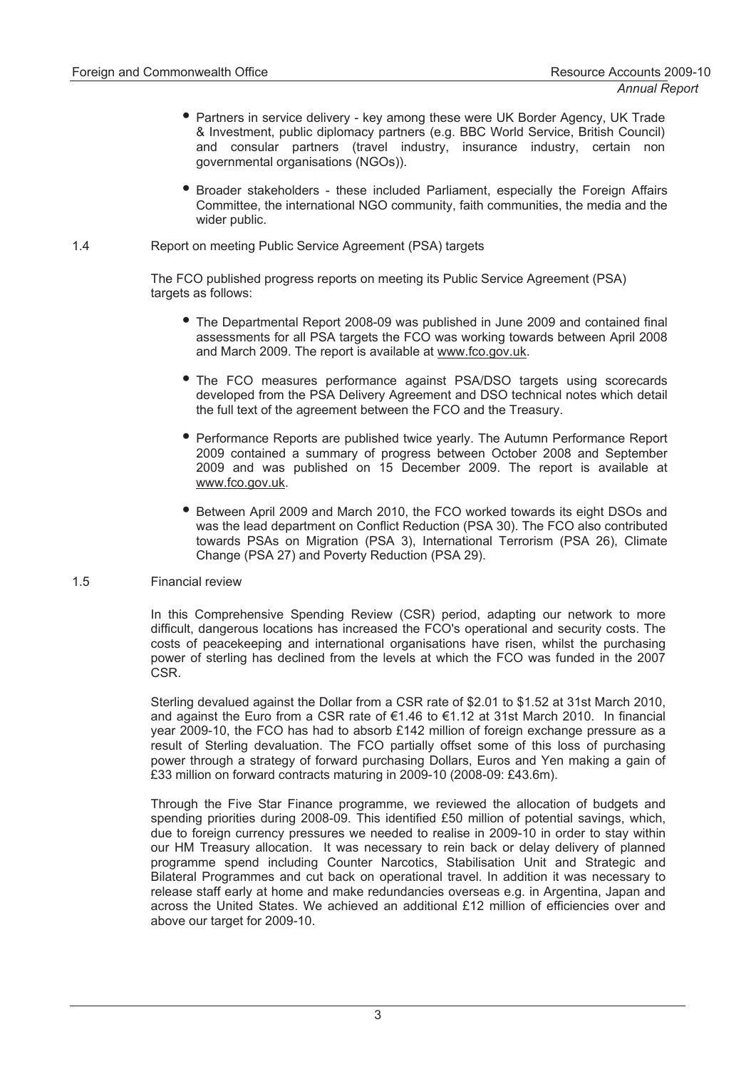- Partners in service delivery key among these were UK Border Agency, UK Trade & Investment, public diplomacy partners (e.g. BBC World Service, British Council) and consular partners (travel industry, insurance industry, certain non governmental organisations (NGOs)).
- Broader stakeholders these included Parliament, especially the Foreign Affairs Committee, the international NGO community, faith communities, the media and the wider public.
- 1.4 Report on meeting Public Service Agreement (PSA) targets

The FCO published progress reports on meeting its Public Service Agreement (PSA) targets as follows:

- The Departmental Report 2008-09 was published in June 2009 and contained final assessments for all PSA targets the FCO was working towards between April 2008 and March 2009. The report is available at www.fco.gov.uk.
- The FCO measures performance against PSA/DSO targets using scorecards developed from the PSA Delivery Agreement and DSO technical notes which detail the full text of the agreement between the FCO and the Treasury.
- Performance Reports are published twice yearly. The Autumn Performance Report 2009 contained a summary of progress between October 2008 and September 2009 and was published on 15 December 2009. The report is available at www.fco.gov.uk.
- Between April 2009 and March 2010, the FCO worked towards its eight DSOs and was the lead department on Conflict Reduction (PSA 30). The FCO also contributed towards PSAs on Migration (PSA 3), International Terrorism (PSA 26), Climate Change (PSA 27) and Poverty Reduction (PSA 29).

#### 1.5 Financial review

In this Comprehensive Spending Review (CSR) period, adapting our network to more difficult, dangerous locations has increased the FCO's operational and security costs. The costs of peacekeeping and international organisations have risen, whilst the purchasing power of sterling has declined from the levels at which the FCO was funded in the 2007 CSR.

Sterling devalued against the Dollar from a CSR rate of \$2.01 to \$1.52 at 31st March 2010, and against the Euro from a CSR rate of  $\epsilon$ 1.46 to  $\epsilon$ 1.12 at 31st March 2010. In financial year 2009-10, the FCO has had to absorb £142 million of foreign exchange pressure as a result of Sterling devaluation. The FCO partially offset some of this loss of purchasing power through a strategy of forward purchasing Dollars, Euros and Yen making a gain of £33 million on forward contracts maturing in 2009-10 (2008-09: £43.6m).

Through the Five Star Finance programme, we reviewed the allocation of budgets and spending priorities during 2008-09. This identified £50 million of potential savings, which, due to foreign currency pressures we needed to realise in 2009-10 in order to stay within our HM Treasury allocation. It was necessary to rein back or delay delivery of planned programme spend including Counter Narcotics, Stabilisation Unit and Strategic and Bilateral Programmes and cut back on operational travel. In addition it was necessary to release staff early at home and make redundancies overseas e.g. in Argentina, Japan and across the United States. We achieved an additional £12 million of efficiencies over and above our target for 2009-10.

3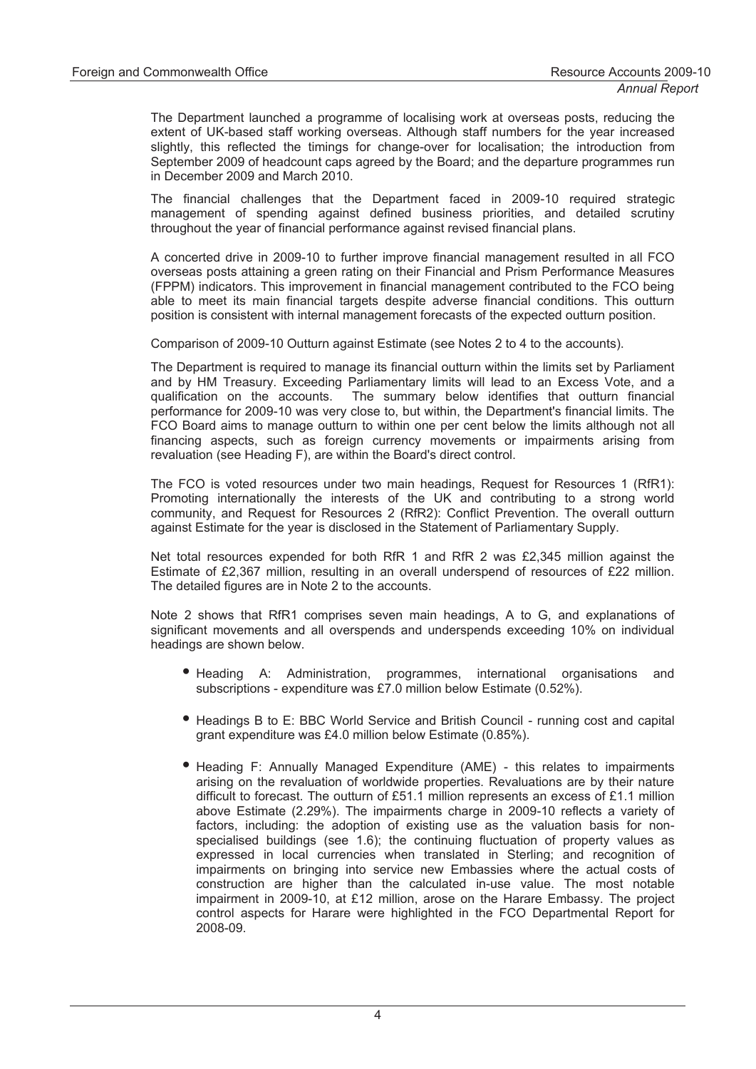The Department launched a programme of localising work at overseas posts, reducing the extent of UK-based staff working overseas. Although staff numbers for the year increased slightly, this reflected the timings for change-over for localisation; the introduction from September 2009 of headcount caps agreed by the Board; and the departure programmes run in December 2009 and March 2010.

The financial challenges that the Department faced in 2009-10 required strategic management of spending against defined business priorities, and detailed scrutiny throughout the year of financial performance against revised financial plans.

A concerted drive in 2009-10 to further improve financial management resulted in all FCO overseas posts attaining a green rating on their Financial and Prism Performance Measures (FPPM) indicators. This improvement in financial management contributed to the FCO being able to meet its main financial targets despite adverse financial conditions. This outturn position is consistent with internal management forecasts of the expected outturn position.

Comparison of 2009-10 Outturn against Estimate (see Notes 2 to 4 to the accounts).

The Department is required to manage its financial outturn within the limits set by Parliament and by HM Treasury. Exceeding Parliamentary limits will lead to an Excess Vote, and a qualification on the accounts. The summary below identifies that outturn financial performance for 2009-10 was very close to, but within, the Department's financial limits. The FCO Board aims to manage outturn to within one per cent below the limits although not all financing aspects, such as foreign currency movements or impairments arising from revaluation (see Heading F), are within the Board's direct control.

The FCO is voted resources under two main headings, Request for Resources 1 (RfR1): Promoting internationally the interests of the UK and contributing to a strong world community, and Request for Resources 2 (RfR2): Conflict Prevention. The overall outturn against Estimate for the year is disclosed in the Statement of Parliamentary Supply.

Net total resources expended for both RfR 1 and RfR 2 was £2,345 million against the Estimate of £2,367 million, resulting in an overall underspend of resources of £22 million. The detailed figures are in Note 2 to the accounts.

Note 2 shows that RfR1 comprises seven main headings, A to G, and explanations of significant movements and all overspends and underspends exceeding 10% on individual headings are shown below.

- Heading A: Administration, programmes, international organisations and subscriptions - expenditure was £7.0 million below Estimate (0.52%).
- Headings B to E: BBC World Service and British Council running cost and capital grant expenditure was £4.0 million below Estimate (0.85%).
- Heading F: Annually Managed Expenditure (AME) this relates to impairments arising on the revaluation of worldwide properties. Revaluations are by their nature difficult to forecast. The outturn of £51.1 million represents an excess of £1.1 million above Estimate (2.29%). The impairments charge in 2009-10 reflects a variety of factors, including: the adoption of existing use as the valuation basis for nonspecialised buildings (see 1.6); the continuing fluctuation of property values as expressed in local currencies when translated in Sterling; and recognition of impairments on bringing into service new Embassies where the actual costs of construction are higher than the calculated in-use value. The most notable impairment in 2009-10, at £12 million, arose on the Harare Embassy. The project control aspects for Harare were highlighted in the FCO Departmental Report for 2008-09.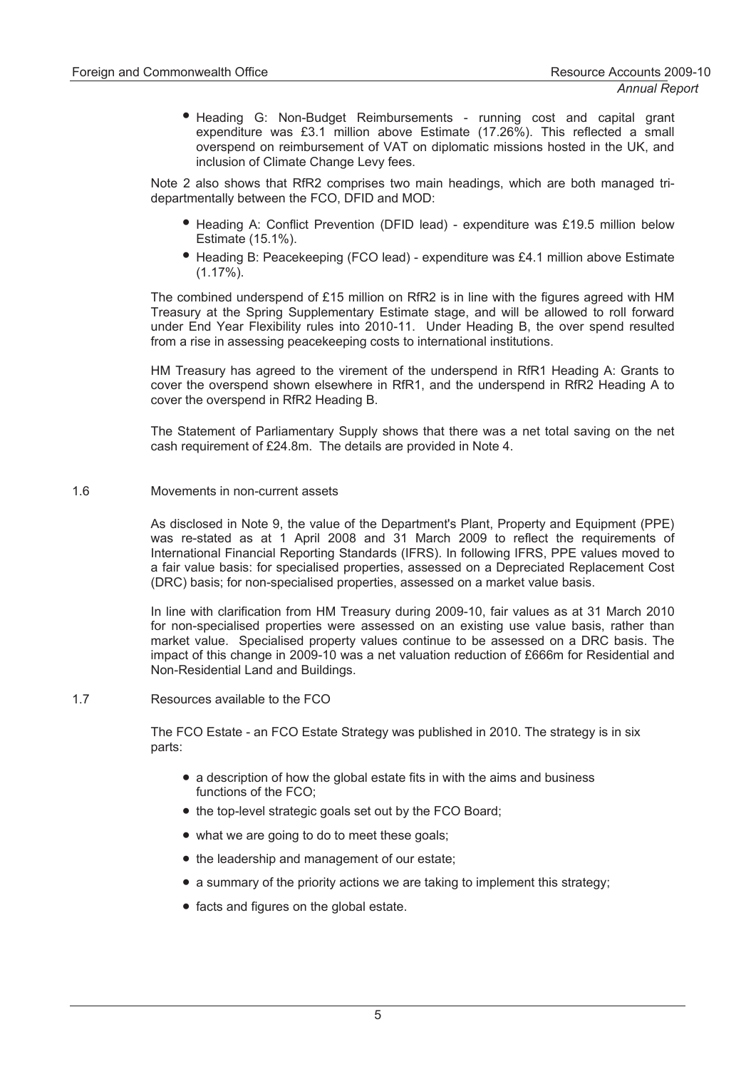Heading G: Non-Budget Reimbursements - running cost and capital grant expenditure was £3.1 million above Estimate (17.26%). This reflected a small overspend on reimbursement of VAT on diplomatic missions hosted in the UK, and inclusion of Climate Change Levy fees.

Note 2 also shows that RfR2 comprises two main headings, which are both managed tridepartmentally between the FCO, DFID and MOD:

- Heading A: Conflict Prevention (DFID lead) expenditure was £19.5 million below Estimate (15.1%).
- Heading B: Peacekeeping (FCO lead) expenditure was £4.1 million above Estimate  $(1.17\%)$ .

The combined underspend of £15 million on RfR2 is in line with the figures agreed with HM Treasury at the Spring Supplementary Estimate stage, and will be allowed to roll forward under End Year Flexibility rules into 2010-11. Under Heading B, the over spend resulted from a rise in assessing peacekeeping costs to international institutions.

HM Treasury has agreed to the virement of the underspend in RfR1 Heading A: Grants to cover the overspend shown elsewhere in RfR1, and the underspend in RfR2 Heading A to cover the overspend in RfR2 Heading B.

The Statement of Parliamentary Supply shows that there was a net total saving on the net cash requirement of £24.8m. The details are provided in Note 4.

#### 1.6 Movements in non-current assets

As disclosed in Note 9, the value of the Department's Plant, Property and Equipment (PPE) was re-stated as at 1 April 2008 and 31 March 2009 to reflect the requirements of International Financial Reporting Standards (IFRS). In following IFRS, PPE values moved to a fair value basis: for specialised properties, assessed on a Depreciated Replacement Cost (DRC) basis; for non-specialised properties, assessed on a market value basis.

In line with clarification from HM Treasury during 2009-10, fair values as at 31 March 2010 for non-specialised properties were assessed on an existing use value basis, rather than market value. Specialised property values continue to be assessed on a DRC basis. The impact of this change in 2009-10 was a net valuation reduction of £666m for Residential and Non-Residential Land and Buildings.

#### 1.7 Resources available to the FCO

The FCO Estate - an FCO Estate Strategy was published in 2010. The strategy is in six parts:

- a description of how the global estate fits in with the aims and business functions of the FCO;
- the top-level strategic goals set out by the FCO Board;
- what we are going to do to meet these goals;
- the leadership and management of our estate;
- a summary of the priority actions we are taking to implement this strategy;
- facts and figures on the global estate.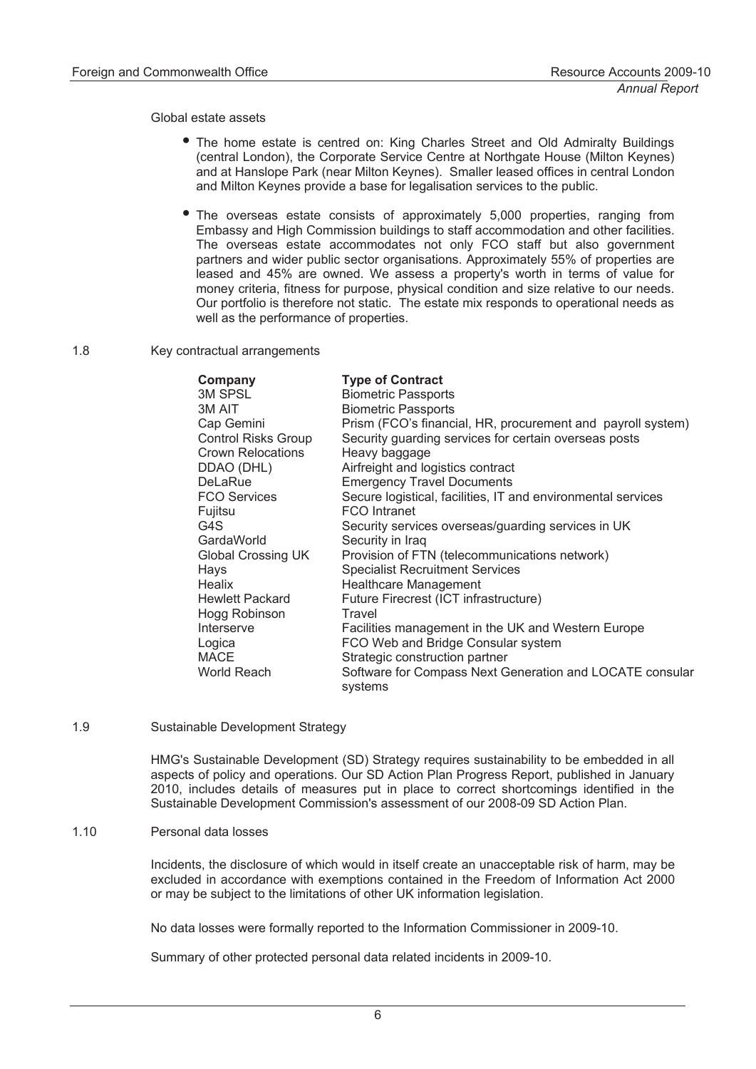Global estate assets

- The home estate is centred on: King Charles Street and Old Admiralty Buildings (central London), the Corporate Service Centre at Northgate House (Milton Keynes) and at Hanslope Park (near Milton Keynes). Smaller leased offices in central London and Milton Keynes provide a base for legalisation services to the public.
- The overseas estate consists of approximately 5,000 properties, ranging from Embassy and High Commission buildings to staff accommodation and other facilities. The overseas estate accommodates not only FCO staff but also government partners and wider public sector organisations. Approximately 55% of properties are leased and 45% are owned. We assess a property's worth in terms of value for money criteria, fitness for purpose, physical condition and size relative to our needs. Our portfolio is therefore not static. The estate mix responds to operational needs as well as the performance of properties.
- 1.8 Key contractual arrangements

| Company                    | <b>Type of Contract</b>                                             |
|----------------------------|---------------------------------------------------------------------|
| 3M SPSL                    | <b>Biometric Passports</b>                                          |
| 3M AIT                     | <b>Biometric Passports</b>                                          |
| Cap Gemini                 | Prism (FCO's financial, HR, procurement and payroll system)         |
| <b>Control Risks Group</b> | Security guarding services for certain overseas posts               |
| <b>Crown Relocations</b>   | Heavy baggage                                                       |
| DDAO (DHL)                 | Airfreight and logistics contract                                   |
| <b>DeLaRue</b>             | <b>Emergency Travel Documents</b>                                   |
| <b>FCO Services</b>        | Secure logistical, facilities, IT and environmental services        |
| Fujitsu                    | <b>FCO</b> Intranet                                                 |
| G4S                        | Security services overseas/guarding services in UK                  |
| GardaWorld                 | Security in Iraq                                                    |
| <b>Global Crossing UK</b>  | Provision of FTN (telecommunications network)                       |
| Hays                       | <b>Specialist Recruitment Services</b>                              |
| <b>Healix</b>              | <b>Healthcare Management</b>                                        |
| <b>Hewlett Packard</b>     | Future Firecrest (ICT infrastructure)                               |
| Hogg Robinson              | Travel                                                              |
| Interserve                 | Facilities management in the UK and Western Europe                  |
| Logica                     | FCO Web and Bridge Consular system                                  |
| <b>MACE</b>                | Strategic construction partner                                      |
| World Reach                | Software for Compass Next Generation and LOCATE consular<br>systems |

#### 1.9 Sustainable Development Strategy

HMG's Sustainable Development (SD) Strategy requires sustainability to be embedded in all aspects of policy and operations. Our SD Action Plan Progress Report, published in January 2010, includes details of measures put in place to correct shortcomings identified in the Sustainable Development Commission's assessment of our 2008-09 SD Action Plan.

#### 1.10 Personal data losses

Incidents, the disclosure of which would in itself create an unacceptable risk of harm, may be excluded in accordance with exemptions contained in the Freedom of Information Act 2000 or may be subject to the limitations of other UK information legislation.

No data losses were formally reported to the Information Commissioner in 2009-10.

Summary of other protected personal data related incidents in 2009-10.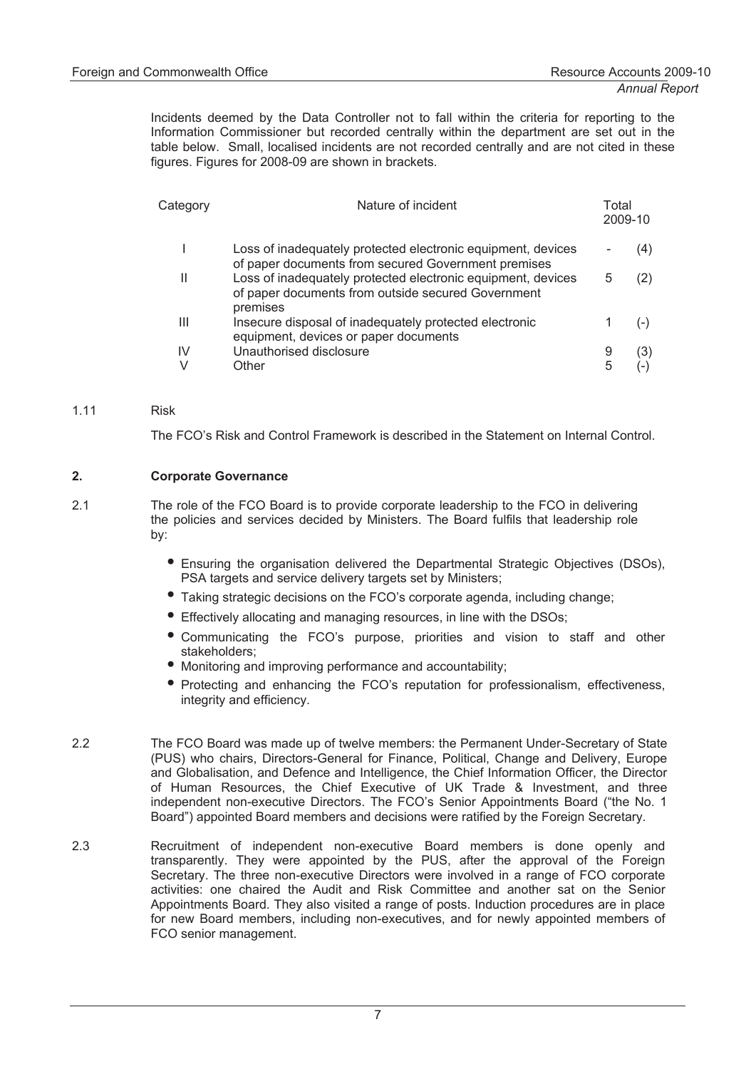Incidents deemed by the Data Controller not to fall within the criteria for reporting to the Information Commissioner but recorded centrally within the department are set out in the table below. Small, localised incidents are not recorded centrally and are not cited in these figures. Figures for 2008-09 are shown in brackets.

| Nature of incident<br>Category |                                                                                                                                |        | Total<br>2009-10 |
|--------------------------------|--------------------------------------------------------------------------------------------------------------------------------|--------|------------------|
|                                | Loss of inadequately protected electronic equipment, devices<br>of paper documents from secured Government premises            |        | (4)              |
|                                | Loss of inadequately protected electronic equipment, devices<br>of paper documents from outside secured Government<br>premises | 5      | (2)              |
| Ш                              | Insecure disposal of inadequately protected electronic<br>equipment, devices or paper documents                                |        | i – I            |
| IV                             | Unauthorised disclosure<br>Other                                                                                               | 9<br>5 | (3)              |

#### 1.11 Risk

The FCO's Risk and Control Framework is described in the Statement on Internal Control.

#### **2. Corporate Governance**

- 2.1 The role of the FCO Board is to provide corporate leadership to the FCO in delivering the policies and services decided by Ministers. The Board fulfils that leadership role by:
	- Ensuring the organisation delivered the Departmental Strategic Objectives (DSOs), PSA targets and service delivery targets set by Ministers;
	- Taking strategic decisions on the FCO's corporate agenda, including change;
	- Effectively allocating and managing resources, in line with the DSOs;
	- Communicating the FCO's purpose, priorities and vision to staff and other stakeholders;
	- Monitoring and improving performance and accountability;
	- Protecting and enhancing the FCO's reputation for professionalism, effectiveness, integrity and efficiency.
- 2.2 The FCO Board was made up of twelve members: the Permanent Under-Secretary of State (PUS) who chairs, Directors-General for Finance, Political, Change and Delivery, Europe and Globalisation, and Defence and Intelligence, the Chief Information Officer, the Director of Human Resources, the Chief Executive of UK Trade & Investment, and three independent non-executive Directors. The FCO's Senior Appointments Board ("the No. 1 Board") appointed Board members and decisions were ratified by the Foreign Secretary.
- 2.3 Recruitment of independent non-executive Board members is done openly and transparently. They were appointed by the PUS, after the approval of the Foreign Secretary. The three non-executive Directors were involved in a range of FCO corporate activities: one chaired the Audit and Risk Committee and another sat on the Senior Appointments Board. They also visited a range of posts. Induction procedures are in place for new Board members, including non-executives, and for newly appointed members of FCO senior management.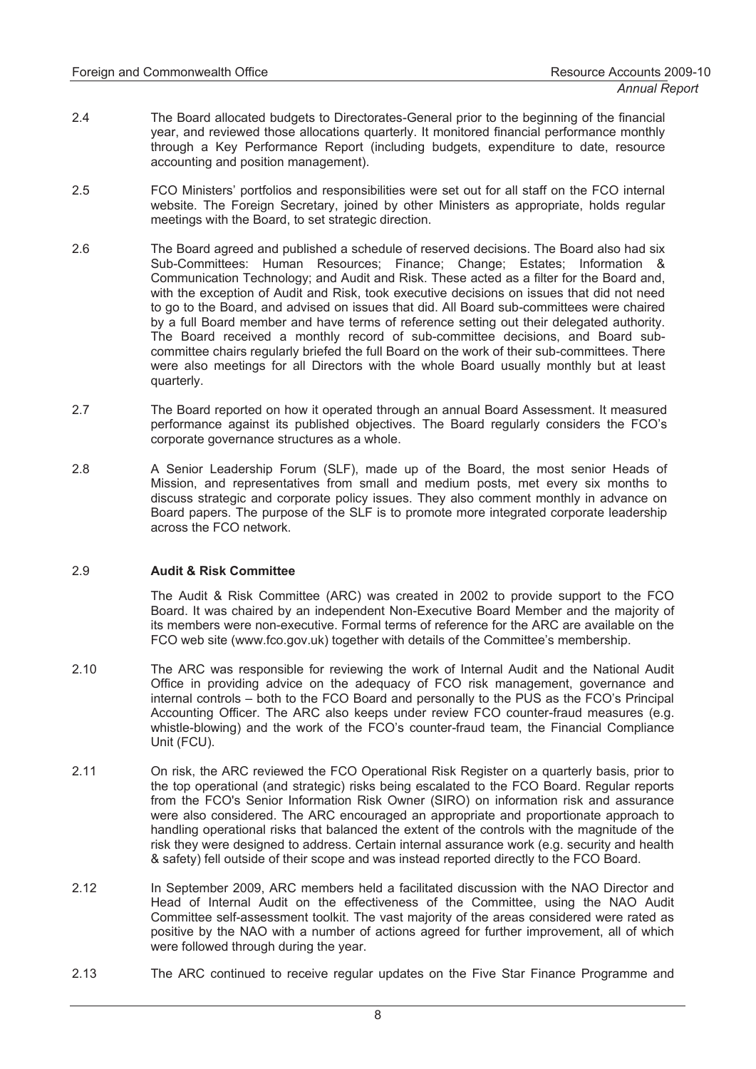- 2.4 The Board allocated budgets to Directorates-General prior to the beginning of the financial year, and reviewed those allocations quarterly. It monitored financial performance monthly through a Key Performance Report (including budgets, expenditure to date, resource accounting and position management).
- 2.5 
FCO Ministers' portfolios and responsibilities were set out for all staff on the FCO internal website. The Foreign Secretary, joined by other Ministers as appropriate, holds regular meetings with the Board, to set strategic direction.
- 2.6 The Board agreed and published a schedule of reserved decisions. The Board also had six Sub-Committees: Human Resources; Finance; Change; Estates; Information & Communication Technology; and Audit and Risk. These acted as a filter for the Board and, with the exception of Audit and Risk, took executive decisions on issues that did not need to go to the Board, and advised on issues that did. All Board sub-committees were chaired by a full Board member and have terms of reference setting out their delegated authority. The Board received a monthly record of sub-committee decisions, and Board subcommittee chairs regularly briefed the full Board on the work of their sub-committees. There were also meetings for all Directors with the whole Board usually monthly but at least quarterly.
- 2.7 The Board reported on how it operated through an annual Board Assessment. It measured performance against its published objectives. The Board regularly considers the FCO's corporate governance structures as a whole.
- 2.8 A Senior Leadership Forum (SLF), made up of the Board, the most senior Heads of Mission, and representatives from small and medium posts, met every six months to discuss strategic and corporate policy issues. They also comment monthly in advance on Board papers. The purpose of the SLF is to promote more integrated corporate leadership across the FCO network.

#### 2.9 **Audit & Risk Committee**

The Audit & Risk Committee (ARC) was created in 2002 to provide support to the FCO Board. It was chaired by an independent Non-Executive Board Member and the majority of its members were non-executive. Formal terms of reference for the ARC are available on the FCO web site (www.fco.gov.uk) together with details of the Committee's membership.

- 2.10 The ARC was responsible for reviewing the work of Internal Audit and the National Audit Office in providing advice on the adequacy of FCO risk management, governance and internal controls – both to the FCO Board and personally to the PUS as the FCO's Principal Accounting Officer. The ARC also keeps under review FCO counter-fraud measures (e.g. whistle-blowing) and the work of the FCO's counter-fraud team, the Financial Compliance Unit (FCU).
- 2.11 On risk, the ARC reviewed the FCO Operational Risk Register on a quarterly basis, prior to the top operational (and strategic) risks being escalated to the FCO Board. Regular reports from the FCO's Senior Information Risk Owner (SIRO) on information risk and assurance were also considered. The ARC encouraged an appropriate and proportionate approach to handling operational risks that balanced the extent of the controls with the magnitude of the risk they were designed to address. Certain internal assurance work (e.g. security and health & safety) fell outside of their scope and was instead reported directly to the FCO Board.
- 2.12 In September 2009, ARC members held a facilitated discussion with the NAO Director and Head of Internal Audit on the effectiveness of the Committee, using the NAO Audit Committee self-assessment toolkit. The vast majority of the areas considered were rated as positive by the NAO with a number of actions agreed for further improvement, all of which were followed through during the year.
- 2.13 The ARC continued to receive regular updates on the Five Star Finance Programme and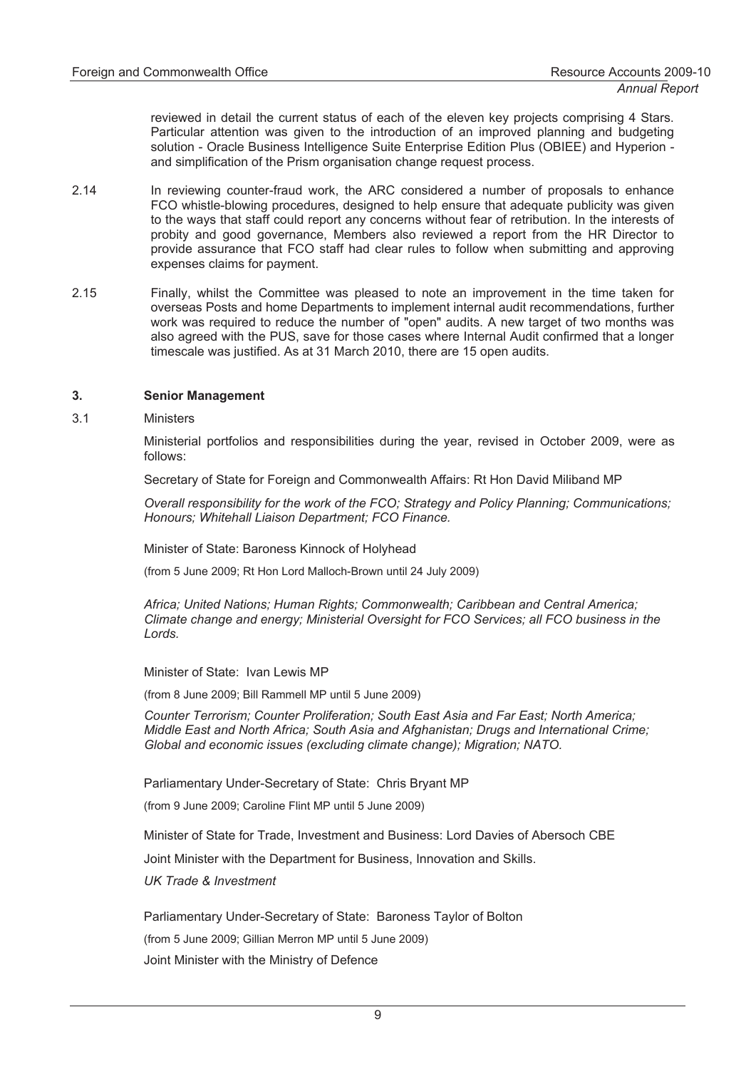reviewed in detail the current status of each of the eleven key projects comprising 4 Stars. Particular attention was given to the introduction of an improved planning and budgeting solution - Oracle Business Intelligence Suite Enterprise Edition Plus (OBIEE) and Hyperion and simplification of the Prism organisation change request process.

- 2.14 In reviewing counter-fraud work, the ARC considered a number of proposals to enhance FCO whistle-blowing procedures, designed to help ensure that adequate publicity was given to the ways that staff could report any concerns without fear of retribution. In the interests of probity and good governance, Members also reviewed a report from the HR Director to provide assurance that FCO staff had clear rules to follow when submitting and approving expenses claims for payment.
- 2.15 Finally, whilst the Committee was pleased to note an improvement in the time taken for overseas Posts and home Departments to implement internal audit recommendations, further work was required to reduce the number of "open" audits. A new target of two months was also agreed with the PUS, save for those cases where Internal Audit confirmed that a longer timescale was justified. As at 31 March 2010, there are 15 open audits.

#### **3. Senior Management**

3.1 Ministers

Ministerial portfolios and responsibilities during the year, revised in October 2009, were as follows:

Secretary of State for Foreign and Commonwealth Affairs: Rt Hon David Miliband MP

*Overall responsibility for the work of the FCO; Strategy and Policy Planning; Communications; Honours; Whitehall Liaison Department; FCO Finance.* 

Minister of State: Baroness Kinnock of Holyhead

(from 5 June 2009; Rt Hon Lord Malloch-Brown until 24 July 2009)

*Africa; United Nations; Human Rights; Commonwealth; Caribbean and Central America; Climate change and energy; Ministerial Oversight for FCO Services; all FCO business in the Lords.* 

Minister of State: Ivan Lewis MP

(from 8 June 2009; Bill Rammell MP until 5 June 2009)

*Counter Terrorism; Counter Proliferation; South East Asia and Far East; North America; Middle East and North Africa; South Asia and Afghanistan; Drugs and International Crime; Global and economic issues (excluding climate change); Migration; NATO.* 

Parliamentary Under-Secretary of State: Chris Bryant MP

(from 9 June 2009; Caroline Flint MP until 5 June 2009)

Minister of State for Trade, Investment and Business: Lord Davies of Abersoch CBE

Joint Minister with the Department for Business, Innovation and Skills.

#### *UK Trade & Investment*

Parliamentary Under-Secretary of State: Baroness Taylor of Bolton

(from 5 June 2009; Gillian Merron MP until 5 June 2009)

Joint Minister with the Ministry of Defence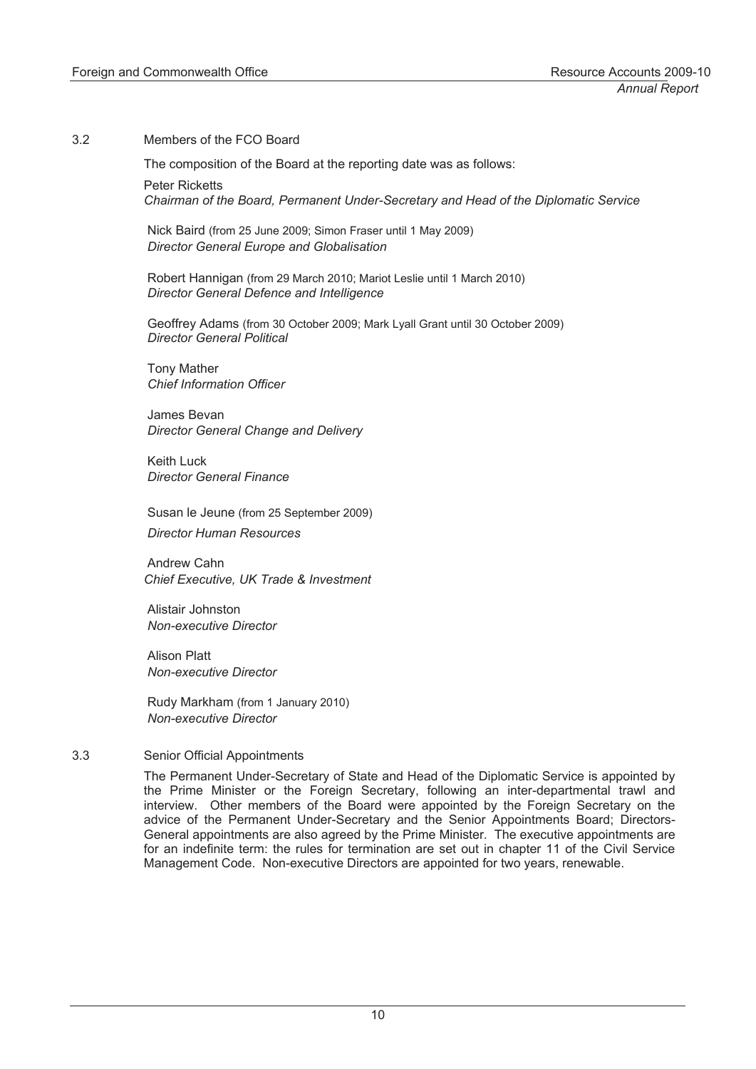#### 3.2 Members of the FCO Board

The composition of the Board at the reporting date was as follows:

Peter Ricketts *Chairman of the Board, Permanent Under-Secretary and Head of the Diplomatic Service* 

 Nick Baird (from 25 June 2009; Simon Fraser until 1 May 2009)  *Director General Europe and Globalisation* 

 Robert Hannigan (from 29 March 2010; Mariot Leslie until 1 March 2010)  *Director General Defence and Intelligence* 

 Geoffrey Adams (from 30 October 2009; Mark Lyall Grant until 30 October 2009)  *Director General Political* 

 Tony Mather  *Chief Information Officer* 

 James Bevan  *Director General Change and Delivery* 

 Keith Luck  *Director General Finance* 

Susan le Jeune (from 25 September 2009)

 *Director Human Resources* 

 Andrew Cahn *Chief Executive, UK Trade & Investment* 

 Alistair Johnston  *Non-executive Director* 

 Alison Platt  *Non-executive Director* 

 Rudy Markham (from 1 January 2010)  *Non-executive Director* 

#### 3.3 Senior Official Appointments

The Permanent Under-Secretary of State and Head of the Diplomatic Service is appointed by the Prime Minister or the Foreign Secretary, following an inter-departmental trawl and interview. Other members of the Board were appointed by the Foreign Secretary on the advice of the Permanent Under-Secretary and the Senior Appointments Board; Directors-General appointments are also agreed by the Prime Minister. The executive appointments are for an indefinite term: the rules for termination are set out in chapter 11 of the Civil Service Management Code. Non-executive Directors are appointed for two years, renewable.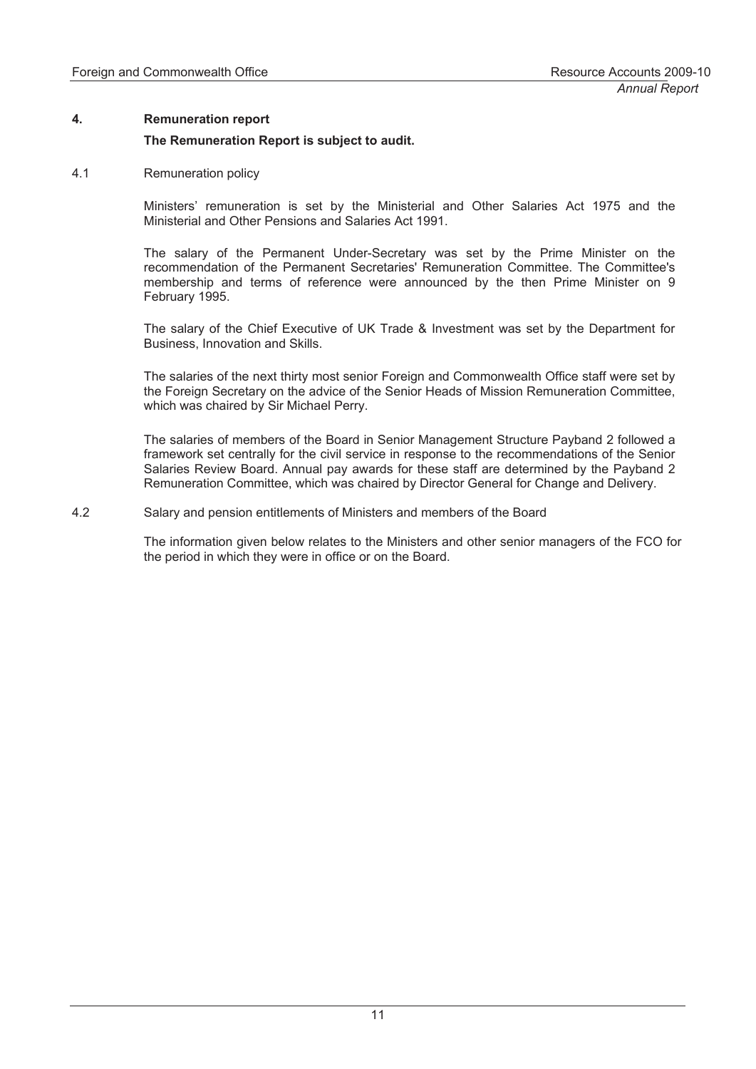#### **4. Remuneration report**

#### **The Remuneration Report is subject to audit.**

4.1 Remuneration policy

Ministers' remuneration is set by the Ministerial and Other Salaries Act 1975 and the Ministerial and Other Pensions and Salaries Act 1991.

The salary of the Permanent Under-Secretary was set by the Prime Minister on the recommendation of the Permanent Secretaries' Remuneration Committee. The Committee's membership and terms of reference were announced by the then Prime Minister on 9 February 1995.

The salary of the Chief Executive of UK Trade & Investment was set by the Department for Business, Innovation and Skills.

The salaries of the next thirty most senior Foreign and Commonwealth Office staff were set by the Foreign Secretary on the advice of the Senior Heads of Mission Remuneration Committee, which was chaired by Sir Michael Perry.

The salaries of members of the Board in Senior Management Structure Payband 2 followed a framework set centrally for the civil service in response to the recommendations of the Senior Salaries Review Board. Annual pay awards for these staff are determined by the Payband 2 Remuneration Committee, which was chaired by Director General for Change and Delivery.

4.2 Salary and pension entitlements of Ministers and members of the Board

The information given below relates to the Ministers and other senior managers of the FCO for the period in which they were in office or on the Board.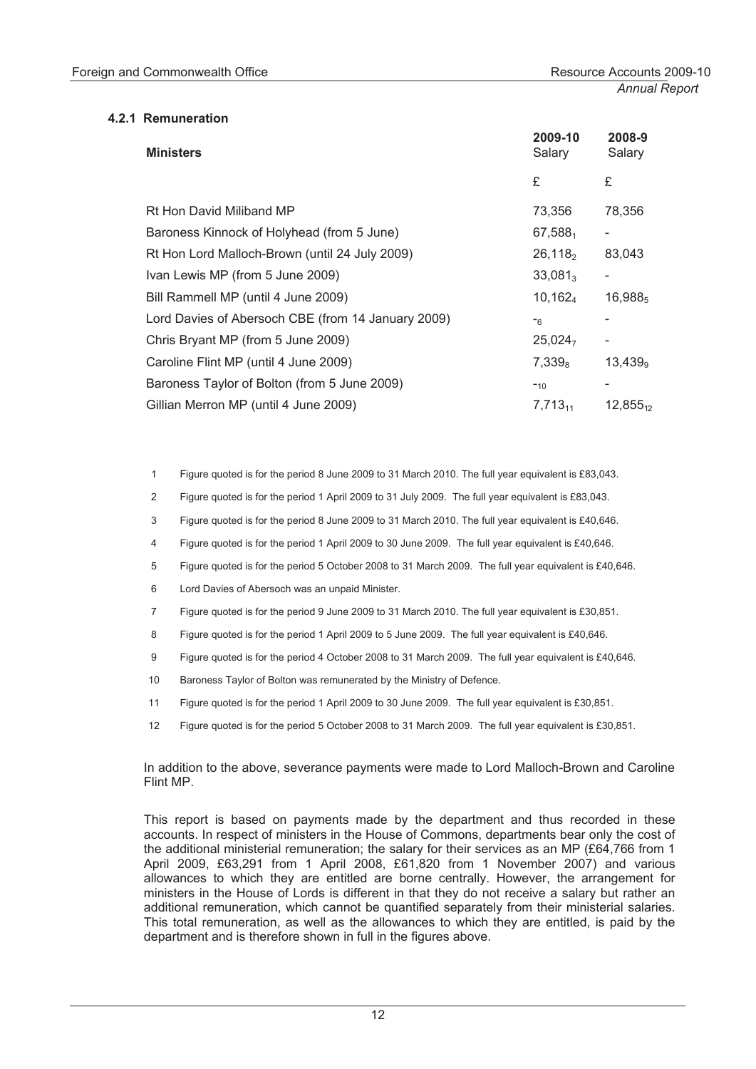#### **4.2.1 Remuneration**

| <b>Ministers</b>                                   | 2009-10<br>Salary   | 2008-9<br>Salary    |
|----------------------------------------------------|---------------------|---------------------|
|                                                    | £                   | £                   |
| Rt Hon David Miliband MP                           | 73,356              | 78,356              |
| Baroness Kinnock of Holyhead (from 5 June)         | 67,588,             |                     |
| Rt Hon Lord Malloch-Brown (until 24 July 2009)     | 26,118,             | 83,043              |
| Ivan Lewis MP (from 5 June 2009)                   | $33,081_3$          |                     |
| Bill Rammell MP (until 4 June 2009)                | $10,162_4$          | $16,988_5$          |
| Lord Davies of Abersoch CBE (from 14 January 2009) | $-6$                |                     |
| Chris Bryant MP (from 5 June 2009)                 | $25,024_7$          |                     |
| Caroline Flint MP (until 4 June 2009)              | $7,339_8$           | 13,439 <sub>9</sub> |
| Baroness Taylor of Bolton (from 5 June 2009)       | $-10$               |                     |
| Gillian Merron MP (until 4 June 2009)              | 7,713 <sub>11</sub> | $12.855_{12}$       |

1 Figure quoted is for the period 8 June 2009 to 31 March 2010. The full year equivalent is £83,043.

2 Figure quoted is for the period 1 April 2009 to 31 July 2009. The full year equivalent is £83,043.

3 Figure quoted is for the period 8 June 2009 to 31 March 2010. The full year equivalent is £40,646.

- 4 Figure quoted is for the period 1 April 2009 to 30 June 2009. The full year equivalent is £40,646.
- 5 Figure quoted is for the period 5 October 2008 to 31 March 2009. The full year equivalent is £40,646.
- 6 Lord Davies of Abersoch was an unpaid Minister.
- 7 Figure quoted is for the period 9 June 2009 to 31 March 2010. The full year equivalent is £30,851.
- 8 Figure quoted is for the period 1 April 2009 to 5 June 2009. The full year equivalent is £40,646.
- 9 Figure quoted is for the period 4 October 2008 to 31 March 2009. The full year equivalent is £40,646.
- 10 Baroness Taylor of Bolton was remunerated by the Ministry of Defence.
- 11 Figure quoted is for the period 1 April 2009 to 30 June 2009. The full year equivalent is £30,851.
- 12 Figure quoted is for the period 5 October 2008 to 31 March 2009. The full year equivalent is £30,851.

In addition to the above, severance payments were made to Lord Malloch-Brown and Caroline Flint MP.

This report is based on payments made by the department and thus recorded in these accounts. In respect of ministers in the House of Commons, departments bear only the cost of the additional ministerial remuneration; the salary for their services as an MP (£64,766 from 1 April 2009, £63,291 from 1 April 2008, £61,820 from 1 November 2007) and various allowances to which they are entitled are borne centrally. However, the arrangement for ministers in the House of Lords is different in that they do not receive a salary but rather an additional remuneration, which cannot be quantified separately from their ministerial salaries. This total remuneration, as well as the allowances to which they are entitled, is paid by the department and is therefore shown in full in the figures above.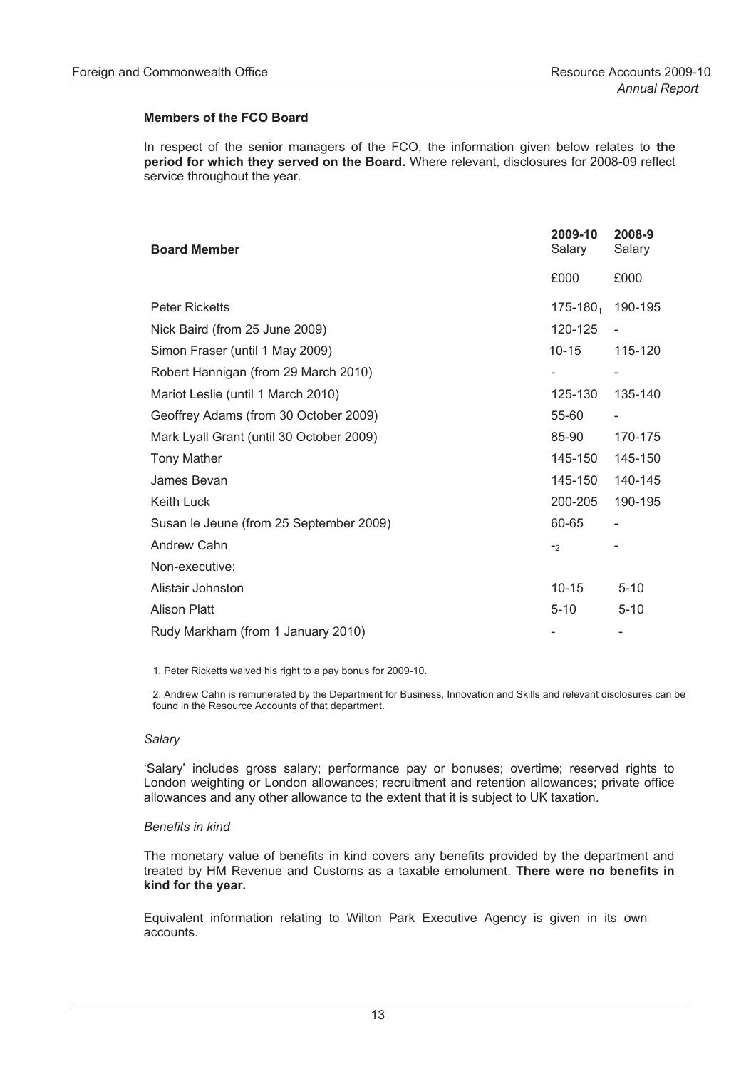#### **Members of the FCO Board**

In respect of the senior managers of the FCO, the information given below relates to **the period for which they served on the Board.** Where relevant, disclosures for 2008-09 reflect service throughout the year.

| <b>Board Member</b>                      | 2009-10<br>Salary        | 2008-9<br>Salary |  |
|------------------------------------------|--------------------------|------------------|--|
|                                          | £000                     | £000             |  |
| <b>Peter Ricketts</b>                    | $175 - 180$ <sub>1</sub> | 190-195          |  |
| Nick Baird (from 25 June 2009)           | 120-125                  |                  |  |
| Simon Fraser (until 1 May 2009)          | $10 - 15$                | 115-120          |  |
| Robert Hannigan (from 29 March 2010)     |                          |                  |  |
| Mariot Leslie (until 1 March 2010)       | 125-130                  | 135-140          |  |
| Geoffrey Adams (from 30 October 2009)    | 55-60                    |                  |  |
| Mark Lyall Grant (until 30 October 2009) | 85-90                    | 170-175          |  |
| <b>Tony Mather</b>                       | 145-150                  | 145-150          |  |
| James Bevan                              | 145-150                  | 140-145          |  |
| <b>Keith Luck</b>                        | 200-205                  | 190-195          |  |
| Susan le Jeune (from 25 September 2009)  | 60-65                    |                  |  |
| Andrew Cahn                              | $-2$                     |                  |  |
| Non-executive:                           |                          |                  |  |
| Alistair Johnston                        | $10 - 15$                | $5 - 10$         |  |
| <b>Alison Platt</b>                      | $5 - 10$                 | $5 - 10$         |  |
| Rudy Markham (from 1 January 2010)       |                          |                  |  |

1. Peter Ricketts waived his right to a pay bonus for 2009-10.

2. Andrew Cahn is remunerated by the Department for Business, Innovation and Skills and relevant disclosures can be found in the Resource Accounts of that department.

#### *Salary*

'Salary' includes gross salary; performance pay or bonuses; overtime; reserved rights to London weighting or London allowances; recruitment and retention allowances; private office allowances and any other allowance to the extent that it is subject to UK taxation.

#### *Benefits in kind*

The monetary value of benefits in kind covers any benefits provided by the department and treated by HM Revenue and Customs as a taxable emolument. **There were no benefits in kind for the year.**

Equivalent information relating to Wilton Park Executive Agency is given in its own accounts.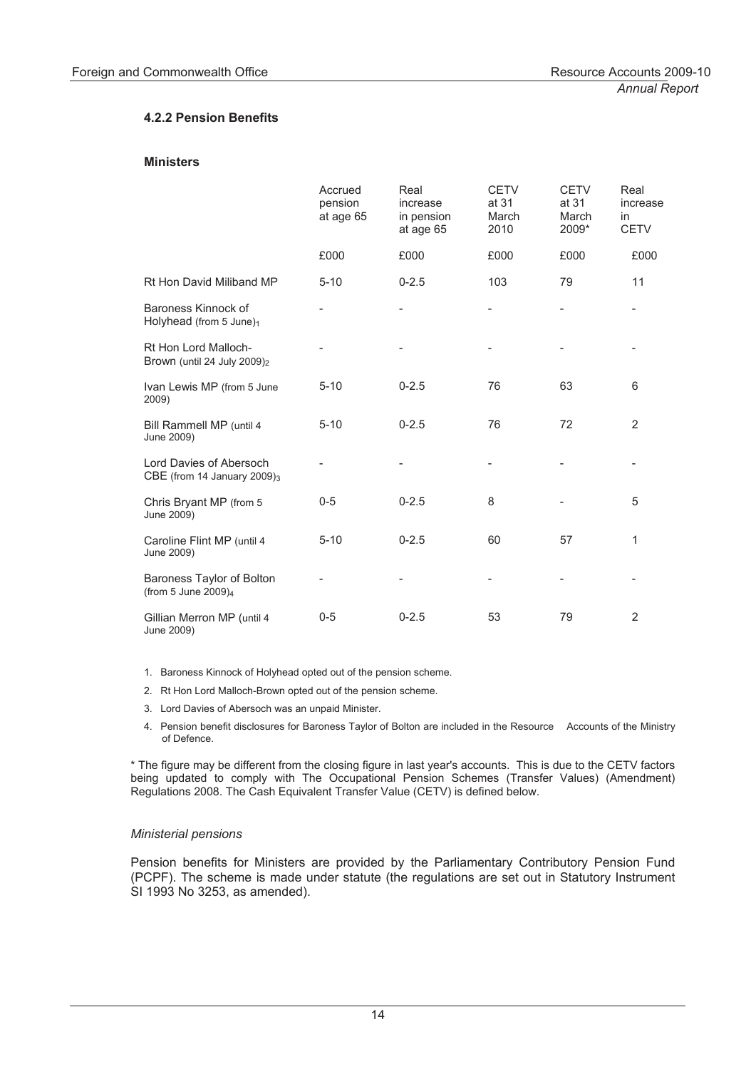#### **4.2.2 Pension Benefits**

#### **Ministers**

|                                                                 | Accrued<br>pension<br>at age 65 | Real<br>increase<br>in pension<br>at age 65 | <b>CETV</b><br>at 31<br>March<br>2010 | <b>CETV</b><br>at 31<br>March<br>2009* | Real<br>increase<br>in<br><b>CETV</b> |
|-----------------------------------------------------------------|---------------------------------|---------------------------------------------|---------------------------------------|----------------------------------------|---------------------------------------|
|                                                                 | £000                            | £000                                        | £000                                  | £000                                   | £000                                  |
| Rt Hon David Miliband MP                                        | $5 - 10$                        | $0 - 2.5$                                   | 103                                   | 79                                     | 11                                    |
| Baroness Kinnock of<br>Holyhead (from 5 June) $_1$              |                                 |                                             |                                       |                                        |                                       |
| Rt Hon Lord Malloch-<br>Brown (until 24 July 2009) <sub>2</sub> |                                 |                                             |                                       |                                        |                                       |
| Ivan Lewis MP (from 5 June<br>2009)                             | $5 - 10$                        | $0 - 2.5$                                   | 76                                    | 63                                     | 6                                     |
| Bill Rammell MP (until 4<br>June 2009)                          | $5 - 10$                        | $0 - 2.5$                                   | 76                                    | 72                                     | $\overline{2}$                        |
| Lord Davies of Abersoch<br>CBE (from 14 January 2009) $_3$      |                                 |                                             |                                       |                                        |                                       |
| Chris Bryant MP (from 5<br>June 2009)                           | $0-5$                           | $0 - 2.5$                                   | 8                                     |                                        | 5                                     |
| Caroline Flint MP (until 4<br>June 2009)                        | $5 - 10$                        | $0 - 2.5$                                   | 60                                    | 57                                     | 1                                     |
| Baroness Taylor of Bolton<br>(from 5 June 2009) $_4$            |                                 |                                             |                                       |                                        |                                       |
| Gillian Merron MP (until 4<br>June 2009)                        | $0 - 5$                         | $0 - 2.5$                                   | 53                                    | 79                                     | $\overline{2}$                        |

- 1. Baroness Kinnock of Holyhead opted out of the pension scheme.
- 2. Rt Hon Lord Malloch-Brown opted out of the pension scheme.
- 3. Lord Davies of Abersoch was an unpaid Minister.
- 4. Pension benefit disclosures for Baroness Taylor of Bolton are included in the Resource Accounts of the Ministry of Defence.

\* The figure may be different from the closing figure in last year's accounts. This is due to the CETV factors being updated to comply with The Occupational Pension Schemes (Transfer Values) (Amendment) Regulations 2008. The Cash Equivalent Transfer Value (CETV) is defined below.

#### *Ministerial pensions*

Pension benefits for Ministers are provided by the Parliamentary Contributory Pension Fund (PCPF). The scheme is made under statute (the regulations are set out in Statutory Instrument SI 1993 No 3253, as amended).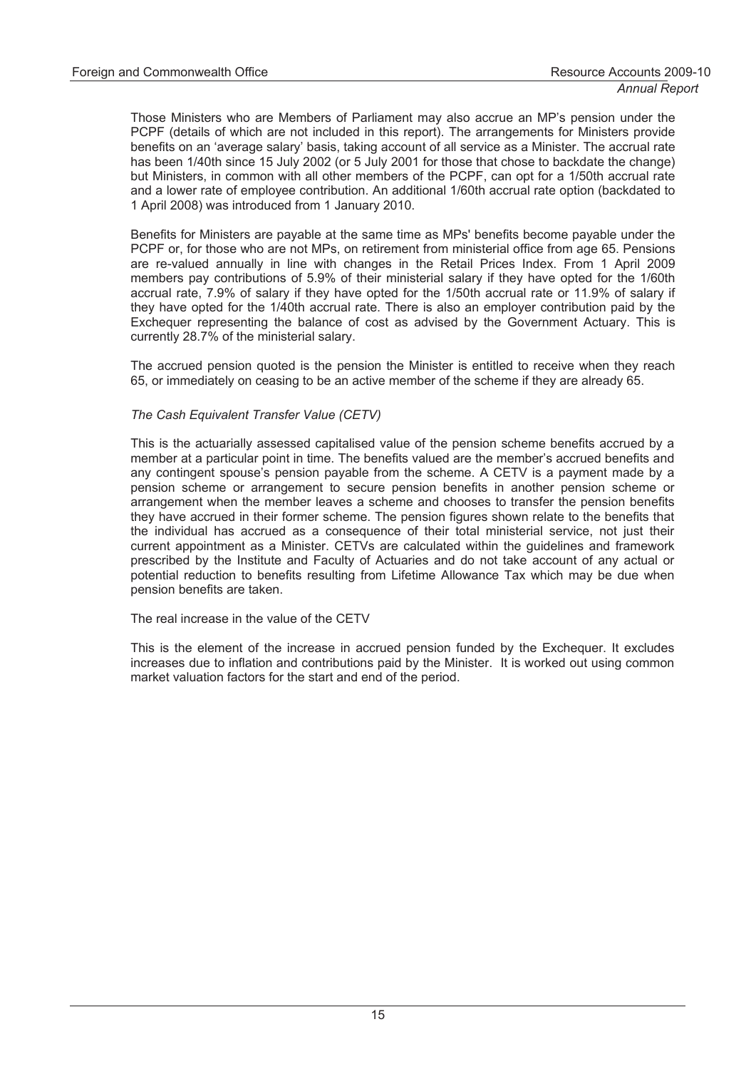Those Ministers who are Members of Parliament may also accrue an MP's pension under the PCPF (details of which are not included in this report). The arrangements for Ministers provide benefits on an 'average salary' basis, taking account of all service as a Minister. The accrual rate has been 1/40th since 15 July 2002 (or 5 July 2001 for those that chose to backdate the change) but Ministers, in common with all other members of the PCPF, can opt for a 1/50th accrual rate and a lower rate of employee contribution. An additional 1/60th accrual rate option (backdated to 1 April 2008) was introduced from 1 January 2010.

Benefits for Ministers are payable at the same time as MPs' benefits become payable under the PCPF or, for those who are not MPs, on retirement from ministerial office from age 65. Pensions are re-valued annually in line with changes in the Retail Prices Index. From 1 April 2009 members pay contributions of 5.9% of their ministerial salary if they have opted for the 1/60th accrual rate, 7.9% of salary if they have opted for the 1/50th accrual rate or 11.9% of salary if they have opted for the 1/40th accrual rate. There is also an employer contribution paid by the Exchequer representing the balance of cost as advised by the Government Actuary. This is currently 28.7% of the ministerial salary.

The accrued pension quoted is the pension the Minister is entitled to receive when they reach 65, or immediately on ceasing to be an active member of the scheme if they are already 65.

#### *The Cash Equivalent Transfer Value (CETV)*

This is the actuarially assessed capitalised value of the pension scheme benefits accrued by a member at a particular point in time. The benefits valued are the member's accrued benefits and any contingent spouse's pension payable from the scheme. A CETV is a payment made by a pension scheme or arrangement to secure pension benefits in another pension scheme or arrangement when the member leaves a scheme and chooses to transfer the pension benefits they have accrued in their former scheme. The pension figures shown relate to the benefits that the individual has accrued as a consequence of their total ministerial service, not just their current appointment as a Minister. CETVs are calculated within the guidelines and framework prescribed by the Institute and Faculty of Actuaries and do not take account of any actual or potential reduction to benefits resulting from Lifetime Allowance Tax which may be due when pension benefits are taken.

The real increase in the value of the CETV

This is the element of the increase in accrued pension funded by the Exchequer. It excludes increases due to inflation and contributions paid by the Minister. It is worked out using common market valuation factors for the start and end of the period.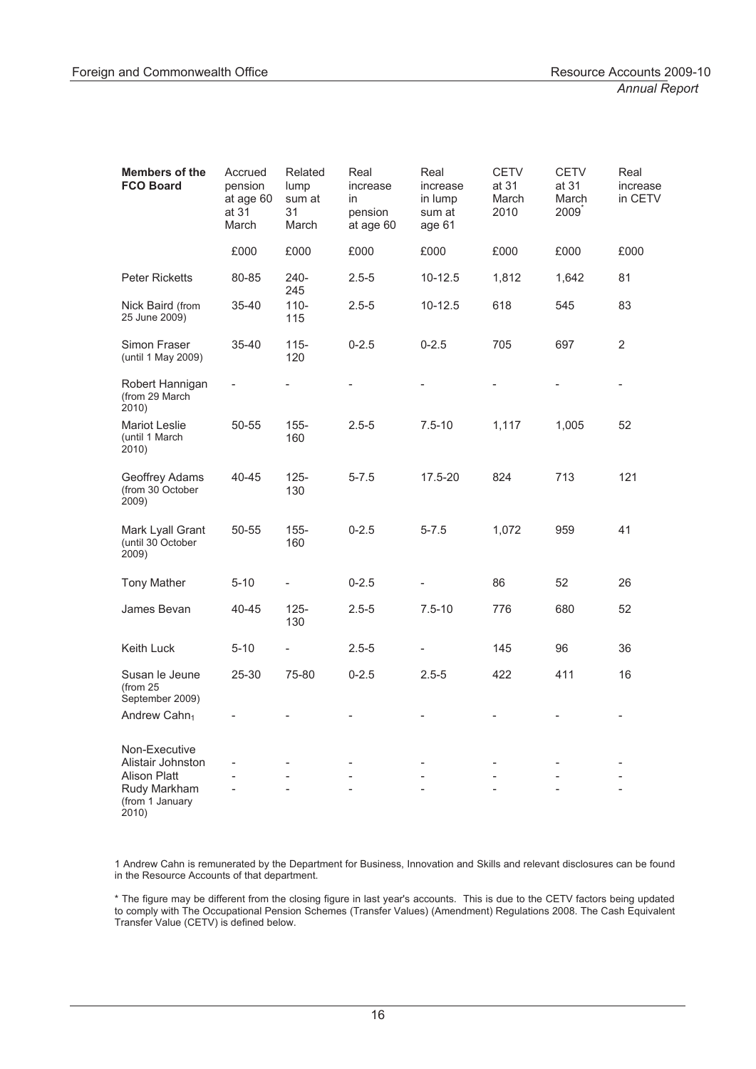| <b>Members of the</b><br><b>FCO Board</b>      | Accrued<br>pension<br>at age 60<br>at 31<br>March | Related<br>lump<br>sum at<br>31<br>March | Real<br>increase<br>in<br>pension<br>at age 60 | Real<br>increase<br>in lump<br>sum at<br>age 61 | <b>CETV</b><br>at 31<br>March<br>2010 | <b>CETV</b><br>at 31<br>March<br>2009 | Real<br>increase<br>in CETV |
|------------------------------------------------|---------------------------------------------------|------------------------------------------|------------------------------------------------|-------------------------------------------------|---------------------------------------|---------------------------------------|-----------------------------|
|                                                | £000                                              | £000                                     | £000                                           | £000                                            | £000                                  | £000                                  | £000                        |
| <b>Peter Ricketts</b>                          | 80-85                                             | 240-<br>245                              | $2.5 - 5$                                      | 10-12.5                                         | 1,812                                 | 1,642                                 | 81                          |
| Nick Baird (from<br>25 June 2009)              | 35-40                                             | $110 -$<br>115                           | $2.5 - 5$                                      | 10-12.5                                         | 618                                   | 545                                   | 83                          |
| Simon Fraser<br>(until 1 May 2009)             | 35-40                                             | $115 -$<br>120                           | $0 - 2.5$                                      | $0 - 2.5$                                       | 705                                   | 697                                   | $\overline{2}$              |
| Robert Hannigan<br>(from 29 March<br>2010)     |                                                   |                                          |                                                |                                                 |                                       |                                       | ÷                           |
| Mariot Leslie<br>(until 1 March<br>2010)       | 50-55                                             | $155 -$<br>160                           | $2.5 - 5$                                      | $7.5 - 10$                                      | 1,117                                 | 1,005                                 | 52                          |
| Geoffrey Adams<br>(from 30 October<br>2009)    | 40-45                                             | $125 -$<br>130                           | $5 - 7.5$                                      | 17.5-20                                         | 824                                   | 713                                   | 121                         |
| Mark Lyall Grant<br>(until 30 October<br>2009) | 50-55                                             | $155 -$<br>160                           | $0 - 2.5$                                      | $5 - 7.5$                                       | 1,072                                 | 959                                   | 41                          |
| <b>Tony Mather</b>                             | $5 - 10$                                          |                                          | $0 - 2.5$                                      | $\sim$                                          | 86                                    | 52                                    | 26                          |
| James Bevan                                    | 40-45                                             | $125 -$<br>130                           | $2.5 - 5$                                      | $7.5 - 10$                                      | 776                                   | 680                                   | 52                          |
| Keith Luck                                     | $5 - 10$                                          | $\overline{a}$                           | $2.5 - 5$                                      | $\overline{a}$                                  | 145                                   | 96                                    | 36                          |
| Susan le Jeune<br>(from 25<br>September 2009)  | 25-30                                             | 75-80                                    | $0 - 2.5$                                      | $2.5 - 5$                                       | 422                                   | 411                                   | 16                          |
| Andrew Cahn <sub>1</sub>                       |                                                   |                                          |                                                |                                                 |                                       |                                       | ÷                           |
| Non-Executive<br>Alistair Johnston             |                                                   |                                          |                                                |                                                 |                                       |                                       |                             |
| <b>Alison Platt</b><br>Rudy Markham            | $\overline{a}$                                    |                                          |                                                | $\overline{a}$                                  |                                       |                                       | ÷,                          |
| from 1 January                                 |                                                   |                                          |                                                |                                                 |                                       |                                       |                             |

January  $2010$ 

1 Andrew Cahn is remunerated by the Department for Business, Innovation and Skills and relevant disclosures can be found in the Resource Accounts of that department.

\* The figure may be different from the closing figure in last year's accounts. This is due to the CETV factors being updated to comply with The Occupational Pension Schemes (Transfer Values) (Amendment) Regulations 2008. The Cash Equivalent Transfer Value (CETV) is defined below.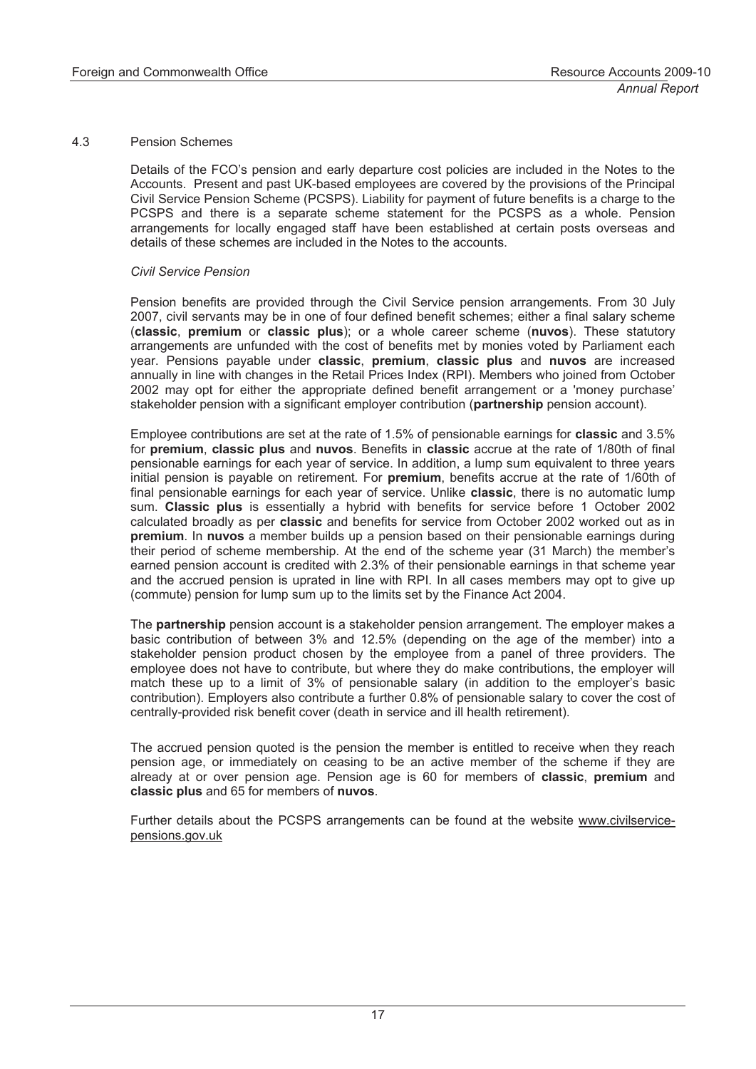#### 4.3 Pension Schemes

Details of the FCO's pension and early departure cost policies are included in the Notes to the Accounts. Present and past UK-based employees are covered by the provisions of the Principal Civil Service Pension Scheme (PCSPS). Liability for payment of future benefits is a charge to the PCSPS and there is a separate scheme statement for the PCSPS as a whole. Pension arrangements for locally engaged staff have been established at certain posts overseas and details of these schemes are included in the Notes to the accounts.

#### *Civil Service Pension*

Pension benefits are provided through the Civil Service pension arrangements. From 30 July 2007, civil servants may be in one of four defined benefit schemes; either a final salary scheme (**classic**, **premium** or **classic plus**); or a whole career scheme (**nuvos**). These statutory arrangements are unfunded with the cost of benefits met by monies voted by Parliament each year. Pensions payable under **classic**, **premium**, **classic plus** and **nuvos** are increased annually in line with changes in the Retail Prices Index (RPI). Members who joined from October 2002 may opt for either the appropriate defined benefit arrangement or a 'money purchase' stakeholder pension with a significant employer contribution (**partnership** pension account).

Employee contributions are set at the rate of 1.5% of pensionable earnings for **classic** and 3.5% for **premium**, **classic plus** and **nuvos**. Benefits in **classic** accrue at the rate of 1/80th of final pensionable earnings for each year of service. In addition, a lump sum equivalent to three years initial pension is payable on retirement. For **premium**, benefits accrue at the rate of 1/60th of final pensionable earnings for each year of service. Unlike **classic**, there is no automatic lump sum. **Classic plus** is essentially a hybrid with benefits for service before 1 October 2002 calculated broadly as per **classic** and benefits for service from October 2002 worked out as in **premium**. In **nuvos** a member builds up a pension based on their pensionable earnings during their period of scheme membership. At the end of the scheme year (31 March) the member's earned pension account is credited with 2.3% of their pensionable earnings in that scheme year and the accrued pension is uprated in line with RPI. In all cases members may opt to give up (commute) pension for lump sum up to the limits set by the Finance Act 2004.

The **partnership** pension account is a stakeholder pension arrangement. The employer makes a basic contribution of between 3% and 12.5% (depending on the age of the member) into a stakeholder pension product chosen by the employee from a panel of three providers. The employee does not have to contribute, but where they do make contributions, the employer will match these up to a limit of 3% of pensionable salary (in addition to the employer's basic contribution). Employers also contribute a further 0.8% of pensionable salary to cover the cost of centrally-provided risk benefit cover (death in service and ill health retirement).

The accrued pension quoted is the pension the member is entitled to receive when they reach pension age, or immediately on ceasing to be an active member of the scheme if they are already at or over pension age. Pension age is 60 for members of **classic**, **premium** and **classic plus** and 65 for members of **nuvos**.

Further details about the PCSPS arrangements can be found at the website www.civilservicepensions.gov.uk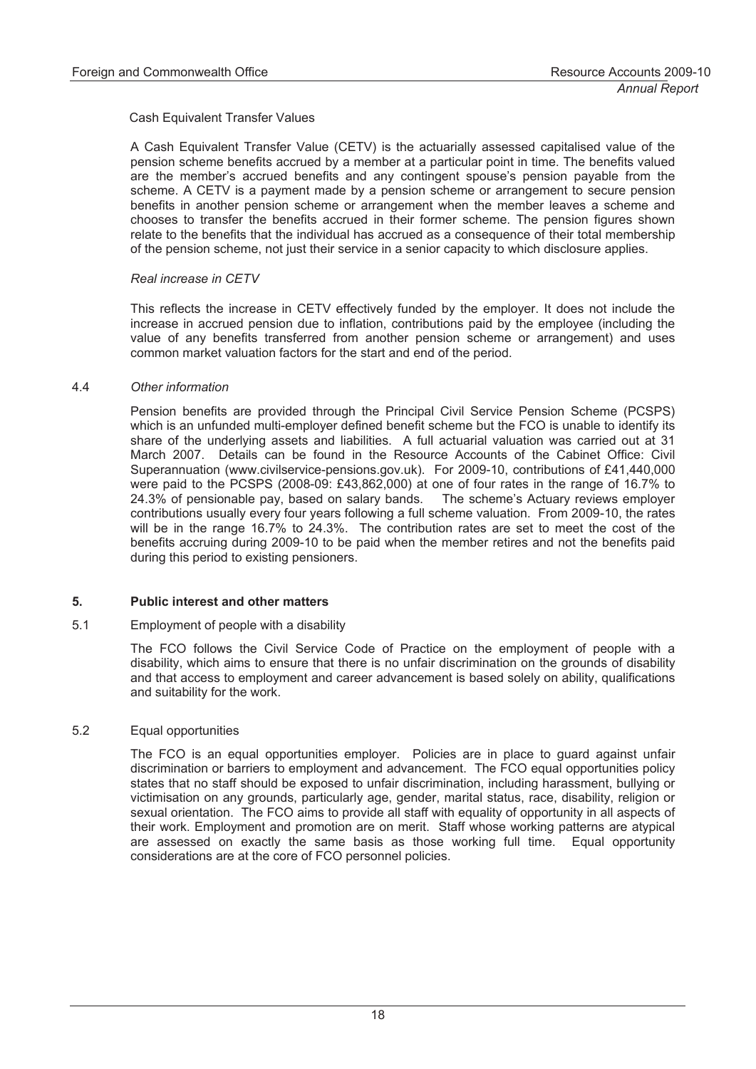#### Cash Equivalent Transfer Values

A Cash Equivalent Transfer Value (CETV) is the actuarially assessed capitalised value of the pension scheme benefits accrued by a member at a particular point in time. The benefits valued are the member's accrued benefits and any contingent spouse's pension payable from the scheme. A CETV is a payment made by a pension scheme or arrangement to secure pension benefits in another pension scheme or arrangement when the member leaves a scheme and chooses to transfer the benefits accrued in their former scheme. The pension figures shown relate to the benefits that the individual has accrued as a consequence of their total membership of the pension scheme, not just their service in a senior capacity to which disclosure applies.

#### *Real increase in CETV*

This reflects the increase in CETV effectively funded by the employer. It does not include the increase in accrued pension due to inflation, contributions paid by the employee (including the value of any benefits transferred from another pension scheme or arrangement) and uses common market valuation factors for the start and end of the period.

#### 4.4 *Other information*

Pension benefits are provided through the Principal Civil Service Pension Scheme (PCSPS) which is an unfunded multi-employer defined benefit scheme but the FCO is unable to identify its share of the underlying assets and liabilities. A full actuarial valuation was carried out at 31 March 2007. Details can be found in the Resource Accounts of the Cabinet Office: Civil Superannuation (www.civilservice-pensions.gov.uk). For 2009-10, contributions of £41,440,000 were paid to the PCSPS (2008-09: £43,862,000) at one of four rates in the range of 16.7% to 24.3% of pensionable pay, based on salary bands. The scheme's Actuary reviews emplover contributions usually every four years following a full scheme valuation. From 2009-10, the rates will be in the range 16.7% to 24.3%. The contribution rates are set to meet the cost of the benefits accruing during 2009-10 to be paid when the member retires and not the benefits paid during this period to existing pensioners.

#### **5. Public interest and other matters**

#### 5.1 Employment of people with a disability

The FCO follows the Civil Service Code of Practice on the employment of people with a disability, which aims to ensure that there is no unfair discrimination on the grounds of disability and that access to employment and career advancement is based solely on ability, qualifications and suitability for the work.

#### 5.2 Equal opportunities

The FCO is an equal opportunities employer. Policies are in place to guard against unfair discrimination or barriers to employment and advancement. The FCO equal opportunities policy states that no staff should be exposed to unfair discrimination, including harassment, bullying or victimisation on any grounds, particularly age, gender, marital status, race, disability, religion or sexual orientation. The FCO aims to provide all staff with equality of opportunity in all aspects of their work. Employment and promotion are on merit. Staff whose working patterns are atypical are assessed on exactly the same basis as those working full time. Equal opportunity considerations are at the core of FCO personnel policies.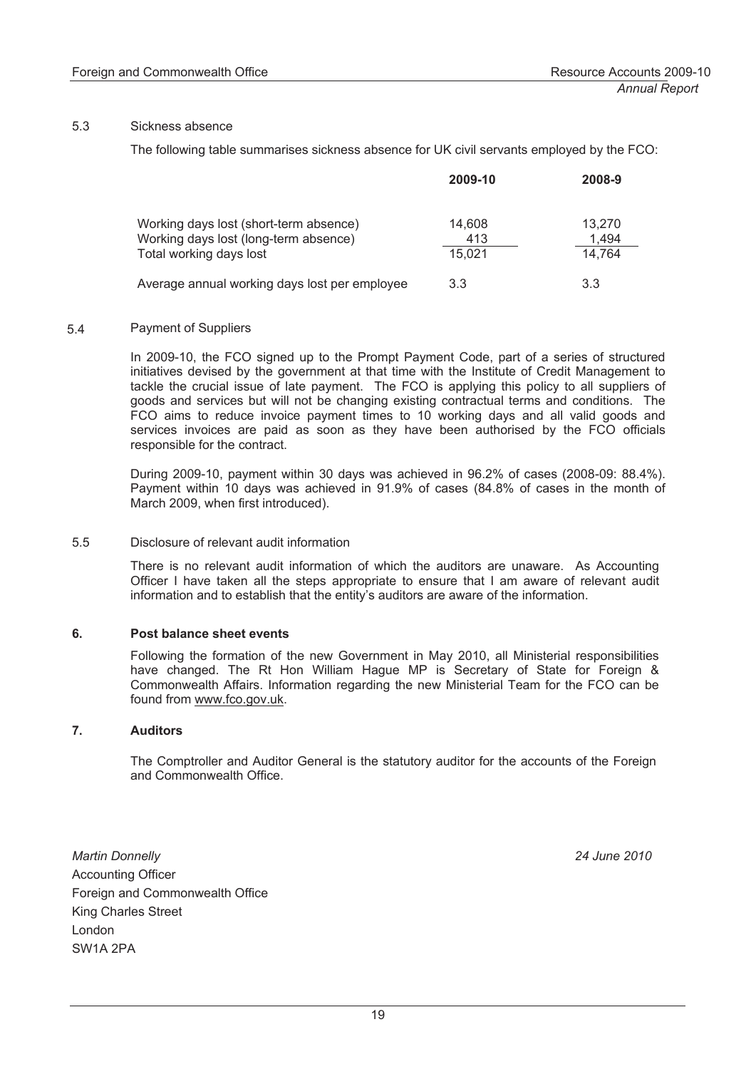#### 5.3 Sickness absence

The following table summarises sickness absence for UK civil servants employed by the FCO:

|                                               | 2009-10 | 2008-9 |
|-----------------------------------------------|---------|--------|
| Working days lost (short-term absence)        | 14,608  | 13,270 |
| Working days lost (long-term absence)         | 413     | 1.494  |
| Total working days lost                       | 15.021  | 14.764 |
| Average annual working days lost per employee | 3.3     | 3.3    |

#### Payment of Suppliers 5.4

In 2009-10, the FCO signed up to the Prompt Payment Code, part of a series of structured initiatives devised by the government at that time with the Institute of Credit Management to tackle the crucial issue of late payment. The FCO is applying this policy to all suppliers of goods and services but will not be changing existing contractual terms and conditions. The FCO aims to reduce invoice payment times to 10 working days and all valid goods and services invoices are paid as soon as they have been authorised by the FCO officials responsible for the contract.

During 2009-10, payment within 30 days was achieved in 96.2% of cases (2008-09: 88.4%). Payment within 10 days was achieved in 91.9% of cases (84.8% of cases in the month of March 2009, when first introduced).

#### 5.5 Disclosure of relevant audit information

There is no relevant audit information of which the auditors are unaware. As Accounting Officer I have taken all the steps appropriate to ensure that I am aware of relevant audit information and to establish that the entity's auditors are aware of the information.

#### **6. Post balance sheet events**

Following the formation of the new Government in May 2010, all Ministerial responsibilities have changed. The Rt Hon William Hague MP is Secretary of State for Foreign & Commonwealth Affairs. Information regarding the new Ministerial Team for the FCO can be found from www.fco.gov.uk.

#### **7. Auditors**

The Comptroller and Auditor General is the statutory auditor for the accounts of the Foreign and Commonwealth Office.

*Martin Donnelly 24 June 2010* Accounting Officer Foreign and Commonwealth Office King Charles Street London SW1A 2PA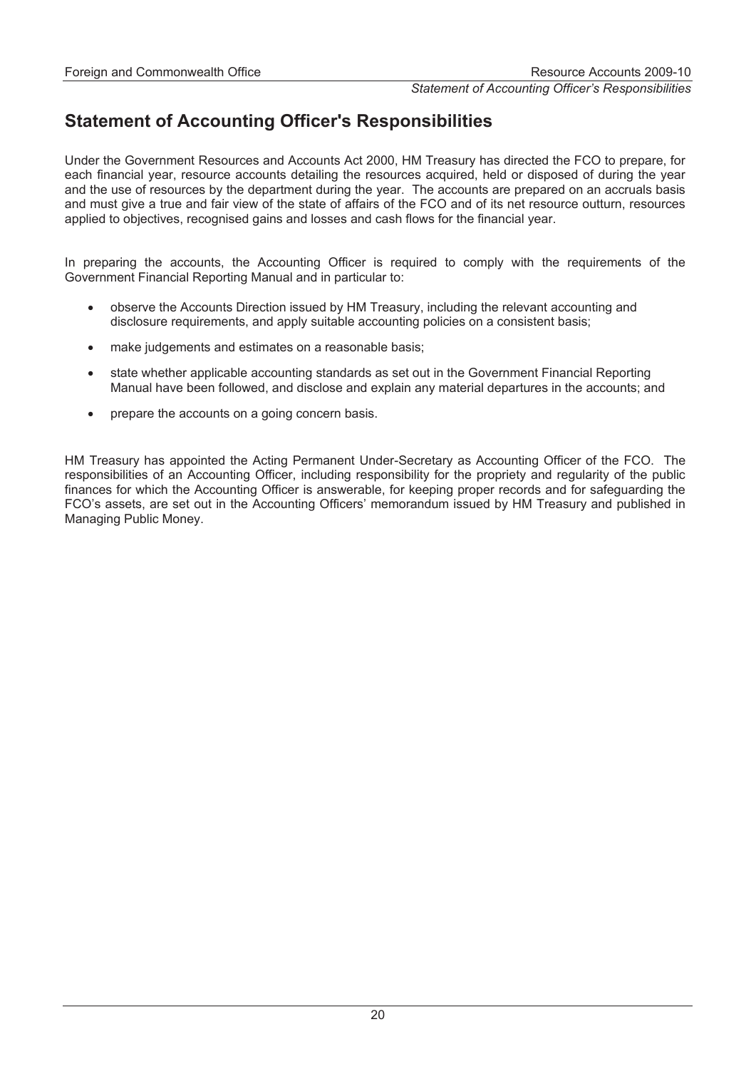#### *Statement of Accounting Officer's Responsibilities*

## **Statement of Accounting Officer's Responsibilities**

Under the Government Resources and Accounts Act 2000, HM Treasury has directed the FCO to prepare, for each financial year, resource accounts detailing the resources acquired, held or disposed of during the year and the use of resources by the department during the year. The accounts are prepared on an accruals basis and must give a true and fair view of the state of affairs of the FCO and of its net resource outturn, resources applied to objectives, recognised gains and losses and cash flows for the financial year.

In preparing the accounts, the Accounting Officer is required to comply with the requirements of the Government Financial Reporting Manual and in particular to:

- observe the Accounts Direction issued by HM Treasury, including the relevant accounting and disclosure requirements, and apply suitable accounting policies on a consistent basis;
- make judgements and estimates on a reasonable basis;
- state whether applicable accounting standards as set out in the Government Financial Reporting Manual have been followed, and disclose and explain any material departures in the accounts; and
- prepare the accounts on a going concern basis.

HM Treasury has appointed the Acting Permanent Under-Secretary as Accounting Officer of the FCO. The responsibilities of an Accounting Officer, including responsibility for the propriety and regularity of the public finances for which the Accounting Officer is answerable, for keeping proper records and for safeguarding the FCO's assets, are set out in the Accounting Officers' memorandum issued by HM Treasury and published in Managing Public Money.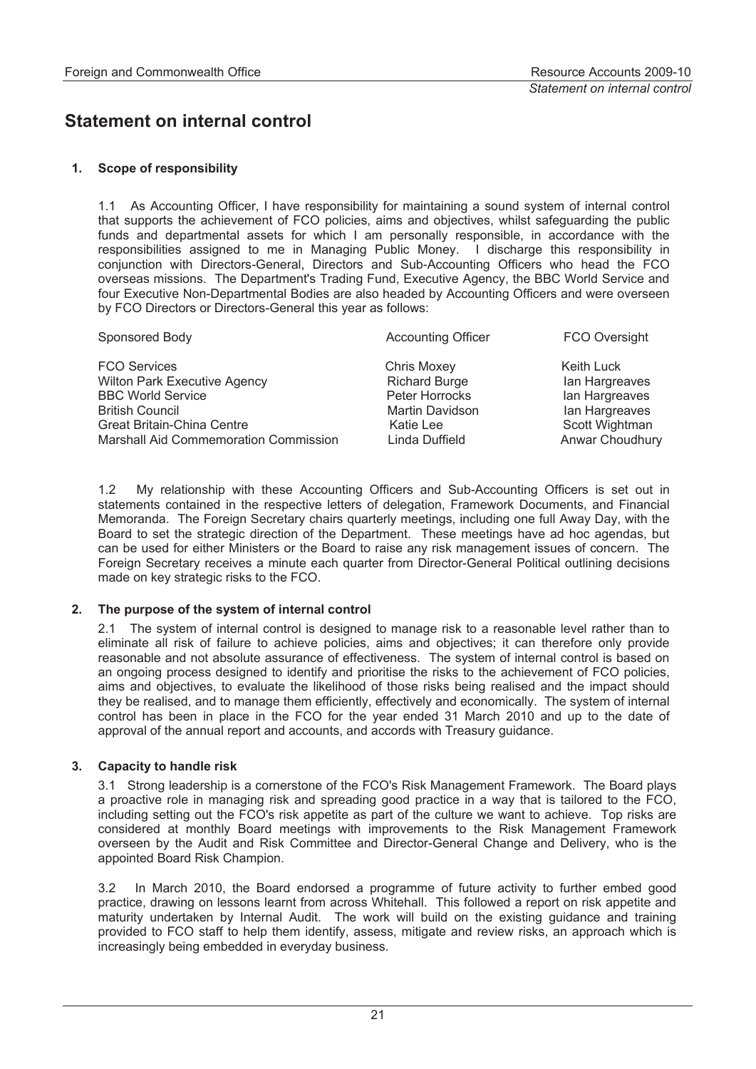## **Statement on internal control**

#### **1. Scope of responsibility**

1.1 As Accounting Officer, I have responsibility for maintaining a sound system of internal control that supports the achievement of FCO policies, aims and objectives, whilst safeguarding the public funds and departmental assets for which I am personally responsible, in accordance with the responsibilities assigned to me in Managing Public Money. I discharge this responsibility in conjunction with Directors-General, Directors and Sub-Accounting Officers who head the FCO overseas missions. The Department's Trading Fund, Executive Agency, the BBC World Service and four Executive Non-Departmental Bodies are also headed by Accounting Officers and were overseen by FCO Directors or Directors-General this year as follows:

| Sponsored Body                                                                                                                                                                                 | <b>Accounting Officer</b>                                                                                             | <b>FCO Oversight</b>                                                                                  |
|------------------------------------------------------------------------------------------------------------------------------------------------------------------------------------------------|-----------------------------------------------------------------------------------------------------------------------|-------------------------------------------------------------------------------------------------------|
| <b>FCO Services</b><br><b>Wilton Park Executive Agency</b><br><b>BBC World Service</b><br><b>British Council</b><br>Great Britain-China Centre<br><b>Marshall Aid Commemoration Commission</b> | <b>Chris Moxey</b><br><b>Richard Burge</b><br>Peter Horrocks<br><b>Martin Davidson</b><br>Katie Lee<br>Linda Duffield | Keith Luck<br>lan Hargreaves<br>lan Hargreaves<br>lan Hargreaves<br>Scott Wightman<br>Anwar Choudhury |
|                                                                                                                                                                                                |                                                                                                                       |                                                                                                       |

1.2 My relationship with these Accounting Officers and Sub-Accounting Officers is set out in statements contained in the respective letters of delegation, Framework Documents, and Financial Memoranda. The Foreign Secretary chairs quarterly meetings, including one full Away Day, with the Board to set the strategic direction of the Department. These meetings have ad hoc agendas, but can be used for either Ministers or the Board to raise any risk management issues of concern. The Foreign Secretary receives a minute each quarter from Director-General Political outlining decisions made on key strategic risks to the FCO.

#### **2. The purpose of the system of internal control**

2.1 The system of internal control is designed to manage risk to a reasonable level rather than to eliminate all risk of failure to achieve policies, aims and objectives; it can therefore only provide reasonable and not absolute assurance of effectiveness. The system of internal control is based on an ongoing process designed to identify and prioritise the risks to the achievement of FCO policies, aims and objectives, to evaluate the likelihood of those risks being realised and the impact should they be realised, and to manage them efficiently, effectively and economically. The system of internal control has been in place in the FCO for the year ended 31 March 2010 and up to the date of approval of the annual report and accounts, and accords with Treasury guidance.

#### **3. Capacity to handle risk**

3.1 Strong leadership is a cornerstone of the FCO's Risk Management Framework. The Board plays a proactive role in managing risk and spreading good practice in a way that is tailored to the FCO, including setting out the FCO's risk appetite as part of the culture we want to achieve. Top risks are considered at monthly Board meetings with improvements to the Risk Management Framework overseen by the Audit and Risk Committee and Director-General Change and Delivery, who is the appointed Board Risk Champion.

3.2 In March 2010, the Board endorsed a programme of future activity to further embed good practice, drawing on lessons learnt from across Whitehall. This followed a report on risk appetite and maturity undertaken by Internal Audit. The work will build on the existing guidance and training provided to FCO staff to help them identify, assess, mitigate and review risks, an approach which is increasingly being embedded in everyday business.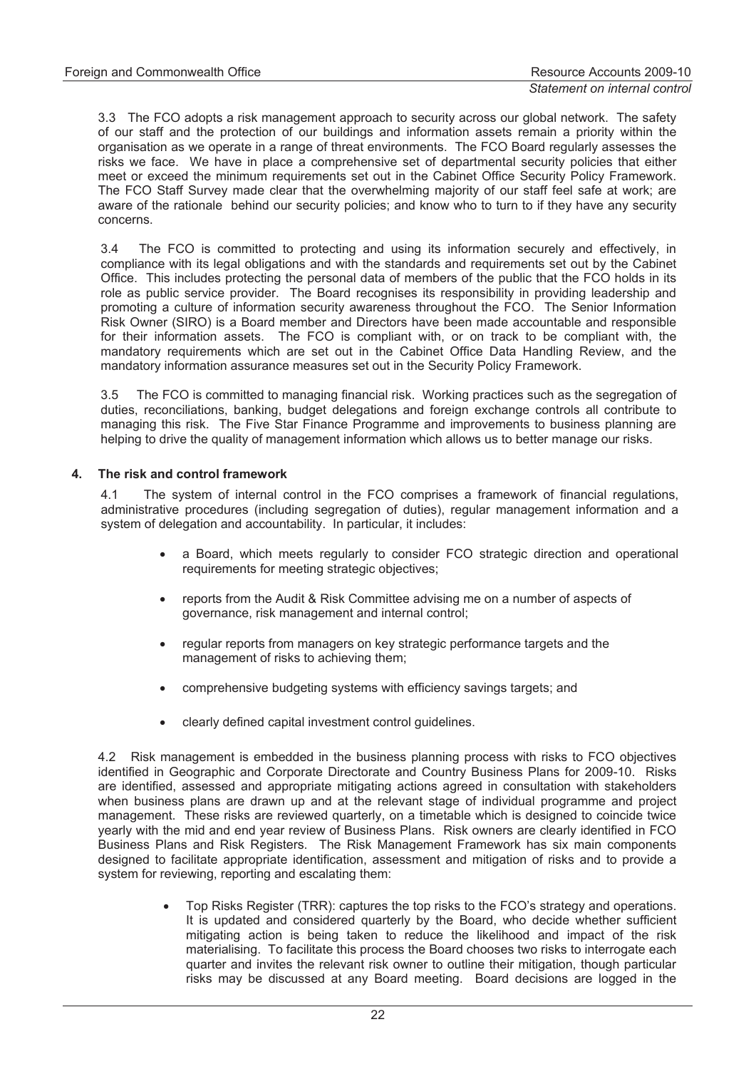3.3 The FCO adopts a risk management approach to security across our global network. The safety of our staff and the protection of our buildings and information assets remain a priority within the organisation as we operate in a range of threat environments. The FCO Board regularly assesses the risks we face. We have in place a comprehensive set of departmental security policies that either meet or exceed the minimum requirements set out in the Cabinet Office Security Policy Framework. The FCO Staff Survey made clear that the overwhelming majority of our staff feel safe at work; are aware of the rationale behind our security policies; and know who to turn to if they have any security concerns.

3.4 The FCO is committed to protecting and using its information securely and effectively, in compliance with its legal obligations and with the standards and requirements set out by the Cabinet Office. This includes protecting the personal data of members of the public that the FCO holds in its role as public service provider. The Board recognises its responsibility in providing leadership and promoting a culture of information security awareness throughout the FCO. The Senior Information Risk Owner (SIRO) is a Board member and Directors have been made accountable and responsible for their information assets. The FCO is compliant with, or on track to be compliant with, the mandatory requirements which are set out in the Cabinet Office Data Handling Review, and the mandatory information assurance measures set out in the Security Policy Framework.

3.5 The FCO is committed to managing financial risk. Working practices such as the segregation of duties, reconciliations, banking, budget delegations and foreign exchange controls all contribute to managing this risk. The Five Star Finance Programme and improvements to business planning are helping to drive the quality of management information which allows us to better manage our risks.

#### **4. The risk and control framework**

4.1 The system of internal control in the FCO comprises a framework of financial regulations, administrative procedures (including segregation of duties), regular management information and a system of delegation and accountability. In particular, it includes:

- a Board, which meets regularly to consider FCO strategic direction and operational requirements for meeting strategic objectives;
- x reports from the Audit & Risk Committee advising me on a number of aspects of governance, risk management and internal control;
- regular reports from managers on key strategic performance targets and the management of risks to achieving them;
- comprehensive budgeting systems with efficiency savings targets; and
- clearly defined capital investment control guidelines.

4.2 Risk management is embedded in the business planning process with risks to FCO objectives identified in Geographic and Corporate Directorate and Country Business Plans for 2009-10. Risks are identified, assessed and appropriate mitigating actions agreed in consultation with stakeholders when business plans are drawn up and at the relevant stage of individual programme and project management. These risks are reviewed quarterly, on a timetable which is designed to coincide twice yearly with the mid and end year review of Business Plans. Risk owners are clearly identified in FCO Business Plans and Risk Registers. The Risk Management Framework has six main components designed to facilitate appropriate identification, assessment and mitigation of risks and to provide a system for reviewing, reporting and escalating them:

> Top Risks Register (TRR): captures the top risks to the FCO's strategy and operations. It is updated and considered quarterly by the Board, who decide whether sufficient mitigating action is being taken to reduce the likelihood and impact of the risk materialising. To facilitate this process the Board chooses two risks to interrogate each quarter and invites the relevant risk owner to outline their mitigation, though particular risks may be discussed at any Board meeting. Board decisions are logged in the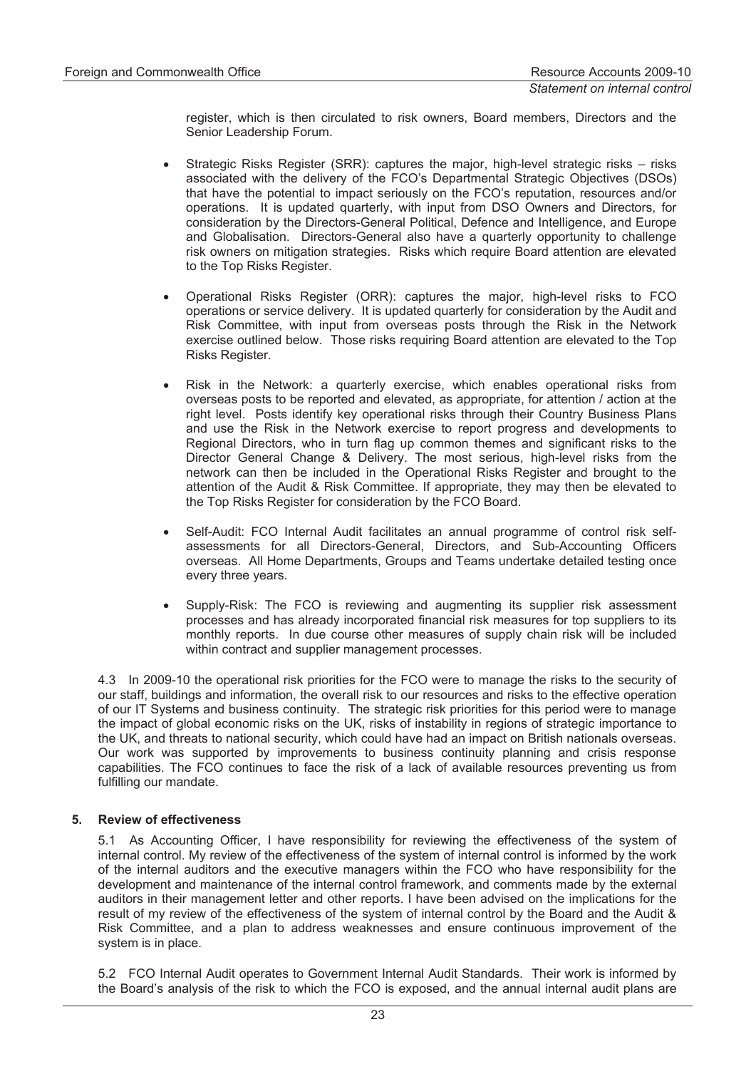register, which is then circulated to risk owners, Board members, Directors and the Senior Leadership Forum.

- Strategic Risks Register (SRR): captures the major, high-level strategic risks  $-$  risks associated with the delivery of the FCO's Departmental Strategic Objectives (DSOs) that have the potential to impact seriously on the FCO's reputation, resources and/or operations. It is updated quarterly, with input from DSO Owners and Directors, for consideration by the Directors-General Political, Defence and Intelligence, and Europe and Globalisation. Directors-General also have a quarterly opportunity to challenge risk owners on mitigation strategies. Risks which require Board attention are elevated to the Top Risks Register.
- x Operational Risks Register (ORR): captures the major, high-level risks to FCO operations or service delivery. It is updated quarterly for consideration by the Audit and Risk Committee, with input from overseas posts through the Risk in the Network exercise outlined below. Those risks requiring Board attention are elevated to the Top Risks Register.
- Risk in the Network: a quarterly exercise, which enables operational risks from overseas posts to be reported and elevated, as appropriate, for attention / action at the right level. Posts identify key operational risks through their Country Business Plans and use the Risk in the Network exercise to report progress and developments to Regional Directors, who in turn flag up common themes and significant risks to the Director General Change & Delivery. The most serious, high-level risks from the network can then be included in the Operational Risks Register and brought to the attention of the Audit & Risk Committee. If appropriate, they may then be elevated to the Top Risks Register for consideration by the FCO Board.
- Self-Audit: FCO Internal Audit facilitates an annual programme of control risk selfassessments for all Directors-General, Directors, and Sub-Accounting Officers overseas. All Home Departments, Groups and Teams undertake detailed testing once every three years.
- Supply-Risk: The FCO is reviewing and augmenting its supplier risk assessment processes and has already incorporated financial risk measures for top suppliers to its monthly reports. In due course other measures of supply chain risk will be included within contract and supplier management processes.

4.3 In 2009-10 the operational risk priorities for the FCO were to manage the risks to the security of our staff, buildings and information, the overall risk to our resources and risks to the effective operation of our IT Systems and business continuity. The strategic risk priorities for this period were to manage the impact of global economic risks on the UK, risks of instability in regions of strategic importance to the UK, and threats to national security, which could have had an impact on British nationals overseas. Our work was supported by improvements to business continuity planning and crisis response capabilities. The FCO continues to face the risk of a lack of available resources preventing us from fulfilling our mandate.

#### **5. Review of effectiveness**

5.1 As Accounting Officer, I have responsibility for reviewing the effectiveness of the system of internal control. My review of the effectiveness of the system of internal control is informed by the work of the internal auditors and the executive managers within the FCO who have responsibility for the development and maintenance of the internal control framework, and comments made by the external auditors in their management letter and other reports. I have been advised on the implications for the result of my review of the effectiveness of the system of internal control by the Board and the Audit & Risk Committee, and a plan to address weaknesses and ensure continuous improvement of the system is in place.

5.2 FCO Internal Audit operates to Government Internal Audit Standards. Their work is informed by the Board's analysis of the risk to which the FCO is exposed, and the annual internal audit plans are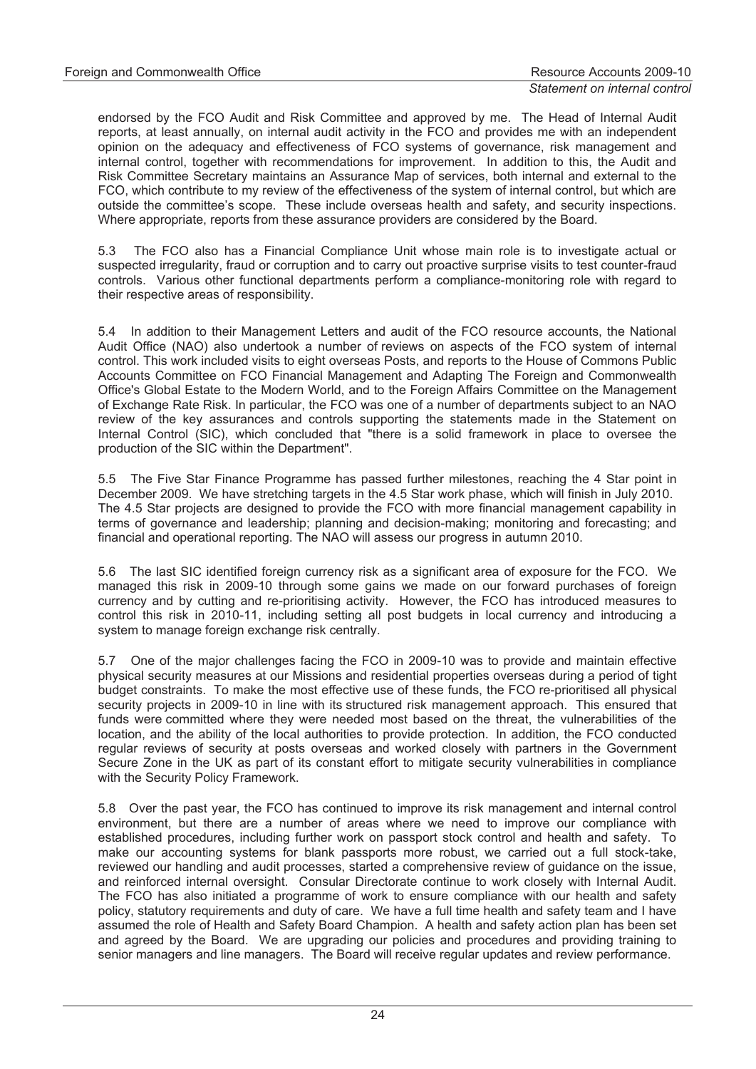endorsed by the FCO Audit and Risk Committee and approved by me. The Head of Internal Audit reports, at least annually, on internal audit activity in the FCO and provides me with an independent opinion on the adequacy and effectiveness of FCO systems of governance, risk management and internal control, together with recommendations for improvement. In addition to this, the Audit and Risk Committee Secretary maintains an Assurance Map of services, both internal and external to the FCO, which contribute to my review of the effectiveness of the system of internal control, but which are outside the committee's scope. These include overseas health and safety, and security inspections. Where appropriate, reports from these assurance providers are considered by the Board.

5.3 The FCO also has a Financial Compliance Unit whose main role is to investigate actual or suspected irregularity, fraud or corruption and to carry out proactive surprise visits to test counter-fraud controls. Various other functional departments perform a compliance-monitoring role with regard to their respective areas of responsibility.

5.4 In addition to their Management Letters and audit of the FCO resource accounts, the National Audit Office (NAO) also undertook a number of reviews on aspects of the FCO system of internal control. This work included visits to eight overseas Posts, and reports to the House of Commons Public Accounts Committee on FCO Financial Management and Adapting The Foreign and Commonwealth Office's Global Estate to the Modern World, and to the Foreign Affairs Committee on the Management of Exchange Rate Risk. In particular, the FCO was one of a number of departments subject to an NAO review of the key assurances and controls supporting the statements made in the Statement on Internal Control (SIC), which concluded that "there is a solid framework in place to oversee the production of the SIC within the Department".

5.5 The Five Star Finance Programme has passed further milestones, reaching the 4 Star point in December 2009. We have stretching targets in the 4.5 Star work phase, which will finish in July 2010. The 4.5 Star projects are designed to provide the FCO with more financial management capability in terms of governance and leadership; planning and decision-making; monitoring and forecasting; and financial and operational reporting. The NAO will assess our progress in autumn 2010.

5.6 The last SIC identified foreign currency risk as a significant area of exposure for the FCO. We managed this risk in 2009-10 through some gains we made on our forward purchases of foreign currency and by cutting and re-prioritising activity. However, the FCO has introduced measures to control this risk in 2010-11, including setting all post budgets in local currency and introducing a system to manage foreign exchange risk centrally.

5.7 One of the major challenges facing the FCO in 2009-10 was to provide and maintain effective physical security measures at our Missions and residential properties overseas during a period of tight budget constraints. To make the most effective use of these funds, the FCO re-prioritised all physical security projects in 2009-10 in line with its structured risk management approach. This ensured that funds were committed where they were needed most based on the threat, the vulnerabilities of the location, and the ability of the local authorities to provide protection. In addition, the FCO conducted regular reviews of security at posts overseas and worked closely with partners in the Government Secure Zone in the UK as part of its constant effort to mitigate security vulnerabilities in compliance with the Security Policy Framework.

5.8 Over the past year, the FCO has continued to improve its risk management and internal control environment, but there are a number of areas where we need to improve our compliance with established procedures, including further work on passport stock control and health and safety. To make our accounting systems for blank passports more robust, we carried out a full stock-take, reviewed our handling and audit processes, started a comprehensive review of guidance on the issue, and reinforced internal oversight. Consular Directorate continue to work closely with Internal Audit. The FCO has also initiated a programme of work to ensure compliance with our health and safety policy, statutory requirements and duty of care. We have a full time health and safety team and I have assumed the role of Health and Safety Board Champion. A health and safety action plan has been set and agreed by the Board. We are upgrading our policies and procedures and providing training to senior managers and line managers. The Board will receive regular updates and review performance.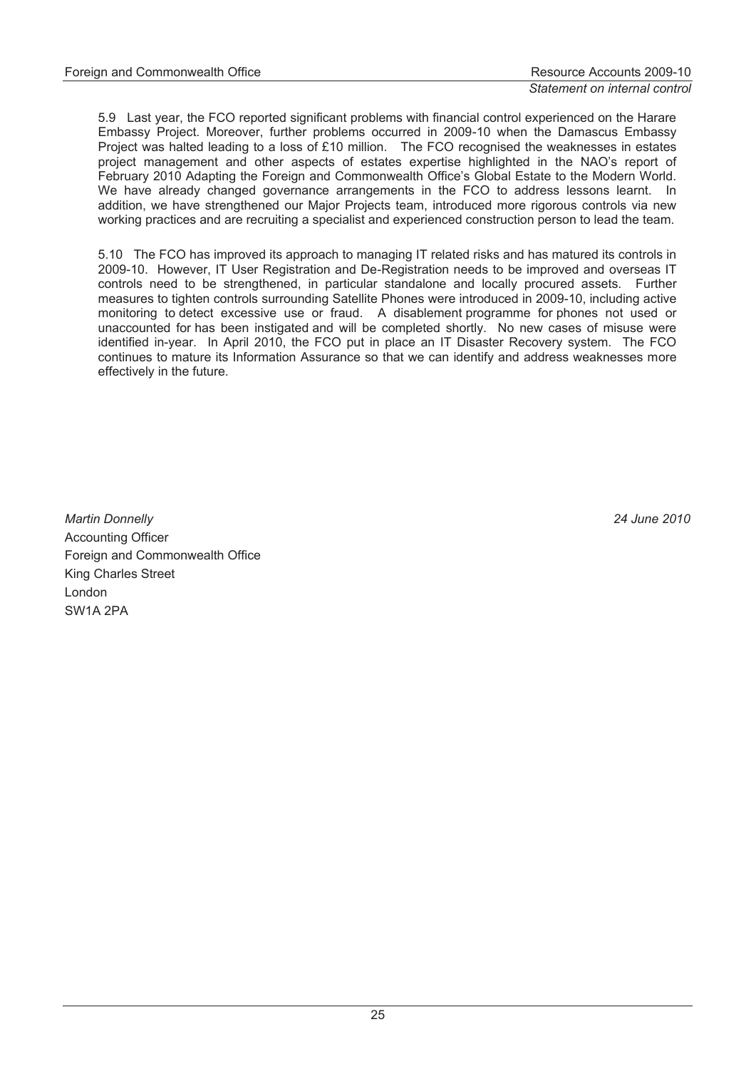5.9 Last year, the FCO reported significant problems with financial control experienced on the Harare Embassy Project. Moreover, further problems occurred in 2009-10 when the Damascus Embassy Project was halted leading to a loss of £10 million. The FCO recognised the weaknesses in estates project management and other aspects of estates expertise highlighted in the NAO's report of February 2010 Adapting the Foreign and Commonwealth Office's Global Estate to the Modern World. We have already changed governance arrangements in the FCO to address lessons learnt. In addition, we have strengthened our Major Projects team, introduced more rigorous controls via new working practices and are recruiting a specialist and experienced construction person to lead the team.

5.10 The FCO has improved its approach to managing IT related risks and has matured its controls in 2009-10. However, IT User Registration and De-Registration needs to be improved and overseas IT controls need to be strengthened, in particular standalone and locally procured assets. Further measures to tighten controls surrounding Satellite Phones were introduced in 2009-10, including active monitoring to detect excessive use or fraud. A disablement programme for phones not used or unaccounted for has been instigated and will be completed shortly. No new cases of misuse were identified in-year. In April 2010, the FCO put in place an IT Disaster Recovery system. The FCO continues to mature its Information Assurance so that we can identify and address weaknesses more effectively in the future.

*Martin Donnelly 24 June 2010* Accounting Officer Foreign and Commonwealth Office King Charles Street London SW1A 2PA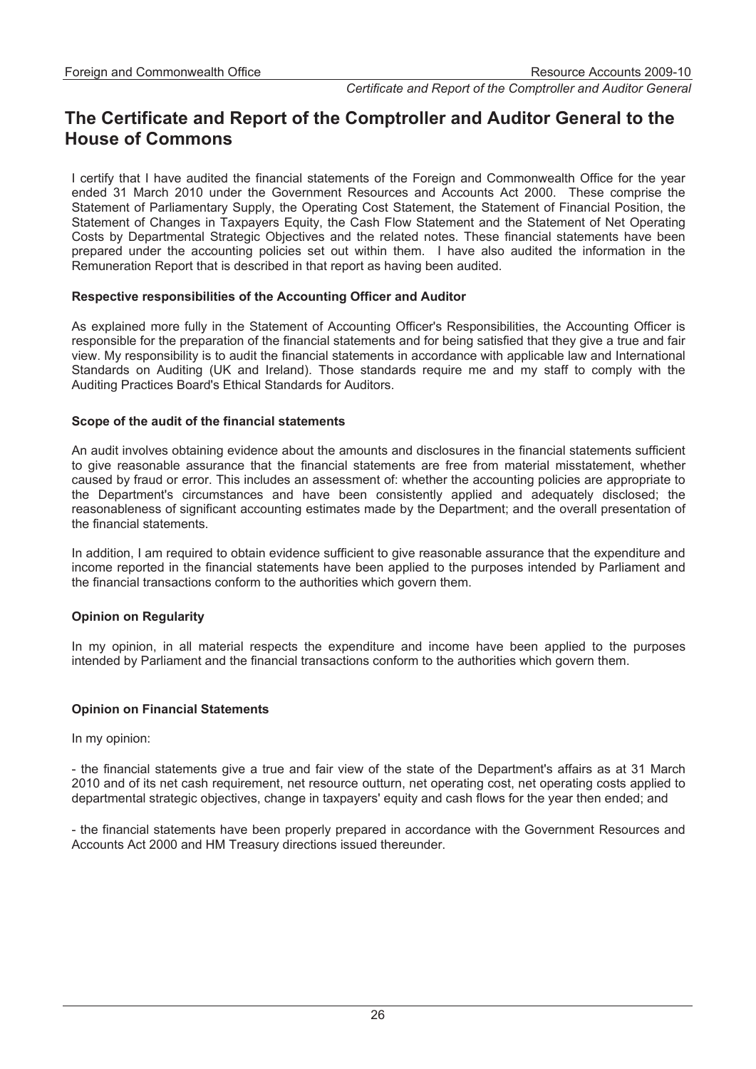### **The Certificate and Report of the Comptroller and Auditor General to the House of Commons**

I certify that I have audited the financial statements of the Foreign and Commonwealth Office for the year ended 31 March 2010 under the Government Resources and Accounts Act 2000. These comprise the Statement of Parliamentary Supply, the Operating Cost Statement, the Statement of Financial Position, the Statement of Changes in Taxpayers Equity, the Cash Flow Statement and the Statement of Net Operating Costs by Departmental Strategic Objectives and the related notes. These financial statements have been prepared under the accounting policies set out within them. I have also audited the information in the Remuneration Report that is described in that report as having been audited.

#### **Respective responsibilities of the Accounting Officer and Auditor**

As explained more fully in the Statement of Accounting Officer's Responsibilities, the Accounting Officer is responsible for the preparation of the financial statements and for being satisfied that they give a true and fair view. My responsibility is to audit the financial statements in accordance with applicable law and International Standards on Auditing (UK and Ireland). Those standards require me and my staff to comply with the Auditing Practices Board's Ethical Standards for Auditors.

#### **Scope of the audit of the financial statements**

An audit involves obtaining evidence about the amounts and disclosures in the financial statements sufficient to give reasonable assurance that the financial statements are free from material misstatement, whether caused by fraud or error. This includes an assessment of: whether the accounting policies are appropriate to the Department's circumstances and have been consistently applied and adequately disclosed; the reasonableness of significant accounting estimates made by the Department; and the overall presentation of the financial statements.

In addition, I am required to obtain evidence sufficient to give reasonable assurance that the expenditure and income reported in the financial statements have been applied to the purposes intended by Parliament and the financial transactions conform to the authorities which govern them.

#### **Opinion on Regularity**

In my opinion, in all material respects the expenditure and income have been applied to the purposes intended by Parliament and the financial transactions conform to the authorities which govern them.

#### **Opinion on Financial Statements**

In my opinion:

- the financial statements give a true and fair view of the state of the Department's affairs as at 31 March 2010 and of its net cash requirement, net resource outturn, net operating cost, net operating costs applied to departmental strategic objectives, change in taxpayers' equity and cash flows for the year then ended; and

- the financial statements have been properly prepared in accordance with the Government Resources and Accounts Act 2000 and HM Treasury directions issued thereunder.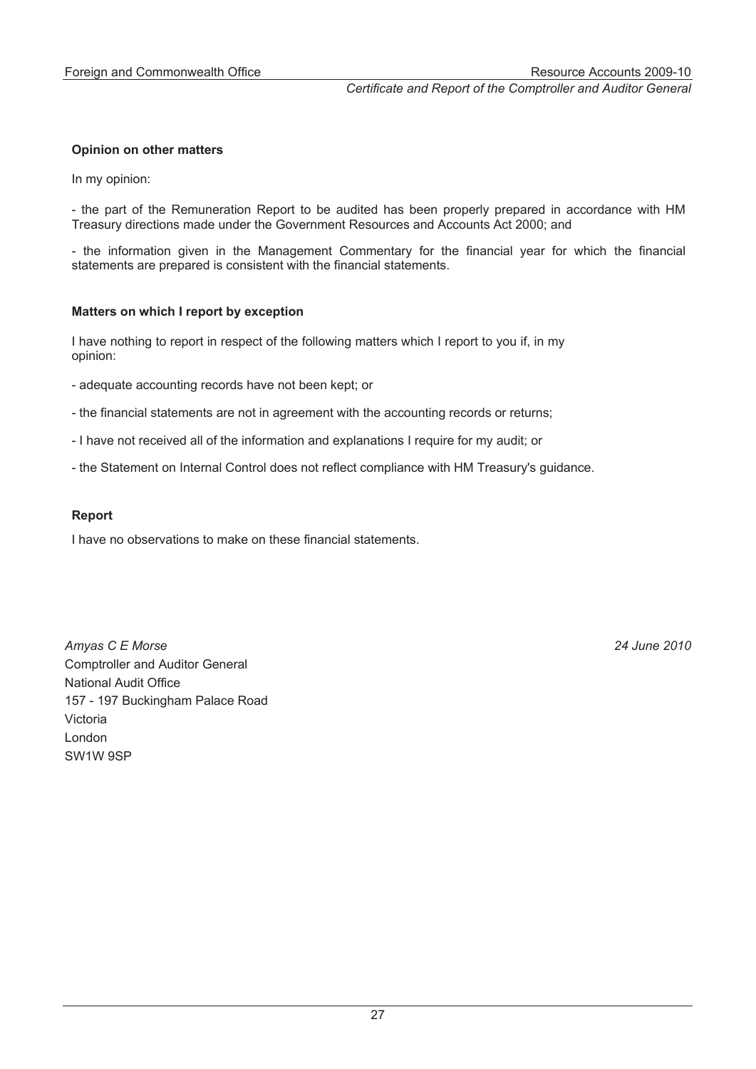*Certificate and Report of the Comptroller and Auditor General* 

#### **Opinion on other matters**

In my opinion:

- the part of the Remuneration Report to be audited has been properly prepared in accordance with HM Treasury directions made under the Government Resources and Accounts Act 2000; and

- the information given in the Management Commentary for the financial year for which the financial statements are prepared is consistent with the financial statements.

#### **Matters on which I report by exception**

I have nothing to report in respect of the following matters which I report to you if, in my opinion:

- adequate accounting records have not been kept; or
- the financial statements are not in agreement with the accounting records or returns;
- I have not received all of the information and explanations I require for my audit; or
- the Statement on Internal Control does not reflect compliance with HM Treasury's guidance.

#### **Report**

I have no observations to make on these financial statements.

*Amyas C E Morse 24 June 2010* Comptroller and Auditor General National Audit Office 157 - 197 Buckingham Palace Road Victoria London SW1W 9SP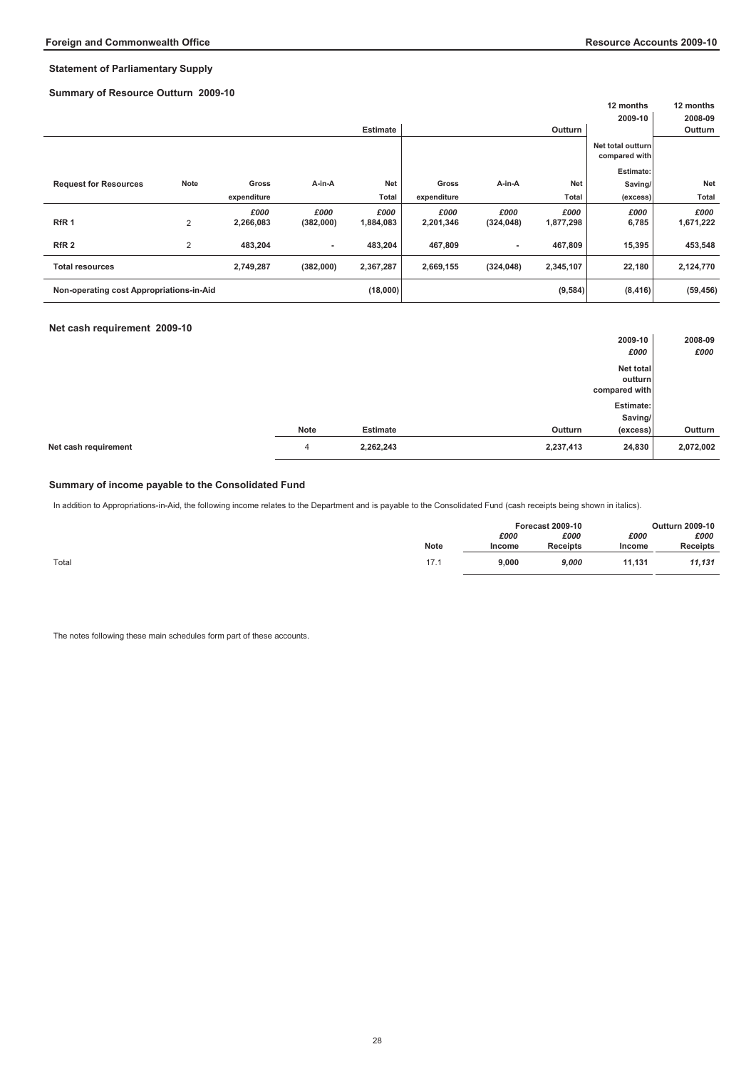#### **Statement of Parliamentary Supply**

#### **Summary of Resource Outturn 2009-10**

|                                          |      |             |           |                 |              |                |            | 12 months<br>2009-10               | 12 months<br>2008-09 |
|------------------------------------------|------|-------------|-----------|-----------------|--------------|----------------|------------|------------------------------------|----------------------|
|                                          |      |             |           | <b>Estimate</b> |              |                | Outturn    |                                    | Outturn              |
|                                          |      |             |           |                 |              |                |            | Net total outturn<br>compared with |                      |
|                                          |      |             |           |                 |              |                |            | Estimate:                          |                      |
| <b>Request for Resources</b>             | Note | Gross       | A-in-A    | Net             | <b>Gross</b> | A-in-A         | <b>Net</b> | Saving/                            | <b>Net</b>           |
|                                          |      | expenditure |           | Total           | expenditure  |                | Total      | (excess)                           | Total                |
|                                          |      | £000        | £000      | £000            | £000         | £000           | £000       | £000                               | £000                 |
| RfR <sub>1</sub>                         | 2    | 2,266,083   | (382,000) | 1,884,083       | 2,201,346    | (324, 048)     | 1,877,298  | 6,785                              | 1,671,222            |
| RfR <sub>2</sub>                         | 2    | 483,204     | $\sim$    | 483,204         | 467,809      | $\blacksquare$ | 467,809    | 15,395                             | 453,548              |
| <b>Total resources</b>                   |      | 2,749,287   | (382,000) | 2,367,287       | 2,669,155    | (324, 048)     | 2,345,107  | 22,180                             | 2,124,770            |
| Non-operating cost Appropriations-in-Aid |      |             |           | (18,000)        |              |                | (9,584)    | (8, 416)                           | (59, 456)            |

#### **Net cash requirement 2009-10**

|                      |             |                 | 2009-10              | 2008-09   |
|----------------------|-------------|-----------------|----------------------|-----------|
|                      |             |                 | £000                 | £000      |
|                      |             |                 | Net total<br>outturn |           |
|                      |             |                 | compared with        |           |
|                      |             |                 | Estimate:            |           |
|                      |             |                 | Saving/              |           |
|                      | <b>Note</b> | <b>Estimate</b> | Outturn<br>(excess)  | Outturn   |
| Net cash requirement | 4           | 2,262,243       | 24,830<br>2,237,413  | 2,072,002 |

#### **Summary of income payable to the Consolidated Fund**

In addition to Appropriations-in-Aid, the following income relates to the Department and is payable to the Consolidated Fund (cash receipts being shown in italics).

|       |             |        | <b>Forecast 2009-10</b> |        | <b>Outturn 2009-10</b> |
|-------|-------------|--------|-------------------------|--------|------------------------|
|       |             | £000   | £000                    | £000   | £000                   |
|       | <b>Note</b> | Income | <b>Receipts</b>         | Income | <b>Receipts</b>        |
| Total | 17.         | 9,000  | 9,000                   | 11,131 | 11,131                 |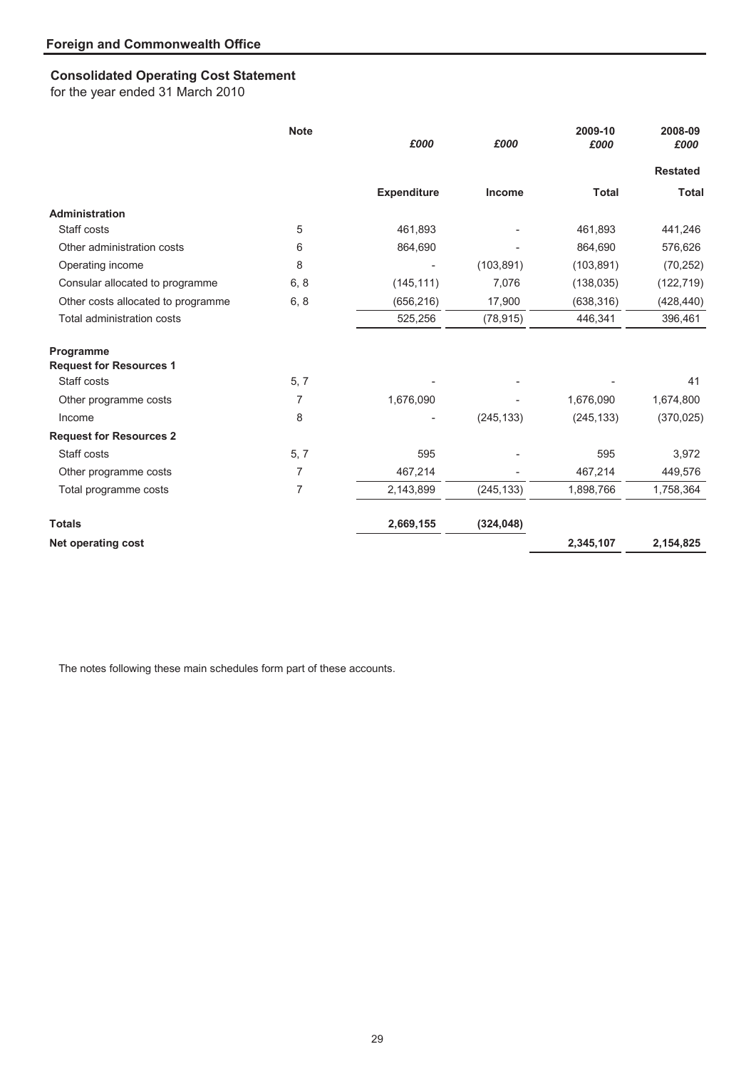### **Consolidated Operating Cost Statement**

for the year ended 31 March 2010

|                                             | <b>Note</b> | £000               | £000       | 2009-10<br>£000 | 2008-09<br>£000 |
|---------------------------------------------|-------------|--------------------|------------|-----------------|-----------------|
|                                             |             |                    |            |                 | <b>Restated</b> |
|                                             |             | <b>Expenditure</b> | Income     | <b>Total</b>    | <b>Total</b>    |
| Administration                              |             |                    |            |                 |                 |
| Staff costs                                 | 5           | 461,893            |            | 461,893         | 441,246         |
| Other administration costs                  | 6           | 864,690            |            | 864,690         | 576,626         |
| Operating income                            | 8           |                    | (103, 891) | (103, 891)      | (70, 252)       |
| Consular allocated to programme             | 6, 8        | (145, 111)         | 7,076      | (138, 035)      | (122, 719)      |
| Other costs allocated to programme          | 6, 8        | (656, 216)         | 17,900     | (638, 316)      | (428, 440)      |
| Total administration costs                  |             | 525,256            | (78, 915)  | 446,341         | 396,461         |
| Programme<br><b>Request for Resources 1</b> |             |                    |            |                 |                 |
| Staff costs                                 | 5, 7        |                    |            |                 | 41              |
| Other programme costs                       | 7           | 1,676,090          |            | 1,676,090       | 1,674,800       |
| Income                                      | 8           |                    | (245, 133) | (245, 133)      | (370, 025)      |
| <b>Request for Resources 2</b>              |             |                    |            |                 |                 |
| Staff costs                                 | 5, 7        | 595                |            | 595             | 3,972           |
| Other programme costs                       | 7           | 467,214            |            | 467,214         | 449,576         |
| Total programme costs                       | 7           | 2,143,899          | (245, 133) | 1,898,766       | 1,758,364       |
| <b>Totals</b>                               |             | 2,669,155          | (324, 048) |                 |                 |
| <b>Net operating cost</b>                   |             |                    |            | 2,345,107       | 2,154,825       |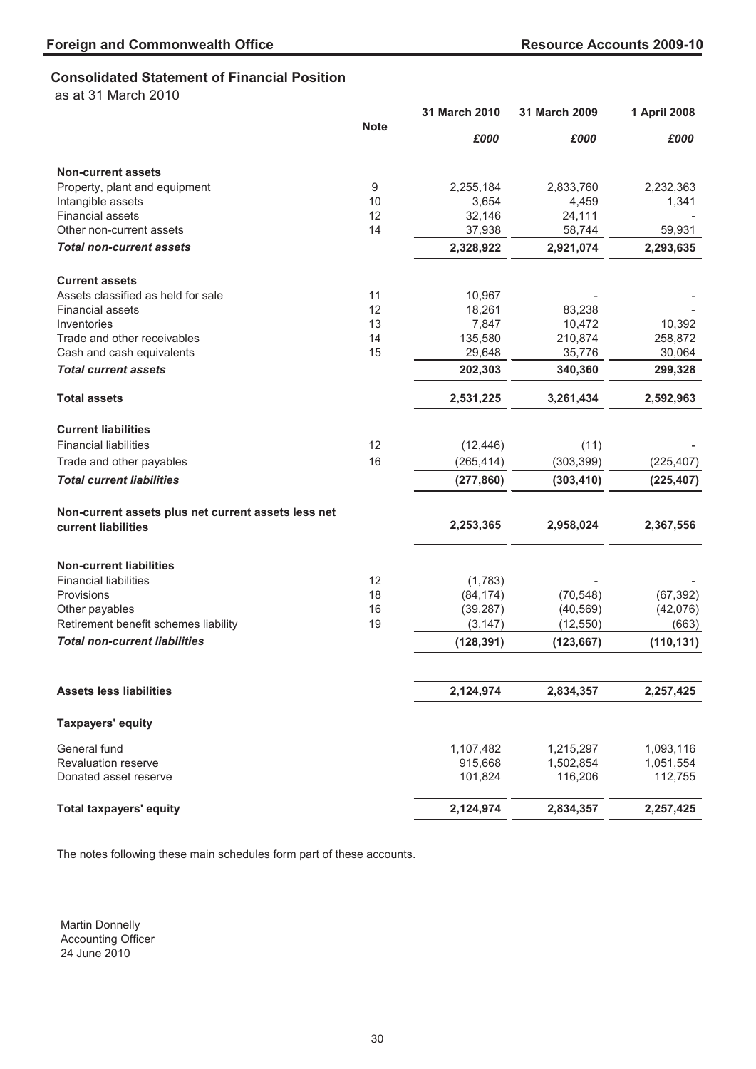#### **Consolidated Statement of Financial Position**

as at 31 March 2010

|                                                     |             | <b>31 March 2010</b> | <b>31 March 2009</b> | 1 April 2008 |
|-----------------------------------------------------|-------------|----------------------|----------------------|--------------|
|                                                     | <b>Note</b> | £000                 | £000                 | £000         |
| <b>Non-current assets</b>                           |             |                      |                      |              |
| Property, plant and equipment                       | 9           | 2,255,184            | 2,833,760            | 2,232,363    |
| Intangible assets                                   | 10          | 3,654                | 4,459                | 1,341        |
| <b>Financial assets</b>                             | 12          | 32,146               | 24,111               |              |
| Other non-current assets                            | 14          | 37,938               | 58,744               | 59,931       |
| <b>Total non-current assets</b>                     |             | 2,328,922            | 2,921,074            | 2,293,635    |
| <b>Current assets</b>                               |             |                      |                      |              |
| Assets classified as held for sale                  | 11          | 10,967               |                      |              |
| <b>Financial assets</b>                             | 12          | 18,261               | 83,238               |              |
| Inventories                                         | 13          | 7,847                | 10,472               | 10,392       |
| Trade and other receivables                         | 14          | 135,580              | 210,874              | 258,872      |
| Cash and cash equivalents                           | 15          | 29,648               | 35,776               | 30,064       |
| <b>Total current assets</b>                         |             | 202,303              | 340,360              | 299,328      |
| <b>Total assets</b>                                 |             | 2,531,225            | 3,261,434            | 2,592,963    |
| <b>Current liabilities</b>                          |             |                      |                      |              |
| <b>Financial liabilities</b>                        | 12          | (12, 446)            | (11)                 |              |
| Trade and other payables                            | 16          | (265, 414)           | (303, 399)           | (225, 407)   |
| <b>Total current liabilities</b>                    |             | (277, 860)           | (303, 410)           | (225, 407)   |
| Non-current assets plus net current assets less net |             |                      |                      |              |
| current liabilities                                 |             | 2,253,365            | 2,958,024            | 2,367,556    |
| <b>Non-current liabilities</b>                      |             |                      |                      |              |
| <b>Financial liabilities</b>                        | 12          | (1,783)              |                      |              |
| Provisions                                          | 18          | (84, 174)            | (70, 548)            | (67, 392)    |
| Other payables                                      | 16          | (39, 287)            | (40, 569)            | (42,076)     |
| Retirement benefit schemes liability                | 19          | (3, 147)             | (12, 550)            | (663)        |
| <b>Total non-current liabilities</b>                |             | (128, 391)           | (123, 667)           | (110, 131)   |
|                                                     |             |                      |                      |              |
| <b>Assets less liabilities</b>                      |             | 2,124,974            | 2,834,357            | 2,257,425    |
| <b>Taxpayers' equity</b>                            |             |                      |                      |              |
| General fund                                        |             | 1,107,482            | 1,215,297            | 1,093,116    |
| <b>Revaluation reserve</b>                          |             | 915,668              | 1,502,854            | 1,051,554    |
| Donated asset reserve                               |             | 101,824              | 116,206              | 112,755      |
| <b>Total taxpayers' equity</b>                      |             | 2,124,974            | 2,834,357            | 2,257,425    |

The notes following these main schedules form part of these accounts.

Martin Donnelly Accounting Officer 24 June 2010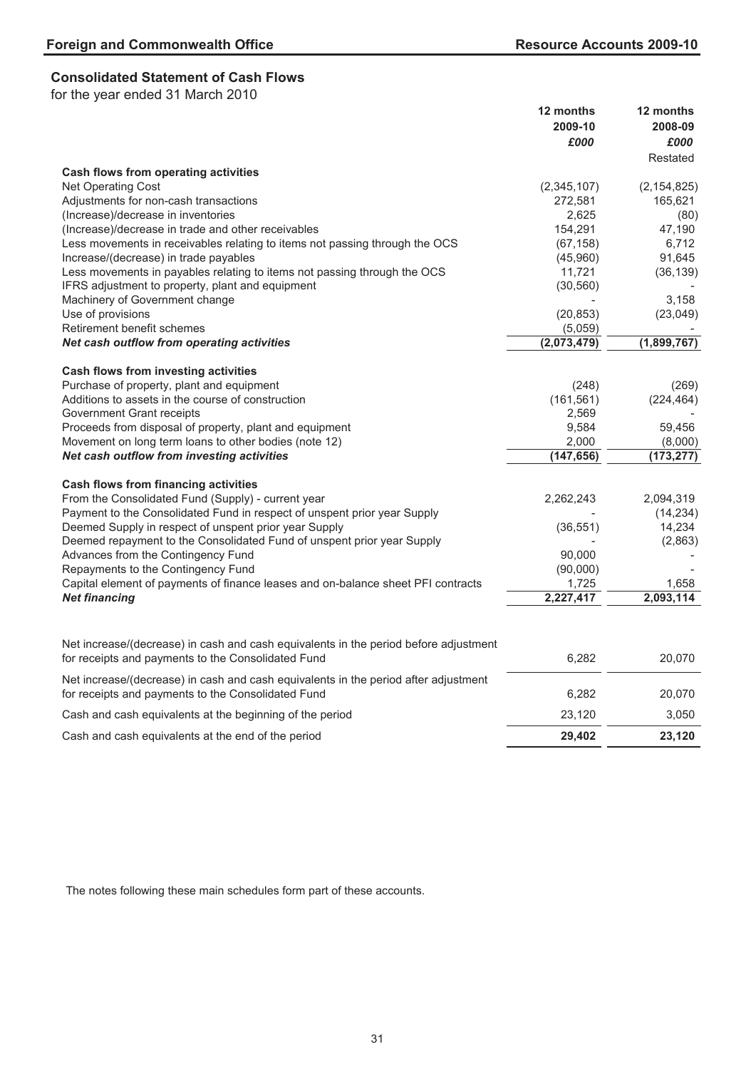#### **Consolidated Statement of Cash Flows**

for the year ended 31 March 2010

|                                                                                                                                            | 12 months<br>2009-10<br>£000 | 12 months<br>2008-09<br>£000<br>Restated |
|--------------------------------------------------------------------------------------------------------------------------------------------|------------------------------|------------------------------------------|
| Cash flows from operating activities                                                                                                       |                              |                                          |
| Net Operating Cost                                                                                                                         | (2,345,107)                  | (2, 154, 825)                            |
| Adjustments for non-cash transactions                                                                                                      | 272,581                      | 165,621                                  |
| (Increase)/decrease in inventories                                                                                                         | 2,625                        | (80)                                     |
| (Increase)/decrease in trade and other receivables                                                                                         | 154,291                      | 47,190                                   |
| Less movements in receivables relating to items not passing through the OCS                                                                | (67, 158)                    | 6,712                                    |
| Increase/(decrease) in trade payables                                                                                                      | (45,960)                     | 91,645                                   |
| Less movements in payables relating to items not passing through the OCS                                                                   | 11,721                       | (36, 139)                                |
| IFRS adjustment to property, plant and equipment                                                                                           | (30, 560)                    |                                          |
| Machinery of Government change                                                                                                             |                              | 3,158                                    |
| Use of provisions<br>Retirement benefit schemes                                                                                            | (20, 853)                    | (23,049)                                 |
| Net cash outflow from operating activities                                                                                                 | (5,059)<br>(2,073,479)       | (1,899,767)                              |
|                                                                                                                                            |                              |                                          |
| Cash flows from investing activities                                                                                                       |                              |                                          |
| Purchase of property, plant and equipment                                                                                                  | (248)                        | (269)                                    |
| Additions to assets in the course of construction                                                                                          | (161, 561)                   | (224, 464)                               |
| Government Grant receipts                                                                                                                  | 2,569                        |                                          |
| Proceeds from disposal of property, plant and equipment                                                                                    | 9,584                        | 59,456                                   |
| Movement on long term loans to other bodies (note 12)                                                                                      | 2,000                        | (8,000)                                  |
| Net cash outflow from investing activities                                                                                                 | (147, 656)                   | (173, 277)                               |
| <b>Cash flows from financing activities</b>                                                                                                |                              |                                          |
| From the Consolidated Fund (Supply) - current year                                                                                         | 2,262,243                    | 2,094,319                                |
| Payment to the Consolidated Fund in respect of unspent prior year Supply                                                                   |                              | (14, 234)                                |
| Deemed Supply in respect of unspent prior year Supply                                                                                      | (36, 551)                    | 14,234                                   |
| Deemed repayment to the Consolidated Fund of unspent prior year Supply                                                                     |                              | (2,863)                                  |
| Advances from the Contingency Fund                                                                                                         | 90,000                       |                                          |
| Repayments to the Contingency Fund                                                                                                         | (90,000)                     |                                          |
| Capital element of payments of finance leases and on-balance sheet PFI contracts                                                           | 1,725                        | 1,658                                    |
| <b>Net financing</b>                                                                                                                       | 2,227,417                    | 2,093,114                                |
|                                                                                                                                            |                              |                                          |
|                                                                                                                                            |                              |                                          |
| Net increase/(decrease) in cash and cash equivalents in the period before adjustment<br>for receipts and payments to the Consolidated Fund | 6,282                        | 20,070                                   |
| Net increase/(decrease) in cash and cash equivalents in the period after adjustment<br>for receipts and payments to the Consolidated Fund  | 6,282                        | 20,070                                   |
| Cash and cash equivalents at the beginning of the period                                                                                   | 23,120                       | 3,050                                    |
| Cash and cash equivalents at the end of the period                                                                                         | 29,402                       | 23,120                                   |
|                                                                                                                                            |                              |                                          |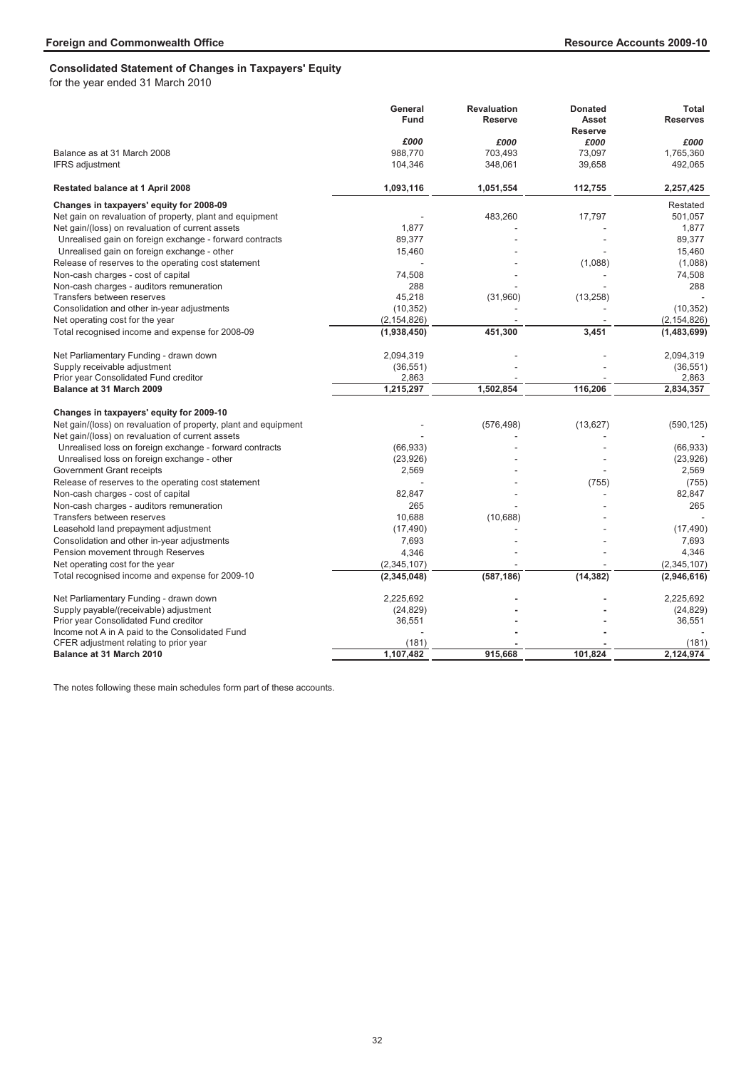#### **Consolidated Statement of Changes in Taxpayers' Equity**

for the year ended 31 March 2010

|                                                                 | General       | <b>Revaluation</b> | <b>Donated</b> | Total           |
|-----------------------------------------------------------------|---------------|--------------------|----------------|-----------------|
|                                                                 | Fund          | <b>Reserve</b>     | Asset          | <b>Reserves</b> |
|                                                                 |               |                    | <b>Reserve</b> |                 |
|                                                                 | £000          | £000               | £000           | £000            |
| Balance as at 31 March 2008                                     | 988,770       | 703,493            | 73,097         | 1,765,360       |
| <b>IFRS</b> adjustment                                          | 104,346       | 348,061            | 39,658         | 492,065         |
|                                                                 |               |                    |                |                 |
| <b>Restated balance at 1 April 2008</b>                         | 1,093,116     | 1,051,554          | 112,755        | 2,257,425       |
| Changes in taxpayers' equity for 2008-09                        |               |                    |                | Restated        |
| Net gain on revaluation of property, plant and equipment        |               | 483,260            | 17,797         | 501,057         |
| Net gain/(loss) on revaluation of current assets                | 1,877         |                    |                | 1,877           |
| Unrealised gain on foreign exchange - forward contracts         | 89,377        |                    |                | 89,377          |
| Unrealised gain on foreign exchange - other                     | 15,460        |                    |                | 15,460          |
| Release of reserves to the operating cost statement             |               |                    | (1,088)        | (1,088)         |
|                                                                 |               |                    |                |                 |
| Non-cash charges - cost of capital                              | 74,508        |                    |                | 74,508          |
| Non-cash charges - auditors remuneration                        | 288           |                    |                | 288             |
| Transfers between reserves                                      | 45,218        | (31,960)           | (13, 258)      |                 |
| Consolidation and other in-year adjustments                     | (10, 352)     |                    |                | (10, 352)       |
| Net operating cost for the year                                 | (2, 154, 826) |                    |                | (2, 154, 826)   |
| Total recognised income and expense for 2008-09                 | (1,938,450)   | 451,300            | 3,451          | (1,483,699)     |
| Net Parliamentary Funding - drawn down                          | 2,094,319     |                    |                | 2,094,319       |
| Supply receivable adjustment                                    | (36, 551)     |                    |                | (36, 551)       |
| Prior year Consolidated Fund creditor                           | 2,863         |                    |                | 2,863           |
| Balance at 31 March 2009                                        | 1,215,297     | 1,502,854          | 116,206        | 2,834,357       |
|                                                                 |               |                    |                |                 |
| Changes in taxpayers' equity for 2009-10                        |               |                    |                |                 |
| Net gain/(loss) on revaluation of property, plant and equipment |               | (576, 498)         | (13,627)       | (590, 125)      |
| Net gain/(loss) on revaluation of current assets                |               |                    |                |                 |
| Unrealised loss on foreign exchange - forward contracts         | (66, 933)     |                    |                | (66, 933)       |
| Unrealised loss on foreign exchange - other                     | (23, 926)     |                    |                | (23,926)        |
| Government Grant receipts                                       | 2,569         |                    |                | 2,569           |
| Release of reserves to the operating cost statement             |               |                    | (755)          | (755)           |
|                                                                 |               |                    |                |                 |
| Non-cash charges - cost of capital                              | 82,847        |                    |                | 82,847          |
| Non-cash charges - auditors remuneration                        | 265           |                    |                | 265             |
| Transfers between reserves                                      | 10,688        | (10, 688)          |                |                 |
| Leasehold land prepayment adjustment                            | (17, 490)     |                    |                | (17, 490)       |
| Consolidation and other in-year adjustments                     | 7,693         |                    |                | 7,693           |
| Pension movement through Reserves                               | 4,346         |                    |                | 4,346           |
| Net operating cost for the year                                 | (2,345,107)   |                    |                | (2,345,107)     |
| Total recognised income and expense for 2009-10                 | (2,345,048)   | (587, 186)         | (14, 382)      | (2,946,616)     |
|                                                                 |               |                    |                |                 |
| Net Parliamentary Funding - drawn down                          | 2,225,692     |                    |                | 2,225,692       |
| Supply payable/(receivable) adjustment                          | (24, 829)     |                    |                | (24, 829)       |
| Prior year Consolidated Fund creditor                           | 36,551        |                    |                | 36,551          |
| Income not A in A paid to the Consolidated Fund                 |               |                    |                |                 |
| CFER adjustment relating to prior year                          | (181)         |                    |                | (181)           |
| Balance at 31 March 2010                                        | 1,107,482     | 915,668            | 101,824        | 2,124,974       |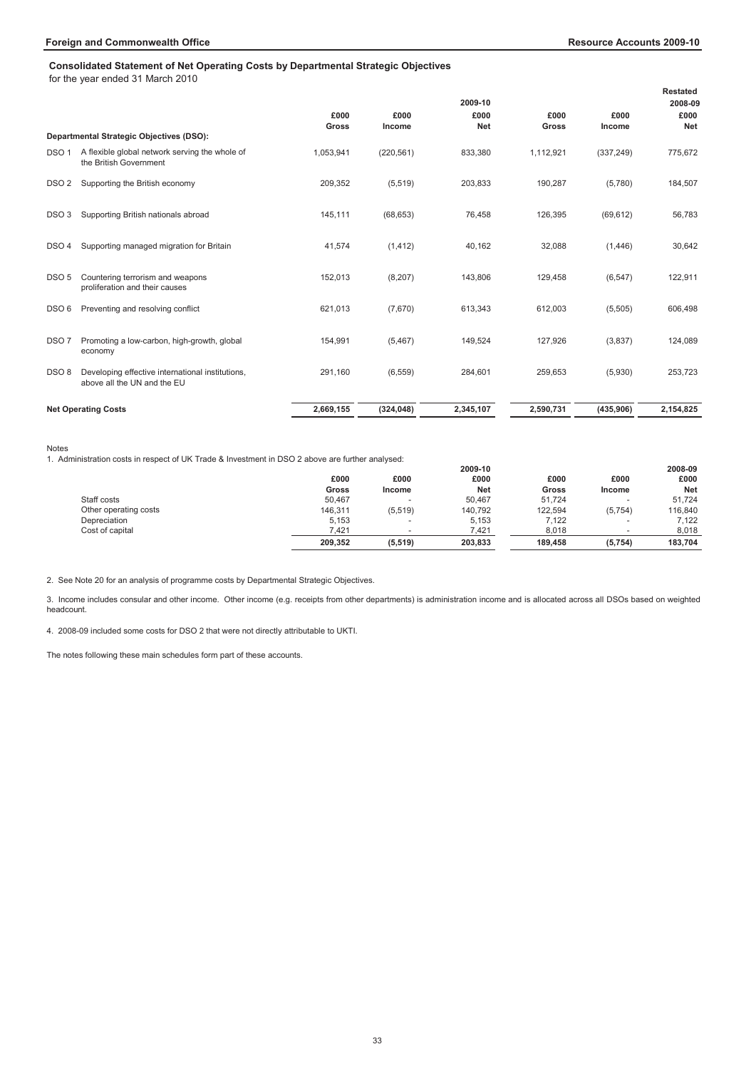#### **Consolidated Statement of Net Operating Costs by Departmental Strategic Objectives**

for the year ended 31 March 2010

|                  |                                                                                 | £000<br>Gross | £000<br>Income | 2009-10<br>£000<br><b>Net</b> | £000<br>Gross | £000<br>Income | <b>Restated</b><br>2008-09<br>£000<br><b>Net</b> |
|------------------|---------------------------------------------------------------------------------|---------------|----------------|-------------------------------|---------------|----------------|--------------------------------------------------|
|                  | Departmental Strategic Objectives (DSO):                                        |               |                |                               |               |                |                                                  |
| DSO <sub>1</sub> | A flexible global network serving the whole of<br>the British Government        | 1,053,941     | (220, 561)     | 833,380                       | 1,112,921     | (337, 249)     | 775,672                                          |
| DSO <sub>2</sub> | Supporting the British economy                                                  | 209,352       | (5, 519)       | 203,833                       | 190,287       | (5,780)        | 184,507                                          |
| DSO <sub>3</sub> | Supporting British nationals abroad                                             | 145,111       | (68, 653)      | 76,458                        | 126,395       | (69, 612)      | 56,783                                           |
| DSO 4            | Supporting managed migration for Britain                                        | 41,574        | (1, 412)       | 40,162                        | 32,088        | (1,446)        | 30,642                                           |
| DSO <sub>5</sub> | Countering terrorism and weapons<br>proliferation and their causes              | 152,013       | (8, 207)       | 143,806                       | 129,458       | (6, 547)       | 122,911                                          |
| DSO <sub>6</sub> | Preventing and resolving conflict                                               | 621,013       | (7,670)        | 613,343                       | 612,003       | (5,505)        | 606,498                                          |
| DSO <sub>7</sub> | Promoting a low-carbon, high-growth, global<br>economy                          | 154,991       | (5, 467)       | 149,524                       | 127,926       | (3,837)        | 124,089                                          |
| DSO <sub>8</sub> | Developing effective international institutions,<br>above all the UN and the EU | 291,160       | (6, 559)       | 284,601                       | 259,653       | (5,930)        | 253,723                                          |
|                  | <b>Net Operating Costs</b>                                                      | 2,669,155     | (324, 048)     | 2,345,107                     | 2,590,731     | (435, 906)     | 2,154,825                                        |

Notes

1. Administration costs in respect of UK Trade & Investment in DSO 2 above are further analysed:

|                       |         |                          | 2009-10    |         |                          | 2008-09    |
|-----------------------|---------|--------------------------|------------|---------|--------------------------|------------|
|                       | £000    | £000                     | £000       | £000    | £000                     | £000       |
|                       | Gross   | Income                   | <b>Net</b> | Gross   | Income                   | <b>Net</b> |
| Staff costs           | 50.467  | $\overline{\phantom{a}}$ | 50.467     | 51.724  | $\overline{\phantom{a}}$ | 51.724     |
| Other operating costs | 146.311 | (5, 519)                 | 140.792    | 122.594 | (5,754)                  | 116,840    |
| Depreciation          | 5,153   |                          | 5,153      | 7.122   |                          | 7.122      |
| Cost of capital       | 7.421   |                          | 7.421      | 8.018   |                          | 8.018      |
|                       | 209.352 | (5, 519)                 | 203,833    | 189,458 | (5,754)                  | 183.704    |

2. See Note 20 for an analysis of programme costs by Departmental Strategic Objectives.

3. Income includes consular and other income. Other income (e.g. receipts from other departments) is administration income and is allocated across all DSOs based on weighted headcount.

4. 2008-09 included some costs for DSO 2 that were not directly attributable to UKTI.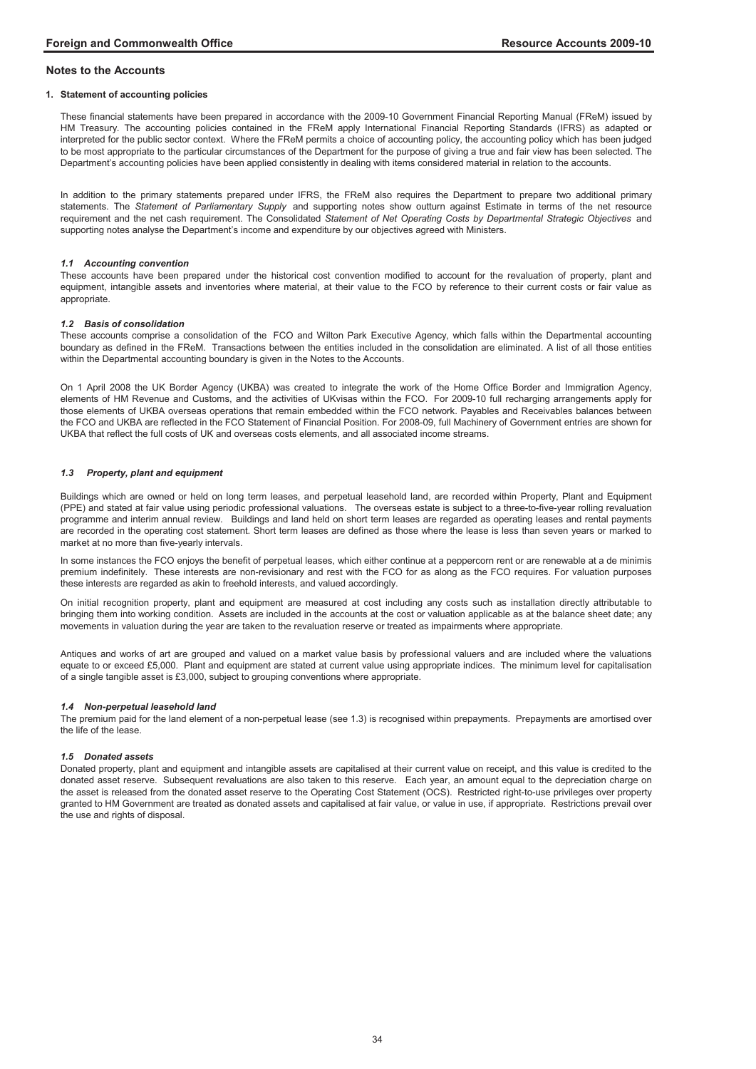#### **1. Statement of accounting policies**

These financial statements have been prepared in accordance with the 2009-10 Government Financial Reporting Manual (FReM) issued by HM Treasury. The accounting policies contained in the FReM apply International Financial Reporting Standards (IFRS) as adapted or interpreted for the public sector context. Where the FReM permits a choice of accounting policy, the accounting policy which has been judged to be most appropriate to the particular circumstances of the Department for the purpose of giving a true and fair view has been selected. The Department's accounting policies have been applied consistently in dealing with items considered material in relation to the accounts.

In addition to the primary statements prepared under IFRS, the FReM also requires the Department to prepare two additional primary statements. The *Statement of Parliamentary Supply* and supporting notes show outturn against Estimate in terms of the net resource requirement and the net cash requirement. The Consolidated *Statement of Net Operating Costs by Departmental Strategic Objectives* and supporting notes analyse the Department's income and expenditure by our objectives agreed with Ministers.

#### *1.1 Accounting convention*

These accounts have been prepared under the historical cost convention modified to account for the revaluation of property, plant and equipment, intangible assets and inventories where material, at their value to the FCO by reference to their current costs or fair value as appropriate.

# *1.2 Basis of consolidation*

These accounts comprise a consolidation of the FCO and Wilton Park Executive Agency, which falls within the Departmental accounting boundary as defined in the FReM. Transactions between the entities included in the consolidation are eliminated. A list of all those entities within the Departmental accounting boundary is given in the Notes to the Accounts.

On 1 April 2008 the UK Border Agency (UKBA) was created to integrate the work of the Home Office Border and Immigration Agency, elements of HM Revenue and Customs, and the activities of UKvisas within the FCO. For 2009-10 full recharging arrangements apply for those elements of UKBA overseas operations that remain embedded within the FCO network. Payables and Receivables balances between the FCO and UKBA are reflected in the FCO Statement of Financial Position. For 2008-09, full Machinery of Government entries are shown for UKBA that reflect the full costs of UK and overseas costs elements, and all associated income streams.

# *1.3 Property, plant and equipment*

Buildings which are owned or held on long term leases, and perpetual leasehold land, are recorded within Property, Plant and Equipment (PPE) and stated at fair value using periodic professional valuations. The overseas estate is subject to a three-to-five-year rolling revaluation programme and interim annual review. Buildings and land held on short term leases are regarded as operating leases and rental payments are recorded in the operating cost statement. Short term leases are defined as those where the lease is less than seven years or marked to market at no more than five-yearly intervals.

In some instances the FCO enjoys the benefit of perpetual leases, which either continue at a peppercorn rent or are renewable at a de minimis premium indefinitely. These interests are non-revisionary and rest with the FCO for as along as the FCO requires. For valuation purposes these interests are regarded as akin to freehold interests, and valued accordingly.

On initial recognition property, plant and equipment are measured at cost including any costs such as installation directly attributable to bringing them into working condition. Assets are included in the accounts at the cost or valuation applicable as at the balance sheet date; any movements in valuation during the year are taken to the revaluation reserve or treated as impairments where appropriate.

Antiques and works of art are grouped and valued on a market value basis by professional valuers and are included where the valuations equate to or exceed £5,000. Plant and equipment are stated at current value using appropriate indices. The minimum level for capitalisation of a single tangible asset is £3,000, subject to grouping conventions where appropriate.

#### *1.4 Non-perpetual leasehold land*

The premium paid for the land element of a non-perpetual lease (see 1.3) is recognised within prepayments. Prepayments are amortised over the life of the lease.

#### *1.5 Donated assets*

Donated property, plant and equipment and intangible assets are capitalised at their current value on receipt, and this value is credited to the donated asset reserve. Subsequent revaluations are also taken to this reserve. Each year, an amount equal to the depreciation charge on the asset is released from the donated asset reserve to the Operating Cost Statement (OCS). Restricted right-to-use privileges over property granted to HM Government are treated as donated assets and capitalised at fair value, or value in use, if appropriate. Restrictions prevail over the use and rights of disposal.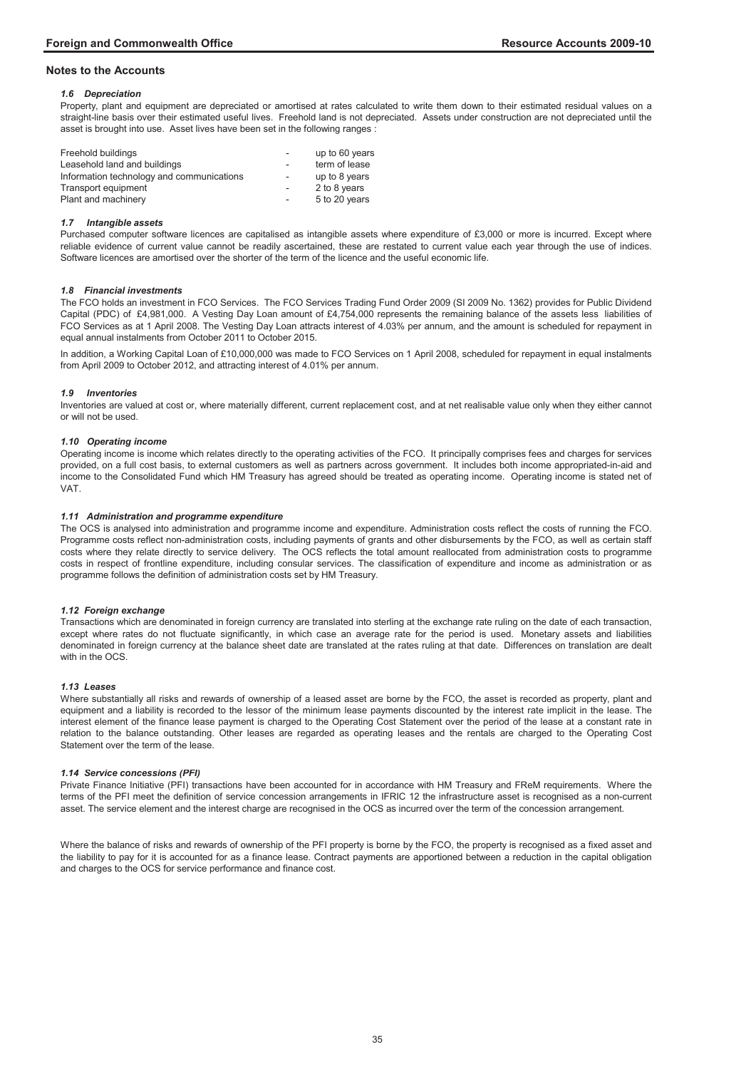# *1.6 Depreciation*

Property, plant and equipment are depreciated or amortised at rates calculated to write them down to their estimated residual values on a straight-line basis over their estimated useful lives. Freehold land is not depreciated. Assets under construction are not depreciated until the asset is brought into use. Asset lives have been set in the following ranges :

| Freehold buildings                        | $\overline{\phantom{a}}$ | up to 60 years |
|-------------------------------------------|--------------------------|----------------|
| Leasehold land and buildings              | $\sim$                   | term of lease  |
| Information technology and communications | $\overline{\phantom{a}}$ | up to 8 years  |
| Transport equipment                       | $\overline{\phantom{a}}$ | 2 to 8 years   |
| Plant and machinery                       | $\overline{\phantom{a}}$ | 5 to 20 years  |

#### *1.7 Intangible assets*

Purchased computer software licences are capitalised as intangible assets where expenditure of £3,000 or more is incurred. Except where reliable evidence of current value cannot be readily ascertained, these are restated to current value each year through the use of indices. Software licences are amortised over the shorter of the term of the licence and the useful economic life.

# *1.8 Financial investments*

The FCO holds an investment in FCO Services. The FCO Services Trading Fund Order 2009 (SI 2009 No. 1362) provides for Public Dividend Capital (PDC) of £4,981,000. A Vesting Day Loan amount of £4,754,000 represents the remaining balance of the assets less liabilities of FCO Services as at 1 April 2008. The Vesting Day Loan attracts interest of 4.03% per annum, and the amount is scheduled for repayment in equal annual instalments from October 2011 to October 2015.

In addition, a Working Capital Loan of £10,000,000 was made to FCO Services on 1 April 2008, scheduled for repayment in equal instalments from April 2009 to October 2012, and attracting interest of 4.01% per annum.

#### *1.9 Inventories*

Inventories are valued at cost or, where materially different, current replacement cost, and at net realisable value only when they either cannot or will not be used.

# *1.10 Operating income*

Operating income is income which relates directly to the operating activities of the FCO. It principally comprises fees and charges for services provided, on a full cost basis, to external customers as well as partners across government. It includes both income appropriated-in-aid and income to the Consolidated Fund which HM Treasury has agreed should be treated as operating income. Operating income is stated net of VAT.

#### *1.11 Administration and programme expenditure*

The OCS is analysed into administration and programme income and expenditure. Administration costs reflect the costs of running the FCO. Programme costs reflect non-administration costs, including payments of grants and other disbursements by the FCO, as well as certain staff costs where they relate directly to service delivery. The OCS reflects the total amount reallocated from administration costs to programme costs in respect of frontline expenditure, including consular services. The classification of expenditure and income as administration or as programme follows the definition of administration costs set by HM Treasury.

# *1.12 Foreign exchange*

Transactions which are denominated in foreign currency are translated into sterling at the exchange rate ruling on the date of each transaction, except where rates do not fluctuate significantly, in which case an average rate for the period is used. Monetary assets and liabilities denominated in foreign currency at the balance sheet date are translated at the rates ruling at that date. Differences on translation are dealt with in the OCS

# *1.13 Leases*

Where substantially all risks and rewards of ownership of a leased asset are borne by the FCO, the asset is recorded as property, plant and equipment and a liability is recorded to the lessor of the minimum lease payments discounted by the interest rate implicit in the lease. The interest element of the finance lease payment is charged to the Operating Cost Statement over the period of the lease at a constant rate in relation to the balance outstanding. Other leases are regarded as operating leases and the rentals are charged to the Operating Cost Statement over the term of the lease.

# *1.14 Service concessions (PFI)*

Private Finance Initiative (PFI) transactions have been accounted for in accordance with HM Treasury and FReM requirements. Where the terms of the PFI meet the definition of service concession arrangements in IFRIC 12 the infrastructure asset is recognised as a non-current asset. The service element and the interest charge are recognised in the OCS as incurred over the term of the concession arrangement.

Where the balance of risks and rewards of ownership of the PFI property is borne by the FCO, the property is recognised as a fixed asset and the liability to pay for it is accounted for as a finance lease. Contract payments are apportioned between a reduction in the capital obligation and charges to the OCS for service performance and finance cost.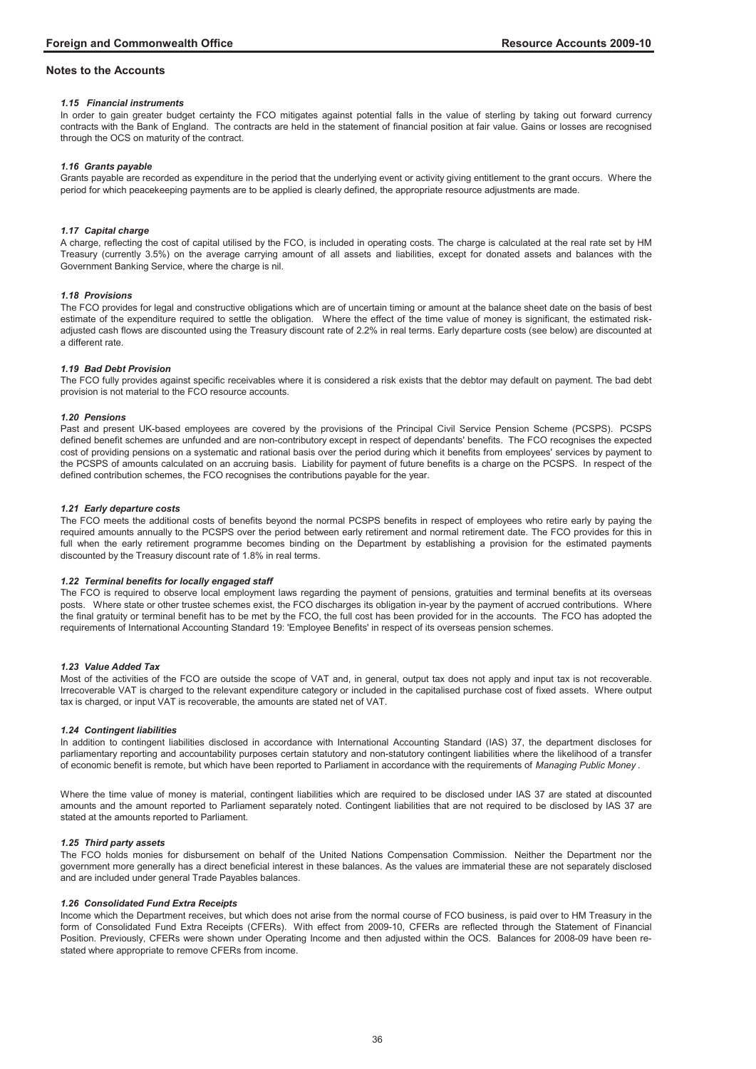# *1.15 Financial instruments*

In order to gain greater budget certainty the FCO mitigates against potential falls in the value of sterling by taking out forward currency contracts with the Bank of England. The contracts are held in the statement of financial position at fair value. Gains or losses are recognised through the OCS on maturity of the contract.

# *1.16 Grants payable*

Grants payable are recorded as expenditure in the period that the underlying event or activity giving entitlement to the grant occurs. Where the period for which peacekeeping payments are to be applied is clearly defined, the appropriate resource adjustments are made.

# *1.17 Capital charge*

A charge, reflecting the cost of capital utilised by the FCO, is included in operating costs. The charge is calculated at the real rate set by HM Treasury (currently 3.5%) on the average carrying amount of all assets and liabilities, except for donated assets and balances with the Government Banking Service, where the charge is nil.

# *1.18 Provisions*

The FCO provides for legal and constructive obligations which are of uncertain timing or amount at the balance sheet date on the basis of best estimate of the expenditure required to settle the obligation. Where the effect of the time value of money is significant, the estimated riskadjusted cash flows are discounted using the Treasury discount rate of 2.2% in real terms. Early departure costs (see below) are discounted at a different rate.

# *1.19 Bad Debt Provision*

The FCO fully provides against specific receivables where it is considered a risk exists that the debtor may default on payment. The bad debt provision is not material to the FCO resource accounts.

#### *1.20 Pensions*

Past and present UK-based employees are covered by the provisions of the Principal Civil Service Pension Scheme (PCSPS). PCSPS defined benefit schemes are unfunded and are non-contributory except in respect of dependants' benefits. The FCO recognises the expected cost of providing pensions on a systematic and rational basis over the period during which it benefits from employees' services by payment to the PCSPS of amounts calculated on an accruing basis. Liability for payment of future benefits is a charge on the PCSPS. In respect of the defined contribution schemes, the FCO recognises the contributions payable for the year.

# *1.21 Early departure costs*

The FCO meets the additional costs of benefits beyond the normal PCSPS benefits in respect of employees who retire early by paying the required amounts annually to the PCSPS over the period between early retirement and normal retirement date. The FCO provides for this in full when the early retirement programme becomes binding on the Department by establishing a provision for the estimated payments discounted by the Treasury discount rate of 1.8% in real terms.

# *1.22 Terminal benefits for locally engaged staff*

The FCO is required to observe local employment laws regarding the payment of pensions, gratuities and terminal benefits at its overseas posts. Where state or other trustee schemes exist, the FCO discharges its obligation in-year by the payment of accrued contributions. Where the final gratuity or terminal benefit has to be met by the FCO, the full cost has been provided for in the accounts. The FCO has adopted the requirements of International Accounting Standard 19: 'Employee Benefits' in respect of its overseas pension schemes.

# *1.23 Value Added Tax*

Most of the activities of the FCO are outside the scope of VAT and, in general, output tax does not apply and input tax is not recoverable. Irrecoverable VAT is charged to the relevant expenditure category or included in the capitalised purchase cost of fixed assets. Where output tax is charged, or input VAT is recoverable, the amounts are stated net of VAT.

# *1.24 Contingent liabilities*

In addition to contingent liabilities disclosed in accordance with International Accounting Standard (IAS) 37, the department discloses for parliamentary reporting and accountability purposes certain statutory and non-statutory contingent liabilities where the likelihood of a transfer of economic benefit is remote, but which have been reported to Parliament in accordance with the requirements of *Managing Public Money* .

Where the time value of money is material, contingent liabilities which are required to be disclosed under IAS 37 are stated at discounted amounts and the amount reported to Parliament separately noted. Contingent liabilities that are not required to be disclosed by IAS 37 are stated at the amounts reported to Parliament.

# *1.25 Third party assets*

The FCO holds monies for disbursement on behalf of the United Nations Compensation Commission. Neither the Department nor the government more generally has a direct beneficial interest in these balances. As the values are immaterial these are not separately disclosed and are included under general Trade Payables balances.

#### *1.26 Consolidated Fund Extra Receipts*

Income which the Department receives, but which does not arise from the normal course of FCO business, is paid over to HM Treasury in the form of Consolidated Fund Extra Receipts (CFERs). With effect from 2009-10, CFERs are reflected through the Statement of Financial Position. Previously, CFERs were shown under Operating Income and then adjusted within the OCS. Balances for 2008-09 have been restated where appropriate to remove CFERs from income.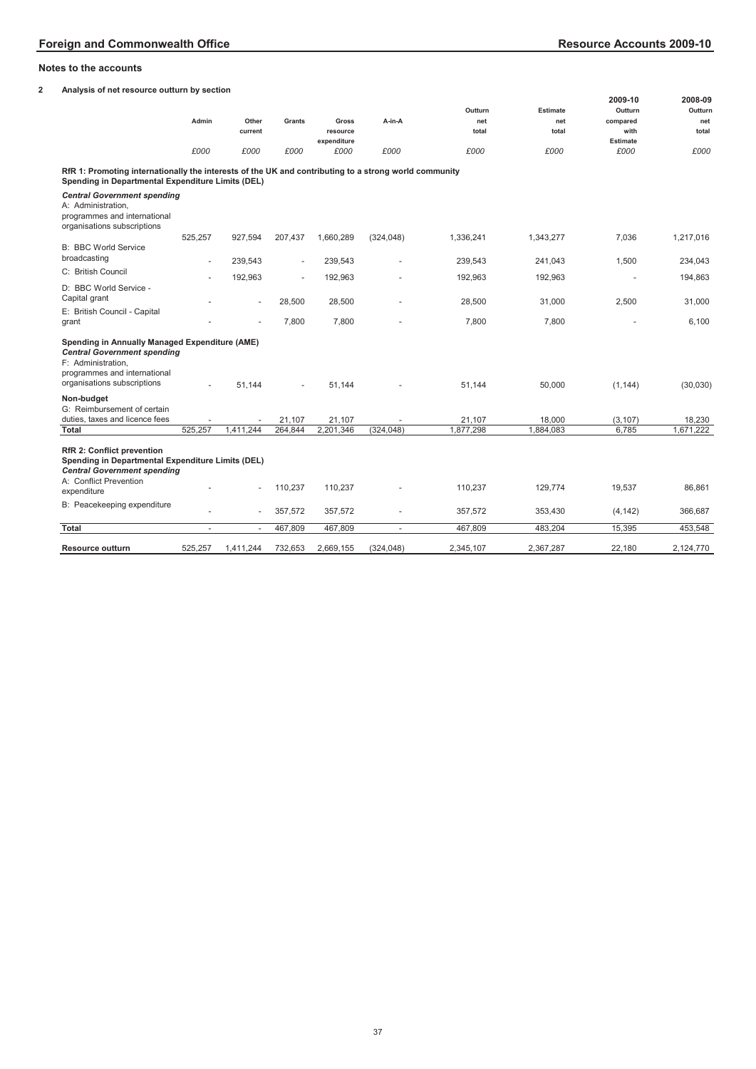# **2 Analysis of net resource outturn by section**

|                                                                                                                                                                           | Admin                    | Other<br>current         | Grants    | Gross<br>resource<br>expenditure | A-in-A                   | Outturn<br>net<br>total | <b>Estimate</b><br>net<br>total | 2009-10<br>Outturn<br>compared<br>with<br><b>Estimate</b> | 2008-09<br>Outturn<br>net<br>total |
|---------------------------------------------------------------------------------------------------------------------------------------------------------------------------|--------------------------|--------------------------|-----------|----------------------------------|--------------------------|-------------------------|---------------------------------|-----------------------------------------------------------|------------------------------------|
|                                                                                                                                                                           | £000                     | £000                     | £000      | £000                             | £000                     | £000                    | £000                            | £000                                                      | £000                               |
| RfR 1: Promoting internationally the interests of the UK and contributing to a strong world community<br>Spending in Departmental Expenditure Limits (DEL)                |                          |                          |           |                                  |                          |                         |                                 |                                                           |                                    |
| <b>Central Government spending</b><br>A: Administration.<br>programmes and international<br>organisations subscriptions                                                   |                          |                          |           |                                  |                          |                         |                                 |                                                           |                                    |
|                                                                                                                                                                           | 525,257                  | 927,594                  | 207,437   | 1,660,289                        | (324, 048)               | 1,336,241               | 1,343,277                       | 7,036                                                     | 1,217,016                          |
| <b>B: BBC World Service</b><br>broadcasting                                                                                                                               |                          | 239,543                  | $\bar{a}$ | 239,543                          |                          | 239,543                 | 241,043                         | 1,500                                                     | 234,043                            |
| C: British Council                                                                                                                                                        |                          | 192,963                  | ٠         | 192,963                          |                          | 192,963                 | 192,963                         |                                                           | 194,863                            |
| D: BBC World Service -<br>Capital grant                                                                                                                                   |                          | $\overline{a}$           | 28.500    | 28,500                           |                          | 28,500                  | 31,000                          | 2,500                                                     | 31,000                             |
| E: British Council - Capital<br>grant                                                                                                                                     |                          |                          | 7.800     | 7,800                            |                          | 7,800                   | 7,800                           |                                                           | 6,100                              |
| Spending in Annually Managed Expenditure (AME)<br><b>Central Government spending</b><br>F: Administration.<br>programmes and international<br>organisations subscriptions |                          | 51,144                   |           | 51,144                           |                          | 51,144                  | 50,000                          | (1, 144)                                                  | (30,030)                           |
| Non-budget                                                                                                                                                                |                          |                          |           |                                  |                          |                         |                                 |                                                           |                                    |
| G: Reimbursement of certain<br>duties, taxes and licence fees                                                                                                             |                          |                          | 21.107    | 21,107                           |                          | 21,107                  | 18,000                          | (3, 107)                                                  | 18,230                             |
| <b>Total</b>                                                                                                                                                              | 525,257                  | 1,411,244                | 264,844   | 2,201,346                        | (324, 048)               | 1,877,298               | 1,884,083                       | 6,785                                                     | 1,671,222                          |
| RfR 2: Conflict prevention<br>Spending in Departmental Expenditure Limits (DEL)<br><b>Central Government spending</b><br>A: Conflict Prevention<br>expenditure            |                          |                          | 110,237   | 110,237                          |                          | 110,237                 | 129.774                         | 19,537                                                    | 86,861                             |
| B: Peacekeeping expenditure                                                                                                                                               |                          |                          | 357,572   | 357,572                          |                          | 357,572                 | 353,430                         | (4, 142)                                                  | 366,687                            |
| <b>Total</b>                                                                                                                                                              | $\overline{\phantom{a}}$ | $\overline{\phantom{a}}$ | 467,809   | 467,809                          | $\overline{\phantom{a}}$ | 467,809                 | 483,204                         | 15,395                                                    | 453,548                            |
| <b>Resource outturn</b>                                                                                                                                                   | 525,257                  | 1,411,244                | 732,653   | 2,669,155                        | (324, 048)               | 2,345,107               | 2,367,287                       | 22,180                                                    | 2,124,770                          |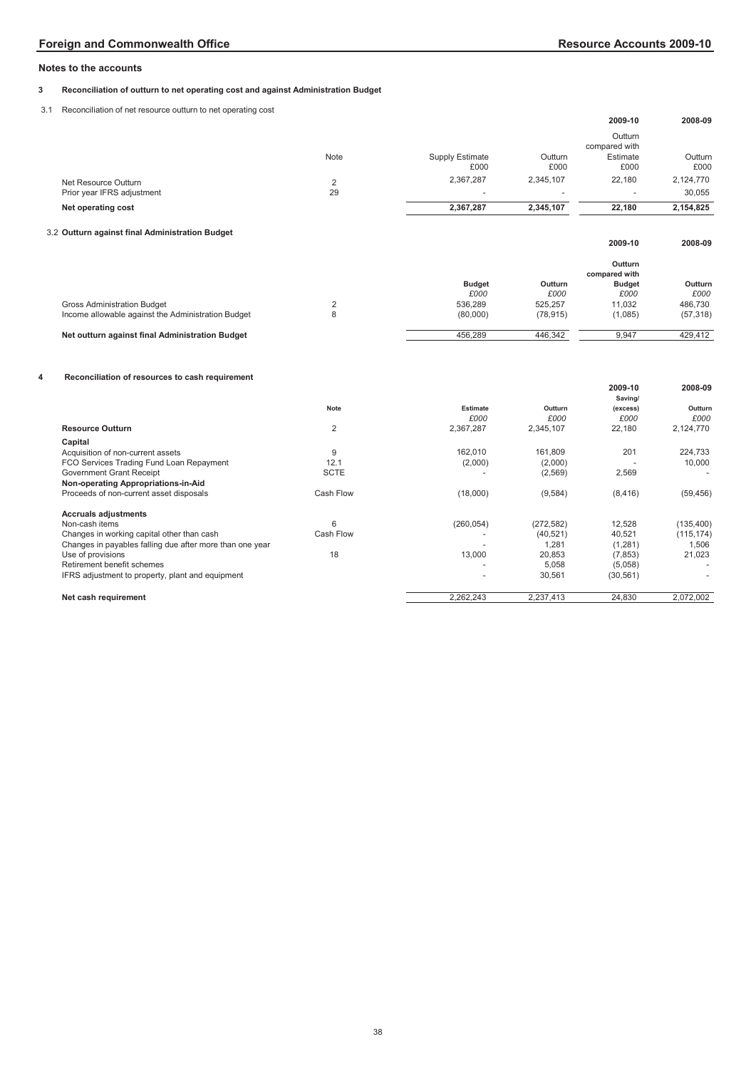**3 Reconciliation of outturn to net operating cost and against Administration Budget**

3.1 Reconciliation of net resource outturn to net operating cost

|   | Reconciliation of het resource outtun to het operating cost                    |                         |                          |                 | 2009-10                              | 2008-09         |
|---|--------------------------------------------------------------------------------|-------------------------|--------------------------|-----------------|--------------------------------------|-----------------|
|   |                                                                                | Note                    | <b>Supply Estimate</b>   | Outturn         | Outturn<br>compared with<br>Estimate | Outturn         |
|   |                                                                                |                         | £000                     | £000            | £000                                 | £000            |
|   | Net Resource Outturn                                                           | $\overline{2}$          | 2,367,287                | 2,345,107       | 22,180                               | 2,124,770       |
|   | Prior year IFRS adjustment                                                     | 29                      |                          |                 |                                      | 30,055          |
|   | Net operating cost                                                             |                         | 2,367,287                | 2,345,107       | 22,180                               | 2,154,825       |
|   | 3.2 Outturn against final Administration Budget                                |                         |                          |                 |                                      |                 |
|   |                                                                                |                         |                          |                 | 2009-10                              | 2008-09         |
|   |                                                                                |                         |                          |                 | Outturn<br>compared with             |                 |
|   |                                                                                |                         | <b>Budget</b>            | Outturn         | <b>Budget</b>                        | Outturn         |
|   | <b>Gross Administration Budget</b>                                             | 2                       | £000<br>536,289          | £000<br>525,257 | £000<br>11,032                       | £000<br>486,730 |
|   | Income allowable against the Administration Budget                             | 8                       | (80,000)                 | (78, 915)       | (1,085)                              | (57, 318)       |
|   | Net outturn against final Administration Budget                                |                         | 456,289                  | 446,342         | 9.947                                | 429,412         |
| 4 | Reconciliation of resources to cash requirement                                |                         |                          |                 | 2009-10                              | 2008-09         |
|   |                                                                                |                         |                          |                 | Saving/                              |                 |
|   |                                                                                | Note                    | <b>Estimate</b><br>£000  | Outturn<br>£000 | (excess)<br>£000                     | Outturn<br>£000 |
|   | <b>Resource Outturn</b>                                                        | $\overline{\mathbf{c}}$ | 2,367,287                | 2,345,107       | 22,180                               | 2,124,770       |
|   | Capital                                                                        |                         |                          |                 |                                      |                 |
|   | Acquisition of non-current assets                                              | 9                       | 162,010                  | 161,809         | 201                                  | 224,733         |
|   | FCO Services Trading Fund Loan Repayment                                       | 12.1                    | (2,000)                  | (2,000)         |                                      | 10,000          |
|   | <b>Government Grant Receipt</b>                                                | <b>SCTE</b>             |                          | (2, 569)        | 2,569                                |                 |
|   | Non-operating Appropriations-in-Aid<br>Proceeds of non-current asset disposals | Cash Flow               | (18,000)                 | (9,584)         | (8, 416)                             | (59, 456)       |
|   | <b>Accruals adjustments</b>                                                    |                         |                          |                 |                                      |                 |
|   | Non-cash items                                                                 | 6                       | (260, 054)               | (272, 582)      | 12,528                               | (135, 400)      |
|   | Changes in working capital other than cash                                     | Cash Flow               | $\overline{\phantom{a}}$ | (40, 521)       | 40,521                               | (115, 174)      |
|   | Changes in payables falling due after more than one year                       |                         |                          | 1,281           | (1,281)                              | 1,506           |
|   | Use of provisions                                                              | 18                      | 13,000                   | 20,853          | (7, 853)                             | 21,023          |
|   | Retirement benefit schemes<br>IFRS adjustment to property, plant and equipment |                         |                          | 5,058<br>30,561 | (5,058)<br>(30, 561)                 |                 |
|   | Net cash requirement                                                           |                         | 2.262.243                | 2,237,413       | 24.830                               | 2,072,002       |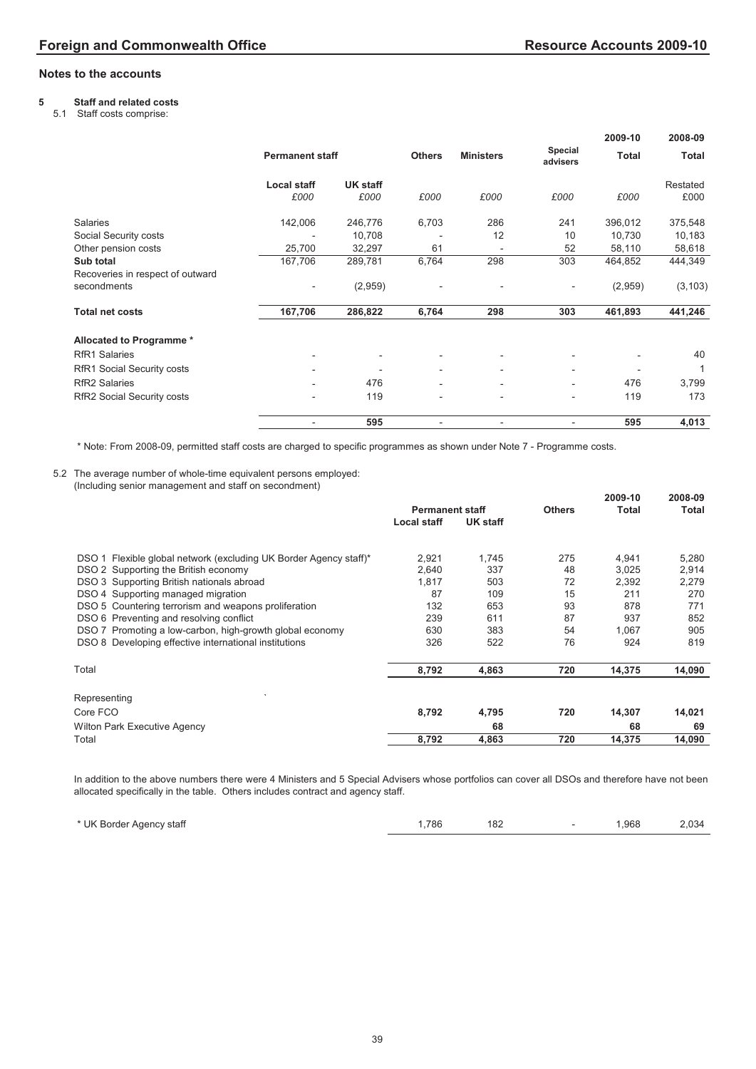# **5 Staff and related costs**

5.1 Staff costs comprise:

|                                   |                            |                          |                          |                          |                          | 2009-10                  | 2008-09          |
|-----------------------------------|----------------------------|--------------------------|--------------------------|--------------------------|--------------------------|--------------------------|------------------|
|                                   | <b>Permanent staff</b>     |                          | <b>Others</b>            | <b>Ministers</b>         | Special<br>advisers      | Total                    | Total            |
|                                   | <b>Local staff</b><br>£000 | <b>UK staff</b><br>£000  | £000                     | £000                     | £000                     | £000                     | Restated<br>£000 |
| Salaries                          | 142,006                    | 246,776                  | 6,703                    | 286                      | 241                      | 396,012                  | 375,548          |
| Social Security costs             | ٠                          | 10,708                   |                          | 12                       | 10                       | 10,730                   | 10,183           |
| Other pension costs               | 25,700                     | 32,297                   | 61                       |                          | 52                       | 58,110                   | 58,618           |
| Sub total                         | 167,706                    | 289,781                  | 6,764                    | 298                      | 303                      | 464,852                  | 444,349          |
| Recoveries in respect of outward  |                            |                          |                          |                          |                          |                          |                  |
| secondments                       | ٠                          | (2,959)                  |                          |                          |                          | (2,959)                  | (3, 103)         |
| <b>Total net costs</b>            | 167,706                    | 286,822                  | 6,764                    | 298                      | 303                      | 461,893                  | 441,246          |
| Allocated to Programme*           |                            |                          |                          |                          |                          |                          |                  |
| <b>RfR1 Salaries</b>              | $\overline{\phantom{a}}$   | $\overline{\phantom{a}}$ | $\overline{\phantom{a}}$ | $\overline{\phantom{a}}$ | $\overline{\phantom{a}}$ | $\overline{\phantom{a}}$ | 40               |
| <b>RfR1 Social Security costs</b> | $\overline{\phantom{a}}$   | ٠                        | $\overline{\phantom{a}}$ | $\overline{\phantom{a}}$ | ٠                        |                          | 1                |
| <b>RfR2 Salaries</b>              | ٠                          | 476                      | $\overline{\phantom{a}}$ | ٠                        | ٠                        | 476                      | 3,799            |
| RfR2 Social Security costs        | ٠                          | 119                      | $\overline{\phantom{0}}$ | ٠                        | ۰                        | 119                      | 173              |
|                                   | ٠                          | 595                      | $\overline{\phantom{0}}$ | $\overline{\phantom{a}}$ | $\overline{\phantom{a}}$ | 595                      | 4,013            |

\* Note: From 2008-09, permitted staff costs are charged to specific programmes as shown under Note 7 - Programme costs.

# 5.2 The average number of whole-time equivalent persons employed:

(Including senior management and staff on secondment)

|                                                                   |                    |                                         |     | 2009-10 | 2008-09 |
|-------------------------------------------------------------------|--------------------|-----------------------------------------|-----|---------|---------|
|                                                                   |                    | <b>Permanent staff</b><br><b>Others</b> |     | Total   | Total   |
|                                                                   | <b>Local staff</b> | UK staff                                |     |         |         |
| DSO 1 Flexible global network (excluding UK Border Agency staff)* | 2,921              | 1,745                                   | 275 | 4.941   | 5,280   |
| DSO 2 Supporting the British economy                              | 2,640              | 337                                     | 48  | 3,025   | 2,914   |
| DSO 3 Supporting British nationals abroad                         | 1.817              | 503                                     | 72  | 2,392   | 2,279   |
| DSO 4 Supporting managed migration                                | 87                 | 109                                     | 15  | 211     | 270     |
| DSO 5 Countering terrorism and weapons proliferation              | 132                | 653                                     | 93  | 878     | 771     |
| DSO 6 Preventing and resolving conflict                           | 239                | 611                                     | 87  | 937     | 852     |
| DSO 7 Promoting a low-carbon, high-growth global economy          | 630                | 383                                     | 54  | 1,067   | 905     |
| DSO 8 Developing effective international institutions             | 326                | 522                                     | 76  | 924     | 819     |
| Total                                                             | 8,792              | 4,863                                   | 720 | 14,375  | 14,090  |
| $\cdot$<br>Representing                                           |                    |                                         |     |         |         |
| Core FCO                                                          | 8,792              | 4,795                                   | 720 | 14,307  | 14,021  |
| <b>Wilton Park Executive Agency</b>                               |                    | 68                                      |     | 68      | 69      |
| Total                                                             | 8,792              | 4,863                                   | 720 | 14,375  | 14,090  |

In addition to the above numbers there were 4 Ministers and 5 Special Advisers whose portfolios can cover all DSOs and therefore have not been allocated specifically in the table. Others includes contract and agency staff.

| * UK Border Agency staff | 786 | 182 |  | .968 | 2,034 |
|--------------------------|-----|-----|--|------|-------|
|--------------------------|-----|-----|--|------|-------|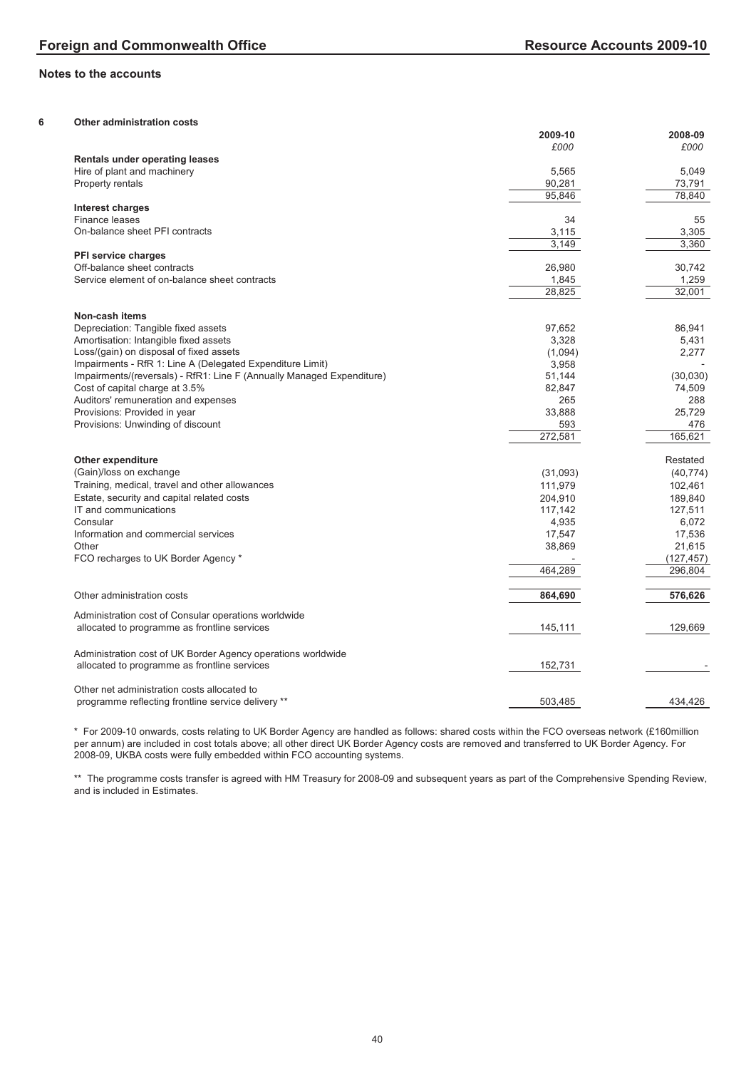| - 6 | <b>Other administration costs</b> |  |
|-----|-----------------------------------|--|
|     |                                   |  |

|                                                                       | 2009-10  | 2008-09    |
|-----------------------------------------------------------------------|----------|------------|
|                                                                       | £000     | £000       |
| Rentals under operating leases                                        |          |            |
| Hire of plant and machinery                                           | 5,565    | 5,049      |
| Property rentals                                                      | 90,281   | 73,791     |
|                                                                       | 95,846   | 78,840     |
| Interest charges                                                      |          |            |
| Finance leases                                                        | 34       | 55         |
| On-balance sheet PFI contracts                                        | 3,115    | 3,305      |
|                                                                       | 3,149    | 3,360      |
| PFI service charges                                                   |          |            |
| Off-balance sheet contracts                                           | 26,980   | 30,742     |
| Service element of on-balance sheet contracts                         | 1,845    | 1,259      |
|                                                                       | 28,825   | 32,001     |
|                                                                       |          |            |
| Non-cash items                                                        |          |            |
| Depreciation: Tangible fixed assets                                   | 97,652   | 86,941     |
| Amortisation: Intangible fixed assets                                 | 3,328    | 5,431      |
| Loss/(gain) on disposal of fixed assets                               | (1,094)  | 2,277      |
| Impairments - RfR 1: Line A (Delegated Expenditure Limit)             | 3,958    |            |
| Impairments/(reversals) - RfR1: Line F (Annually Managed Expenditure) | 51,144   | (30,030)   |
| Cost of capital charge at 3.5%                                        | 82,847   | 74,509     |
| Auditors' remuneration and expenses                                   | 265      | 288        |
| Provisions: Provided in year                                          | 33,888   | 25,729     |
| Provisions: Unwinding of discount                                     | 593      | 476        |
|                                                                       | 272,581  | 165,621    |
|                                                                       |          |            |
| Other expenditure                                                     |          | Restated   |
| (Gain)/loss on exchange                                               | (31,093) | (40, 774)  |
| Training, medical, travel and other allowances                        | 111,979  | 102,461    |
| Estate, security and capital related costs                            | 204,910  | 189,840    |
| IT and communications                                                 | 117,142  | 127,511    |
| Consular                                                              | 4,935    | 6,072      |
| Information and commercial services                                   | 17,547   | 17,536     |
| Other                                                                 | 38,869   | 21,615     |
| FCO recharges to UK Border Agency *                                   |          | (127, 457) |
|                                                                       | 464,289  | 296,804    |
|                                                                       |          |            |
| Other administration costs                                            | 864,690  | 576,626    |
| Administration cost of Consular operations worldwide                  |          |            |
| allocated to programme as frontline services                          | 145,111  | 129,669    |
|                                                                       |          |            |
| Administration cost of UK Border Agency operations worldwide          |          |            |
| allocated to programme as frontline services                          | 152,731  |            |
|                                                                       |          |            |
| Other net administration costs allocated to                           |          |            |
| programme reflecting frontline service delivery **                    | 503,485  | 434,426    |
|                                                                       |          |            |

\* For 2009-10 onwards, costs relating to UK Border Agency are handled as follows: shared costs within the FCO overseas network (£160million per annum) are included in cost totals above; all other direct UK Border Agency costs are removed and transferred to UK Border Agency. For 2008-09, UKBA costs were fully embedded within FCO accounting systems.

\*\* The programme costs transfer is agreed with HM Treasury for 2008-09 and subsequent years as part of the Comprehensive Spending Review, and is included in Estimates.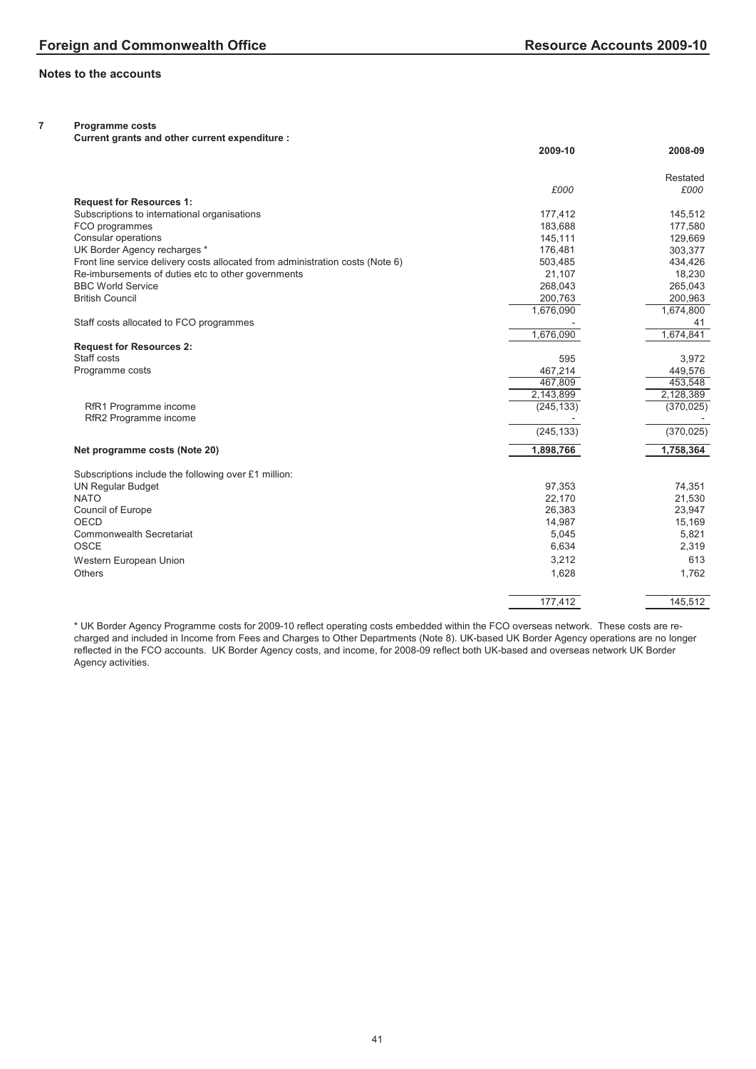- **7 Programme costs**
	- **Current grants and other current expenditure :**

|                                                                                | 2009-10    | 2008-09    |
|--------------------------------------------------------------------------------|------------|------------|
|                                                                                |            | Restated   |
|                                                                                | £000       | £000       |
| <b>Request for Resources 1:</b>                                                |            |            |
| Subscriptions to international organisations                                   | 177,412    | 145,512    |
| FCO programmes                                                                 | 183,688    | 177,580    |
| Consular operations                                                            | 145,111    | 129,669    |
| UK Border Agency recharges *                                                   | 176,481    | 303,377    |
| Front line service delivery costs allocated from administration costs (Note 6) | 503,485    | 434,426    |
| Re-imbursements of duties etc to other governments                             | 21,107     | 18,230     |
| <b>BBC World Service</b>                                                       | 268,043    | 265,043    |
| <b>British Council</b>                                                         | 200,763    | 200,963    |
|                                                                                | 1,676,090  | 1,674,800  |
| Staff costs allocated to FCO programmes                                        |            | 41         |
|                                                                                | 1,676,090  | 1,674,841  |
| <b>Request for Resources 2:</b>                                                |            |            |
| Staff costs                                                                    | 595        | 3,972      |
| Programme costs                                                                | 467,214    | 449,576    |
|                                                                                | 467,809    | 453,548    |
|                                                                                | 2,143,899  | 2,128,389  |
| RfR1 Programme income                                                          | (245, 133) | (370, 025) |
| RfR2 Programme income                                                          |            |            |
|                                                                                | (245, 133) | (370, 025) |
| Net programme costs (Note 20)                                                  | 1,898,766  | 1,758,364  |
| Subscriptions include the following over £1 million:                           |            |            |
| <b>UN Regular Budget</b>                                                       | 97,353     | 74,351     |
| <b>NATO</b>                                                                    | 22.170     | 21,530     |
| Council of Europe                                                              | 26,383     | 23,947     |
| OECD                                                                           | 14,987     | 15,169     |
| <b>Commonwealth Secretariat</b>                                                | 5,045      | 5,821      |
| OSCE                                                                           | 6,634      | 2,319      |
| Western European Union                                                         | 3,212      | 613        |
| Others                                                                         | 1,628      | 1,762      |
|                                                                                |            |            |
|                                                                                | 177,412    | 145,512    |

\* UK Border Agency Programme costs for 2009-10 reflect operating costs embedded within the FCO overseas network. These costs are recharged and included in Income from Fees and Charges to Other Departments (Note 8). UK-based UK Border Agency operations are no longer reflected in the FCO accounts. UK Border Agency costs, and income, for 2008-09 reflect both UK-based and overseas network UK Border Agency activities.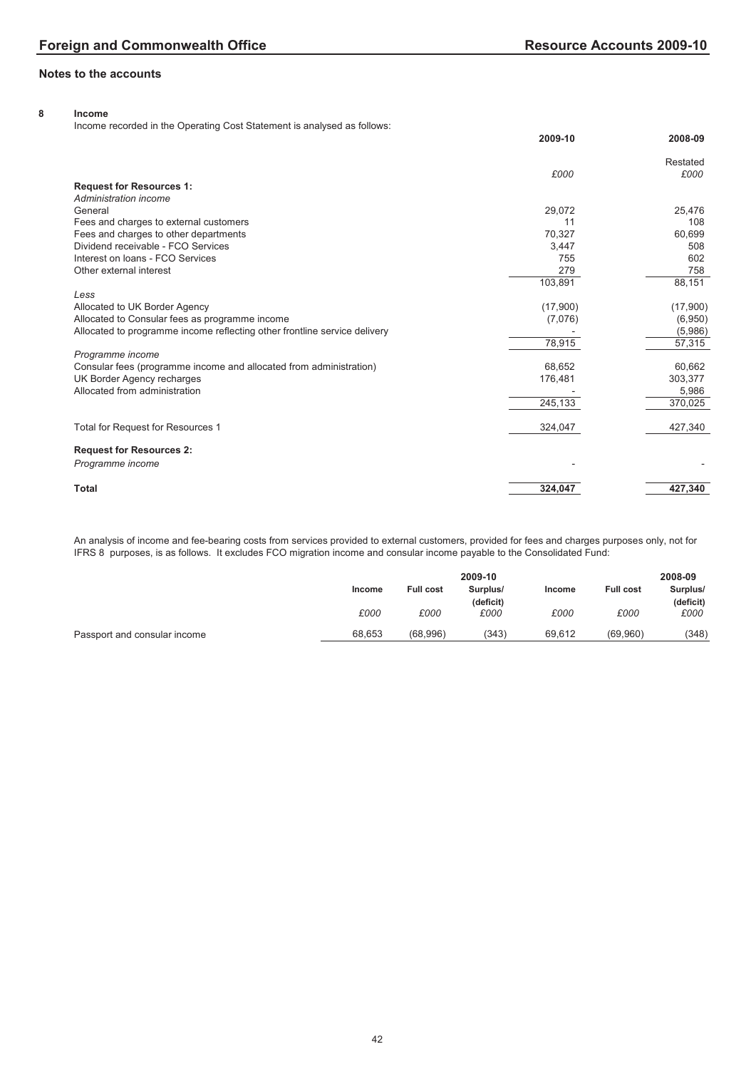# **8 Income**

Income recorded in the Operating Cost Statement is analysed as follows:

|                                                                           | 2009-10  | 2008-09  |
|---------------------------------------------------------------------------|----------|----------|
|                                                                           |          | Restated |
|                                                                           | £000     | £000     |
| <b>Request for Resources 1:</b>                                           |          |          |
| Administration income                                                     |          |          |
| General                                                                   | 29,072   | 25,476   |
| Fees and charges to external customers                                    | 11       | 108      |
| Fees and charges to other departments                                     | 70,327   | 60,699   |
| Dividend receivable - FCO Services                                        | 3,447    | 508      |
| Interest on loans - FCO Services                                          | 755      | 602      |
| Other external interest                                                   | 279      | 758      |
|                                                                           | 103,891  | 88,151   |
| Less                                                                      |          |          |
| Allocated to UK Border Agency                                             | (17,900) | (17,900) |
| Allocated to Consular fees as programme income                            | (7,076)  | (6,950)  |
| Allocated to programme income reflecting other frontline service delivery |          | (5,986)  |
|                                                                           | 78,915   | 57,315   |
| Programme income                                                          |          |          |
| Consular fees (programme income and allocated from administration)        | 68,652   | 60,662   |
| UK Border Agency recharges                                                | 176,481  | 303,377  |
| Allocated from administration                                             |          | 5,986    |
|                                                                           | 245,133  | 370,025  |
|                                                                           |          |          |
| Total for Request for Resources 1                                         | 324,047  | 427,340  |
| <b>Request for Resources 2:</b>                                           |          |          |
| Programme income                                                          |          |          |
|                                                                           |          |          |
| Total                                                                     | 324,047  | 427,340  |

An analysis of income and fee-bearing costs from services provided to external customers, provided for fees and charges purposes only, not for IFRS 8 purposes, is as follows. It excludes FCO migration income and consular income payable to the Consolidated Fund:

|                              | 2009-10 |                  |           |        |                  | 2008-09   |
|------------------------------|---------|------------------|-----------|--------|------------------|-----------|
|                              | Income  | <b>Full cost</b> | Surplus/  | Income | <b>Full cost</b> | Surplus/  |
|                              |         |                  | (deficit) |        |                  | (deficit) |
|                              | £000    | £000             | £000      | £000   | £000             | £000      |
| Passport and consular income | 68.653  | (68.996)         | (343)     | 69.612 | (69.960)         | (348)     |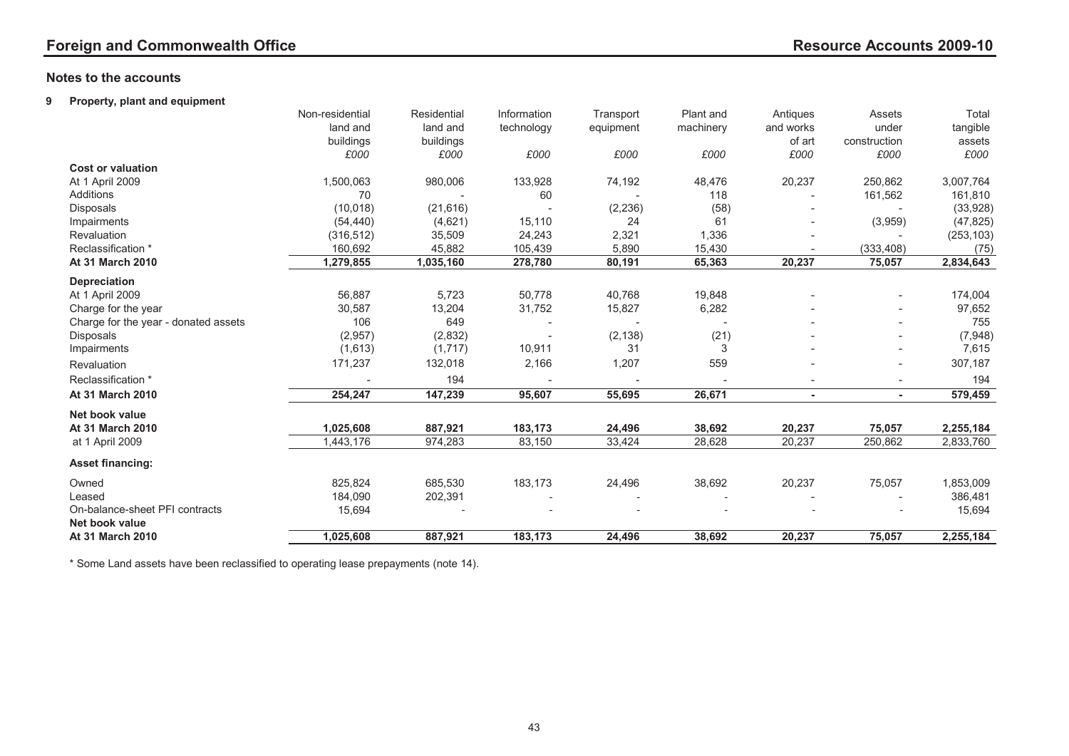# **9 Property, plant and equipment**

|                                      | Non-residential | Residential | Information | Transport | Plant and | Antiques       | Assets                   | Total      |
|--------------------------------------|-----------------|-------------|-------------|-----------|-----------|----------------|--------------------------|------------|
|                                      | land and        | land and    | technology  | equipment | machinery | and works      | under                    | tangible   |
|                                      | buildings       | buildings   |             |           |           | of art         | construction             | assets     |
|                                      | £000            | £000        | £000        | £000      | £000      | £000           | £000                     | £000       |
| <b>Cost or valuation</b>             |                 |             |             |           |           |                |                          |            |
| At 1 April 2009                      | 1,500,063       | 980,006     | 133,928     | 74,192    | 48,476    | 20,237         | 250,862                  | 3,007,764  |
| Additions                            | 70              |             | 60          |           | 118       |                | 161,562                  | 161,810    |
| <b>Disposals</b>                     | (10, 018)       | (21, 616)   |             | (2, 236)  | (58)      |                |                          | (33, 928)  |
| Impairments                          | (54, 440)       | (4,621)     | 15,110      | 24        | 61        |                | (3,959)                  | (47, 825)  |
| Revaluation                          | (316, 512)      | 35,509      | 24,243      | 2,321     | 1,336     |                |                          | (253, 103) |
| Reclassification *                   | 160,692         | 45,882      | 105,439     | 5,890     | 15,430    |                | (333, 408)               | (75)       |
| <b>At 31 March 2010</b>              | 1,279,855       | 1,035,160   | 278,780     | 80,191    | 65,363    | 20,237         | 75,057                   | 2,834,643  |
| <b>Depreciation</b>                  |                 |             |             |           |           |                |                          |            |
| At 1 April 2009                      | 56,887          | 5,723       | 50,778      | 40,768    | 19,848    |                |                          | 174,004    |
| Charge for the year                  | 30,587          | 13,204      | 31,752      | 15,827    | 6,282     |                |                          | 97,652     |
| Charge for the year - donated assets | 106             | 649         |             |           |           |                |                          | 755        |
| Disposals                            | (2,957)         | (2,832)     |             | (2, 138)  | (21)      |                |                          | (7,948)    |
| Impairments                          | (1,613)         | (1,717)     | 10,911      | 31        | 3         |                |                          | 7,615      |
| Revaluation                          | 171,237         | 132,018     | 2,166       | 1,207     | 559       |                | $\overline{\phantom{a}}$ | 307,187    |
| Reclassification *                   |                 | 194         |             |           |           | $\blacksquare$ | $\overline{\phantom{a}}$ | 194        |
| At 31 March 2010                     | 254,247         | 147,239     | 95,607      | 55,695    | 26,671    | $\sim$         | $\sim$                   | 579,459    |
| Net book value                       |                 |             |             |           |           |                |                          |            |
| At 31 March 2010                     | 1,025,608       | 887,921     | 183,173     | 24,496    | 38,692    | 20,237         | 75,057                   | 2,255,184  |
| at 1 April 2009                      | 1,443,176       | 974,283     | 83,150      | 33,424    | 28,628    | 20,237         | 250,862                  | 2,833,760  |
| <b>Asset financing:</b>              |                 |             |             |           |           |                |                          |            |
| Owned                                | 825,824         | 685,530     | 183,173     | 24,496    | 38,692    | 20,237         | 75,057                   | 1,853,009  |
| Leased                               | 184,090         | 202,391     |             |           |           |                |                          | 386,481    |
| On-balance-sheet PFI contracts       | 15,694          |             |             |           |           |                |                          | 15,694     |
| Net book value                       |                 |             |             |           |           |                |                          |            |
| <b>At 31 March 2010</b>              | 1,025,608       | 887,921     | 183,173     | 24,496    | 38,692    | 20,237         | 75,057                   | 2,255,184  |

\* Some Land assets have been reclassified to operating lease prepayments (note 14).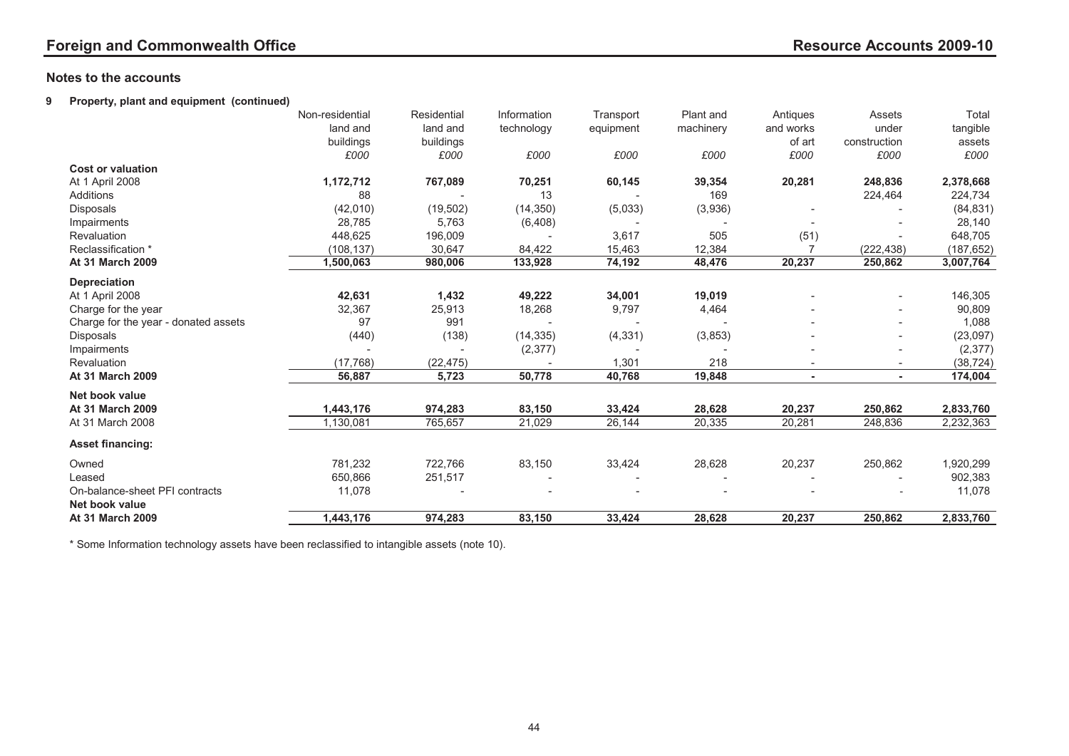# **9 Property, plant and equipment (continued)**

|                                      | Non-residential | Residential | Information | Transport | Plant and | Antiques  | Assets                   | Total      |
|--------------------------------------|-----------------|-------------|-------------|-----------|-----------|-----------|--------------------------|------------|
|                                      | land and        | land and    | technology  | equipment | machinery | and works | under                    | tangible   |
|                                      | buildings       | buildings   |             |           |           | of art    | construction             | assets     |
|                                      | £000            | £000        | £000        | £000      | £000      | £000      | £000                     | £000       |
| <b>Cost or valuation</b>             |                 |             |             |           |           |           |                          |            |
| At 1 April 2008                      | 1,172,712       | 767,089     | 70,251      | 60,145    | 39,354    | 20,281    | 248,836                  | 2,378,668  |
| Additions                            | 88              |             | 13          |           | 169       |           | 224,464                  | 224,734    |
| Disposals                            | (42,010)        | (19, 502)   | (14, 350)   | (5,033)   | (3,936)   |           |                          | (84, 831)  |
| Impairments                          | 28,785          | 5,763       | (6, 408)    |           |           |           |                          | 28,140     |
| Revaluation                          | 448,625         | 196,009     |             | 3,617     | 505       | (51)      |                          | 648,705    |
| Reclassification *                   | (108, 137)      | 30.647      | 84,422      | 15,463    | 12.384    | 7         | (222, 438)               | (187, 652) |
| <b>At 31 March 2009</b>              | 1,500,063       | 980,006     | 133,928     | 74,192    | 48,476    | 20,237    | 250,862                  | 3,007,764  |
| <b>Depreciation</b>                  |                 |             |             |           |           |           |                          |            |
| At 1 April 2008                      | 42,631          | 1,432       | 49,222      | 34,001    | 19,019    |           |                          | 146,305    |
| Charge for the year                  | 32,367          | 25,913      | 18,268      | 9,797     | 4,464     |           | $\overline{\phantom{a}}$ | 90,809     |
| Charge for the year - donated assets | 97              | 991         |             |           |           |           |                          | 1,088      |
| Disposals                            | (440)           | (138)       | (14, 335)   | (4, 331)  | (3,853)   |           |                          | (23,097)   |
| Impairments                          |                 |             | (2, 377)    |           |           |           |                          | (2, 377)   |
| Revaluation                          | (17, 768)       | (22, 475)   |             | 1,301     | 218       |           |                          | (38, 724)  |
| <b>At 31 March 2009</b>              | 56,887          | 5,723       | 50,778      | 40,768    | 19,848    | ۰         |                          | 174,004    |
| Net book value                       |                 |             |             |           |           |           |                          |            |
| At 31 March 2009                     | 1,443,176       | 974,283     | 83,150      | 33,424    | 28,628    | 20,237    | 250,862                  | 2,833,760  |
| At 31 March 2008                     | 1,130,081       | 765,657     | 21,029      | 26,144    | 20,335    | 20,281    | 248,836                  | 2,232,363  |
| <b>Asset financing:</b>              |                 |             |             |           |           |           |                          |            |
| Owned                                | 781,232         | 722,766     | 83,150      | 33,424    | 28,628    | 20,237    | 250,862                  | 1,920,299  |
| Leased                               | 650,866         | 251,517     |             |           |           |           |                          | 902,383    |
| On-balance-sheet PFI contracts       | 11,078          |             |             |           |           |           |                          | 11,078     |
| Net book value                       |                 |             |             |           |           |           |                          |            |
| <b>At 31 March 2009</b>              | 1,443,176       | 974,283     | 83,150      | 33,424    | 28,628    | 20,237    | 250,862                  | 2,833,760  |

\* Some Information technology assets have been reclassified to intangible assets (note 10).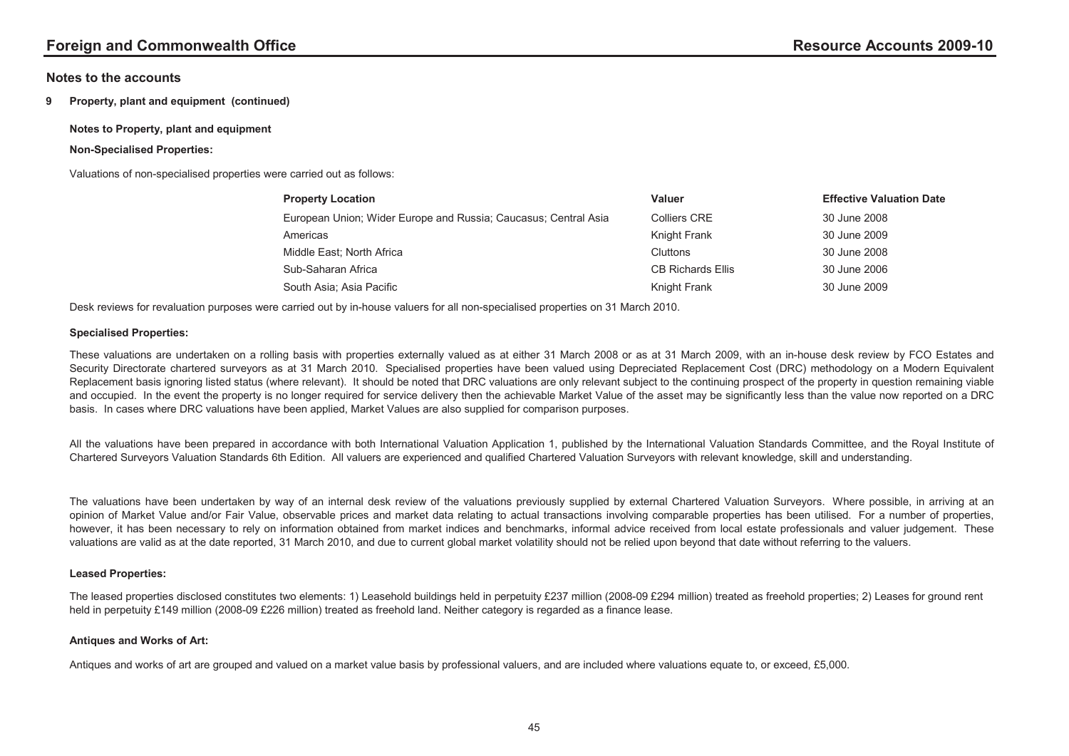**9 Property, plant and equipment (continued)**

# **Notes to Property, plant and equipment**

# **Non-Specialised Properties:**

Valuations of non-specialised properties were carried out as follows:

| <b>Property Location</b>                                        | Valuer                   | <b>Effective Valuation Date</b> |
|-----------------------------------------------------------------|--------------------------|---------------------------------|
| European Union; Wider Europe and Russia; Caucasus; Central Asia | Colliers CRE             | 30 June 2008                    |
| Americas                                                        | Knight Frank             | 30 June 2009                    |
| Middle East; North Africa                                       | Cluttons                 | 30 June 2008                    |
| Sub-Saharan Africa                                              | <b>CB Richards Ellis</b> | 30 June 2006                    |
| South Asia; Asia Pacific                                        | Knight Frank             | 30 June 2009                    |

Desk reviews for revaluation purposes were carried out by in-house valuers for all non-specialised properties on 31 March 2010.

# **Specialised Properties:**

These valuations are undertaken on a rolling basis with properties externally valued as at either 31 March 2008 or as at 31 March 2009, with an in-house desk review by FCO Estates and Security Directorate chartered survevors as at 31 March 2010. Specialised properties have been valued using Depreciated Replacement Cost (DRC) methodology on a Modern Equivalent Replacement basis ignoring listed status (where relevant). It should be noted that DRC valuations are only relevant subject to the continuing prospect of the property in question remaining viable and occupied. In the event the property is no longer required for service delivery then the achievable Market Value of the asset may be significantly less than the value now reported on a DRC basis. In cases where DRC valuations have been applied, Market Values are also supplied for comparison purposes.

All the valuations have been prepared in accordance with both International Valuation Application 1, published by the International Valuation Standards Committee, and the Royal Institute of Chartered Surveyors Valuation Standards 6th Edition. All valuers are experienced and qualified Chartered Valuation Surveyors with relevant knowledge, skill and understanding.

The valuations have been undertaken by way of an internal desk review of the valuations previously supplied by external Chartered Valuation Surveyors. Where possible, in arriving at an opinion of Market Value and/or Fair Value, observable prices and market data relating to actual transactions involving comparable properties has been utilised. For a number of properties, however, it has been necessary to rely on information obtained from market indices and benchmarks, informal advice received from local estate professionals and valuer judgement. These valuations are valid as at the date reported, 31 March 2010, and due to current global market volatility should not be relied upon beyond that date without referring to the valuers.

# **Leased Properties:**

The leased properties disclosed constitutes two elements: 1) Leasehold buildings held in perpetuity £237 million (2008-09 £294 million) treated as freehold properties; 2) Leases for ground rent held in perpetuity £149 million (2008-09 £226 million) treated as freehold land. Neither category is regarded as a finance lease.

# **Antiques and Works of Art:**

Antiques and works of art are grouped and valued on a market value basis by professional valuers, and are included where valuations equate to, or exceed, £5,000.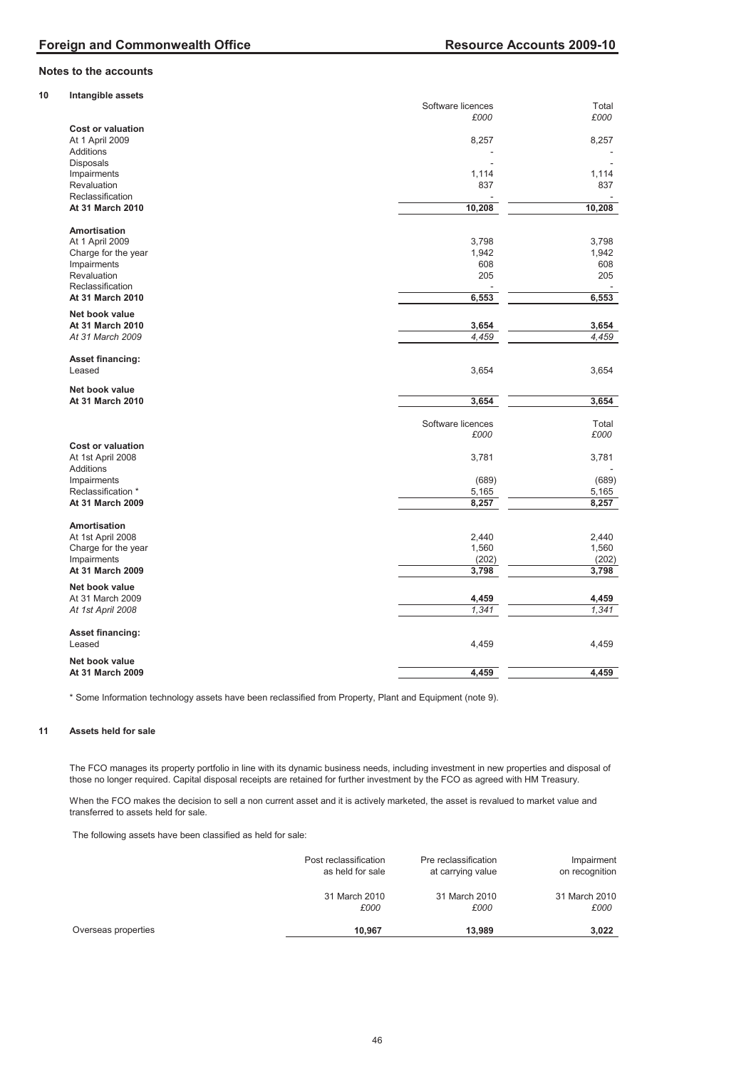| 10 | Intangible assets        |                   |        |
|----|--------------------------|-------------------|--------|
|    |                          | Software licences | Total  |
|    |                          | £000              | £000   |
|    | <b>Cost or valuation</b> |                   |        |
|    | At 1 April 2009          | 8,257             | 8,257  |
|    | <b>Additions</b>         |                   |        |
|    | <b>Disposals</b>         |                   |        |
|    | Impairments              | 1,114             | 1,114  |
|    | Revaluation              | 837               | 837    |
|    | Reclassification         |                   |        |
|    | At 31 March 2010         | 10,208            | 10,208 |
|    | <b>Amortisation</b>      |                   |        |
|    | At 1 April 2009          | 3,798             | 3,798  |
|    | Charge for the year      | 1,942             | 1,942  |
|    | Impairments              | 608               | 608    |
|    | Revaluation              | 205               | 205    |
|    | Reclassification         |                   |        |
|    | At 31 March 2010         | 6,553             | 6,553  |
|    | Net book value           |                   |        |
|    | At 31 March 2010         | 3,654             | 3,654  |
|    | At 31 March 2009         | 4,459             | 4.459  |
|    | <b>Asset financing:</b>  |                   |        |
|    | Leased                   | 3,654             | 3,654  |
|    | Net book value           |                   |        |
|    | At 31 March 2010         | 3,654             | 3,654  |
|    |                          |                   |        |
|    |                          | Software licences | Total  |
|    |                          | £000              | £000   |
|    | <b>Cost or valuation</b> |                   |        |
|    | At 1st April 2008        | 3,781             | 3,781  |
|    | Additions                |                   |        |
|    | Impairments              | (689)             | (689)  |
|    | Reclassification *       | 5,165             | 5,165  |
|    | At 31 March 2009         | 8,257             | 8,257  |
|    |                          |                   |        |
|    | Amortisation             |                   |        |
|    | At 1st April 2008        | 2,440             | 2,440  |
|    | Charge for the year      | 1,560             | 1,560  |
|    | Impairments              | (202)             | (202)  |
|    | At 31 March 2009         | 3,798             | 3,798  |
|    | Net book value           |                   |        |
|    | At 31 March 2009         | 4,459             | 4,459  |
|    | At 1st April 2008        | 1,341             | 1,341  |
|    | <b>Asset financing:</b>  |                   |        |
|    | Leased                   | 4,459             | 4,459  |
|    | Net book value           |                   |        |
|    | At 31 March 2009         | 4,459             | 4,459  |
|    |                          |                   |        |

\* Some Information technology assets have been reclassified from Property, Plant and Equipment (note 9).

# **11 Assets held for sale**

The FCO manages its property portfolio in line with its dynamic business needs, including investment in new properties and disposal of those no longer required. Capital disposal receipts are retained for further investment by the FCO as agreed with HM Treasury.

When the FCO makes the decision to sell a non current asset and it is actively marketed, the asset is revalued to market value and transferred to assets held for sale.

The following assets have been classified as held for sale:

|                     | Post reclassification | Pre reclassification | Impairment     |
|---------------------|-----------------------|----------------------|----------------|
|                     | as held for sale      | at carrying value    | on recognition |
|                     | 31 March 2010         | 31 March 2010        | 31 March 2010  |
|                     | £000                  | £000                 | £000           |
| Overseas properties | 10.967                | 13,989               | 3,022          |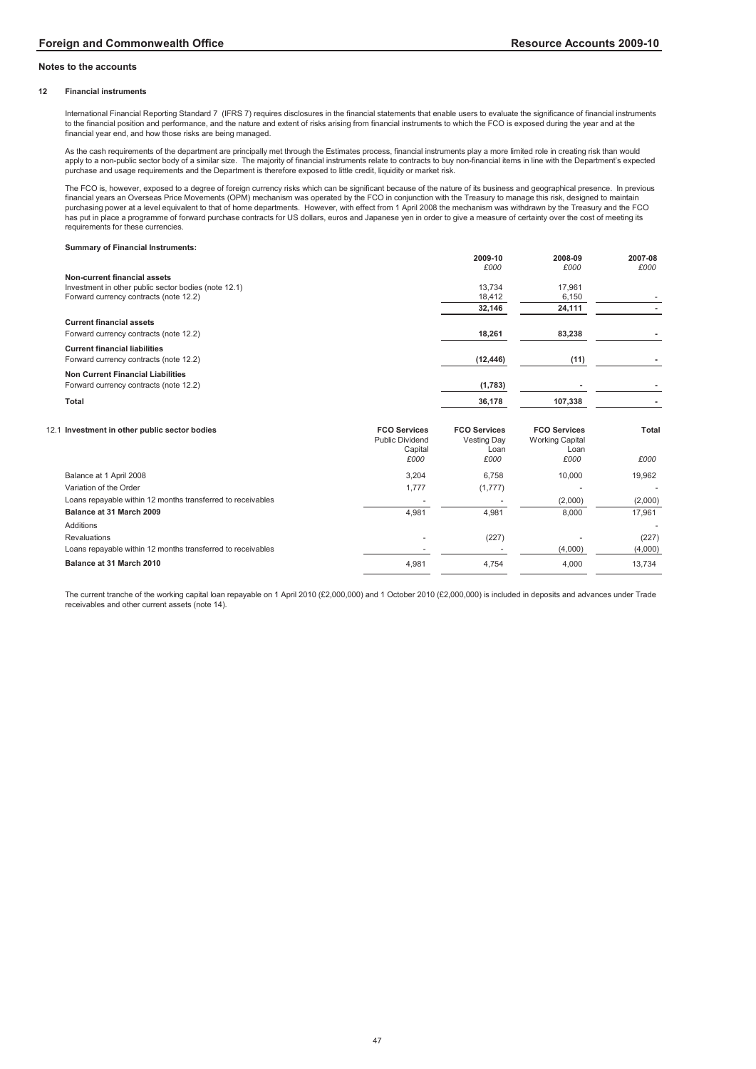#### **12 Financial instruments**

International Financial Reporting Standard 7 (IFRS 7) requires disclosures in the financial statements that enable users to evaluate the significance of financial instruments to the financial position and performance, and the nature and extent of risks arising from financial instruments to which the FCO is exposed during the year and at the financial year end, and how those risks are being managed.

As the cash requirements of the department are principally met through the Estimates process, financial instruments play a more limited role in creating risk than would<br>apply to a non-public sector body of a similar size. purchase and usage requirements and the Department is therefore exposed to little credit, liquidity or market risk.

The FCO is, however, exposed to a degree of foreign currency risks which can be significant because of the nature of its business and geographical presence. In previous financial years an Overseas Price Movements (OPM) mechanism was operated by the FCO in conjunction with the Treasury to manage this risk, designed to maintain<br>purchasing power at a level equivalent to that of home departme has put in place a programme of forward purchase contracts for US dollars, euros and Japanese yen in order to give a measure of certainty over the cost of meeting its requirements for these currencies.

#### **Summary of Financial Instruments:**

|                                                      | 2009-10   | 2008-09 | 2007-08 |
|------------------------------------------------------|-----------|---------|---------|
|                                                      | £000      | £000    | £000    |
| Non-current financial assets                         |           |         |         |
| Investment in other public sector bodies (note 12.1) | 13.734    | 17.961  |         |
| Forward currency contracts (note 12.2)               | 18.412    | 6,150   |         |
|                                                      | 32,146    | 24,111  |         |
| <b>Current financial assets</b>                      |           |         |         |
| Forward currency contracts (note 12.2)               | 18,261    | 83,238  |         |
| <b>Current financial liabilities</b>                 |           |         |         |
| Forward currency contracts (note 12.2)               | (12, 446) | (11)    |         |
| <b>Non Current Financial Liabilities</b>             |           |         |         |
| Forward currency contracts (note 12.2)               | (1,783)   |         |         |
| Total                                                | 36,178    | 107,338 |         |

|  | 12.1 Investment in other public sector bodies |  |
|--|-----------------------------------------------|--|
|  |                                               |  |

| 12.1 Investment in other public sector bodies               | <b>FCO Services</b><br><b>Public Dividend</b> | <b>FCO Services</b><br>Vesting Dav | <b>FCO Services</b><br><b>Working Capital</b> | Total   |
|-------------------------------------------------------------|-----------------------------------------------|------------------------------------|-----------------------------------------------|---------|
|                                                             | Capital<br>£000                               | Loan<br>£000                       | Loan<br>£000                                  | £000    |
| Balance at 1 April 2008                                     | 3.204                                         | 6,758                              | 10.000                                        | 19,962  |
| Variation of the Order                                      | 1,777                                         | (1,777)                            |                                               |         |
| Loans repayable within 12 months transferred to receivables |                                               |                                    | (2,000)                                       | (2,000) |
| Balance at 31 March 2009                                    | 4.981                                         | 4.981                              | 8.000                                         | 17.961  |
| Additions                                                   |                                               |                                    |                                               |         |
| Revaluations                                                |                                               | (227)                              |                                               | (227)   |
| Loans repayable within 12 months transferred to receivables |                                               |                                    | (4,000)                                       | (4,000) |
| Balance at 31 March 2010                                    | 4,981                                         | 4.754                              | 4.000                                         | 13.734  |
|                                                             |                                               |                                    |                                               |         |

The current tranche of the working capital loan repayable on 1 April 2010 (£2,000,000) and 1 October 2010 (£2,000,000) is included in deposits and advances under Trade receivables and other current assets (note 14).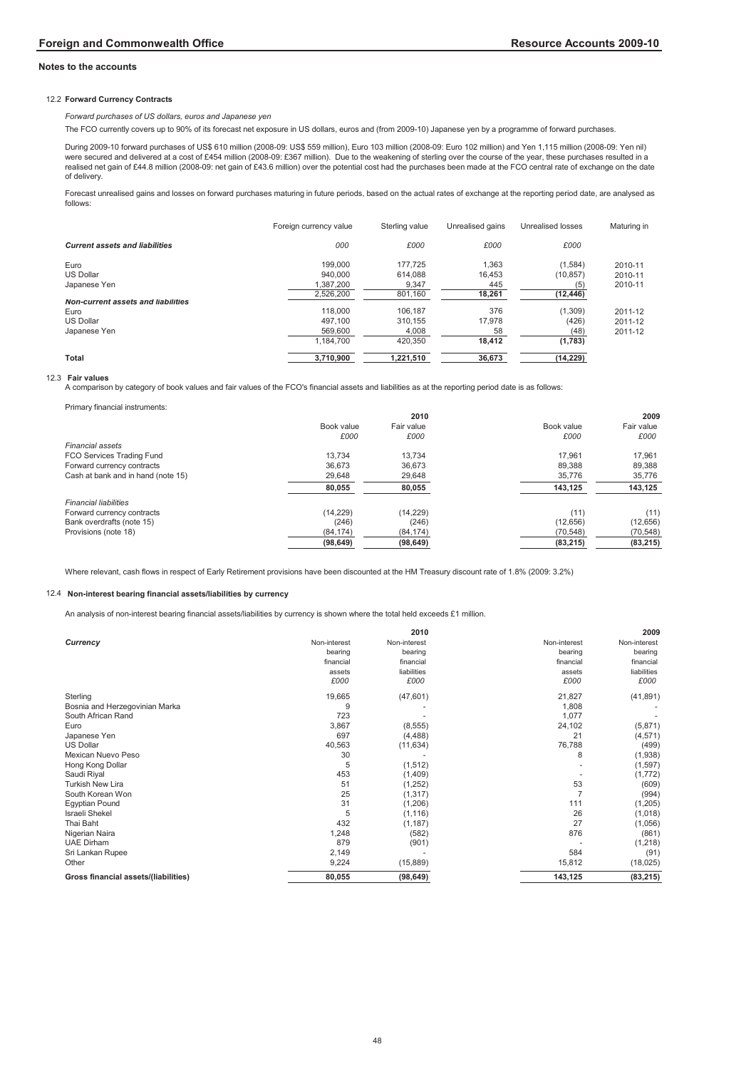#### 12.2 **Forward Currency Contracts**

*Forward purchases of US dollars, euros and Japanese yen*

The FCO currently covers up to 90% of its forecast net exposure in US dollars, euros and (from 2009-10) Japanese yen by a programme of forward purchases.

During 2009-10 forward purchases of US\$ 610 million (2008-09: US\$ 559 million), Euro 103 million (2008-09: Euro 102 million) and Yen 1,115 million (2008-09: Yen nil) were secured and delivered at a cost of £454 million (2008-09: £367 million). Due to the waakening of sterling over the course of the year, these purchases resulted in a<br>realised net gain of £44.8 million (2008-09: net ga of delivery.

Forecast unrealised gains and losses on forward purchases maturing in future periods, based on the actual rates of exchange at the reporting period date, are analysed as follows:

|                                       | Foreign currency value | Sterling value | Unrealised gains | Unrealised losses | Maturing in |
|---------------------------------------|------------------------|----------------|------------------|-------------------|-------------|
| <b>Current assets and liabilities</b> | 000                    | £000           | £000             | £000              |             |
| Euro                                  | 199.000                | 177.725        | 1.363            | (1,584)           | 2010-11     |
| <b>US Dollar</b>                      | 940.000                | 614.088        | 16.453           | (10, 857)         | 2010-11     |
| Japanese Yen                          | 1.387.200              | 9,347          | 445              | (5)               | 2010-11     |
|                                       | 2.526.200              | 801,160        | 18,261           | (12, 446)         |             |
| Non-current assets and liabilities    |                        |                |                  |                   |             |
| Euro                                  | 118,000                | 106.187        | 376              | (1,309)           | 2011-12     |
| <b>US Dollar</b>                      | 497.100                | 310.155        | 17.978           | (426)             | 2011-12     |
| Japanese Yen                          | 569,600                | 4.008          | 58               | (48)              | 2011-12     |
|                                       | 1.184.700              | 420.350        | 18,412           | (1,783)           |             |
| Total                                 | 3.710.900              | 1.221.510      | 36.673           | (14, 229)         |             |

# 12.3 **Fair values**

A comparison by category of book values and fair values of the FCO's financial assets and liabilities as at the reporting period date is as follows:

Primary financial instruments:

|                                    |                    | 2010               |                    | 2009               |
|------------------------------------|--------------------|--------------------|--------------------|--------------------|
|                                    | Book value<br>£000 | Fair value<br>£000 | Book value<br>£000 | Fair value<br>£000 |
| <b>Financial assets</b>            |                    |                    |                    |                    |
| FCO Services Trading Fund          | 13.734             | 13.734             | 17.961             | 17.961             |
| Forward currency contracts         | 36.673             | 36.673             | 89.388             | 89,388             |
| Cash at bank and in hand (note 15) | 29,648             | 29.648             | 35,776             | 35,776             |
|                                    | 80,055             | 80,055             | 143,125            | 143,125            |
| <b>Financial liabilities</b>       |                    |                    |                    |                    |
| Forward currency contracts         | (14, 229)          | (14, 229)          | (11)               | (11)               |
| Bank overdrafts (note 15)          | (246)              | (246)              | (12,656)           | (12, 656)          |
| Provisions (note 18)               | (84, 174)          | (84, 174)          | (70, 548)          | (70, 548)          |
|                                    | (98, 649)          | (98, 649)          | (83, 215)          | (83, 215)          |

Where relevant, cash flows in respect of Early Retirement provisions have been discounted at the HM Treasury discount rate of 1.8% (2009: 3.2%)

#### 12.4 **Non-interest bearing financial assets/liabilities by currency**

An analysis of non-interest bearing financial assets/liabilities by currency is shown where the total held exceeds £1 million.

|                                      |              | 2010         |              | 2009         |
|--------------------------------------|--------------|--------------|--------------|--------------|
| Currency                             | Non-interest | Non-interest | Non-interest | Non-interest |
|                                      | bearing      | bearing      | bearing      | bearing      |
|                                      | financial    | financial    | financial    | financial    |
|                                      | assets       | liabilities  | assets       | liabilities  |
|                                      | £000         | £000         | £000         | £000         |
| Sterling                             | 19,665       | (47,601)     | 21,827       | (41, 891)    |
| Bosnia and Herzegovinian Marka       | 9            |              | 1,808        |              |
| South African Rand                   | 723          |              | 1,077        |              |
| Euro                                 | 3,867        | (8, 555)     | 24,102       | (5,871)      |
| Japanese Yen                         | 697          | (4, 488)     | 21           | (4,571)      |
| <b>US Dollar</b>                     | 40,563       | (11, 634)    | 76,788       | (499)        |
| Mexican Nuevo Peso                   | 30           |              | 8            | (1,938)      |
| Hong Kong Dollar                     | 5            | (1,512)      |              | (1,597)      |
| Saudi Riyal                          | 453          | (1,409)      |              | (1, 772)     |
| <b>Turkish New Lira</b>              | 51           | (1,252)      | 53           | (609)        |
| South Korean Won                     | 25           | (1, 317)     |              | (994)        |
| <b>Egyptian Pound</b>                | 31           | (1,206)      | 111          | (1,205)      |
| <b>Israeli Shekel</b>                | 5            | (1, 116)     | 26           | (1,018)      |
| Thai Baht                            | 432          | (1, 187)     | 27           | (1,056)      |
| Nigerian Naira                       | 1,248        | (582)        | 876          | (861)        |
| <b>UAE Dirham</b>                    | 879          | (901)        |              | (1,218)      |
| Sri Lankan Rupee                     | 2,149        |              | 584          | (91)         |
| Other                                | 9,224        | (15, 889)    | 15,812       | (18,025)     |
| Gross financial assets/(liabilities) | 80,055       | (98, 649)    | 143,125      | (83, 215)    |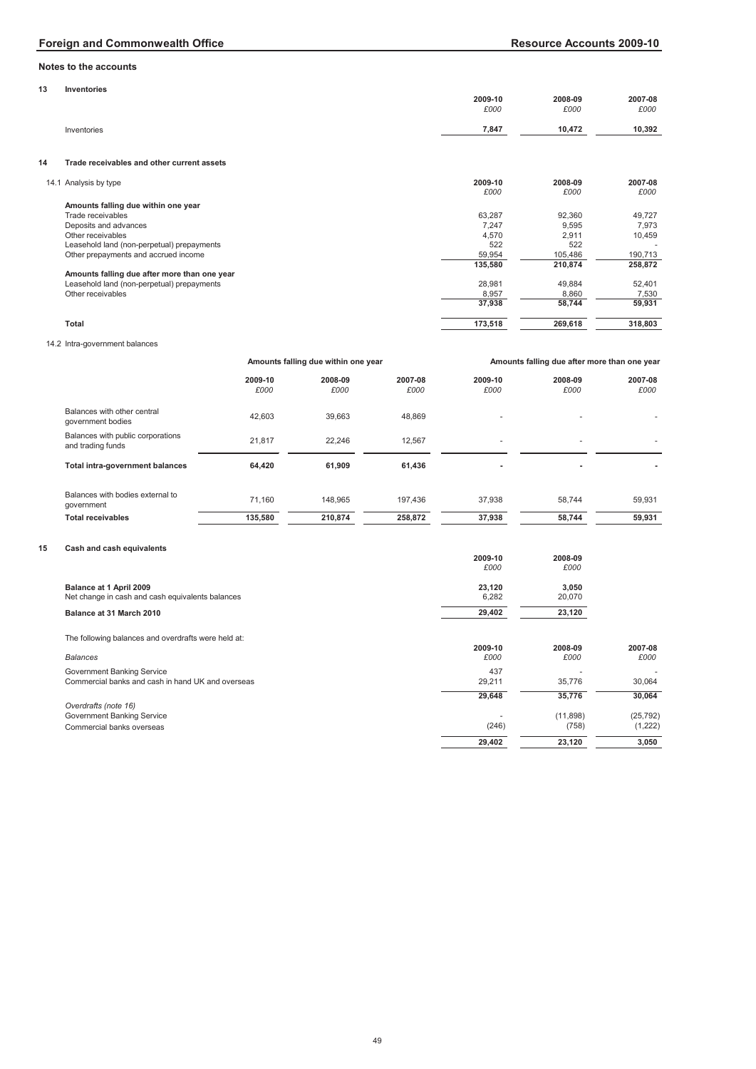| 13 | Inventories                                | 2009-10<br>£000     | 2008-09<br>£000  | 2007-08<br>£000     |
|----|--------------------------------------------|---------------------|------------------|---------------------|
|    | Inventories                                | 7.847               | 10,472           | 10,392              |
| 14 | Trade receivables and other current assets |                     |                  |                     |
|    | 14.1 Analysis by type                      | 2009-10<br>$\cdots$ | 2008-09<br>----- | 2007-08<br>$\cdots$ |

|                                              | £000    | £000    | £000    |
|----------------------------------------------|---------|---------|---------|
| Amounts falling due within one year          |         |         |         |
| Trade receivables                            | 63.287  | 92.360  | 49.727  |
| Deposits and advances                        | 7.247   | 9.595   | 7,973   |
| Other receivables                            | 4,570   | 2.911   | 10.459  |
| Leasehold land (non-perpetual) prepayments   | 522     | 522     |         |
| Other prepayments and accrued income         | 59,954  | 105,486 | 190,713 |
|                                              | 135.580 | 210.874 | 258,872 |
| Amounts falling due after more than one year |         |         |         |
| Leasehold land (non-perpetual) prepayments   | 28.981  | 49.884  | 52.401  |
| Other receivables                            | 8,957   | 8,860   | 7,530   |
|                                              | 37.938  | 58.744  | 59.931  |
| Total                                        | 173.518 | 269.618 | 318,803 |

# 14.2 Intra-government balances

**2009-10 2008-09 2007-08 2009-10 2008-09 2007-08** *£000 £000 £000 £000 £000 £000* Balances with other central<br>government bodies government bodies 39,663 42,603 48,869 - - - Balances with public corporations<br>and trading funds - المستحدر المستحدر المستحدر المستحدر المستحدر المستحدر المستحدر المستحدر المستحدر المستحدر المستحدر المستحدر ا<br>المستحدر المستحدر المستحدر المستحدر المستحدر المستحدر المستحدر المستحدر المستحدر المستحدر المستحدر المستحدر ا **Total intra-government balances 64,420 61,909 61,436 - - -**  Balances with bodies external to مال 58,744 59,931 148,965 197,436 37,938 58,744 59,931 59,931 59,931 59,931 59,931 59,931 59,931 59,931 59,931<br>Hart School Steven Steve 1,160 59,931 59,931 59,931 59,931 59,931 59,931 59,931 59,931 59,931 59,931 59,931 59 **Total receivables 135,580 210,874 258,872 37,938 58,744 59,931**  Amounts falling due within one year **Amounts falling due after more than one year** 

# **15 Cash and cash equivalents**

| <b>Pasti and Casti equivalents</b>                                              | 2009-10<br>£000 | 2008-09<br>£000              |                                |
|---------------------------------------------------------------------------------|-----------------|------------------------------|--------------------------------|
| Balance at 1 April 2009                                                         | 23,120          | 3,050                        |                                |
| Net change in cash and cash equivalents balances<br>Balance at 31 March 2010    | 6,282<br>29,402 | 20,070<br>23,120             |                                |
| The following balances and overdrafts were held at:<br><b>Balances</b>          | 2009-10<br>£000 | 2008-09<br>£000              | 2007-08<br>£000                |
| Government Banking Service<br>Commercial banks and cash in hand UK and overseas | 437<br>29,211   | 35,776                       | 30,064                         |
| Overdrafts (note 16)<br>Government Banking Service<br>Commercial banks overseas | 29,648<br>(246) | 35,776<br>(11, 898)<br>(758) | 30,064<br>(25, 792)<br>(1,222) |
|                                                                                 | 29,402          | 23,120                       | 3,050                          |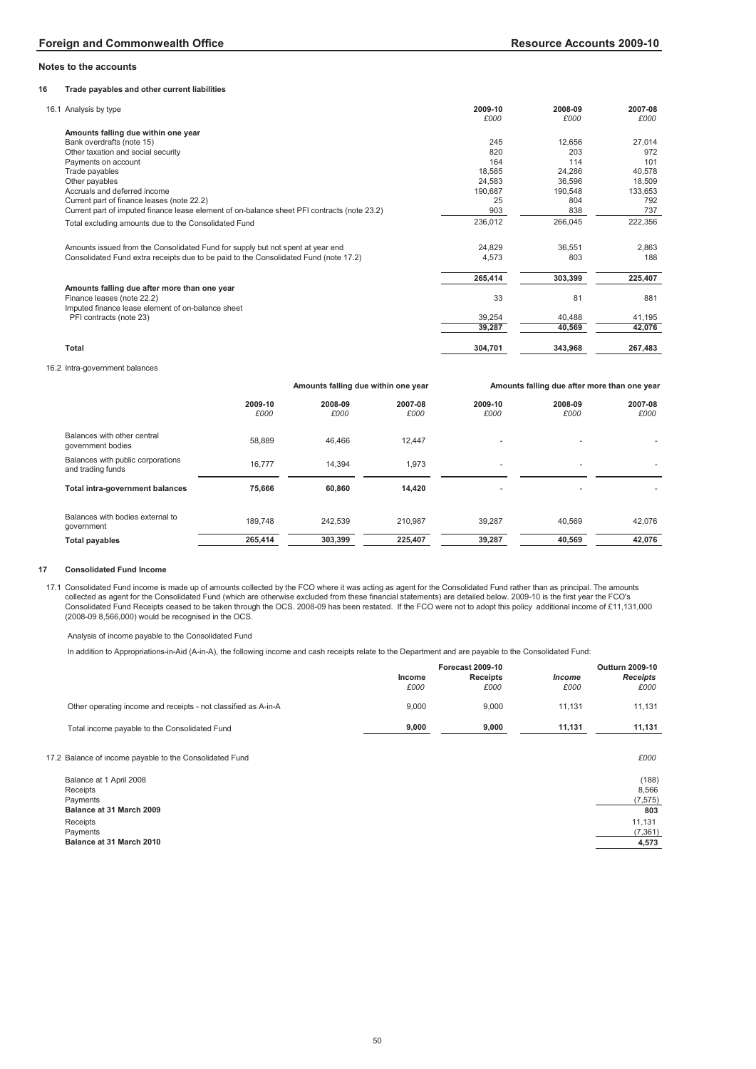# **16 Trade payables and other current liabilities**

| 16.1 Analysis by type                                                                       | 2009-10<br>£000 | 2008-09<br>£000 | 2007-08<br>£000 |
|---------------------------------------------------------------------------------------------|-----------------|-----------------|-----------------|
| Amounts falling due within one year                                                         |                 |                 |                 |
| Bank overdrafts (note 15)                                                                   | 245             | 12,656          | 27,014          |
| Other taxation and social security                                                          | 820             | 203             | 972             |
| Payments on account                                                                         | 164             | 114             | 101             |
| Trade payables                                                                              | 18,585          | 24,286          | 40,578          |
| Other payables                                                                              | 24,583          | 36,596          | 18,509          |
| Accruals and deferred income                                                                | 190,687         | 190,548         | 133,653         |
| Current part of finance leases (note 22.2)                                                  | 25              | 804             | 792             |
| Current part of imputed finance lease element of on-balance sheet PFI contracts (note 23.2) | 903             | 838             | 737             |
| Total excluding amounts due to the Consolidated Fund                                        | 236,012         | 266,045         | 222,356         |
| Amounts issued from the Consolidated Fund for supply but not spent at year end              | 24,829          | 36,551          | 2,863           |
| Consolidated Fund extra receipts due to be paid to the Consolidated Fund (note 17.2)        | 4,573           | 803             | 188             |
|                                                                                             | 265,414         | 303,399         | 225,407         |
| Amounts falling due after more than one year                                                |                 |                 |                 |
| Finance leases (note 22.2)                                                                  | 33              | 81              | 881             |
| Imputed finance lease element of on-balance sheet                                           |                 |                 |                 |
| PFI contracts (note 23)                                                                     | 39,254          | 40,488          | 41,195          |
|                                                                                             | 39,287          | 40,569          | 42,076          |
| Total                                                                                       | 304,701         | 343,968         | 267,483         |

# 16.2 Intra-government balances

# **2009-10 2008-09 2007-08 2009-10 2008-09 2007-08** *£000 £000 £000 £000 £000 £000* Balances with other central<br>government bodies government bodies 46,466 58,889 12,447 - - - Balances with public corporations<br>and trading funds ماد المستحدر المستحدر المستحدر المستحدر المستحدر المستحدر المستحدر المستحدر المستحدر المستحدر المستحدر المستحد<br>المستحدر المستحدر المستحدر المستحدر المستحدر المستحدر المستحدر المستحدر المستحدر المستحدر المستحدر المستحدر ال Total intra-government balances **75,666** 60,860 **14,420** Balances with bodies external to government 242,539 189,748 210,987 39,287 40,569 42,076 **Total payables 303,399 265,414 225,407 39,287 40,569 42,076**  Amounts falling due within one year **Amounts falling due after more than one year**

# **17 Consolidated Fund Income**

17.1 Consolidated Fund income is made up of amounts collected by the FCO where it was acting as agent for the Consolidated Fund rather than as principal. The amounts collected as agent for the Consolidated Fund (which are otherwise excluded from these financial statements) are detailed below. 2009-10 is the first year the FCO's<br>Consolidated Fund Receipts ceased to be taken through the (2008-09 8,566,000) would be recognised in the OCS.

Analysis of income payable to the Consolidated Fund

In addition to Appropriations-in-Aid (A-in-A), the following income and cash receipts relate to the Department and are payable to the Consolidated Fund:

|                                                                              | Income<br>£000 | <b>Forecast 2009-10</b><br>Receipts<br>£000 | <i><b>Income</b></i><br>£000 | Outturn 2009-10<br>Receipts<br>£000 |
|------------------------------------------------------------------------------|----------------|---------------------------------------------|------------------------------|-------------------------------------|
| Other operating income and receipts - not classified as A-in-A               | 9,000          | 9,000                                       | 11,131                       | 11,131                              |
| Total income payable to the Consolidated Fund                                | 9,000          | 9,000                                       | 11,131                       | 11,131                              |
| 17.2 Balance of income payable to the Consolidated Fund                      |                |                                             |                              | £000                                |
| Balance at 1 April 2008<br>Receipts<br>Payments                              |                |                                             |                              | (188)<br>8,566<br>(7, 575)          |
| Balance at 31 March 2009<br>Receipts<br>Payments<br>Balance at 31 March 2010 |                |                                             |                              | 803<br>11,131<br>(7, 361)<br>4,573  |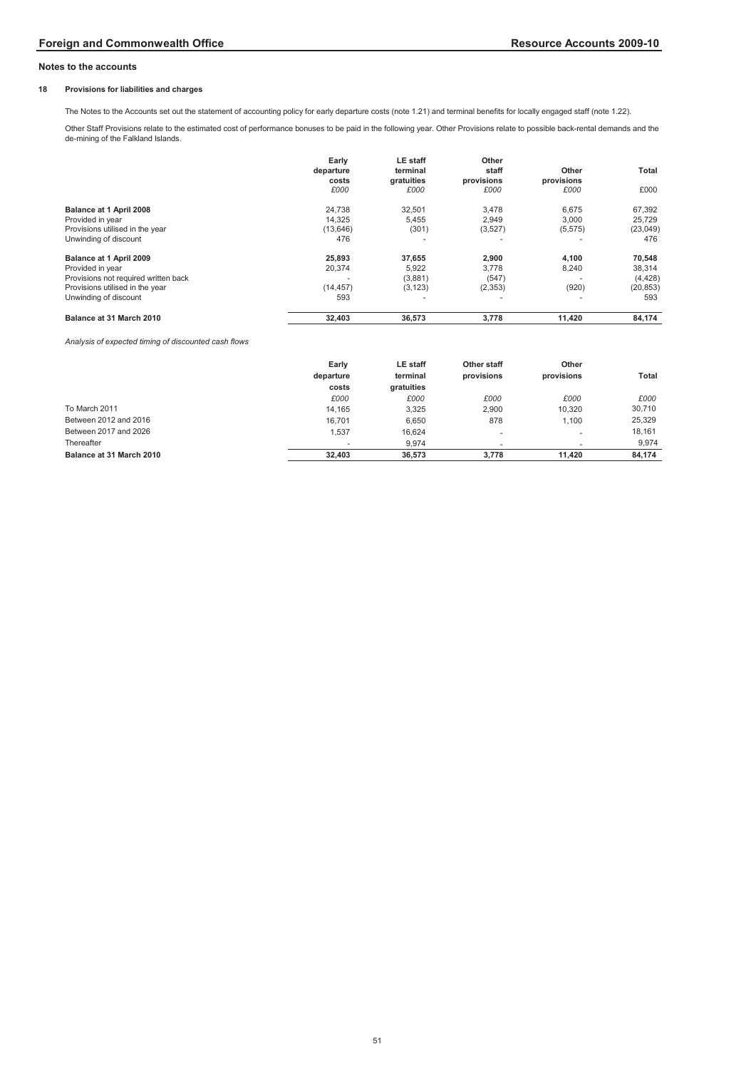# **18 Provisions for liabilities and charges**

The Notes to the Accounts set out the statement of accounting policy for early departure costs (note 1.21) and terminal benefits for locally engaged staff (note 1.22).

Other Staff Provisions relate to the estimated cost of performance bonuses to be paid in the following year. Other Provisions relate to possible back-rental demands and the de-mining of the Falkland Islands.

|                                      | Early<br>departure<br>costs<br>£000 | <b>LE staff</b><br>terminal<br>gratuities<br>£000 | Other<br>staff<br>provisions<br>£000 | Other<br>provisions<br>£000 | Total<br>£000 |
|--------------------------------------|-------------------------------------|---------------------------------------------------|--------------------------------------|-----------------------------|---------------|
| Balance at 1 April 2008              | 24.738                              | 32.501                                            | 3,478                                | 6,675                       | 67,392        |
| Provided in year                     | 14.325                              | 5.455                                             | 2,949                                | 3.000                       | 25.729        |
| Provisions utilised in the year      | (13,646)                            | (301)                                             | (3,527)                              | (5, 575)                    | (23, 049)     |
| Unwinding of discount                | 476                                 | $\overline{\phantom{a}}$                          | $\overline{\phantom{a}}$             | $\overline{\phantom{a}}$    | 476           |
| Balance at 1 April 2009              | 25,893                              | 37,655                                            | 2.900                                | 4.100                       | 70,548        |
| Provided in year                     | 20.374                              | 5.922                                             | 3.778                                | 8,240                       | 38,314        |
| Provisions not required written back |                                     | (3,881)                                           | (547)                                |                             | (4, 428)      |
| Provisions utilised in the year      | (14, 457)                           | (3, 123)                                          | (2,353)                              | (920)                       | (20, 853)     |
| Unwinding of discount                | 593                                 |                                                   | ۰                                    | $\overline{\phantom{a}}$    | 593           |
| Balance at 31 March 2010             | 32.403                              | 36.573                                            | 3,778                                | 11,420                      | 84,174        |

*Analysis of expected timing of discounted cash flows*

|                          | Early<br>departure       | LE staff<br>terminal | Other staff<br>provisions | Other<br>provisions      | <b>Total</b> |
|--------------------------|--------------------------|----------------------|---------------------------|--------------------------|--------------|
|                          | costs                    | gratuities           |                           |                          |              |
|                          | £000                     | £000                 | £000                      | £000                     | £000         |
| To March 2011            | 14.165                   | 3.325                | 2.900                     | 10.320                   | 30,710       |
| Between 2012 and 2016    | 16.701                   | 6.650                | 878                       | 1.100                    | 25,329       |
| Between 2017 and 2026    | 1.537                    | 16.624               | $\overline{\phantom{a}}$  | $\overline{\phantom{a}}$ | 18.161       |
| Thereafter               | $\overline{\phantom{a}}$ | 9.974                | ۰                         | -                        | 9.974        |
| Balance at 31 March 2010 | 32.403                   | 36.573               | 3,778                     | 11.420                   | 84,174       |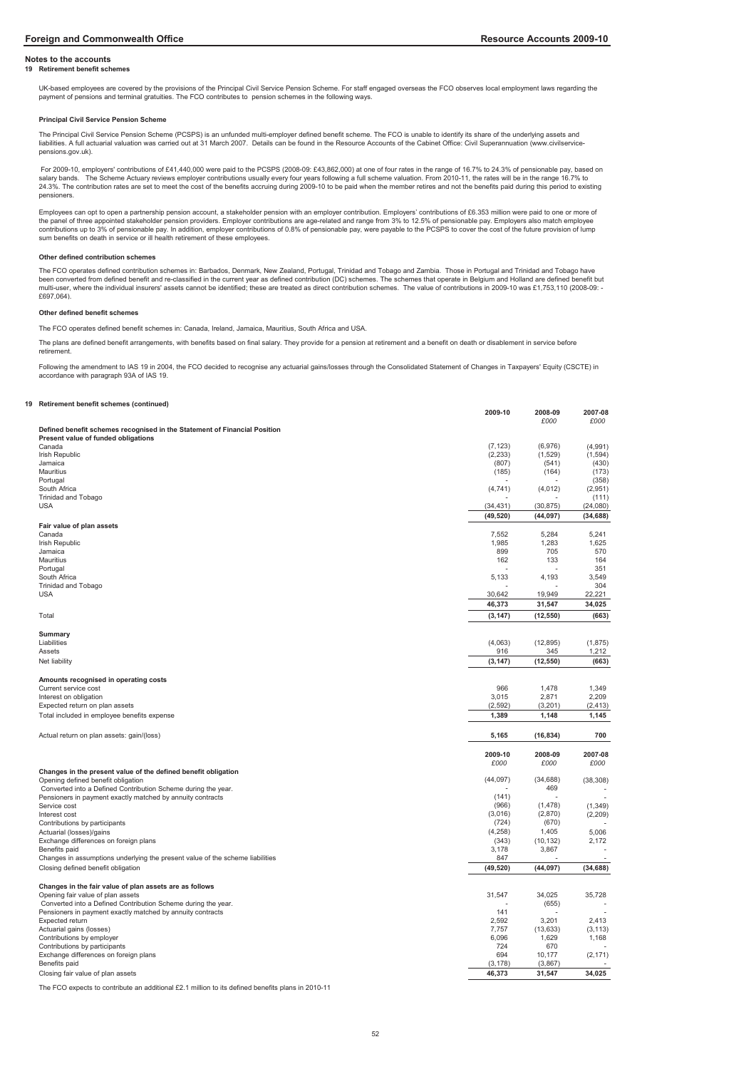**2009-10 2008-09 2007-08**

#### **Notes to the accounts**

#### **19 Retirement benefit schemes**

UK-based employees are covered by the provisions of the Principal Civil Service Pension Scheme. For staff engaged overseas the FCO observes local employment laws regarding the<br>payment of pensions and terminal gratuities. T

#### **Principal Civil Service Pension Scheme**

The Principal Civil Service Pension Scheme (PCSPS) is an unfunded multi-employer defined benefit scheme. The FCO is unable to identify its share of the underlying assets and<br>liabilities. A full actuarial valuation was carr pensions.gov.uk).

For 2009-10, employers' contributions of £41,440,000 were paid to the PCSPS (2008-09: £43,862,000) at one of four rates in the range of 16.7% to 24.3% of pensionable pay, based on<br>salary bands. The Scheme Actuary reviews e 24.3%. The contribution rates are set to meet the cost of the benefits accruing during 2009-10 to be paid when the member retires and not the benefits paid during this period to existing pensioners.

Employees can opt to open a partnership pension account, a stakeholder pension with an employer contribution. Employers' contributions of £6.353 million were paid to one or more of<br>the panel of three appointed stakeholder contributions up to 3% of pensionable pay. In addition, employer contributions of 0.8% of pensionable pay, were payable to the PCSPS to cover the cost of the future provision of lump<br>sum benefits on death in service or ill

#### **Other defined contribution schemes**

The FCO operates defined contribution schemes in: Barbados, Denmark, New Zealand, Portugal, Trinidad and Tobago and Zambia. Those in Portugal and Trinidad and Tobago have been converted from defined benefit and re-classified in the current year as defined contribution (DC) schemes. The schemes that operate in Belgium and Holland are defined benefit but multi-user, where the individual insurers' assets cannot be identified; these are treated as direct contribution schemes. The value of contributions in 2009-10 was £1,753,110 (2008-09: £697,064).

#### **Other defined benefit schemes**

The FCO operates defined benefit schemes in: Canada, Ireland, Jamaica, Mauritius, South Africa and USA.

The plans are defined benefit arrangements, with benefits based on final salary. They provide for a pension at retirement and a benefit on death or disablement in service before retirement.

Following the amendment to IAS 19 in 2004, the FCO decided to recognise any actuarial gains/losses through the Consolidated Statement of Changes in Taxpayers' Equity (CSCTE) in accordance with paragraph 93A of IAS 19.

#### **19 Retirement benefit schemes (continued)**

|                                                                               |                 | £000              | £000       |
|-------------------------------------------------------------------------------|-----------------|-------------------|------------|
| Defined benefit schemes recognised in the Statement of Financial Position     |                 |                   |            |
| Present value of funded obligations                                           |                 |                   |            |
| Canada                                                                        | (7, 123)        | (6,976)           | (4,991)    |
| Irish Republic                                                                | (2, 233)        | (1,529)           | (1, 594)   |
| Jamaica                                                                       | (807)           | (541)             | (430)      |
| Mauritius                                                                     | (185)           | (164)             | (173)      |
| Portugal                                                                      |                 |                   | (358)      |
| South Africa                                                                  | (4, 741)        | (4, 012)          | (2,951)    |
| <b>Trinidad and Tobago</b>                                                    |                 |                   | (111)      |
| USA                                                                           | (34, 431)       | (30, 875)         | (24,080)   |
|                                                                               | (49, 520)       | (44, 097)         | (34, 688)  |
| Fair value of plan assets                                                     |                 |                   |            |
| Canada                                                                        | 7.552           | 5,284             | 5,241      |
| Irish Republic                                                                | 1,985<br>899    | 1,283<br>705      | 1,625      |
| Jamaica                                                                       | 162             | 133               | 570        |
| Mauritius                                                                     |                 |                   | 164<br>351 |
| Portugal<br>South Africa                                                      | 5,133           | 4,193             | 3,549      |
| <b>Trinidad and Tobago</b>                                                    |                 |                   | 304        |
| <b>USA</b>                                                                    | 30,642          | 19,949            | 22,221     |
|                                                                               | 46,373          | 31,547            | 34,025     |
|                                                                               |                 |                   |            |
| Total                                                                         | (3, 147)        | (12, 550)         | (663)      |
|                                                                               |                 |                   |            |
| Summary                                                                       |                 |                   |            |
| Liabilities                                                                   | (4,063)         | (12, 895)         | (1,875)    |
| Assets                                                                        | 916             | 345               | 1,212      |
| Net liability                                                                 | (3, 147)        | (12, 550)         | (663)      |
|                                                                               |                 |                   |            |
| Amounts recognised in operating costs                                         |                 |                   |            |
| Current service cost                                                          | 966             | 1,478             | 1,349      |
|                                                                               |                 |                   |            |
| Interest on obligation                                                        | 3,015           | 2,871             | 2.209      |
| Expected return on plan assets                                                | (2, 592)        | (3, 201)          | (2, 413)   |
| Total included in employee benefits expense                                   | 1,389           | 1,148             | 1,145      |
|                                                                               |                 |                   |            |
| Actual return on plan assets: gain/(loss)                                     | 5,165           | (16, 834)         | 700        |
|                                                                               |                 |                   |            |
|                                                                               | 2009-10         | 2008-09           | 2007-08    |
|                                                                               | £000            | £000              | £000       |
| Changes in the present value of the defined benefit obligation                |                 |                   |            |
| Opening defined benefit obligation                                            | (44, 097)       | (34, 688)         | (38, 308)  |
| Converted into a Defined Contribution Scheme during the year.                 |                 | 469               |            |
| Pensioners in payment exactly matched by annuity contracts                    | (141)           |                   |            |
| Service cost                                                                  | (966)           | (1, 478)          | (1, 349)   |
| Interest cost                                                                 | (3,016)         | (2,870)           | (2, 209)   |
| Contributions by participants                                                 | (724)           | (670)             |            |
| Actuarial (losses)/gains                                                      | (4, 258)        | 1,405             | 5,006      |
| Exchange differences on foreign plans                                         | (343)           | (10, 132)         | 2,172      |
| Benefits paid                                                                 | 3,178           | 3,867             |            |
| Changes in assumptions underlying the present value of the scheme liabilities | 847             |                   |            |
| Closing defined benefit obligation                                            | (49, 520)       | (44, 097)         | (34, 688)  |
|                                                                               |                 |                   |            |
| Changes in the fair value of plan assets are as follows                       |                 |                   |            |
| Opening fair value of plan assets                                             | 31,547          | 34,025            | 35,728     |
| Converted into a Defined Contribution Scheme during the year.                 |                 | (655)             |            |
| Pensioners in payment exactly matched by annuity contracts                    | 141             |                   |            |
| Expected return                                                               | 2,592           | 3,201             | 2,413      |
| Actuarial gains (losses)                                                      | 7,757           | (13, 633)         | (3, 113)   |
| Contributions by employer                                                     | 6,096<br>724    | 1,629<br>670      | 1,168      |
| Contributions by participants                                                 |                 |                   |            |
| Exchange differences on foreign plans                                         | 694<br>(3, 178) | 10,177<br>(3,867) | (2, 171)   |
| Benefits paid<br>Closing fair value of plan assets                            | 46,373          | 31,547            | 34,025     |

The FCO expects to contribute an additional £2.1 million to its defined benefits plans in 2010-11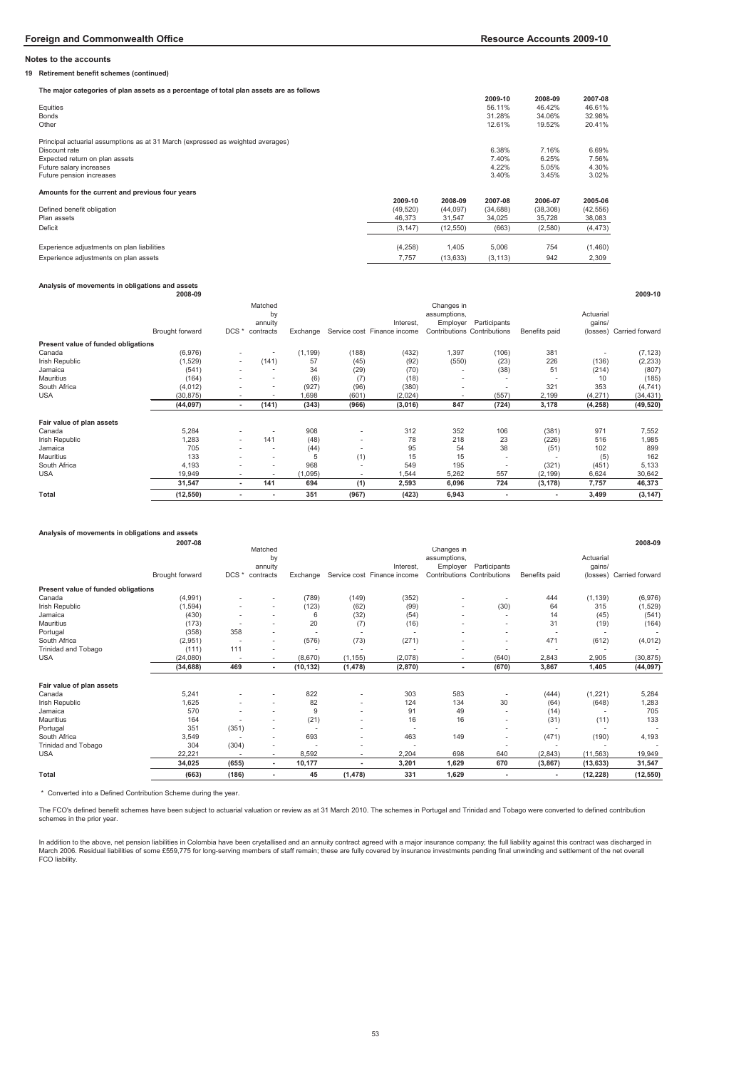# **Foreign and Commonwealth Office Resource Accounts 2009-10**

**Notes to the accounts**

# **19 Retirement benefit schemes (continued)**

**The major categories of plan assets as a percentage of total plan assets are as follows**

| The major categories of plan assets as a percentage of total plan assets are as follows                                                                                                   |                                            |                                             |                                         |                                           |                                            |
|-------------------------------------------------------------------------------------------------------------------------------------------------------------------------------------------|--------------------------------------------|---------------------------------------------|-----------------------------------------|-------------------------------------------|--------------------------------------------|
| Equities<br>Bonds<br>Other                                                                                                                                                                |                                            |                                             | 2009-10<br>56.11%<br>31.28%<br>12.61%   | 2008-09<br>46.42%<br>34.06%<br>19.52%     | 2007-08<br>46.61%<br>32.98%<br>20.41%      |
| Principal actuarial assumptions as at 31 March (expressed as weighted averages)<br>Discount rate<br>Expected return on plan assets<br>Future salary increases<br>Future pension increases |                                            |                                             | 6.38%<br>7.40%<br>4.22%<br>3.40%        | 7.16%<br>6.25%<br>5.05%<br>3.45%          | 6.69%<br>7.56%<br>4.30%<br>3.02%           |
| Amounts for the current and previous four years                                                                                                                                           |                                            |                                             |                                         |                                           |                                            |
| Defined benefit obligation<br>Plan assets<br>Deficit                                                                                                                                      | 2009-10<br>(49, 520)<br>46,373<br>(3, 147) | 2008-09<br>(44, 097)<br>31,547<br>(12, 550) | 2007-08<br>(34, 688)<br>34,025<br>(663) | 2006-07<br>(38, 308)<br>35,728<br>(2,580) | 2005-06<br>(42, 556)<br>38,083<br>(4, 473) |
| Experience adjustments on plan liabilities<br>Experience adjustments on plan assets                                                                                                       | (4,258)<br>7,757                           | 1,405<br>(13, 633)                          | 5,006<br>(3, 113)                       | 754<br>942                                | (1,460)<br>2,309                           |

# **Analysis of movements in obligations and assets**

|                                     | 2008-09         |                          |                          |          |                          |                             |                          |                             |               |                          | 2009-10                  |
|-------------------------------------|-----------------|--------------------------|--------------------------|----------|--------------------------|-----------------------------|--------------------------|-----------------------------|---------------|--------------------------|--------------------------|
|                                     |                 |                          | Matched                  |          |                          |                             | Changes in               |                             |               |                          |                          |
|                                     |                 |                          | by                       |          |                          |                             | assumptions,             |                             |               | Actuarial                |                          |
|                                     |                 |                          | annuity                  |          |                          | Interest,                   | Employer                 | Participants                |               | gains/                   |                          |
|                                     | Brought forward | DCS <sup>*</sup>         | contracts                | Exchange |                          | Service cost Finance income |                          | Contributions Contributions | Benefits paid |                          | (losses) Carried forward |
| Present value of funded obligations |                 |                          |                          |          |                          |                             |                          |                             |               |                          |                          |
| Canada                              | (6,976)         | $\overline{\phantom{a}}$ |                          | (1, 199) | (188)                    | (432)                       | 1,397                    | (106)                       | 381           | $\overline{\phantom{a}}$ | (7, 123)                 |
| Irish Republic                      | (1,529)         | $\overline{\phantom{a}}$ | (141)                    | 57       | (45)                     | (92)                        | (550)                    | (23)                        | 226           | (136)                    | (2, 233)                 |
| Jamaica                             | (541)           | $\overline{\phantom{a}}$ |                          | 34       | (29)                     | (70)                        |                          | (38)                        | 51            | (214)                    | (807)                    |
| Mauritius                           | (164)           | $\overline{\phantom{a}}$ | $\overline{\phantom{a}}$ | (6)      | (7)                      | (18)                        | $\overline{\phantom{a}}$ |                             |               | 10                       | (185)                    |
| South Africa                        | (4, 012)        |                          | $\overline{a}$           | (927)    | (96)                     | (380)                       |                          | $\overline{\phantom{a}}$    | 321           | 353                      | (4, 741)                 |
| <b>USA</b>                          | (30, 875)       | $\overline{\phantom{a}}$ | $\overline{a}$           | 1,698    | (601)                    | (2,024)                     |                          | (557)                       | 2,199         | (4, 271)                 | (34, 431)                |
|                                     | (44, 097)       | $\overline{\phantom{a}}$ | (141)                    | (343)    | (966)                    | (3,016)                     | 847                      | (724)                       | 3,178         | (4, 258)                 | (49, 520)                |
| Fair value of plan assets           |                 |                          |                          |          |                          |                             |                          |                             |               |                          |                          |
| Canada                              | 5,284           | $\overline{\phantom{a}}$ |                          | 908      | $\overline{\phantom{a}}$ | 312                         | 352                      | 106                         | (381)         | 971                      | 7,552                    |
| Irish Republic                      | 1,283           | $\overline{\phantom{a}}$ | 141                      | (48)     | $\overline{\phantom{a}}$ | 78                          | 218                      | 23                          | (226)         | 516                      | 1,985                    |
| Jamaica                             | 705             | $\overline{\phantom{a}}$ | $\overline{\phantom{a}}$ | (44)     | $\overline{\phantom{a}}$ | 95                          | 54                       | 38                          | (51)          | 102                      | 899                      |
| Mauritius                           | 133             | $\overline{\phantom{a}}$ | $\overline{\phantom{a}}$ | 5        | (1)                      | 15                          | 15                       |                             |               | (5)                      | 162                      |
| South Africa                        | 4,193           | $\overline{\phantom{a}}$ | $\overline{\phantom{a}}$ | 968      |                          | 549                         | 195                      |                             | (321)         | (451)                    | 5,133                    |
| <b>USA</b>                          | 19,949          | $\overline{\phantom{a}}$ | $\overline{\phantom{a}}$ | (1,095)  |                          | 1,544                       | 5,262                    | 557                         | (2, 199)      | 6,624                    | 30,642                   |
|                                     | 31,547          | ٠                        | 141                      | 694      | (1)                      | 2,593                       | 6,096                    | 724                         | (3, 178)      | 7,757                    | 46,373                   |
| Total                               | (12, 550)       | ٠                        | ٠                        | 351      | (967)                    | (423)                       | 6,943                    |                             | ٠             | 3,499                    | (3, 147)                 |

# **Analysis of movements in obligations and assets**

|                                     | 2007-08         |                          |                          |                          |                          |                             |                          |                             |               |           | 2008-09                  |
|-------------------------------------|-----------------|--------------------------|--------------------------|--------------------------|--------------------------|-----------------------------|--------------------------|-----------------------------|---------------|-----------|--------------------------|
|                                     |                 |                          | Matched                  |                          |                          |                             | Changes in               |                             |               |           |                          |
|                                     |                 |                          | by                       |                          |                          |                             | assumptions,             |                             |               | Actuarial |                          |
|                                     |                 |                          | annuity                  |                          |                          | Interest.                   | Employer                 | Participants                |               | gains/    |                          |
|                                     | Brought forward | DCS <sup>*</sup>         | contracts                | Exchange                 |                          | Service cost Finance income |                          | Contributions Contributions | Benefits paid |           | (losses) Carried forward |
| Present value of funded obligations |                 |                          |                          |                          |                          |                             |                          |                             |               |           |                          |
| Canada                              | (4,991)         |                          | $\overline{a}$           | (789)                    | (149)                    | (352)                       |                          |                             | 444           | (1, 139)  | (6,976)                  |
| Irish Republic                      | (1, 594)        |                          | $\overline{a}$           | (123)                    | (62)                     | (99)                        | $\overline{\phantom{a}}$ | (30)                        | 64            | 315       | (1, 529)                 |
| Jamaica                             | (430)           |                          | $\overline{a}$           | 6                        | (32)                     | (54)                        |                          |                             | 14            | (45)      | (541)                    |
| Mauritius                           | (173)           | $\overline{\phantom{a}}$ | ۰                        | 20                       | (7)                      | (16)                        |                          | $\overline{\phantom{a}}$    | 31            | (19)      | (164)                    |
| Portugal                            | (358)           | 358                      | $\overline{a}$           | $\overline{\phantom{a}}$ | $\overline{\phantom{a}}$ |                             |                          |                             |               |           |                          |
| South Africa                        | (2,951)         |                          | ۰                        | (576)                    | (73)                     | (271)                       |                          |                             | 471           | (612)     | (4, 012)                 |
| Trinidad and Tobago                 | (111)           | 111                      | $\overline{a}$           |                          | $\overline{a}$           |                             |                          | $\overline{\phantom{a}}$    | ٠             |           |                          |
| <b>USA</b>                          | (24,080)        | $\overline{\phantom{a}}$ | -                        | (8,670)                  | (1, 155)                 | (2,078)                     | $\overline{\phantom{a}}$ | (640)                       | 2,843         | 2,905     | (30, 875)                |
|                                     | (34, 688)       | 469                      | $\overline{\phantom{a}}$ | (10, 132)                | (1, 478)                 | (2,870)                     | ٠                        | (670)                       | 3,867         | 1,405     | (44, 097)                |
| Fair value of plan assets           |                 |                          |                          |                          |                          |                             |                          |                             |               |           |                          |
| Canada                              | 5,241           |                          | $\overline{a}$           | 822                      | $\overline{\phantom{a}}$ | 303                         | 583                      |                             | (444)         | (1,221)   | 5,284                    |
| Irish Republic                      | 1,625           |                          | $\overline{a}$           | 82                       | $\overline{a}$           | 124                         | 134                      | 30                          | (64)          | (648)     | 1,283                    |
| Jamaica                             | 570             | $\overline{\phantom{a}}$ | $\overline{a}$           | 9                        | ۰                        | 91                          | 49                       |                             | (14)          |           | 705                      |
| Mauritius                           | 164             |                          | $\overline{a}$           | (21)                     |                          | 16                          | 16                       | $\overline{\phantom{a}}$    | (31)          | (11)      | 133                      |
| Portugal                            | 351             | (351)                    | $\overline{a}$           |                          |                          |                             |                          |                             |               |           |                          |
| South Africa                        | 3,549           | $\overline{\phantom{a}}$ | ۰                        | 693                      | $\overline{a}$           | 463                         | 149                      |                             | (471)         | (190)     | 4,193                    |
| Trinidad and Tobago                 | 304             | (304)                    | $\overline{a}$           |                          |                          |                             |                          |                             |               |           |                          |
| <b>USA</b>                          | 22,221          | $\overline{\phantom{a}}$ | ۰                        | 8,592                    | $\overline{a}$           | 2,204                       | 698                      | 640                         | (2,843)       | (11, 563) | 19,949                   |
|                                     | 34,025          | (655)                    | $\overline{\phantom{a}}$ | 10,177                   | ٠                        | 3,201                       | 1,629                    | 670                         | (3,867)       | (13, 633) | 31,547                   |
| <b>Total</b>                        | (663)           | (186)                    | ٠                        | 45                       | (1, 478)                 | 331                         | 1,629                    |                             | ٠             | (12, 228) | (12, 550)                |

\* Converted into a Defined Contribution Scheme during the year.

The FCO's defined benefit schemes have been subject to actuarial valuation or review as at 31 March 2010. The schemes in Portugal and Trinidad and Tobago were converted to defined contribution schemes in the prior year.

In addition to the above, net pension liabilities in Colombia have been crystallised and an annuity contract agreed with a major insurance company; the full liability against this contract was discharged in<br>March 2006. Res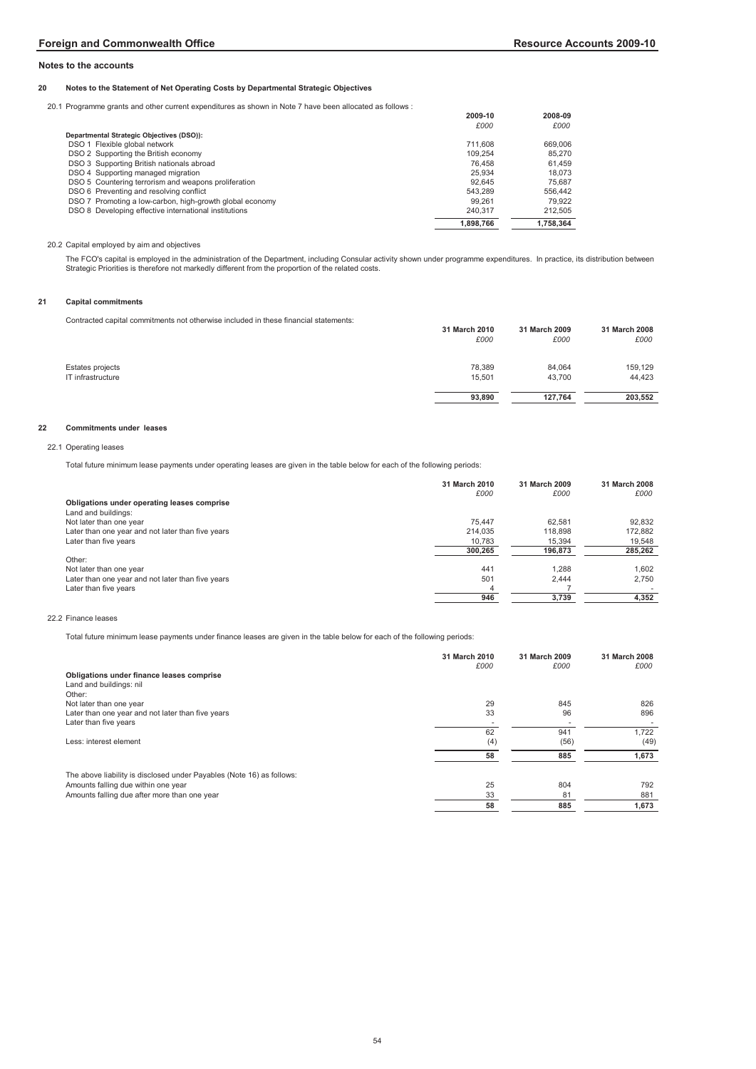# **20 Notes to the Statement of Net Operating Costs by Departmental Strategic Objectives**

20.1 Programme grants and other current expenditures as shown in Note 7 have been allocated as follows :

|                                                          | 2009-10   | 2008-09   |
|----------------------------------------------------------|-----------|-----------|
|                                                          | £000      | £000      |
| Departmental Strategic Objectives (DSO)):                |           |           |
| DSO 1 Flexible global network                            | 711.608   | 669,006   |
| DSO 2 Supporting the British economy                     | 109.254   | 85,270    |
| DSO 3 Supporting British nationals abroad                | 76.458    | 61.459    |
| DSO 4 Supporting managed migration                       | 25.934    | 18.073    |
| DSO 5 Countering terrorism and weapons proliferation     | 92.645    | 75.687    |
| DSO 6 Preventing and resolving conflict                  | 543.289   | 556.442   |
| DSO 7 Promoting a low-carbon, high-growth global economy | 99.261    | 79.922    |
| DSO 8 Developing effective international institutions    | 240.317   | 212.505   |
|                                                          | 1.898.766 | 1.758.364 |

# 20.2 Capital employed by aim and objectives

The FCO's capital is employed in the administration of the Department, including Consular activity shown under programme expenditures. In practice, its distribution between<br>Strategic Priorities is therefore not markedly di

# **21 Capital commitments**

Contracted capital commitments not otherwise included in these financial statements:

|                   | 31 March 2010 | 31 March 2009 | 31 March 2008 |
|-------------------|---------------|---------------|---------------|
|                   | £000          | £000          | £000          |
| Estates projects  | 78,389        | 84,064        | 159,129       |
| IT infrastructure | 15,501        | 43,700        | 44,423        |
|                   | 93,890        | 127,764       | 203,552       |

# **22 Commitments under leases**

# 22.1 Operating leases

Total future minimum lease payments under operating leases are given in the table below for each of the following periods:

|                                                   | 31 March 2010 | 31 March 2009 | 31 March 2008 |
|---------------------------------------------------|---------------|---------------|---------------|
|                                                   | £000          | £000          | £000          |
| Obligations under operating leases comprise       |               |               |               |
| Land and buildings:                               |               |               |               |
| Not later than one year                           | 75.447        | 62.581        | 92,832        |
| Later than one year and not later than five years | 214.035       | 118,898       | 172.882       |
| Later than five years                             | 10,783        | 15.394        | 19,548        |
|                                                   | 300,265       | 196,873       | 285,262       |
| Other:                                            |               |               |               |
| Not later than one year                           | 441           | 1.288         | 1.602         |
| Later than one year and not later than five years | 501           | 2.444         | 2.750         |
| Later than five years                             | 4             |               |               |
|                                                   | 946           | 3.739         | 4,352         |

# 22.2 Finance leases

Total future minimum lease payments under finance leases are given in the table below for each of the following periods:

|                                                                       | 31 March 2010<br>£000 | 31 March 2009<br>£000 | 31 March 2008<br>£000 |
|-----------------------------------------------------------------------|-----------------------|-----------------------|-----------------------|
| Obligations under finance leases comprise                             |                       |                       |                       |
| Land and buildings: nil                                               |                       |                       |                       |
| Other:                                                                |                       |                       |                       |
| Not later than one year                                               | 29                    | 845                   | 826                   |
| Later than one year and not later than five years                     | 33                    | 96                    | 896                   |
| Later than five years                                                 |                       |                       |                       |
|                                                                       | 62                    | 941                   | 1,722                 |
| Less: interest element                                                | (4)                   | (56)                  | (49)                  |
|                                                                       | 58                    | 885                   | 1,673                 |
| The above liability is disclosed under Payables (Note 16) as follows: |                       |                       |                       |
| Amounts falling due within one year                                   | 25                    | 804                   | 792                   |
| Amounts falling due after more than one year                          | 33                    | 81                    | 881                   |
|                                                                       | 58                    | 885                   | 1,673                 |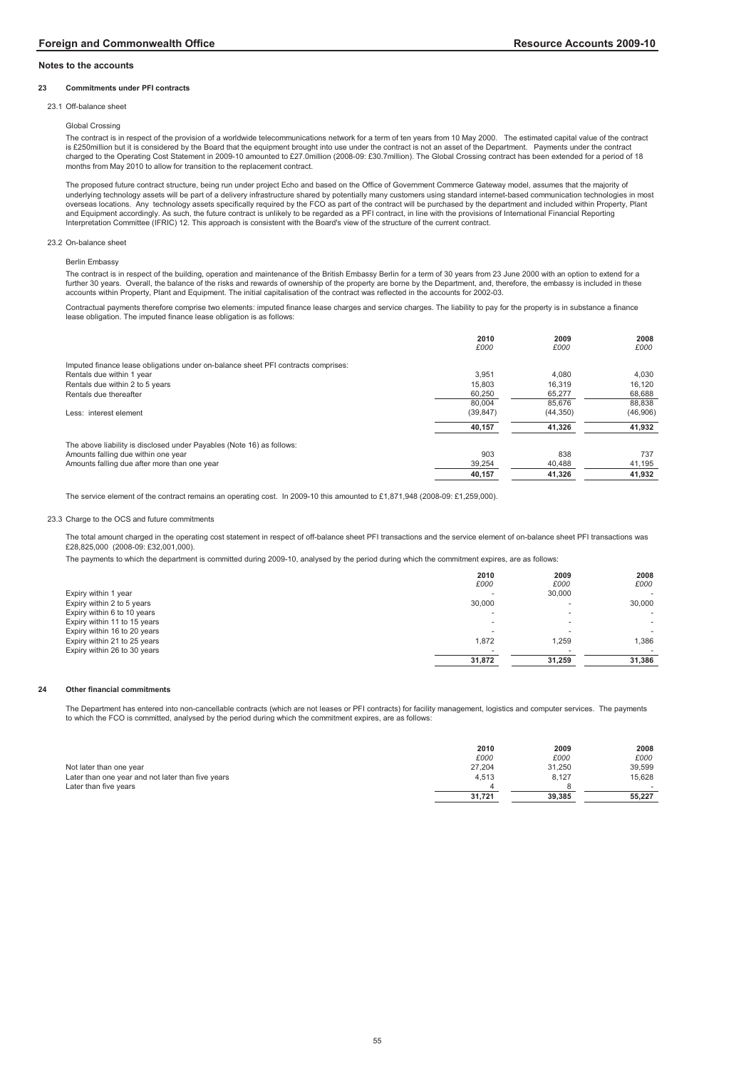#### **23 Commitments under PFI contracts**

23.1 Off-balance sheet

Global Crossing

The contract is in respect of the provision of a worldwide telecommunications network for a term of ten years from 10 May 2000. The estimated capital value of the contract is £250million but it is considered by the Board that the equipment brought into use under the contract is not an asset of the Department. Payments under the contract<br>charged to the Operating Cost Statement in 2009-10 amou months from May 2010 to allow for transition to the replacement contract.

The proposed future contract structure, being run under project Echo and based on the Office of Government Commerce Gateway model, assumes that the majority of underlying technology assets will be part of a delivery infrastructure shared by potentially many customers using standard internet-based communication technologies in most<br>overseas locations. Any technology assets speci and Equipment accordingly. As such, the future contract is unlikely to be regarded as a PFI contract, in line with the provisions of International Financial Reporting Interpretation Committee (IFRIC) 12. This approach is consistent with the Board's view of the structure of the current contract.

# 23.2 On-balance sheet

#### Berlin Embassy

The contract is in respect of the building, operation and maintenance of the British Embassy Berlin for a term of 30 years from 23 June 2000 with an option to extend for a further 30 years. Overall, the balance of the risks and rewards of ownership of the property are borne by the Department, and, therefore, the embassy is included in these<br>accounts within Property, Plant and Equipment. The

Contractual payments therefore comprise two elements: imputed finance lease charges and service charges. The liability to pay for the property is in substance a finance lease obligation. The imputed finance lease obligation is as follows:

|                                                                                   | 2010      | 2009      | 2008     |
|-----------------------------------------------------------------------------------|-----------|-----------|----------|
|                                                                                   | £000      | £000      | £000     |
| Imputed finance lease obligations under on-balance sheet PFI contracts comprises: |           |           |          |
| Rentals due within 1 year                                                         | 3.951     | 4.080     | 4,030    |
| Rentals due within 2 to 5 years                                                   | 15,803    | 16.319    | 16.120   |
| Rentals due thereafter                                                            | 60,250    | 65,277    | 68,688   |
|                                                                                   | 80.004    | 85.676    | 88.838   |
| Less: interest element                                                            | (39, 847) | (44, 350) | (46,906) |
|                                                                                   | 40,157    | 41,326    | 41,932   |
| The above liability is disclosed under Payables (Note 16) as follows:             |           |           |          |
| Amounts falling due within one year                                               | 903       | 838       | 737      |
| Amounts falling due after more than one year                                      | 39,254    | 40,488    | 41,195   |
|                                                                                   | 40,157    | 41,326    | 41.932   |
|                                                                                   |           |           |          |

The service element of the contract remains an operating cost. In 2009-10 this amounted to £1,871,948 (2008-09: £1,259,000).

# 23.3 Charge to the OCS and future commitments

The total amount charged in the operating cost statement in respect of off-balance sheet PFI transactions and the service element of on-balance sheet PFI transactions was £28,825,000 (2008-09: £32,001,000).

The payments to which the department is committed during 2009-10, analysed by the period during which the commitment expires, are as follows:

|                              | 2010                     | 2009                     | 2008                     |
|------------------------------|--------------------------|--------------------------|--------------------------|
|                              | £000                     | £000                     | £000                     |
| Expiry within 1 year         |                          | 30,000                   |                          |
| Expiry within 2 to 5 years   | 30.000                   | $\overline{\phantom{a}}$ | 30,000                   |
| Expiry within 6 to 10 years  | $\,$                     | -                        | $\overline{\phantom{a}}$ |
| Expiry within 11 to 15 years | $\overline{\phantom{a}}$ |                          | $\sim$                   |
| Expiry within 16 to 20 years | -                        | -                        | $\overline{\phantom{a}}$ |
| Expiry within 21 to 25 years | 1.872                    | 1.259                    | .386                     |
| Expiry within 26 to 30 years |                          |                          | $\overline{\phantom{a}}$ |
|                              | 31.872                   | 31.259                   | 31.386                   |

#### **24 Other financial commitments**

The Department has entered into non-cancellable contracts (which are not leases or PFI contracts) for facility management, logistics and computer services. The payments to which the FCO is committed, analysed by the period during which the commitment expires, are as follows:

|                                                   | 2010   | 2009   | 2008   |
|---------------------------------------------------|--------|--------|--------|
|                                                   | £000   | £000   | £000   |
| Not later than one year                           | 27.204 | 31.250 | 39.599 |
| Later than one year and not later than five years | 4.513  | 8.127  | 15.628 |
| Later than five years                             |        |        | $\sim$ |
|                                                   | 31.721 | 39.385 | 55.227 |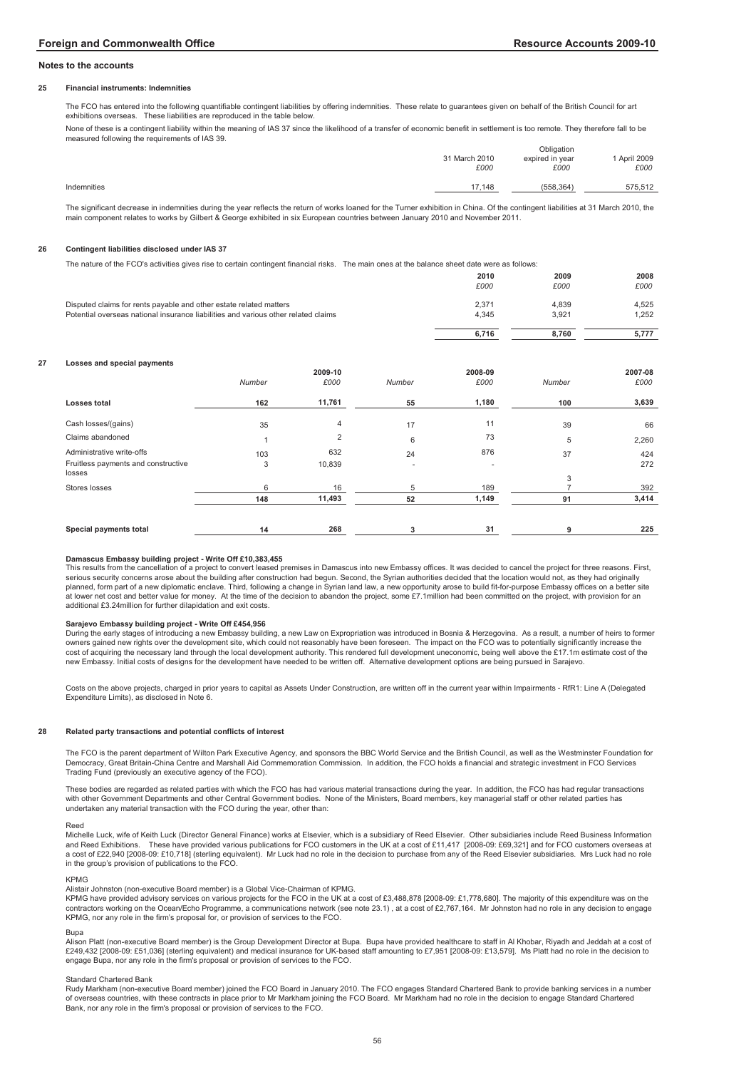#### **25 Financial instruments: Indemnities**

The FCO has entered into the following quantifiable contingent liabilities by offering indemnities. These relate to guarantees given on behalf of the British Council for art exhibitions overseas. These liabilities are reproduced in the table below.

None of these is a contingent liability within the meaning of IAS 37 since the likelihood of a transfer of economic benefit in settlement is too remote. They therefore fall to be measured following the requirements of IAS 39.

|             |                       | Obligation              |                    |
|-------------|-----------------------|-------------------------|--------------------|
|             | 31 March 2010<br>£000 | expired in year<br>£000 | April 2009<br>£000 |
| Indemnities | 17,148                | (558, 364)              | 575.512            |
|             |                       |                         |                    |

The significant decrease in indemnities during the year reflects the return of works loaned for the Turner exhibition in China. Of the contingent liabilities at 31 March 2010, the main component relates to works by Gilbert & George exhibited in six European countries between January 2010 and November 2011.

#### **26 Contingent liabilities disclosed under IAS 37**

The nature of the FCO's activities gives rise to certain contingent financial risks. The main ones at the balance sheet date were as follows:

|    |                                                                                    |        |                |                          | 2010    | 2009           | 2008    |
|----|------------------------------------------------------------------------------------|--------|----------------|--------------------------|---------|----------------|---------|
|    |                                                                                    |        |                |                          | £000    | £000           | £000    |
|    | Disputed claims for rents payable and other estate related matters                 |        |                |                          | 2,371   | 4,839          | 4,525   |
|    | Potential overseas national insurance liabilities and various other related claims |        |                |                          | 4,345   | 3,921          | 1,252   |
|    |                                                                                    |        |                |                          | 6,716   | 8,760          | 5,777   |
| 27 | Losses and special payments                                                        |        |                |                          |         |                |         |
|    |                                                                                    |        | 2009-10        |                          | 2008-09 |                | 2007-08 |
|    |                                                                                    | Number | £000           | Number                   | £000    | Number         | £000    |
|    | Losses total                                                                       | 162    | 11,761         | 55                       | 1,180   | 100            | 3,639   |
|    | Cash losses/(gains)                                                                | 35     | 4              | 17                       | 11      | 39             | 66      |
|    | Claims abandoned                                                                   |        | $\overline{2}$ | 6                        | 73      | 5              | 2,260   |
|    | Administrative write-offs                                                          | 103    | 632            | 24                       | 876     | 37             | 424     |
|    | Fruitless payments and constructive                                                | 3      | 10,839         | $\overline{\phantom{a}}$ |         |                | 272     |
|    | losses                                                                             |        |                |                          |         | 3              |         |
|    | Stores losses                                                                      | 6      | 16             | 5                        | 189     | $\overline{7}$ | 392     |
|    |                                                                                    | 148    | 11,493         | 52                       | 1,149   | 91             | 3,414   |
|    | Special payments total                                                             | 14     | 268            | 3                        | 31      | 9              | 225     |
|    |                                                                                    |        |                |                          |         |                |         |

# **Damascus Embassy building project - Write Off £10,383,455**

This results from the cancellation of a project to convert leased premises in Damascus into new Embassy offices. It was decided to cancel the project for three reasons. First, serious security concerns arose about the building after construction had begun. Second, the Syrian authorities decided that the location would not, as they had originally planned, form part of a new diplomatic enclave. Third, following a change in Syrian land law, a new opportunity arose to build fit-for-purpose Embassy offices on a better site<br>at lower net cost and better value for money. additional £3.24million for further dilapidation and exit costs.

#### **Sarajevo Embassy building project - Write Off £454,956**

During the early stages of introducing a new Embassy building, a new Law on Expropriation was introduced in Bosnia & Herzegovina. As a result, a number of heirs to former owners gained new rights over the development site, which could not reasonably have been foreseen. The impact on the FCO was to potentially significantly increase the<br>cost of acquiring the necessary land through the local new Embassy. Initial costs of designs for the development have needed to be written off. Alternative development options are being pursued in Sarajevo.

Costs on the above projects, charged in prior years to capital as Assets Under Construction, are written off in the current year within Impairments - RfR1: Line A (Delegated Expenditure Limits), as disclosed in Note 6.

#### **28 Related party transactions and potential conflicts of interest**

The FCO is the parent department of Wilton Park Executive Agency, and sponsors the BBC World Service and the British Council, as well as the Westminster Foundation for Democracy, Great Britain-China Centre and Marshall Aid Commemoration Commission. In addition, the FCO holds a financial and strategic investment in FCO Services Trading Fund (previously an executive agency of the FCO).

These bodies are regarded as related parties with which the FCO has had various material transactions during the year. In addition, the FCO has had regular transactions with other Government Departments and other Central Government bodies. None of the Ministers, Board members, key managerial staff or other related parties has undertaken any material transaction with the FCO during the year, other than:

Reed<br>Michelle Luck, wife of Keith Luck (Director General Finance) works at Elsevier, which is a subsidiary of Reed Elsevier. Other subsidiaries include Reed Business Information and Reed Exhibitions. These have provided various publications for FCO customers in the UK at a cost of £11,417 [2008-09: £69,321] and for FCO customers overseas at a cost of £22,940 [2008-09: £10,718] (sterling equivalent). Mr Luck had no role in the decision to purchase from any of the Reed Elsevier subsidiaries. Mrs Luck had no role in the group's provision of publications to the FCO.

KPMG

#### Alistair Johnston (non-executive Board member) is a Global Vice-Chairman of KPMG.

KPMG have provided advisory services on various projects for the FCO in the UK at a cost of £3,488,878 [2008-09: £1,778,680]. The majority of this expenditure was on the contractors working on the Ocean/Echo Programme, a communications network (see note 23.1) , at a cost of £2,767,164. Mr Johnston had no role in any decision to engage KPMG, nor any role in the firm's proposal for, or provision of services to the FCO.

#### Bupa

Alison Platt (non-executive Board member) is the Group Development Director at Bupa. Bupa have provided healthcare to staff in Al Khobar, Riyadh and Jeddah at a cost of £249,432 [2008-09: £51,036] (sterling equivalent) and medical insurance for UK-based staff amounting to £7,951 [2008-09: £13,579]. Ms Platt had no role in the decision to engage Bupa, nor any role in the firm's proposal or provision of services to the FCO.

#### Standard Chartered Bank

Rudy Markham (non-executive Board member) joined the FCO Board in January 2010. The FCO engages Standard Chartered Bank to provide banking services in a number<br>of overseas countries, with these contracts in place prior to Bank, nor any role in the firm's proposal or provision of services to the FCO.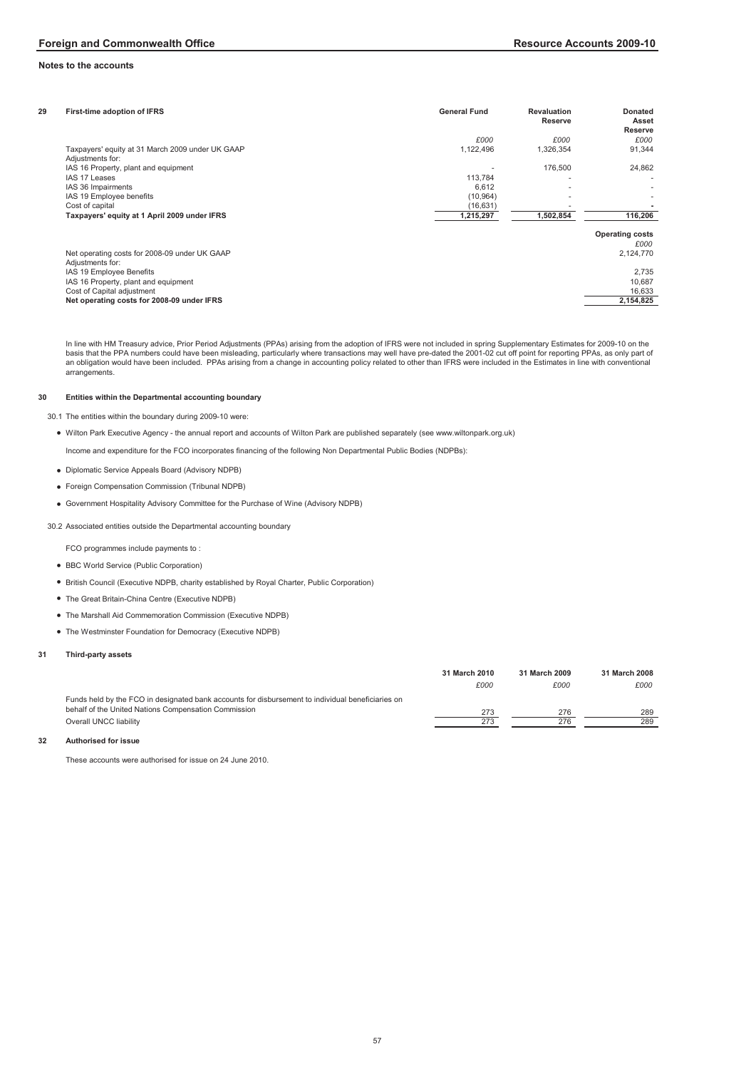| 29 | First-time adoption of IFRS                                       | <b>General Fund</b> | <b>Revaluation</b><br><b>Reserve</b> | <b>Donated</b><br>Asset<br><b>Reserve</b> |
|----|-------------------------------------------------------------------|---------------------|--------------------------------------|-------------------------------------------|
|    |                                                                   | £000                | £000                                 | £000                                      |
|    | Taxpayers' equity at 31 March 2009 under UK GAAP                  | 1,122,496           | 1,326,354                            | 91,344                                    |
|    | Adjustments for:                                                  |                     |                                      |                                           |
|    | IAS 16 Property, plant and equipment                              |                     | 176,500                              | 24,862                                    |
|    | IAS 17 Leases                                                     | 113,784             | ۰                                    | ٠                                         |
|    | IAS 36 Impairments                                                | 6,612               | $\overline{\phantom{a}}$             | ٠                                         |
|    | IAS 19 Employee benefits                                          | (10, 964)           | ۰                                    |                                           |
|    | Cost of capital                                                   | (16, 631)           | ۰                                    |                                           |
|    | Taxpayers' equity at 1 April 2009 under IFRS                      | 1,215,297           | 1,502,854                            | 116,206                                   |
|    |                                                                   |                     |                                      | <b>Operating costs</b><br>£000            |
|    | Net operating costs for 2008-09 under UK GAAP<br>Adjustments for: |                     |                                      | 2,124,770                                 |
|    | IAS 19 Employee Benefits                                          |                     |                                      | 2,735                                     |
|    | IAS 16 Property, plant and equipment                              |                     |                                      | 10.687                                    |
|    | Cost of Capital adjustment                                        |                     |                                      | 16.633                                    |
|    | Net operating costs for 2008-09 under IFRS                        |                     |                                      | 2,154,825                                 |

In line with HM Treasury advice, Prior Period Adjustments (PPAs) arising from the adoption of IFRS were not included in spring Supplementary Estimates for 2009-10 on the<br>basis that the PPA numbers could have been misleadin an obligation would have been included. PPAs arising from a change in accounting policy related to other than IFRS were included in the Estimates in line with conventional arrangements.

#### **30 Entities within the Departmental accounting boundary**

30.1 The entities within the boundary during 2009-10 were:

Wilton Park Executive Agency - the annual report and accounts of Wilton Park are published separately (see www.wiltonpark.org.uk)

Income and expenditure for the FCO incorporates financing of the following Non Departmental Public Bodies (NDPBs):

- Diplomatic Service Appeals Board (Advisory NDPB)
- Foreign Compensation Commission (Tribunal NDPB)
- Government Hospitality Advisory Committee for the Purchase of Wine (Advisory NDPB)
- 30.2 Associated entities outside the Departmental accounting boundary

FCO programmes include payments to :

- BBC World Service (Public Corporation)
- British Council (Executive NDPB, charity established by Royal Charter, Public Corporation)
- The Great Britain-China Centre (Executive NDPB)
- The Marshall Aid Commemoration Commission (Executive NDPB)
- The Westminster Foundation for Democracy (Executive NDPB)

#### **31 Third-party assets**

|                                                                                                   | 31 March 2010 | 31 March 2009 | 31 March 2008 |
|---------------------------------------------------------------------------------------------------|---------------|---------------|---------------|
|                                                                                                   | £000          | £000          | £000          |
| Funds held by the FCO in designated bank accounts for disbursement to individual beneficiaries on |               |               |               |
| behalf of the United Nations Compensation Commission                                              | 273           | 276           | 289           |
| Overall UNCC liability                                                                            | 273           | 276           | 289           |

# **32 Authorised for issue**

These accounts were authorised for issue on 24 June 2010.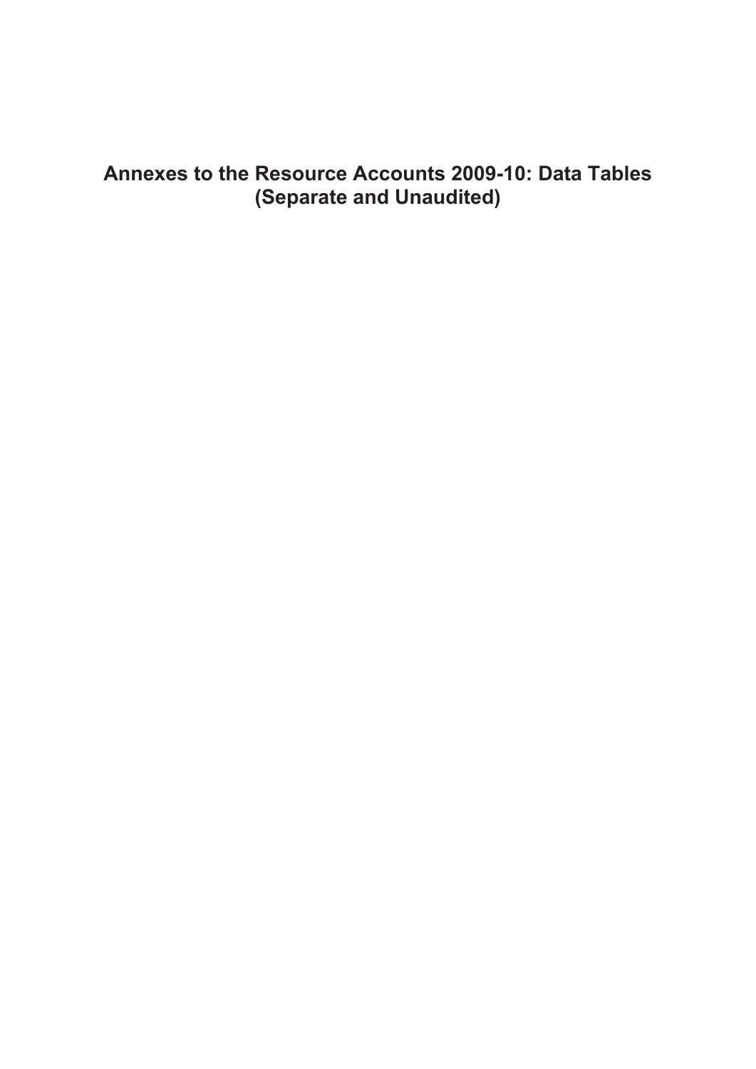# **Annexes to the Resource Accounts 2009-10: Data Tables (Separate and Unaudited)**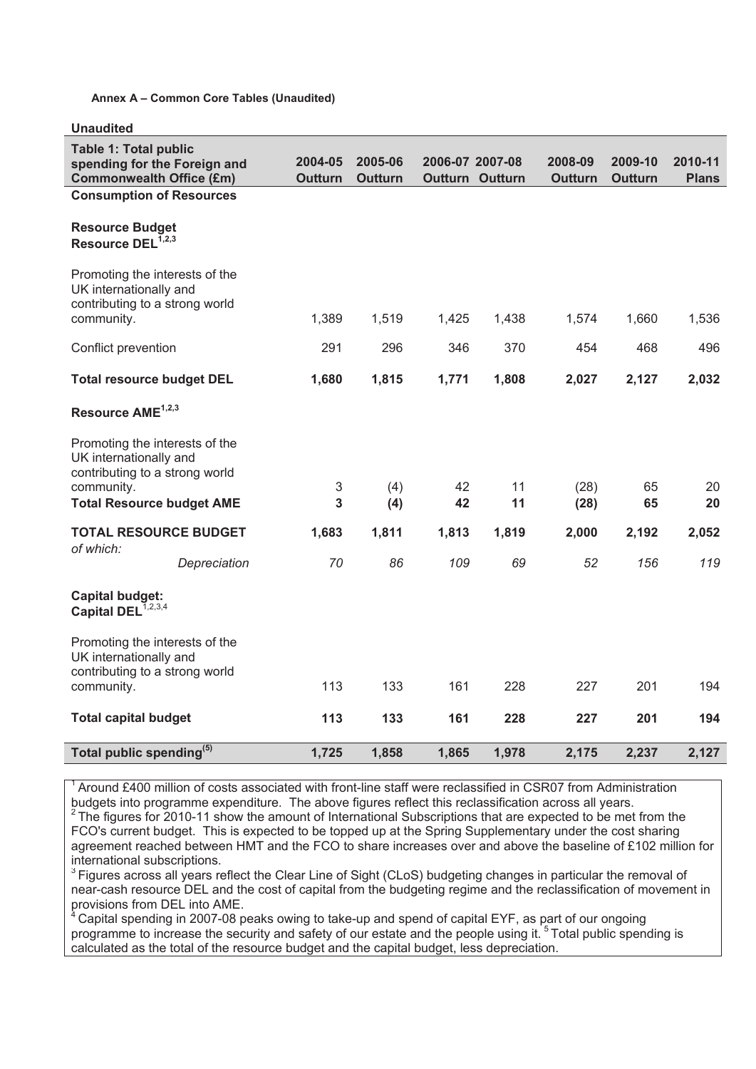**Annex A ± Common Core Tables (Unaudited)** 

**Unaudited** 

| <b>Table 1: Total public</b><br>spending for the Foreign and<br><b>Commonwealth Office (£m)</b> | 2004-05<br><b>Outturn</b> | 2005-06<br><b>Outturn</b> | 2006-07 2007-08 | Outturn Outturn | 2008-09<br><b>Outturn</b> | 2009-10<br><b>Outturn</b> | 2010-11<br><b>Plans</b> |
|-------------------------------------------------------------------------------------------------|---------------------------|---------------------------|-----------------|-----------------|---------------------------|---------------------------|-------------------------|
| <b>Consumption of Resources</b>                                                                 |                           |                           |                 |                 |                           |                           |                         |
| <b>Resource Budget</b><br>Resource DEL <sup>1,2,3</sup>                                         |                           |                           |                 |                 |                           |                           |                         |
| Promoting the interests of the<br>UK internationally and<br>contributing to a strong world      |                           |                           |                 |                 |                           |                           |                         |
| community.                                                                                      | 1,389                     | 1,519                     | 1,425           | 1,438           | 1,574                     | 1,660                     | 1,536                   |
| Conflict prevention                                                                             | 291                       | 296                       | 346             | 370             | 454                       | 468                       | 496                     |
| <b>Total resource budget DEL</b>                                                                | 1,680                     | 1,815                     | 1,771           | 1,808           | 2,027                     | 2,127                     | 2,032                   |
| Resource AME <sup>1,2,3</sup>                                                                   |                           |                           |                 |                 |                           |                           |                         |
| Promoting the interests of the<br>UK internationally and<br>contributing to a strong world      |                           |                           |                 |                 |                           |                           |                         |
| community.                                                                                      | $\mathsf 3$               | (4)                       | 42              | 11              | (28)                      | 65                        | 20                      |
| <b>Total Resource budget AME</b>                                                                | 3                         | (4)                       | 42              | 11              | (28)                      | 65                        | 20                      |
| <b>TOTAL RESOURCE BUDGET</b><br>of which:                                                       | 1,683                     | 1,811                     | 1,813           | 1,819           | 2,000                     | 2,192                     | 2,052                   |
| Depreciation                                                                                    | 70                        | 86                        | 109             | 69              | 52                        | 156                       | 119                     |
| <b>Capital budget:</b><br>Capital DEL <sup>1,2,3,4</sup>                                        |                           |                           |                 |                 |                           |                           |                         |
| Promoting the interests of the<br>UK internationally and<br>contributing to a strong world      |                           |                           |                 |                 |                           |                           |                         |
| community.                                                                                      | 113                       | 133                       | 161             | 228             | 227                       | 201                       | 194                     |
| <b>Total capital budget</b>                                                                     | 113                       | 133                       | 161             | 228             | 227                       | 201                       | 194                     |
| Total public spending <sup>(5)</sup>                                                            | 1,725                     | 1,858                     | 1,865           | 1,978           | 2,175                     | 2,237                     | 2,127                   |

 $1$  Around £400 million of costs associated with front-line staff were reclassified in CSR07 from Administration budgets into programme expenditure. The above figures reflect this reclassification across all years.

The figures for 2010-11 show the amount of International Subscriptions that are expected to be met from the FCO's current budget. This is expected to be topped up at the Spring Supplementary under the cost sharing agreement reached between HMT and the FCO to share increases over and above the baseline of £102 million for international subscriptions.

<sup>3</sup> Figures across all years reflect the Clear Line of Sight (CLoS) budgeting changes in particular the removal of near-cash resource DEL and the cost of capital from the budgeting regime and the reclassification of movement in provisions from DEL into AME.

 $4$  Capital spending in 2007-08 peaks owing to take-up and spend of capital EYF, as part of our ongoing programme to increase the security and safety of our estate and the people using it. 5 Total public spending is calculated as the total of the resource budget and the capital budget, less depreciation.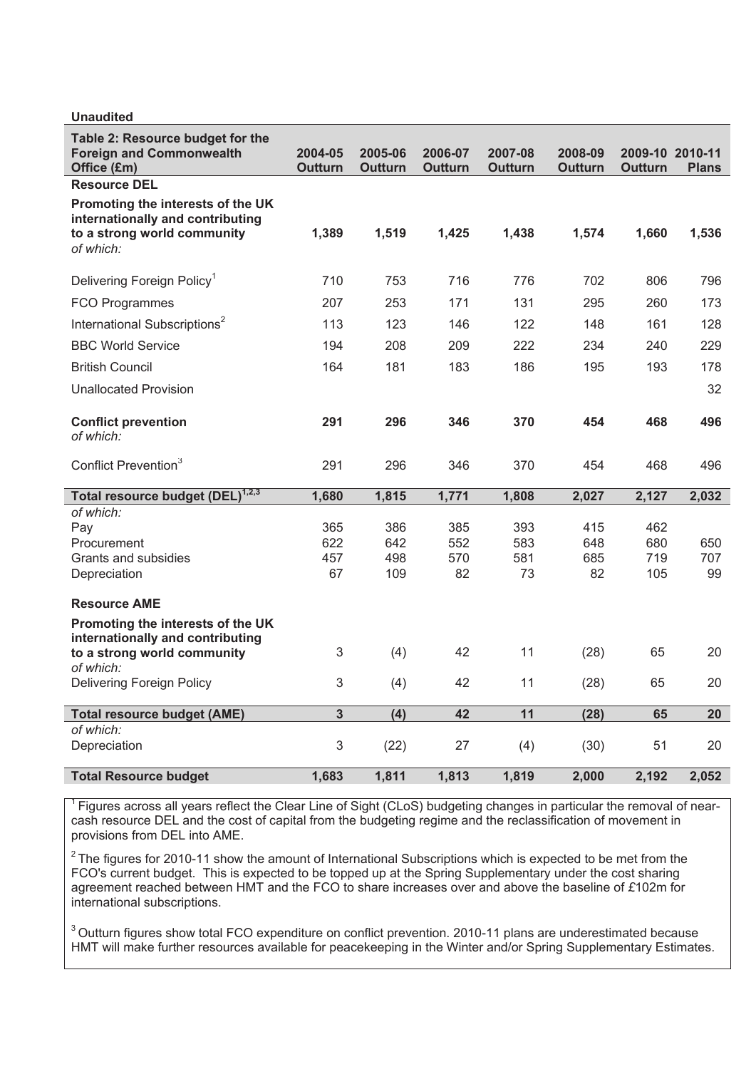| Unaudited                                                                                                         |                           |                           |                           |                           |                           |                            |              |
|-------------------------------------------------------------------------------------------------------------------|---------------------------|---------------------------|---------------------------|---------------------------|---------------------------|----------------------------|--------------|
| Table 2: Resource budget for the<br><b>Foreign and Commonwealth</b><br>Office (£m)                                | 2004-05<br><b>Outturn</b> | 2005-06<br><b>Outturn</b> | 2006-07<br><b>Outturn</b> | 2007-08<br><b>Outturn</b> | 2008-09<br><b>Outturn</b> | 2009-10 2010-11<br>Outturn | <b>Plans</b> |
| <b>Resource DEL</b>                                                                                               |                           |                           |                           |                           |                           |                            |              |
| Promoting the interests of the UK<br>internationally and contributing<br>to a strong world community<br>of which: | 1,389                     | 1,519                     | 1,425                     | 1,438                     | 1,574                     | 1,660                      | 1,536        |
| Delivering Foreign Policy <sup>1</sup>                                                                            | 710                       | 753                       | 716                       | 776                       | 702                       | 806                        | 796          |
| <b>FCO Programmes</b>                                                                                             | 207                       | 253                       | 171                       | 131                       | 295                       | 260                        | 173          |
| International Subscriptions <sup>2</sup>                                                                          | 113                       | 123                       | 146                       | 122                       | 148                       | 161                        | 128          |
| <b>BBC World Service</b>                                                                                          | 194                       | 208                       | 209                       | 222                       | 234                       | 240                        | 229          |
| <b>British Council</b>                                                                                            | 164                       | 181                       | 183                       | 186                       | 195                       | 193                        | 178          |
| <b>Unallocated Provision</b>                                                                                      |                           |                           |                           |                           |                           |                            | 32           |
| <b>Conflict prevention</b><br>of which:                                                                           | 291                       | 296                       | 346                       | 370                       | 454                       | 468                        | 496          |
| Conflict Prevention <sup>3</sup>                                                                                  | 291                       | 296                       | 346                       | 370                       | 454                       | 468                        | 496          |
| Total resource budget (DEL) <sup>1,2,3</sup>                                                                      | 1,680                     | 1,815                     | 1,771                     | 1,808                     | 2,027                     | 2,127                      | 2,032        |
| of which:                                                                                                         |                           |                           |                           |                           |                           |                            |              |
| Pay                                                                                                               | 365                       | 386                       | 385                       | 393                       | 415                       | 462                        |              |
| Procurement                                                                                                       | 622                       | 642                       | 552                       | 583                       | 648                       | 680                        | 650          |
| Grants and subsidies                                                                                              | 457                       | 498                       | 570                       | 581                       | 685                       | 719                        | 707          |
| Depreciation                                                                                                      | 67                        | 109                       | 82                        | 73                        | 82                        | 105                        | 99           |
| <b>Resource AME</b>                                                                                               |                           |                           |                           |                           |                           |                            |              |
| Promoting the interests of the UK<br>internationally and contributing                                             |                           |                           |                           |                           |                           |                            |              |
| to a strong world community                                                                                       | 3                         | (4)                       | 42                        | 11                        | (28)                      | 65                         | 20           |
| of which:<br>Delivering Foreign Policy                                                                            | 3                         | (4)                       | 42                        | 11                        | (28)                      | 65                         | 20           |
|                                                                                                                   |                           |                           |                           |                           |                           |                            |              |
| <b>Total resource budget (AME)</b>                                                                                | $\overline{\mathbf{3}}$   | (4)                       | 42                        | 11                        | (28)                      | 65                         | 20           |
| of which:<br>Depreciation                                                                                         | $\mathfrak{S}$            | (22)                      | 27                        | (4)                       | (30)                      | 51                         | 20           |
| <b>Total Resource budget</b>                                                                                      | 1,683                     | 1,811                     | 1,813                     | 1,819                     | 2,000                     | 2,192                      | 2,052        |

**Unaudited** 

Figures across all years reflect the Clear Line of Sight (CLoS) budgeting changes in particular the removal of nearcash resource DEL and the cost of capital from the budgeting regime and the reclassification of movement in provisions from DEL into AME.

 $2$  The figures for 2010-11 show the amount of International Subscriptions which is expected to be met from the FCO's current budget. This is expected to be topped up at the Spring Supplementary under the cost sharing agreement reached between HMT and the FCO to share increases over and above the baseline of *£*102m for international subscriptions.

<sup>3</sup> Outturn figures show total FCO expenditure on conflict prevention. 2010-11 plans are underestimated because HMT will make further resources available for peacekeeping in the Winter and/or Spring Supplementary Estimates.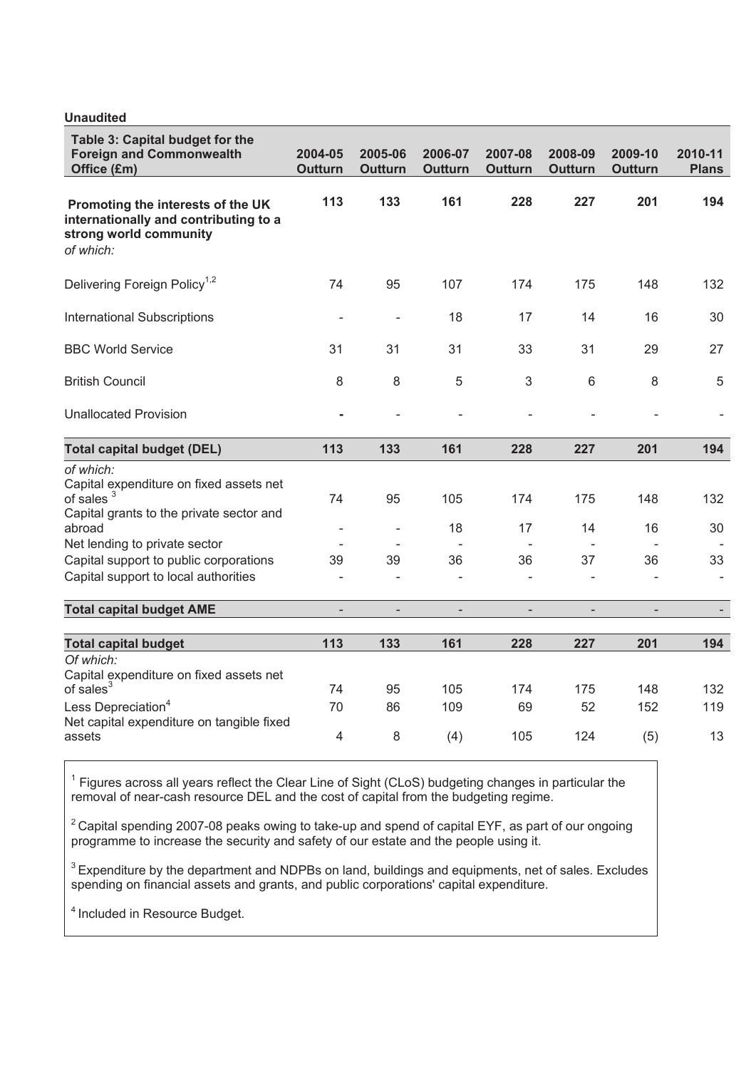# **Unaudited**

| Table 3: Capital budget for the<br><b>Foreign and Commonwealth</b><br>Office (£m)                                 | 2004-05<br><b>Outturn</b>      | 2005-06<br><b>Outturn</b> | 2006-07<br><b>Outturn</b> | 2007-08<br>Outturn | 2008-09<br>Outturn | 2009-10<br><b>Outturn</b> | 2010-11<br><b>Plans</b> |
|-------------------------------------------------------------------------------------------------------------------|--------------------------------|---------------------------|---------------------------|--------------------|--------------------|---------------------------|-------------------------|
| Promoting the interests of the UK<br>internationally and contributing to a<br>strong world community<br>of which: | 113                            | 133                       | 161                       | 228                | 227                | 201                       | 194                     |
| Delivering Foreign Policy <sup>1,2</sup>                                                                          | 74                             | 95                        | 107                       | 174                | 175                | 148                       | 132                     |
| <b>International Subscriptions</b>                                                                                | ÷,                             | $\overline{\phantom{a}}$  | 18                        | 17                 | 14                 | 16                        | 30                      |
| <b>BBC World Service</b>                                                                                          | 31                             | 31                        | 31                        | 33                 | 31                 | 29                        | 27                      |
| <b>British Council</b>                                                                                            | 8                              | 8                         | 5                         | 3                  | 6                  | 8                         | 5                       |
| <b>Unallocated Provision</b>                                                                                      | $\blacksquare$                 |                           |                           |                    |                    |                           |                         |
| <b>Total capital budget (DEL)</b>                                                                                 | 113                            | 133                       | 161                       | 228                | 227                | 201                       | 194                     |
| of which:<br>Capital expenditure on fixed assets net<br>of sales $3$<br>Capital grants to the private sector and  | 74                             | 95                        | 105                       | 174                | 175                | 148                       | 132                     |
| abroad                                                                                                            | $\overline{\phantom{a}}$       | $\overline{\phantom{a}}$  | 18                        | 17                 | 14                 | 16                        | 30                      |
| Net lending to private sector<br>Capital support to public corporations<br>Capital support to local authorities   | 39<br>$\overline{\phantom{a}}$ | 39                        | 36                        | 36<br>÷,           | 37                 | 36<br>$\frac{1}{2}$       | 33                      |
| <b>Total capital budget AME</b>                                                                                   |                                | $\qquad \qquad -$         |                           |                    |                    |                           |                         |
| <b>Total capital budget</b>                                                                                       | 113                            | 133                       | 161                       | 228                | 227                | 201                       | 194                     |
| Of which:<br>Capital expenditure on fixed assets net<br>of sales $3$<br>Less Depreciation <sup>4</sup>            | 74<br>70                       | 95<br>86                  | 105<br>109                | 174<br>69          | 175<br>52          | 148<br>152                | 132<br>119              |
| Net capital expenditure on tangible fixed<br>assets                                                               | 4                              | 8                         | (4)                       | 105                | 124                | (5)                       | 13                      |

 $1$  Figures across all years reflect the Clear Line of Sight (CLoS) budgeting changes in particular the removal of near-cash resource DEL and the cost of capital from the budgeting regime.

 $2^2$ Capital spending 2007-08 peaks owing to take-up and spend of capital EYF, as part of our ongoing programme to increase the security and safety of our estate and the people using it.

 $3$  Expenditure by the department and NDPBs on land, buildings and equipments, net of sales. Excludes spending on financial assets and grants, and public corporations' capital expenditure.

<sup>4</sup> Included in Resource Budget.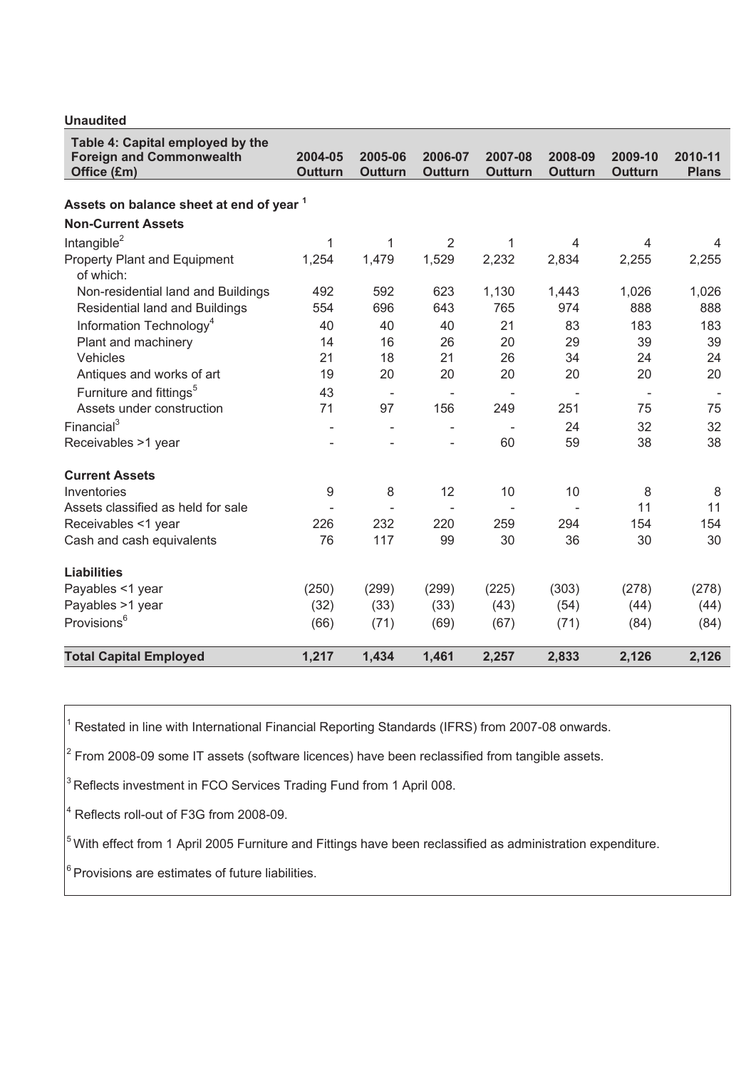| <b>Unaudited</b>                                                                   |                           |                           |                           |                           |                           |                           |                         |
|------------------------------------------------------------------------------------|---------------------------|---------------------------|---------------------------|---------------------------|---------------------------|---------------------------|-------------------------|
| Table 4: Capital employed by the<br><b>Foreign and Commonwealth</b><br>Office (£m) | 2004-05<br><b>Outturn</b> | 2005-06<br><b>Outturn</b> | 2006-07<br><b>Outturn</b> | 2007-08<br><b>Outturn</b> | 2008-09<br><b>Outturn</b> | 2009-10<br><b>Outturn</b> | 2010-11<br><b>Plans</b> |
| Assets on balance sheet at end of year 1                                           |                           |                           |                           |                           |                           |                           |                         |
| <b>Non-Current Assets</b>                                                          |                           |                           |                           |                           |                           |                           |                         |
| Intangible <sup>2</sup>                                                            | 1                         | $\mathbf{1}$              | $\overline{2}$            | $\mathbf{1}$              | 4                         | 4                         | 4                       |
| Property Plant and Equipment<br>of which:                                          | 1,254                     | 1,479                     | 1,529                     | 2,232                     | 2,834                     | 2,255                     | 2,255                   |
| Non-residential land and Buildings                                                 | 492                       | 592                       | 623                       | 1,130                     | 1,443                     | 1,026                     | 1,026                   |
| <b>Residential land and Buildings</b>                                              | 554                       | 696                       | 643                       | 765                       | 974                       | 888                       | 888                     |
| Information Technology <sup>4</sup>                                                | 40                        | 40                        | 40                        | 21                        | 83                        | 183                       | 183                     |
| Plant and machinery                                                                | 14                        | 16                        | 26                        | 20                        | 29                        | 39                        | 39                      |
| Vehicles                                                                           | 21                        | 18                        | 21                        | 26                        | 34                        | 24                        | 24                      |
| Antiques and works of art                                                          | 19                        | 20                        | 20                        | 20                        | 20                        | 20                        | 20                      |
| Furniture and fittings <sup>5</sup>                                                | 43                        | $\overline{\phantom{a}}$  | $\overline{\phantom{a}}$  | $\overline{\phantom{a}}$  |                           | $\overline{\phantom{a}}$  |                         |
| Assets under construction                                                          | 71                        | 97                        | 156                       | 249                       | 251                       | 75                        | 75                      |
| Financial $3$                                                                      |                           | L.                        |                           |                           | 24                        | 32                        | 32                      |
| Receivables >1 year                                                                |                           | L.                        |                           | 60                        | 59                        | 38                        | 38                      |
| <b>Current Assets</b>                                                              |                           |                           |                           |                           |                           |                           |                         |
| Inventories                                                                        | $\boldsymbol{9}$          | 8                         | 12                        | 10                        | 10                        | 8                         | 8                       |
| Assets classified as held for sale                                                 |                           |                           |                           |                           |                           | 11                        | 11                      |
| Receivables <1 year                                                                | 226                       | 232                       | 220                       | 259                       | 294                       | 154                       | 154                     |
| Cash and cash equivalents                                                          | 76                        | 117                       | 99                        | 30                        | 36                        | 30                        | 30                      |
| <b>Liabilities</b>                                                                 |                           |                           |                           |                           |                           |                           |                         |
| Payables <1 year                                                                   | (250)                     | (299)                     | (299)                     | (225)                     | (303)                     | (278)                     | (278)                   |
| Payables >1 year                                                                   | (32)                      | (33)                      | (33)                      | (43)                      | (54)                      | (44)                      | (44)                    |
| Provisions <sup>6</sup>                                                            | (66)                      | (71)                      | (69)                      | (67)                      | (71)                      | (84)                      | (84)                    |
| <b>Total Capital Employed</b>                                                      | 1,217                     | 1,434                     | 1,461                     | 2,257                     | 2,833                     | 2,126                     | 2,126                   |

<sup>1</sup> Restated in line with International Financial Reporting Standards (IFRS) from 2007-08 onwards.

 $2$  From 2008-09 some IT assets (software licences) have been reclassified from tangible assets.

 $3$  Reflects investment in FCO Services Trading Fund from 1 April 008.

4 Reflects roll-out of F3G from 2008-09.

 $5$  With effect from 1 April 2005 Furniture and Fittings have been reclassified as administration expenditure.

 $\frac{6}{6}$  Provisions are estimates of future liabilities.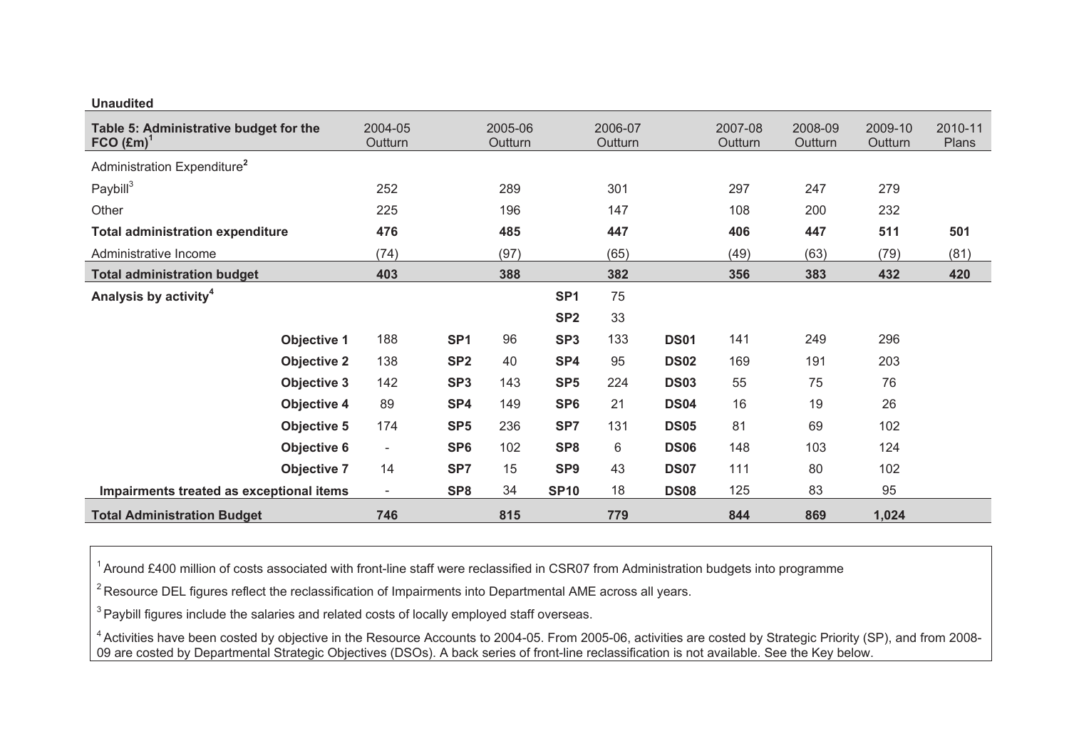| Table 5: Administrative budget for the<br>$FCO (Em)^T$ | 2004-05<br>Outturn       |                 | 2005-06<br>Outturn |                 | 2006-07<br>Outturn |             | 2007-08<br>Outturn | 2008-09<br>Outturn | 2009-10<br>Outturn | 2010-11<br>Plans |
|--------------------------------------------------------|--------------------------|-----------------|--------------------|-----------------|--------------------|-------------|--------------------|--------------------|--------------------|------------------|
| Administration Expenditure <sup>2</sup>                |                          |                 |                    |                 |                    |             |                    |                    |                    |                  |
| Paybill <sup>3</sup>                                   | 252                      |                 | 289                |                 | 301                |             | 297                | 247                | 279                |                  |
| Other                                                  | 225                      |                 | 196                |                 | 147                |             | 108                | 200                | 232                |                  |
| <b>Total administration expenditure</b>                | 476                      |                 | 485                |                 | 447                |             | 406                | 447                | 511                | 501              |
| Administrative Income                                  | (74)                     |                 | (97)               |                 | (65)               |             | (49)               | (63)               | (79)               | (81)             |
| <b>Total administration budget</b>                     | 403                      |                 | 388                |                 | 382                |             | 356                | 383                | 432                | 420              |
| Analysis by activity <sup>4</sup>                      |                          |                 |                    | SP <sub>1</sub> | 75                 |             |                    |                    |                    |                  |
|                                                        |                          |                 |                    | SP <sub>2</sub> | 33                 |             |                    |                    |                    |                  |
| Objective 1                                            | 188                      | SP <sub>1</sub> | 96                 | SP <sub>3</sub> | 133                | <b>DS01</b> | 141                | 249                | 296                |                  |
| <b>Objective 2</b>                                     | 138                      | SP <sub>2</sub> | 40                 | SP4             | 95                 | <b>DS02</b> | 169                | 191                | 203                |                  |
| <b>Objective 3</b>                                     | 142                      | SP <sub>3</sub> | 143                | SP <sub>5</sub> | 224                | <b>DS03</b> | 55                 | 75                 | 76                 |                  |
| Objective 4                                            | 89                       | SP4             | 149                | SP <sub>6</sub> | 21                 | <b>DS04</b> | 16                 | 19                 | 26                 |                  |
| <b>Objective 5</b>                                     | 174                      | SP <sub>5</sub> | 236                | SP7             | 131                | <b>DS05</b> | 81                 | 69                 | 102                |                  |
| Objective 6                                            | $\overline{\phantom{a}}$ | SP <sub>6</sub> | 102                | SP <sub>8</sub> | 6                  | <b>DS06</b> | 148                | 103                | 124                |                  |
| <b>Objective 7</b>                                     | 14                       | SP7             | 15                 | SP <sub>9</sub> | 43                 | <b>DS07</b> | 111                | 80                 | 102                |                  |
| Impairments treated as exceptional items               | $\overline{\phantom{a}}$ | SP <sub>8</sub> | 34                 | <b>SP10</b>     | 18                 | <b>DS08</b> | 125                | 83                 | 95                 |                  |
| <b>Total Administration Budget</b>                     | 746                      |                 | 815                |                 | 779                |             | 844                | 869                | 1,024              |                  |

<sup>1</sup> Around £400 million of costs associated with front-line staff were reclassified in CSR07 from Administration budgets into programme

 $2$  Resource DEL figures reflect the reclassification of Impairments into Departmental AME across all years.

<sup>3</sup> Paybill figures include the salaries and related costs of locally employed staff overseas.

**Unaudited** 

<sup>4</sup> Activities have been costed by objective in the Resource Accounts to 2004-05. From 2005-06, activities are costed by Strategic Priority (SP), and from 2008-09 are costed by Departmental Strategic Objectives (DSOs). A back series of front-line reclassification is not available. See the Key below.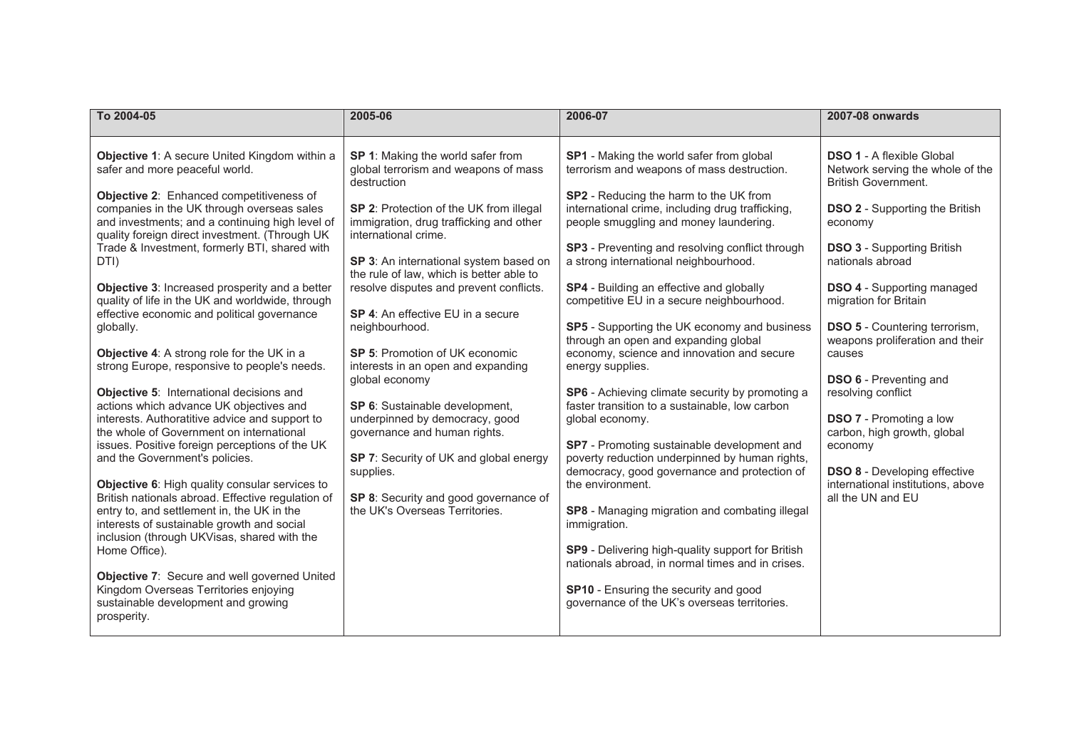| To 2004-05                                                                                                                                                                                                                                                                                                                                                                                                                                                                                                                                                                                                                                                                                                                                                                                                                                                                                                                                                                                                                                                                                                                                                                                                                                                                                                              | 2005-06                                                                                                                                                                                                                                                                                                                                                                                                                                                                                                                                                                                                                                                                                                                                      | 2006-07                                                                                                                                                                                                                                                                                                                                                                                                                                                                                                                                                                                                                                                                                                                                                                                                                                                                                                                                                                                                                                                                                                                                                      | 2007-08 onwards                                                                                                                                                                                                                                                                                                                                                                                                                                                                                                                                                                                        |
|-------------------------------------------------------------------------------------------------------------------------------------------------------------------------------------------------------------------------------------------------------------------------------------------------------------------------------------------------------------------------------------------------------------------------------------------------------------------------------------------------------------------------------------------------------------------------------------------------------------------------------------------------------------------------------------------------------------------------------------------------------------------------------------------------------------------------------------------------------------------------------------------------------------------------------------------------------------------------------------------------------------------------------------------------------------------------------------------------------------------------------------------------------------------------------------------------------------------------------------------------------------------------------------------------------------------------|----------------------------------------------------------------------------------------------------------------------------------------------------------------------------------------------------------------------------------------------------------------------------------------------------------------------------------------------------------------------------------------------------------------------------------------------------------------------------------------------------------------------------------------------------------------------------------------------------------------------------------------------------------------------------------------------------------------------------------------------|--------------------------------------------------------------------------------------------------------------------------------------------------------------------------------------------------------------------------------------------------------------------------------------------------------------------------------------------------------------------------------------------------------------------------------------------------------------------------------------------------------------------------------------------------------------------------------------------------------------------------------------------------------------------------------------------------------------------------------------------------------------------------------------------------------------------------------------------------------------------------------------------------------------------------------------------------------------------------------------------------------------------------------------------------------------------------------------------------------------------------------------------------------------|--------------------------------------------------------------------------------------------------------------------------------------------------------------------------------------------------------------------------------------------------------------------------------------------------------------------------------------------------------------------------------------------------------------------------------------------------------------------------------------------------------------------------------------------------------------------------------------------------------|
| <b>Objective 1:</b> A secure United Kingdom within a<br>safer and more peaceful world.<br>Objective 2: Enhanced competitiveness of<br>companies in the UK through overseas sales<br>and investments; and a continuing high level of<br>quality foreign direct investment. (Through UK<br>Trade & Investment, formerly BTI, shared with<br>DTI)<br><b>Objective 3: Increased prosperity and a better</b><br>quality of life in the UK and worldwide, through<br>effective economic and political governance<br>globally.<br>Objective 4: A strong role for the UK in a<br>strong Europe, responsive to people's needs.<br><b>Objective 5: International decisions and</b><br>actions which advance UK objectives and<br>interests. Authoratitive advice and support to<br>the whole of Government on international<br>issues. Positive foreign perceptions of the UK<br>and the Government's policies.<br>Objective 6: High quality consular services to<br>British nationals abroad. Effective regulation of<br>entry to, and settlement in, the UK in the<br>interests of sustainable growth and social<br>inclusion (through UKVisas, shared with the<br>Home Office).<br>Objective 7: Secure and well governed United<br>Kingdom Overseas Territories enjoying<br>sustainable development and growing<br>prosperity. | <b>SP 1:</b> Making the world safer from<br>global terrorism and weapons of mass<br>destruction<br>SP 2: Protection of the UK from illegal<br>immigration, drug trafficking and other<br>international crime.<br>SP 3: An international system based on<br>the rule of law, which is better able to<br>resolve disputes and prevent conflicts.<br><b>SP 4:</b> An effective EU in a secure<br>neighbourhood.<br>SP 5: Promotion of UK economic<br>interests in an open and expanding<br>global economy<br>SP 6: Sustainable development,<br>underpinned by democracy, good<br>governance and human rights.<br>SP 7: Security of UK and global energy<br>supplies.<br>SP 8: Security and good governance of<br>the UK's Overseas Territories. | SP1 - Making the world safer from global<br>terrorism and weapons of mass destruction.<br><b>SP2</b> - Reducing the harm to the UK from<br>international crime, including drug trafficking,<br>people smuggling and money laundering.<br>SP3 - Preventing and resolving conflict through<br>a strong international neighbourhood.<br>SP4 - Building an effective and globally<br>competitive EU in a secure neighbourhood.<br>SP5 - Supporting the UK economy and business<br>through an open and expanding global<br>economy, science and innovation and secure<br>energy supplies.<br><b>SP6</b> - Achieving climate security by promoting a<br>faster transition to a sustainable, low carbon<br>global economy.<br>SP7 - Promoting sustainable development and<br>poverty reduction underpinned by human rights,<br>democracy, good governance and protection of<br>the environment.<br>SP8 - Managing migration and combating illegal<br>immigration.<br>SP9 - Delivering high-quality support for British<br>nationals abroad, in normal times and in crises.<br>SP10 - Ensuring the security and good<br>governance of the UK's overseas territories. | <b>DSO 1 - A flexible Global</b><br>Network serving the whole of the<br><b>British Government.</b><br><b>DSO 2</b> - Supporting the British<br>economy<br><b>DSO 3 - Supporting British</b><br>nationals abroad<br><b>DSO 4</b> - Supporting managed<br>migration for Britain<br><b>DSO 5</b> - Countering terrorism,<br>weapons proliferation and their<br>causes<br><b>DSO 6</b> - Preventing and<br>resolving conflict<br><b>DSO 7</b> - Promoting a low<br>carbon, high growth, global<br>economy<br><b>DSO 8 - Developing effective</b><br>international institutions, above<br>all the UN and EU |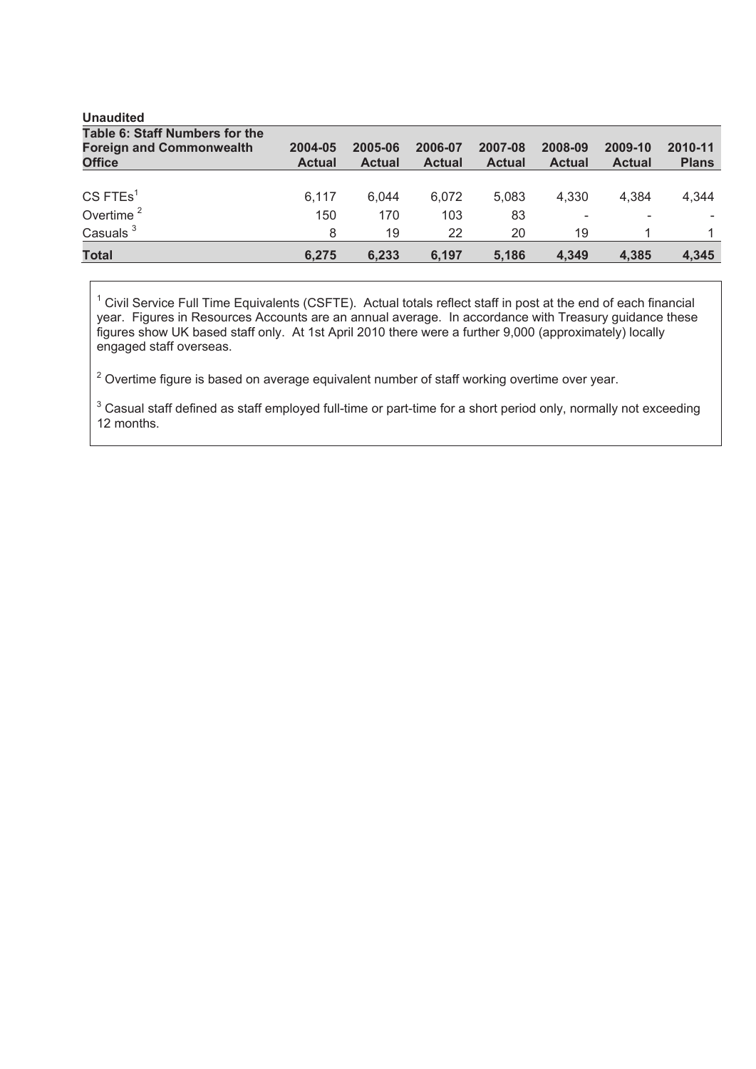| <b>Unaudited</b>                                                                          |                          |                          |                          |                          |                          |                          |                         |
|-------------------------------------------------------------------------------------------|--------------------------|--------------------------|--------------------------|--------------------------|--------------------------|--------------------------|-------------------------|
| <b>Table 6: Staff Numbers for the</b><br><b>Foreign and Commonwealth</b><br><b>Office</b> | 2004-05<br><b>Actual</b> | 2005-06<br><b>Actual</b> | 2006-07<br><b>Actual</b> | 2007-08<br><b>Actual</b> | 2008-09<br><b>Actual</b> | 2009-10<br><b>Actual</b> | 2010-11<br><b>Plans</b> |
|                                                                                           |                          |                          |                          |                          |                          |                          |                         |
| $CS$ FTEs <sup>1</sup>                                                                    | 6.117                    | 6.044                    | 6.072                    | 5,083                    | 4.330                    | 4.384                    | 4,344                   |
| Overtime <sup>2</sup>                                                                     | 150                      | 170                      | 103                      | 83                       |                          |                          |                         |
| Casuals $3$                                                                               | 8                        | 19                       | 22                       | 20                       | 19                       |                          |                         |
| <b>Total</b>                                                                              | 6,275                    | 6,233                    | 6,197                    | 5,186                    | 4,349                    | 4,385                    | 4,345                   |

 $1$  Civil Service Full Time Equivalents (CSFTE). Actual totals reflect staff in post at the end of each financial year. Figures in Resources Accounts are an annual average. In accordance with Treasury guidance these figures show UK based staff only. At 1st April 2010 there were a further 9,000 (approximately) locally engaged staff overseas.

 $2$  Overtime figure is based on average equivalent number of staff working overtime over year.

 $3$  Casual staff defined as staff employed full-time or part-time for a short period only, normally not exceeding 12 months.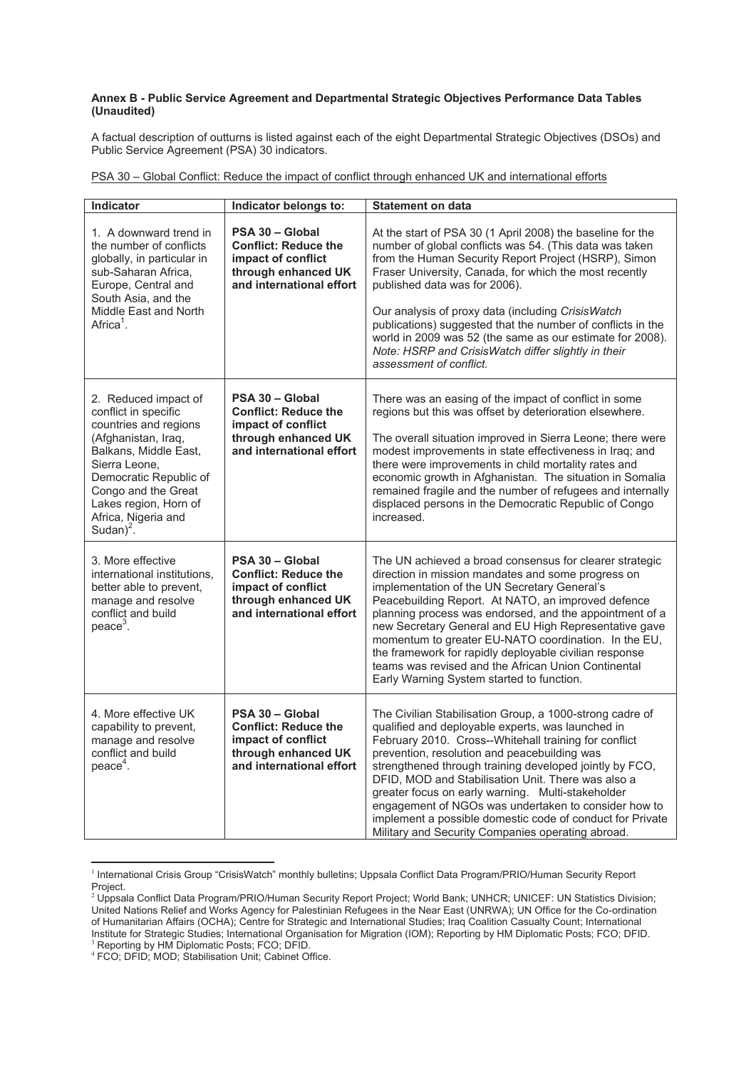# **Annex B - Public Service Agreement and Departmental Strategic Objectives Performance Data Tables (Unaudited)**

A factual description of outturns is listed against each of the eight Departmental Strategic Objectives (DSOs) and Public Service Agreement (PSA) 30 indicators.

| <b>Indicator</b>                                                                                                                                                                                                                                         | Indicator belongs to:                                                                                                   | <b>Statement on data</b>                                                                                                                                                                                                                                                                                                                                                                                                                                                                                                                                               |
|----------------------------------------------------------------------------------------------------------------------------------------------------------------------------------------------------------------------------------------------------------|-------------------------------------------------------------------------------------------------------------------------|------------------------------------------------------------------------------------------------------------------------------------------------------------------------------------------------------------------------------------------------------------------------------------------------------------------------------------------------------------------------------------------------------------------------------------------------------------------------------------------------------------------------------------------------------------------------|
| 1. A downward trend in<br>the number of conflicts<br>globally, in particular in<br>sub-Saharan Africa,<br>Europe, Central and<br>South Asia, and the<br>Middle East and North<br>Africa <sup>1</sup> .                                                   | PSA 30 - Global<br><b>Conflict: Reduce the</b><br>impact of conflict<br>through enhanced UK<br>and international effort | At the start of PSA 30 (1 April 2008) the baseline for the<br>number of global conflicts was 54. (This data was taken<br>from the Human Security Report Project (HSRP), Simon<br>Fraser University, Canada, for which the most recently<br>published data was for 2006).<br>Our analysis of proxy data (including CrisisWatch<br>publications) suggested that the number of conflicts in the<br>world in 2009 was 52 (the same as our estimate for 2008).<br>Note: HSRP and CrisisWatch differ slightly in their<br>assessment of conflict.                            |
| 2. Reduced impact of<br>conflict in specific<br>countries and regions<br>(Afghanistan, Iraq,<br>Balkans, Middle East,<br>Sierra Leone,<br>Democratic Republic of<br>Congo and the Great<br>Lakes region, Horn of<br>Africa, Nigeria and<br>Sudan $)^2$ . | PSA 30 - Global<br><b>Conflict: Reduce the</b><br>impact of conflict<br>through enhanced UK<br>and international effort | There was an easing of the impact of conflict in some<br>regions but this was offset by deterioration elsewhere.<br>The overall situation improved in Sierra Leone; there were<br>modest improvements in state effectiveness in Iraq; and<br>there were improvements in child mortality rates and<br>economic growth in Afghanistan. The situation in Somalia<br>remained fragile and the number of refugees and internally<br>displaced persons in the Democratic Republic of Congo<br>increased.                                                                     |
| 3. More effective<br>international institutions.<br>better able to prevent,<br>manage and resolve<br>conflict and build<br>$peace3$ .                                                                                                                    | PSA 30 - Global<br><b>Conflict: Reduce the</b><br>impact of conflict<br>through enhanced UK<br>and international effort | The UN achieved a broad consensus for clearer strategic<br>direction in mission mandates and some progress on<br>implementation of the UN Secretary General's<br>Peacebuilding Report. At NATO, an improved defence<br>planning process was endorsed, and the appointment of a<br>new Secretary General and EU High Representative gave<br>momentum to greater EU-NATO coordination. In the EU,<br>the framework for rapidly deployable civilian response<br>teams was revised and the African Union Continental<br>Early Warning System started to function.          |
| 4. More effective UK<br>capability to prevent,<br>manage and resolve<br>conflict and build<br>$peace4$ .                                                                                                                                                 | PSA 30 - Global<br><b>Conflict: Reduce the</b><br>impact of conflict<br>through enhanced UK<br>and international effort | The Civilian Stabilisation Group, a 1000-strong cadre of<br>qualified and deployable experts, was launched in<br>February 2010. Cross--Whitehall training for conflict<br>prevention, resolution and peacebuilding was<br>strengthened through training developed jointly by FCO,<br>DFID, MOD and Stabilisation Unit. There was also a<br>greater focus on early warning. Multi-stakeholder<br>engagement of NGOs was undertaken to consider how to<br>implement a possible domestic code of conduct for Private<br>Military and Security Companies operating abroad. |

PSA 30 - Global Conflict: Reduce the impact of conflict through enhanced UK and international efforts

<sup>-</sup>1 International Crisis Group "CrisisWatch" monthly bulletins; Uppsala Conflict Data Program/PRIO/Human Security Report Project.

<sup>&</sup>lt;sup>2</sup> Uppsala Conflict Data Program/PRIO/Human Security Report Project; World Bank; UNHCR; UNICEF: UN Statistics Division; United Nations Relief and Works Agency for Palestinian Refugees in the Near East (UNRWA); UN Office for the Co-ordination of Humanitarian Affairs (OCHA); Centre for Strategic and International Studies; Iraq Coalition Casualty Count; International Institute for Strategic Studies; International Organisation for Migration (IOM); Reporting by HM Diplomatic Posts; FCO; DFID.<br><sup>3</sup> Reporting by HM Diplomatic Posts; FCO; DFID.

<sup>4</sup> FCO; DFID; MOD; Stabilisation Unit; Cabinet Office.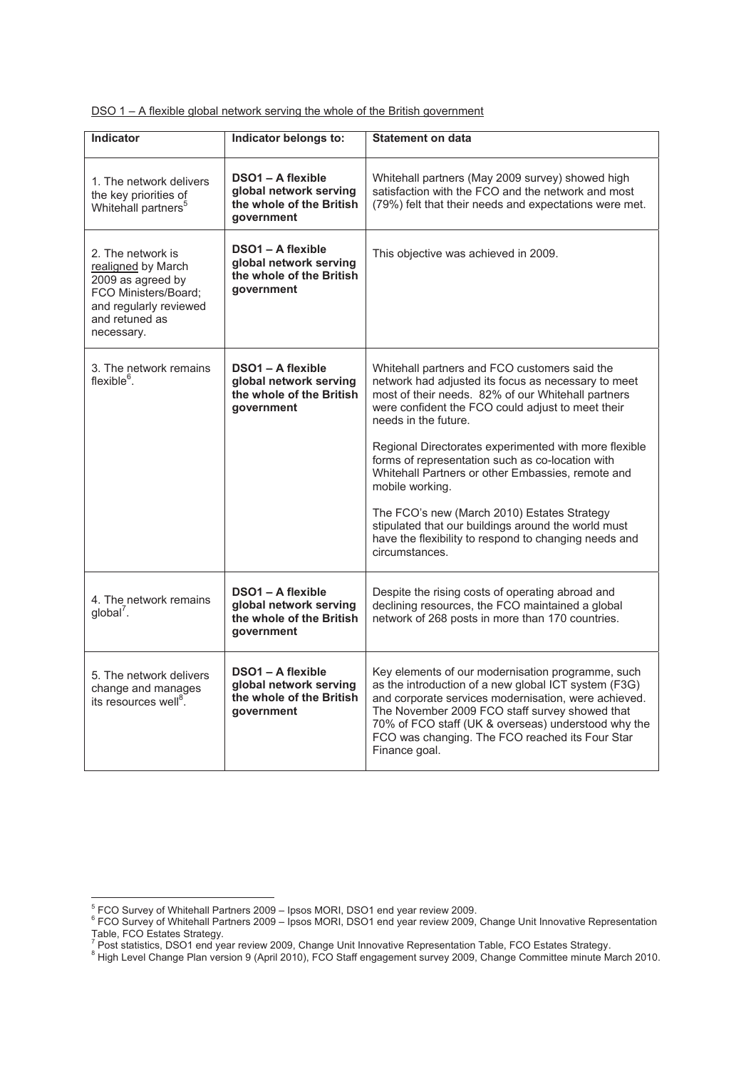| <b>Indicator</b>                                                                                                                               | Indicator belongs to:                                                                 | <b>Statement on data</b>                                                                                                                                                                                                                                                                                                                             |
|------------------------------------------------------------------------------------------------------------------------------------------------|---------------------------------------------------------------------------------------|------------------------------------------------------------------------------------------------------------------------------------------------------------------------------------------------------------------------------------------------------------------------------------------------------------------------------------------------------|
| 1. The network delivers<br>the key priorities of<br>Whitehall partners <sup>5</sup>                                                            | DSO1 - A flexible<br>global network serving<br>the whole of the British<br>aovernment | Whitehall partners (May 2009 survey) showed high<br>satisfaction with the FCO and the network and most<br>(79%) felt that their needs and expectations were met.                                                                                                                                                                                     |
| 2. The network is<br>realigned by March<br>2009 as agreed by<br>FCO Ministers/Board:<br>and regularly reviewed<br>and retuned as<br>necessary. | DSO1 - A flexible<br>global network serving<br>the whole of the British<br>aovernment | This objective was achieved in 2009.                                                                                                                                                                                                                                                                                                                 |
| 3. The network remains<br>flexible <sup>6</sup> .                                                                                              | DSO1 - A flexible<br>global network serving<br>the whole of the British<br>aovernment | Whitehall partners and FCO customers said the<br>network had adjusted its focus as necessary to meet<br>most of their needs. 82% of our Whitehall partners<br>were confident the FCO could adjust to meet their<br>needs in the future.<br>Regional Directorates experimented with more flexible<br>forms of representation such as co-location with |
|                                                                                                                                                |                                                                                       | Whitehall Partners or other Embassies, remote and<br>mobile working.                                                                                                                                                                                                                                                                                 |
|                                                                                                                                                |                                                                                       | The FCO's new (March 2010) Estates Strategy<br>stipulated that our buildings around the world must<br>have the flexibility to respond to changing needs and<br>circumstances.                                                                                                                                                                        |
| 4. The network remains<br>$global7$ .                                                                                                          | DSO1 - A flexible<br>global network serving<br>the whole of the British<br>government | Despite the rising costs of operating abroad and<br>declining resources, the FCO maintained a global<br>network of 268 posts in more than 170 countries.                                                                                                                                                                                             |
| 5. The network delivers<br>change and manages<br>its resources well <sup>8</sup> .                                                             | DSO1 - A flexible<br>global network serving<br>the whole of the British<br>government | Key elements of our modernisation programme, such<br>as the introduction of a new global ICT system (F3G)<br>and corporate services modernisation, were achieved.<br>The November 2009 FCO staff survey showed that<br>70% of FCO staff (UK & overseas) understood why the<br>FCO was changing. The FCO reached its Four Star<br>Finance goal.       |

DSO 1 - A flexible global network serving the whole of the British government

 5 FCO Survey of Whitehall Partners 2009 <sup>±</sup> Ipsos MORI, DSO1 end year review 2009. 6 FCO Survey of Whitehall Partners 2009 ± Ipsos MORI, DSO1 end year review 2009, Change Unit Innovative Representation

Table, FCO Estates Strategy.<br><sup>7</sup> Post statistics, DSO1 end year review 2009, Change Unit Innovative Representation Table, FCO Estates Strategy.<br><sup>8</sup> High Level Change Plan version 9 (April 2010), FCO Staff engagement survey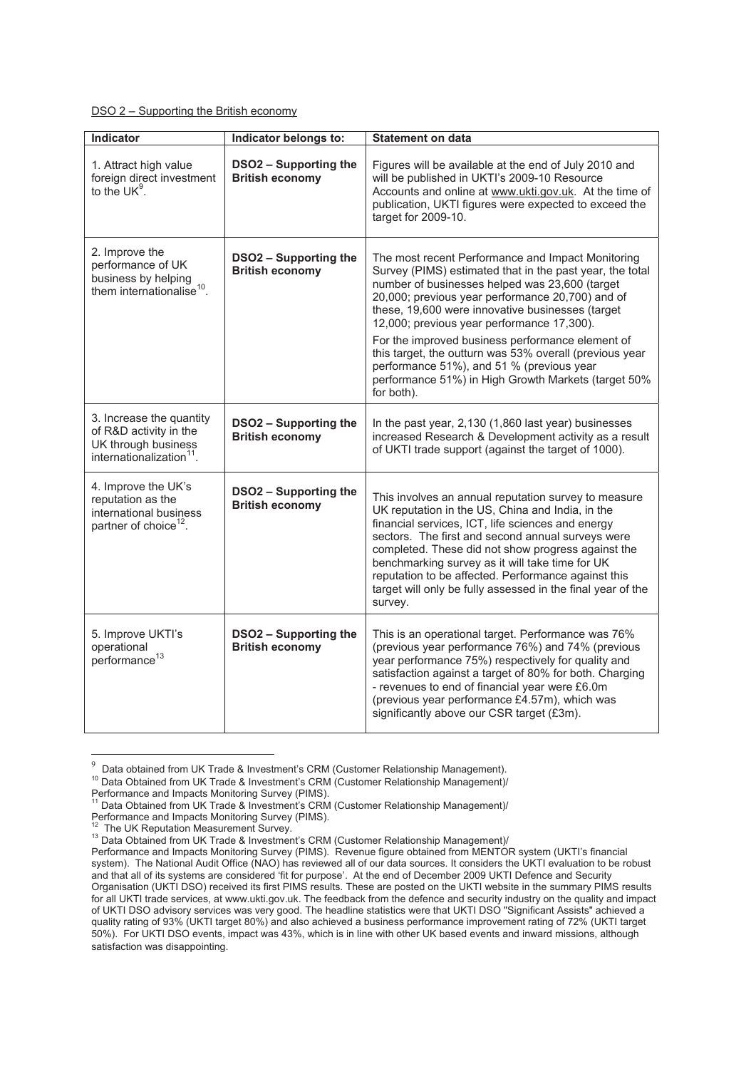|  |  | DSO 2 – Supporting the British economy |
|--|--|----------------------------------------|
|  |  |                                        |

| <b>Indicator</b>                                                                                                  | Indicator belongs to:                                  | <b>Statement on data</b>                                                                                                                                                                                                                                                                                                                                                                                                                                                                                                                               |
|-------------------------------------------------------------------------------------------------------------------|--------------------------------------------------------|--------------------------------------------------------------------------------------------------------------------------------------------------------------------------------------------------------------------------------------------------------------------------------------------------------------------------------------------------------------------------------------------------------------------------------------------------------------------------------------------------------------------------------------------------------|
| 1. Attract high value<br>foreign direct investment<br>to the $UK9$ .                                              | DSO2 - Supporting the<br><b>British economy</b>        | Figures will be available at the end of July 2010 and<br>will be published in UKTI's 2009-10 Resource<br>Accounts and online at www.ukti.gov.uk. At the time of<br>publication, UKTI figures were expected to exceed the<br>target for 2009-10.                                                                                                                                                                                                                                                                                                        |
| 2. Improve the<br>performance of UK<br>business by helping<br>them internationalise <sup>10</sup> .               | DSO2 - Supporting the<br><b>British economy</b>        | The most recent Performance and Impact Monitoring<br>Survey (PIMS) estimated that in the past year, the total<br>number of businesses helped was 23,600 (target<br>20,000; previous year performance 20,700) and of<br>these, 19,600 were innovative businesses (target<br>12,000; previous year performance 17,300).<br>For the improved business performance element of<br>this target, the outturn was 53% overall (previous year<br>performance 51%), and 51 % (previous year<br>performance 51%) in High Growth Markets (target 50%<br>for both). |
| 3. Increase the quantity<br>of R&D activity in the<br>UK through business<br>internationalization <sup>11</sup> . | DSO2 - Supporting the<br><b>British economy</b>        | In the past year, 2,130 (1,860 last year) businesses<br>increased Research & Development activity as a result<br>of UKTI trade support (against the target of 1000).                                                                                                                                                                                                                                                                                                                                                                                   |
| 4. Improve the UK's<br>reputation as the<br>international business<br>partner of choice <sup>12</sup> .           | DSO2 - Supporting the<br><b>British economy</b>        | This involves an annual reputation survey to measure<br>UK reputation in the US, China and India, in the<br>financial services, ICT, life sciences and energy<br>sectors. The first and second annual surveys were<br>completed. These did not show progress against the<br>benchmarking survey as it will take time for UK<br>reputation to be affected. Performance against this<br>target will only be fully assessed in the final year of the<br>survey.                                                                                           |
| 5. Improve UKTI's<br>operational<br>performance <sup>13</sup>                                                     | <b>DSO2 - Supporting the</b><br><b>British economy</b> | This is an operational target. Performance was 76%<br>(previous year performance 76%) and 74% (previous<br>year performance 75%) respectively for quality and<br>satisfaction against a target of 80% for both. Charging<br>- revenues to end of financial year were £6.0m<br>(previous year performance £4.57m), which was<br>significantly above our CSR target (£3m).                                                                                                                                                                               |

 $\frac{1}{9}$ 

 $\frac{9}{10}$  Data obtained from UK Trade & Investment's CRM (Customer Relationship Management). 10 Data Obtained from UK Trade & Investment's CRM (Customer Relationship Management)/

Performance and Impacts Monitoring Survey (PIMS).<br>Performance and Impacts Monitoring Survey (PIMS).

Data Obtained from UK Trade & Investment's CRM (Customer Relationship Management)/ Performance and Impacts Monitoring Survey (PIMS).<br><sup>12</sup> The UK Reputation Measurement Survey.

<sup>13</sup> Data Obtained from UK Trade & Investment's CRM (Customer Relationship Management)/

Performance and Impacts Monitoring Survey (PIMS). Revenue figure obtained from MENTOR system (UKTI's financial system). The National Audit Office (NAO) has reviewed all of our data sources. It considers the UKTI evaluation to be robust and that all of its systems are considered 'fit for purpose'. At the end of December 2009 UKTI Defence and Security Organisation (UKTI DSO) received its first PIMS results. These are posted on the UKTI website in the summary PIMS results for all UKTI trade services, at www.ukti.gov.uk. The feedback from the defence and security industry on the quality and impact of UKTI DSO advisory services was very good. The headline statistics were that UKTI DSO "Significant Assists" achieved a quality rating of 93% (UKTI target 80%) and also achieved a business performance improvement rating of 72% (UKTI target 50%). For UKTI DSO events, impact was 43%, which is in line with other UK based events and inward missions, although satisfaction was disappointing.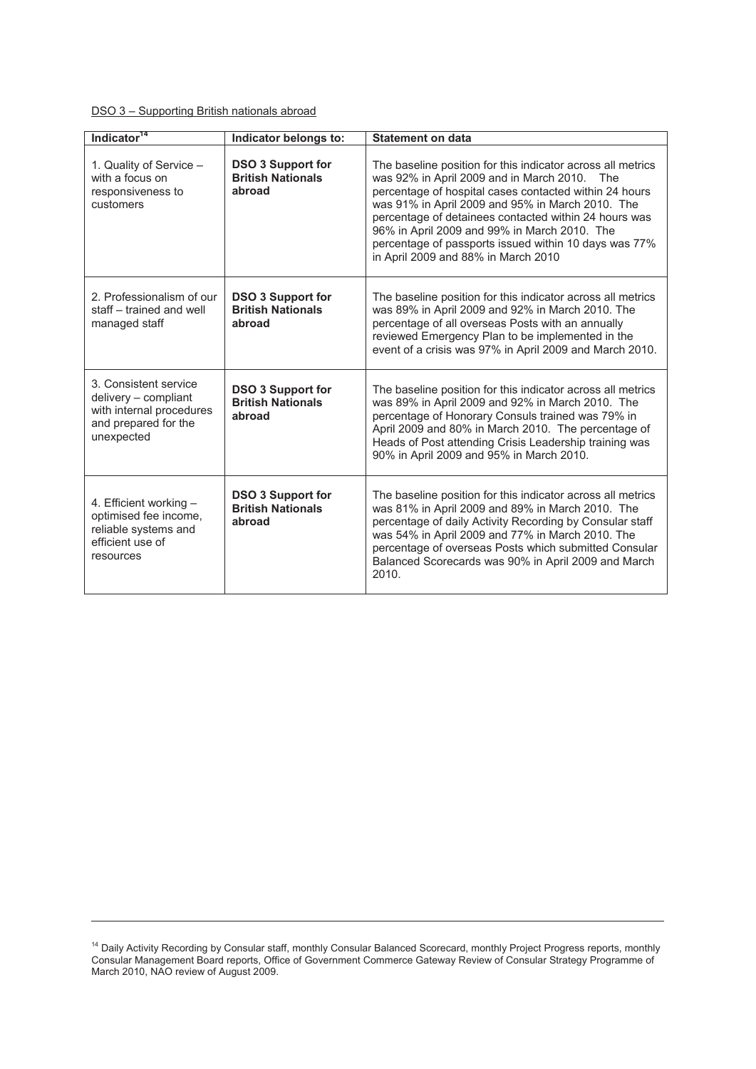| DSO 3 - Supporting British nationals abroad |  |  |
|---------------------------------------------|--|--|
|                                             |  |  |

-

| Indicator <sup>14</sup>                                                                                         | Indicator belongs to:                                          | <b>Statement on data</b>                                                                                                                                                                                                                                                                                                                                                                                                           |
|-----------------------------------------------------------------------------------------------------------------|----------------------------------------------------------------|------------------------------------------------------------------------------------------------------------------------------------------------------------------------------------------------------------------------------------------------------------------------------------------------------------------------------------------------------------------------------------------------------------------------------------|
| 1. Quality of Service -<br>with a focus on<br>responsiveness to<br>customers                                    | <b>DSO 3 Support for</b><br><b>British Nationals</b><br>abroad | The baseline position for this indicator across all metrics<br>was 92% in April 2009 and in March 2010. The<br>percentage of hospital cases contacted within 24 hours<br>was 91% in April 2009 and 95% in March 2010. The<br>percentage of detainees contacted within 24 hours was<br>96% in April 2009 and 99% in March 2010. The<br>percentage of passports issued within 10 days was 77%<br>in April 2009 and 88% in March 2010 |
| 2. Professionalism of our<br>staff – trained and well<br>managed staff                                          | <b>DSO 3 Support for</b><br><b>British Nationals</b><br>abroad | The baseline position for this indicator across all metrics<br>was 89% in April 2009 and 92% in March 2010. The<br>percentage of all overseas Posts with an annually<br>reviewed Emergency Plan to be implemented in the<br>event of a crisis was 97% in April 2009 and March 2010.                                                                                                                                                |
| 3. Consistent service<br>delivery - compliant<br>with internal procedures<br>and prepared for the<br>unexpected | <b>DSO 3 Support for</b><br><b>British Nationals</b><br>abroad | The baseline position for this indicator across all metrics<br>was 89% in April 2009 and 92% in March 2010. The<br>percentage of Honorary Consuls trained was 79% in<br>April 2009 and 80% in March 2010. The percentage of<br>Heads of Post attending Crisis Leadership training was<br>90% in April 2009 and 95% in March 2010.                                                                                                  |
| 4. Efficient working -<br>optimised fee income,<br>reliable systems and<br>efficient use of<br>resources        | <b>DSO 3 Support for</b><br><b>British Nationals</b><br>abroad | The baseline position for this indicator across all metrics<br>was 81% in April 2009 and 89% in March 2010. The<br>percentage of daily Activity Recording by Consular staff<br>was 54% in April 2009 and 77% in March 2010. The<br>percentage of overseas Posts which submitted Consular<br>Balanced Scorecards was 90% in April 2009 and March<br>2010.                                                                           |

<sup>&</sup>lt;sup>14</sup> Daily Activity Recording by Consular staff, monthly Consular Balanced Scorecard, monthly Project Progress reports, monthly Consular Management Board reports, Office of Government Commerce Gateway Review of Consular Strategy Programme of March 2010, NAO review of August 2009.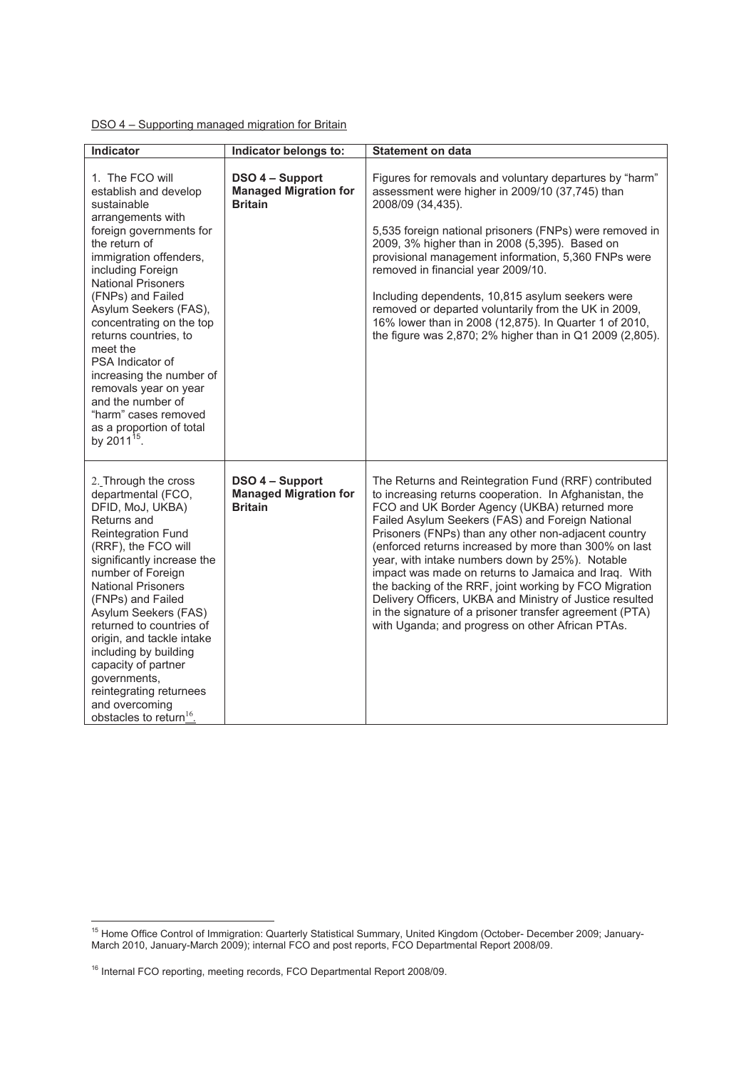# DSO 4 - Supporting managed migration for Britain

| Indicator                                                                                                                                                                                                                                                                                                                                                                                                                                                                                        | Indicator belongs to:                                             | <b>Statement on data</b>                                                                                                                                                                                                                                                                                                                                                                                                                                                                                                                                                                                                                                                             |
|--------------------------------------------------------------------------------------------------------------------------------------------------------------------------------------------------------------------------------------------------------------------------------------------------------------------------------------------------------------------------------------------------------------------------------------------------------------------------------------------------|-------------------------------------------------------------------|--------------------------------------------------------------------------------------------------------------------------------------------------------------------------------------------------------------------------------------------------------------------------------------------------------------------------------------------------------------------------------------------------------------------------------------------------------------------------------------------------------------------------------------------------------------------------------------------------------------------------------------------------------------------------------------|
| 1. The FCO will<br>establish and develop<br>sustainable<br>arrangements with<br>foreign governments for<br>the return of<br>immigration offenders,<br>including Foreign<br><b>National Prisoners</b><br>(FNPs) and Failed<br>Asylum Seekers (FAS),<br>concentrating on the top<br>returns countries, to<br>meet the<br>PSA Indicator of<br>increasing the number of<br>removals year on year<br>and the number of<br>"harm" cases removed<br>as a proportion of total<br>by 2011 <sup>15</sup> . | DSO 4 - Support<br><b>Managed Migration for</b><br><b>Britain</b> | Figures for removals and voluntary departures by "harm"<br>assessment were higher in 2009/10 (37,745) than<br>2008/09 (34,435).<br>5,535 foreign national prisoners (FNPs) were removed in<br>2009, 3% higher than in 2008 (5,395). Based on<br>provisional management information, 5,360 FNPs were<br>removed in financial year 2009/10.<br>Including dependents, 10,815 asylum seekers were<br>removed or departed voluntarily from the UK in 2009,<br>16% lower than in 2008 (12,875). In Quarter 1 of 2010,<br>the figure was 2,870; 2% higher than in Q1 2009 (2,805).                                                                                                          |
| 2. Through the cross<br>departmental (FCO,<br>DFID, MoJ, UKBA)<br>Returns and<br>Reintegration Fund<br>(RRF), the FCO will<br>significantly increase the<br>number of Foreign<br><b>National Prisoners</b><br>(FNPs) and Failed<br>Asylum Seekers (FAS)<br>returned to countries of<br>origin, and tackle intake<br>including by building<br>capacity of partner<br>governments,<br>reintegrating returnees<br>and overcoming<br>obstacles to return <sup>16</sup> .                             | DSO 4 - Support<br><b>Managed Migration for</b><br><b>Britain</b> | The Returns and Reintegration Fund (RRF) contributed<br>to increasing returns cooperation. In Afghanistan, the<br>FCO and UK Border Agency (UKBA) returned more<br>Failed Asylum Seekers (FAS) and Foreign National<br>Prisoners (FNPs) than any other non-adjacent country<br>(enforced returns increased by more than 300% on last<br>year, with intake numbers down by 25%). Notable<br>impact was made on returns to Jamaica and Iraq. With<br>the backing of the RRF, joint working by FCO Migration<br>Delivery Officers, UKBA and Ministry of Justice resulted<br>in the signature of a prisoner transfer agreement (PTA)<br>with Uganda; and progress on other African PTAs. |

<sup>&</sup>lt;sup>15</sup> Home Office Control of Immigration: Quarterly Statistical Summary, United Kingdom (October- December 2009; January-March 2010, January-March 2009); internal FCO and post reports, FCO Departmental Report 2008/09.

<sup>&</sup>lt;sup>16</sup> Internal FCO reporting, meeting records, FCO Departmental Report 2008/09.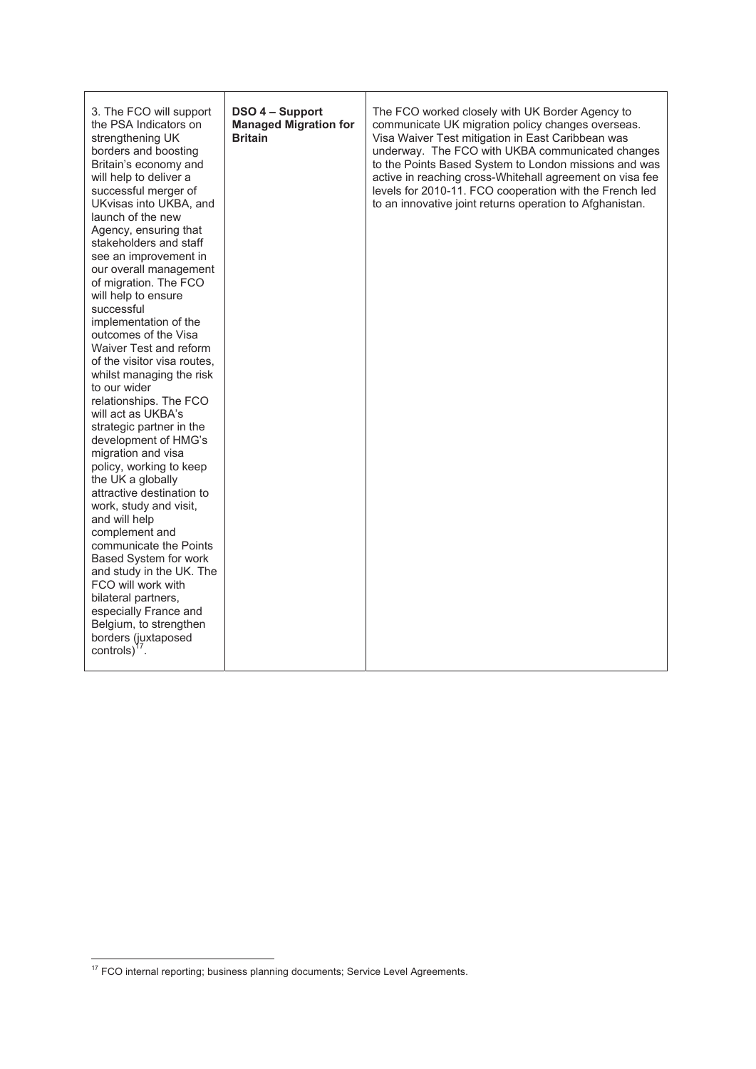| 3. The FCO will support<br>the PSA Indicators on<br>strengthening UK<br>borders and boosting<br>Britain's economy and<br>will help to deliver a<br>successful merger of<br>UKvisas into UKBA, and<br>launch of the new<br>Agency, ensuring that<br>stakeholders and staff<br>see an improvement in<br>our overall management<br>of migration. The FCO<br>will help to ensure<br>successful<br>implementation of the<br>outcomes of the Visa<br>Waiver Test and reform<br>of the visitor visa routes,<br>whilst managing the risk<br>to our wider<br>relationships. The FCO<br>will act as UKBA's<br>strategic partner in the<br>development of HMG's<br>migration and visa<br>policy, working to keep<br>the UK a globally<br>attractive destination to<br>work, study and visit,<br>and will help<br>complement and<br>communicate the Points<br>Based System for work<br>and study in the UK. The<br>FCO will work with<br>bilateral partners,<br>especially France and<br>Belgium, to strengthen | DSO 4 – Support<br><b>Managed Migration for</b><br><b>Britain</b> | The FCO worked closely with UK Border Agency to<br>communicate UK migration policy changes overseas.<br>Visa Waiver Test mitigation in East Caribbean was<br>underway. The FCO with UKBA communicated changes<br>to the Points Based System to London missions and was<br>active in reaching cross-Whitehall agreement on visa fee<br>levels for 2010-11. FCO cooperation with the French led<br>to an innovative joint returns operation to Afghanistan. |
|-----------------------------------------------------------------------------------------------------------------------------------------------------------------------------------------------------------------------------------------------------------------------------------------------------------------------------------------------------------------------------------------------------------------------------------------------------------------------------------------------------------------------------------------------------------------------------------------------------------------------------------------------------------------------------------------------------------------------------------------------------------------------------------------------------------------------------------------------------------------------------------------------------------------------------------------------------------------------------------------------------|-------------------------------------------------------------------|-----------------------------------------------------------------------------------------------------------------------------------------------------------------------------------------------------------------------------------------------------------------------------------------------------------------------------------------------------------------------------------------------------------------------------------------------------------|
| borders (juxtaposed<br>controls) $17$ .                                                                                                                                                                                                                                                                                                                                                                                                                                                                                                                                                                                                                                                                                                                                                                                                                                                                                                                                                             |                                                                   |                                                                                                                                                                                                                                                                                                                                                                                                                                                           |

<sup>&</sup>lt;sup>17</sup> FCO internal reporting; business planning documents; Service Level Agreements.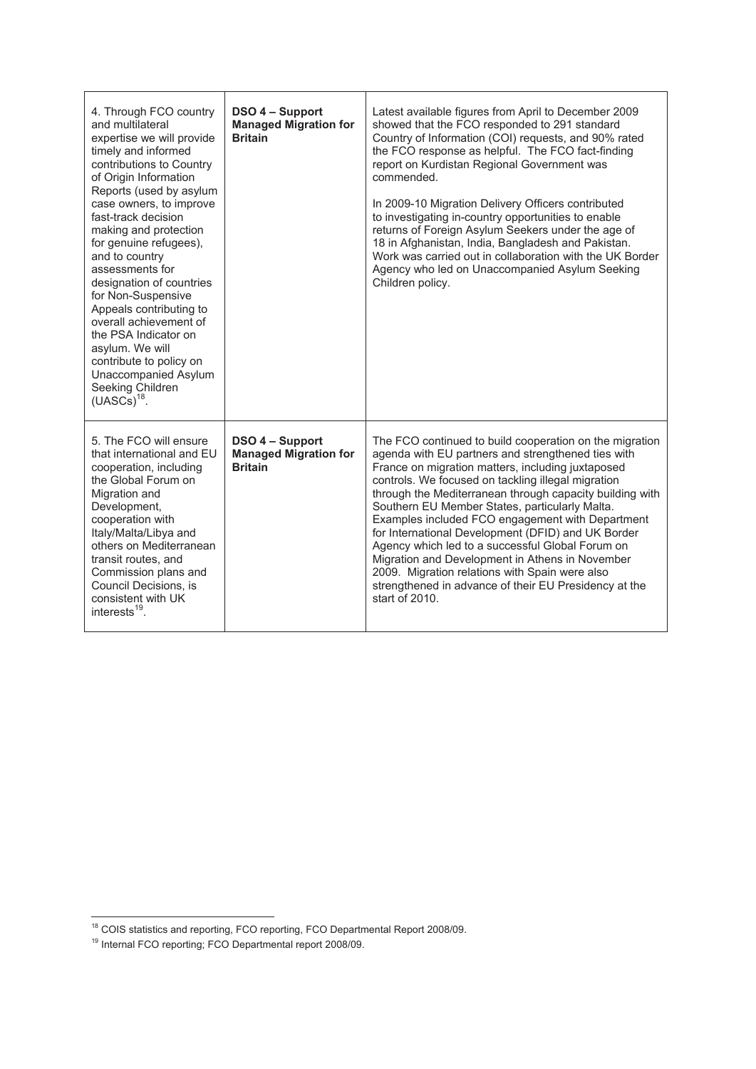| 4. Through FCO country<br>and multilateral<br>expertise we will provide<br>timely and informed<br>contributions to Country<br>of Origin Information<br>Reports (used by asylum<br>case owners, to improve<br>fast-track decision<br>making and protection<br>for genuine refugees),<br>and to country<br>assessments for<br>designation of countries<br>for Non-Suspensive<br>Appeals contributing to<br>overall achievement of<br>the PSA Indicator on<br>asylum. We will<br>contribute to policy on<br>Unaccompanied Asylum<br>Seeking Children<br>$(UASCs)^{18}$ . | DSO 4 - Support<br><b>Managed Migration for</b><br><b>Britain</b> | Latest available figures from April to December 2009<br>showed that the FCO responded to 291 standard<br>Country of Information (COI) requests, and 90% rated<br>the FCO response as helpful. The FCO fact-finding<br>report on Kurdistan Regional Government was<br>commended.<br>In 2009-10 Migration Delivery Officers contributed<br>to investigating in-country opportunities to enable<br>returns of Foreign Asylum Seekers under the age of<br>18 in Afghanistan, India, Bangladesh and Pakistan.<br>Work was carried out in collaboration with the UK Border<br>Agency who led on Unaccompanied Asylum Seeking<br>Children policy.                                           |
|-----------------------------------------------------------------------------------------------------------------------------------------------------------------------------------------------------------------------------------------------------------------------------------------------------------------------------------------------------------------------------------------------------------------------------------------------------------------------------------------------------------------------------------------------------------------------|-------------------------------------------------------------------|--------------------------------------------------------------------------------------------------------------------------------------------------------------------------------------------------------------------------------------------------------------------------------------------------------------------------------------------------------------------------------------------------------------------------------------------------------------------------------------------------------------------------------------------------------------------------------------------------------------------------------------------------------------------------------------|
| 5. The FCO will ensure<br>that international and EU<br>cooperation, including<br>the Global Forum on<br>Migration and<br>Development,<br>cooperation with<br>Italy/Malta/Libya and<br>others on Mediterranean<br>transit routes, and<br>Commission plans and<br>Council Decisions, is<br>consistent with UK<br>interests $19$ .                                                                                                                                                                                                                                       | DSO 4 - Support<br><b>Managed Migration for</b><br><b>Britain</b> | The FCO continued to build cooperation on the migration<br>agenda with EU partners and strengthened ties with<br>France on migration matters, including juxtaposed<br>controls. We focused on tackling illegal migration<br>through the Mediterranean through capacity building with<br>Southern EU Member States, particularly Malta.<br>Examples included FCO engagement with Department<br>for International Development (DFID) and UK Border<br>Agency which led to a successful Global Forum on<br>Migration and Development in Athens in November<br>2009. Migration relations with Spain were also<br>strengthened in advance of their EU Presidency at the<br>start of 2010. |

<sup>-</sup><sup>18</sup> COIS statistics and reporting, FCO reporting, FCO Departmental Report 2008/09.

<sup>&</sup>lt;sup>19</sup> Internal FCO reporting; FCO Departmental report 2008/09.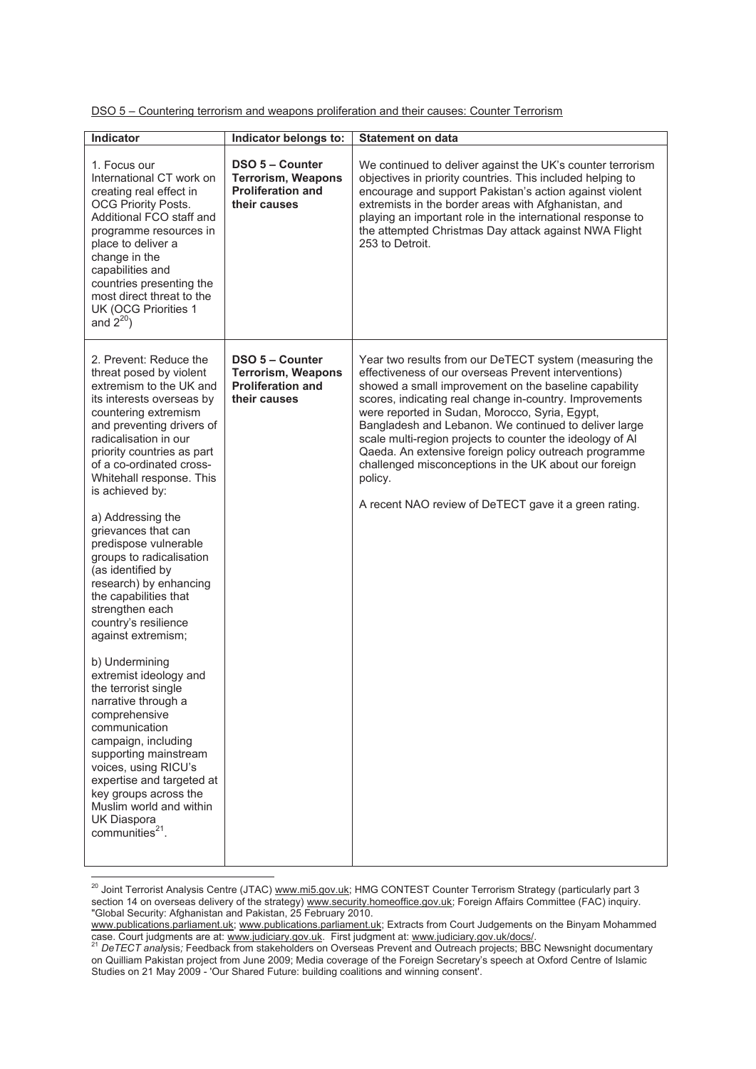| Indicator                                                                                                                                                                                                                                                                                                                                                                                                                                                                                                                                                                                                                                                                                                                                                                                                                                                                             | Indicator belongs to:                                                                           | <b>Statement on data</b>                                                                                                                                                                                                                                                                                                                                                                                                                                                                                                                                                                         |
|---------------------------------------------------------------------------------------------------------------------------------------------------------------------------------------------------------------------------------------------------------------------------------------------------------------------------------------------------------------------------------------------------------------------------------------------------------------------------------------------------------------------------------------------------------------------------------------------------------------------------------------------------------------------------------------------------------------------------------------------------------------------------------------------------------------------------------------------------------------------------------------|-------------------------------------------------------------------------------------------------|--------------------------------------------------------------------------------------------------------------------------------------------------------------------------------------------------------------------------------------------------------------------------------------------------------------------------------------------------------------------------------------------------------------------------------------------------------------------------------------------------------------------------------------------------------------------------------------------------|
| 1. Focus our<br>International CT work on<br>creating real effect in<br>OCG Priority Posts.<br>Additional FCO staff and<br>programme resources in<br>place to deliver a<br>change in the<br>capabilities and<br>countries presenting the<br>most direct threat to the<br>UK (OCG Priorities 1<br>and $2^{20}$ )                                                                                                                                                                                                                                                                                                                                                                                                                                                                                                                                                                        | <b>DSO 5 - Counter</b><br><b>Terrorism, Weapons</b><br><b>Proliferation and</b><br>their causes | We continued to deliver against the UK's counter terrorism<br>objectives in priority countries. This included helping to<br>encourage and support Pakistan's action against violent<br>extremists in the border areas with Afghanistan, and<br>playing an important role in the international response to<br>the attempted Christmas Day attack against NWA Flight<br>253 to Detroit.                                                                                                                                                                                                            |
| 2. Prevent: Reduce the<br>threat posed by violent<br>extremism to the UK and<br>its interests overseas by<br>countering extremism<br>and preventing drivers of<br>radicalisation in our<br>priority countries as part<br>of a co-ordinated cross-<br>Whitehall response. This<br>is achieved by:<br>a) Addressing the<br>grievances that can<br>predispose vulnerable<br>groups to radicalisation<br>(as identified by<br>research) by enhancing<br>the capabilities that<br>strengthen each<br>country's resilience<br>against extremism;<br>b) Undermining<br>extremist ideology and<br>the terrorist single<br>narrative through a<br>comprehensive<br>communication<br>campaign, including<br>supporting mainstream<br>voices, using RICU's<br>expertise and targeted at<br>key groups across the<br>Muslim world and within<br><b>UK Diaspora</b><br>communities <sup>21</sup> . | <b>DSO 5 - Counter</b><br><b>Terrorism, Weapons</b><br><b>Proliferation and</b><br>their causes | Year two results from our DeTECT system (measuring the<br>effectiveness of our overseas Prevent interventions)<br>showed a small improvement on the baseline capability<br>scores, indicating real change in-country. Improvements<br>were reported in Sudan, Morocco, Syria, Egypt,<br>Bangladesh and Lebanon. We continued to deliver large<br>scale multi-region projects to counter the ideology of Al<br>Qaeda. An extensive foreign policy outreach programme<br>challenged misconceptions in the UK about our foreign<br>policy.<br>A recent NAO review of DeTECT gave it a green rating. |

DSO 5 - Countering terrorism and weapons proliferation and their causes: Counter Terrorism

<sup>&</sup>lt;sup>20</sup> Joint Terrorist Analysis Centre (JTAC) <u>www.mi5.gov.uk</u>; HMG CONTEST Counter Terrorism Strategy (particularly part 3 section 14 on overseas delivery of the strategy) www.security.homeoffice.gov.uk; Foreign Affairs Committee (FAC) inquiry. "Global Security: Afghanistan and Pakistan, 25 February 2010.

www.publications.parliament.uk; www.publications.parliament.uk; Extracts from Court Judgements on the Binyam Mohammed 21<br>Detection and State Court judgments are at: www.judiciary.gov.uk/. First judgment at: www.judiciary.gov.uk/docs/.<br>21 DeTECT analysis; Feedback from stakeholders on Overseas Prevent and Outreach projects; BBC Newsnight d

on Quilliam Pakistan project from June 2009; Media coverage of the Foreign Secretary's speech at Oxford Centre of Islamic Studies on 21 May 2009 - 'Our Shared Future: building coalitions and winning consent'.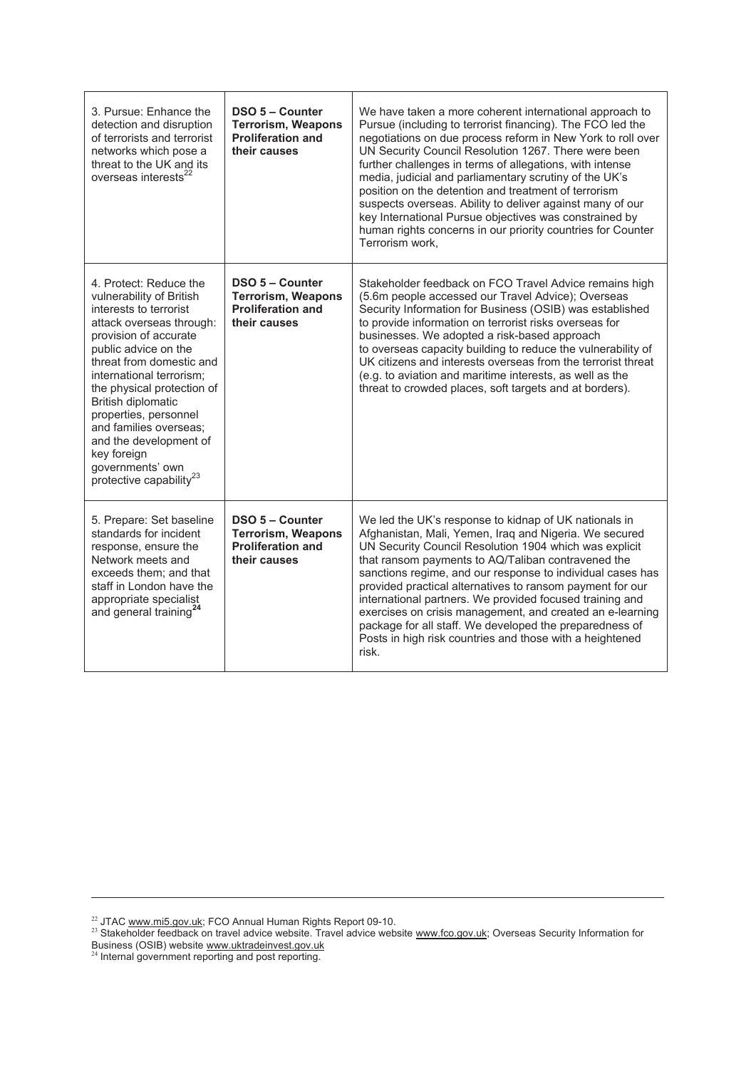| 3. Pursue: Enhance the<br>detection and disruption<br>of terrorists and terrorist<br>networks which pose a<br>threat to the UK and its<br>overseas interests <sup>22</sup>                                                                                                                                                                                                                                                          | DSO 5 - Counter<br><b>Terrorism, Weapons</b><br><b>Proliferation and</b><br>their causes | We have taken a more coherent international approach to<br>Pursue (including to terrorist financing). The FCO led the<br>negotiations on due process reform in New York to roll over<br>UN Security Council Resolution 1267. There were been<br>further challenges in terms of allegations, with intense<br>media, judicial and parliamentary scrutiny of the UK's<br>position on the detention and treatment of terrorism<br>suspects overseas. Ability to deliver against many of our<br>key International Pursue objectives was constrained by<br>human rights concerns in our priority countries for Counter<br>Terrorism work, |
|-------------------------------------------------------------------------------------------------------------------------------------------------------------------------------------------------------------------------------------------------------------------------------------------------------------------------------------------------------------------------------------------------------------------------------------|------------------------------------------------------------------------------------------|-------------------------------------------------------------------------------------------------------------------------------------------------------------------------------------------------------------------------------------------------------------------------------------------------------------------------------------------------------------------------------------------------------------------------------------------------------------------------------------------------------------------------------------------------------------------------------------------------------------------------------------|
| 4. Protect: Reduce the<br>vulnerability of British<br>interests to terrorist<br>attack overseas through:<br>provision of accurate<br>public advice on the<br>threat from domestic and<br>international terrorism;<br>the physical protection of<br><b>British diplomatic</b><br>properties, personnel<br>and families overseas;<br>and the development of<br>key foreign<br>governments' own<br>protective capability <sup>23</sup> | DSO 5 - Counter<br><b>Terrorism, Weapons</b><br><b>Proliferation and</b><br>their causes | Stakeholder feedback on FCO Travel Advice remains high<br>(5.6m people accessed our Travel Advice); Overseas<br>Security Information for Business (OSIB) was established<br>to provide information on terrorist risks overseas for<br>businesses. We adopted a risk-based approach<br>to overseas capacity building to reduce the vulnerability of<br>UK citizens and interests overseas from the terrorist threat<br>(e.g. to aviation and maritime interests, as well as the<br>threat to crowded places, soft targets and at borders).                                                                                           |
| 5. Prepare: Set baseline<br>standards for incident<br>response, ensure the<br>Network meets and<br>exceeds them; and that<br>staff in London have the<br>appropriate specialist<br>and general training <sup>24</sup>                                                                                                                                                                                                               | DSO 5 - Counter<br><b>Terrorism, Weapons</b><br><b>Proliferation and</b><br>their causes | We led the UK's response to kidnap of UK nationals in<br>Afghanistan, Mali, Yemen, Iraq and Nigeria. We secured<br>UN Security Council Resolution 1904 which was explicit<br>that ransom payments to AQ/Taliban contravened the<br>sanctions regime, and our response to individual cases has<br>provided practical alternatives to ransom payment for our<br>international partners. We provided focused training and<br>exercises on crisis management, and created an e-learning<br>package for all staff. We developed the preparedness of<br>Posts in high risk countries and those with a heightened<br>risk.                 |

<sup>&</sup>lt;sup>22</sup> JTAC <u>www.mi5.gov.uk</u>; FCO Annual Human Rights Report 09-10.<br><sup>23</sup> Stakeholder feedback on travel advice website. Travel advice website <u>www.fco.gov.uk</u>; Overseas Security Information for

Business (OSIB) website <u>www.uktradeinvest.gov.uk</u><br><sup>24</sup> Internal government reporting and post reporting.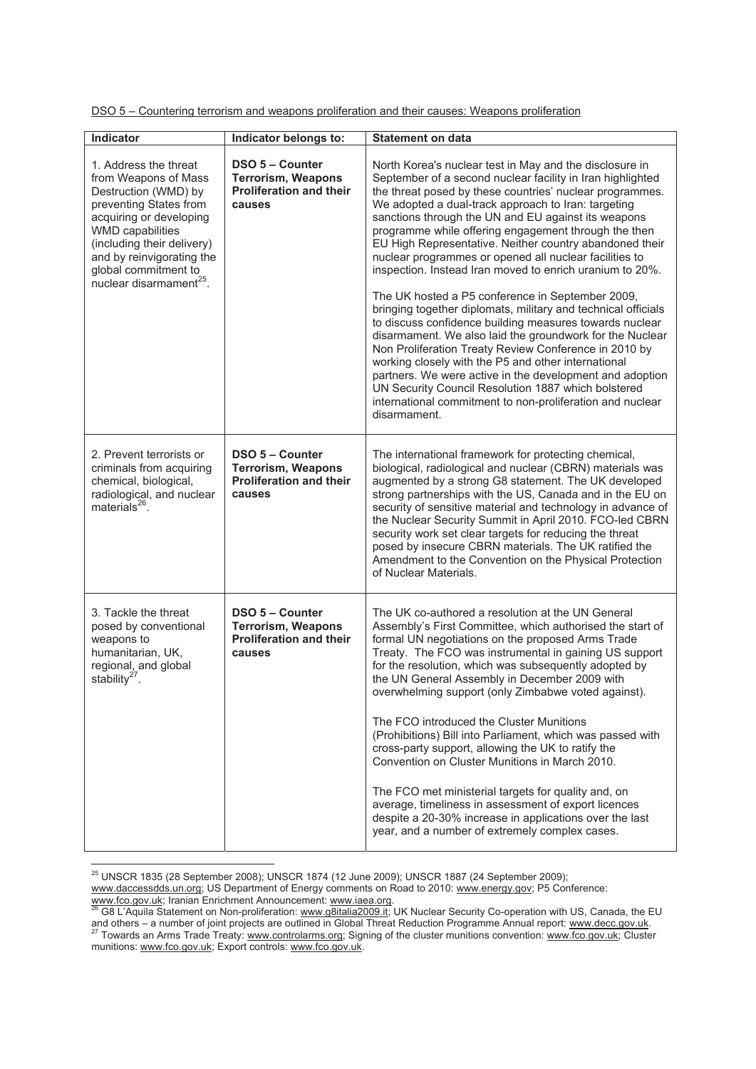| Indicator                                                                                                                                                                                                                                                                       | Indicator belongs to:                                                                           | <b>Statement on data</b>                                                                                                                                                                                                                                                                                                                                                                                                                                                                                                                                                                                                                                                                                                                                                                                                                                                                                                                                                                                                                                                                             |
|---------------------------------------------------------------------------------------------------------------------------------------------------------------------------------------------------------------------------------------------------------------------------------|-------------------------------------------------------------------------------------------------|------------------------------------------------------------------------------------------------------------------------------------------------------------------------------------------------------------------------------------------------------------------------------------------------------------------------------------------------------------------------------------------------------------------------------------------------------------------------------------------------------------------------------------------------------------------------------------------------------------------------------------------------------------------------------------------------------------------------------------------------------------------------------------------------------------------------------------------------------------------------------------------------------------------------------------------------------------------------------------------------------------------------------------------------------------------------------------------------------|
| 1. Address the threat<br>from Weapons of Mass<br>Destruction (WMD) by<br>preventing States from<br>acquiring or developing<br><b>WMD</b> capabilities<br>(including their delivery)<br>and by reinvigorating the<br>global commitment to<br>nuclear disarmament <sup>25</sup> . | DSO 5 - Counter<br><b>Terrorism, Weapons</b><br><b>Proliferation and their</b><br>causes        | North Korea's nuclear test in May and the disclosure in<br>September of a second nuclear facility in Iran highlighted<br>the threat posed by these countries' nuclear programmes.<br>We adopted a dual-track approach to Iran: targeting<br>sanctions through the UN and EU against its weapons<br>programme while offering engagement through the then<br>EU High Representative. Neither country abandoned their<br>nuclear programmes or opened all nuclear facilities to<br>inspection. Instead Iran moved to enrich uranium to 20%.<br>The UK hosted a P5 conference in September 2009,<br>bringing together diplomats, military and technical officials<br>to discuss confidence building measures towards nuclear<br>disarmament. We also laid the groundwork for the Nuclear<br>Non Proliferation Treaty Review Conference in 2010 by<br>working closely with the P5 and other international<br>partners. We were active in the development and adoption<br>UN Security Council Resolution 1887 which bolstered<br>international commitment to non-proliferation and nuclear<br>disarmament. |
| 2. Prevent terrorists or<br>criminals from acquiring<br>chemical, biological,<br>radiological, and nuclear<br>materials $^{26}$ .                                                                                                                                               | <b>DSO 5 - Counter</b><br><b>Terrorism, Weapons</b><br><b>Proliferation and their</b><br>causes | The international framework for protecting chemical,<br>biological, radiological and nuclear (CBRN) materials was<br>augmented by a strong G8 statement. The UK developed<br>strong partnerships with the US, Canada and in the EU on<br>security of sensitive material and technology in advance of<br>the Nuclear Security Summit in April 2010. FCO-led CBRN<br>security work set clear targets for reducing the threat<br>posed by insecure CBRN materials. The UK ratified the<br>Amendment to the Convention on the Physical Protection<br>of Nuclear Materials.                                                                                                                                                                                                                                                                                                                                                                                                                                                                                                                               |
| 3. Tackle the threat<br>posed by conventional<br>weapons to<br>humanitarian, UK,<br>regional, and global<br>stability $^{27}$ .                                                                                                                                                 | DSO 5 - Counter<br><b>Terrorism, Weapons</b><br><b>Proliferation and their</b><br>causes        | The UK co-authored a resolution at the UN General<br>Assembly's First Committee, which authorised the start of<br>formal UN negotiations on the proposed Arms Trade<br>Treaty. The FCO was instrumental in gaining US support<br>for the resolution, which was subsequently adopted by<br>the UN General Assembly in December 2009 with<br>overwhelming support (only Zimbabwe voted against).<br>The FCO introduced the Cluster Munitions<br>(Prohibitions) Bill into Parliament, which was passed with<br>cross-party support, allowing the UK to ratify the<br>Convention on Cluster Munitions in March 2010.<br>The FCO met ministerial targets for quality and, on<br>average, timeliness in assessment of export licences<br>despite a 20-30% increase in applications over the last<br>year, and a number of extremely complex cases.                                                                                                                                                                                                                                                         |

DSO 5 - Countering terrorism and weapons proliferation and their causes: Weapons proliferation

 $\overline{a}$ 

 $^{25}$  UNSCR 1835 (28 September 2008); UNSCR 1874 (12 June 2009); UNSCR 1887 (24 September 2009);

www.daccessdds.un.org; US Department of Energy comments on Road to 2010: www.energy.gov; P5 Conference:

www.fco.gov.uk; Iranian Enrichment Announcement: <u>www.iaea.org</u>.<br><sup>26</sup> G8 L'Aquila Statement on Non-proliferation: <u>www.g8italia2009.it;</u> UK Nuclear Security Co-operation with US, Canada, the EU and others – a number of joint projects are outlined in Global Threat Reduction Programme Annual report: <u>www.decc.gov.uk</u>.<br><sup>27</sup> Towards an Arms Trade Treaty: <u>www.controlarms.org</u>; Signing of the cluster munitions convent munitions: www.fco.gov.uk; Export controls: www.fco.gov.uk.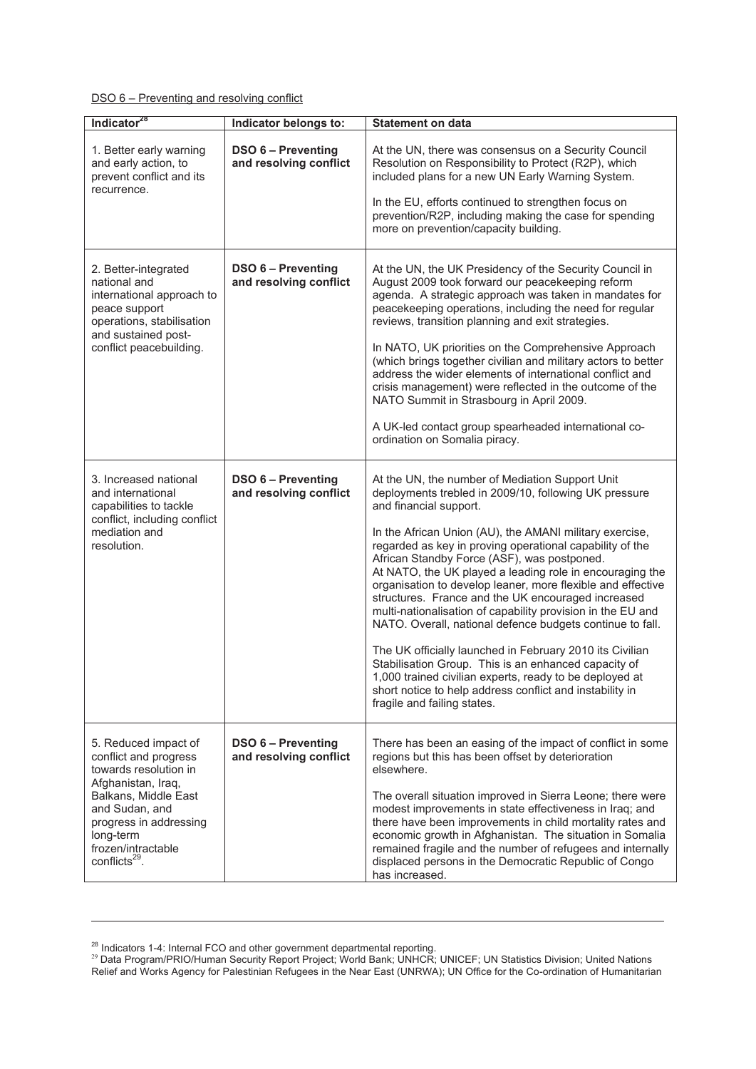DSO 6 - Preventing and resolving conflict

| Indicator <sup>28</sup>                                                                                                                                                                                                          | Indicator belongs to:                               | <b>Statement on data</b>                                                                                                                                                                                                                                                                                                                                                                                                                                                                                                                                                                                                                                                                                                                                                                                                                                                                        |
|----------------------------------------------------------------------------------------------------------------------------------------------------------------------------------------------------------------------------------|-----------------------------------------------------|-------------------------------------------------------------------------------------------------------------------------------------------------------------------------------------------------------------------------------------------------------------------------------------------------------------------------------------------------------------------------------------------------------------------------------------------------------------------------------------------------------------------------------------------------------------------------------------------------------------------------------------------------------------------------------------------------------------------------------------------------------------------------------------------------------------------------------------------------------------------------------------------------|
| 1. Better early warning<br>and early action, to<br>prevent conflict and its<br>recurrence.                                                                                                                                       | <b>DSO 6 - Preventing</b><br>and resolving conflict | At the UN, there was consensus on a Security Council<br>Resolution on Responsibility to Protect (R2P), which<br>included plans for a new UN Early Warning System.<br>In the EU, efforts continued to strengthen focus on<br>prevention/R2P, including making the case for spending<br>more on prevention/capacity building.                                                                                                                                                                                                                                                                                                                                                                                                                                                                                                                                                                     |
| 2. Better-integrated<br>national and<br>international approach to<br>peace support<br>operations, stabilisation<br>and sustained post-<br>conflict peacebuilding.                                                                | <b>DSO 6 - Preventing</b><br>and resolving conflict | At the UN, the UK Presidency of the Security Council in<br>August 2009 took forward our peacekeeping reform<br>agenda. A strategic approach was taken in mandates for<br>peacekeeping operations, including the need for regular<br>reviews, transition planning and exit strategies.<br>In NATO, UK priorities on the Comprehensive Approach<br>(which brings together civilian and military actors to better<br>address the wider elements of international conflict and<br>crisis management) were reflected in the outcome of the<br>NATO Summit in Strasbourg in April 2009.<br>A UK-led contact group spearheaded international co-<br>ordination on Somalia piracy.                                                                                                                                                                                                                      |
| 3. Increased national<br>and international<br>capabilities to tackle<br>conflict, including conflict<br>mediation and<br>resolution.                                                                                             | <b>DSO 6 - Preventing</b><br>and resolving conflict | At the UN, the number of Mediation Support Unit<br>deployments trebled in 2009/10, following UK pressure<br>and financial support.<br>In the African Union (AU), the AMANI military exercise,<br>regarded as key in proving operational capability of the<br>African Standby Force (ASF), was postponed.<br>At NATO, the UK played a leading role in encouraging the<br>organisation to develop leaner, more flexible and effective<br>structures. France and the UK encouraged increased<br>multi-nationalisation of capability provision in the EU and<br>NATO. Overall, national defence budgets continue to fall.<br>The UK officially launched in February 2010 its Civilian<br>Stabilisation Group. This is an enhanced capacity of<br>1,000 trained civilian experts, ready to be deployed at<br>short notice to help address conflict and instability in<br>fragile and failing states. |
| 5. Reduced impact of<br>conflict and progress<br>towards resolution in<br>Afghanistan, Iraq,<br>Balkans, Middle East<br>and Sudan, and<br>progress in addressing<br>long-term<br>frozen/intractable<br>conflicts <sup>29</sup> . | <b>DSO 6 - Preventing</b><br>and resolving conflict | There has been an easing of the impact of conflict in some<br>regions but this has been offset by deterioration<br>elsewhere.<br>The overall situation improved in Sierra Leone; there were<br>modest improvements in state effectiveness in Iraq; and<br>there have been improvements in child mortality rates and<br>economic growth in Afghanistan. The situation in Somalia<br>remained fragile and the number of refugees and internally<br>displaced persons in the Democratic Republic of Congo<br>has increased.                                                                                                                                                                                                                                                                                                                                                                        |

<sup>&</sup>lt;sup>28</sup> Indicators 1-4: Internal FCO and other government departmental reporting.

<sup>&</sup>lt;sup>29</sup> Data Program/PRIO/Human Security Report Project; World Bank; UNHCR; UNICEF; UN Statistics Division; United Nations Relief and Works Agency for Palestinian Refugees in the Near East (UNRWA); UN Office for the Co-ordination of Humanitarian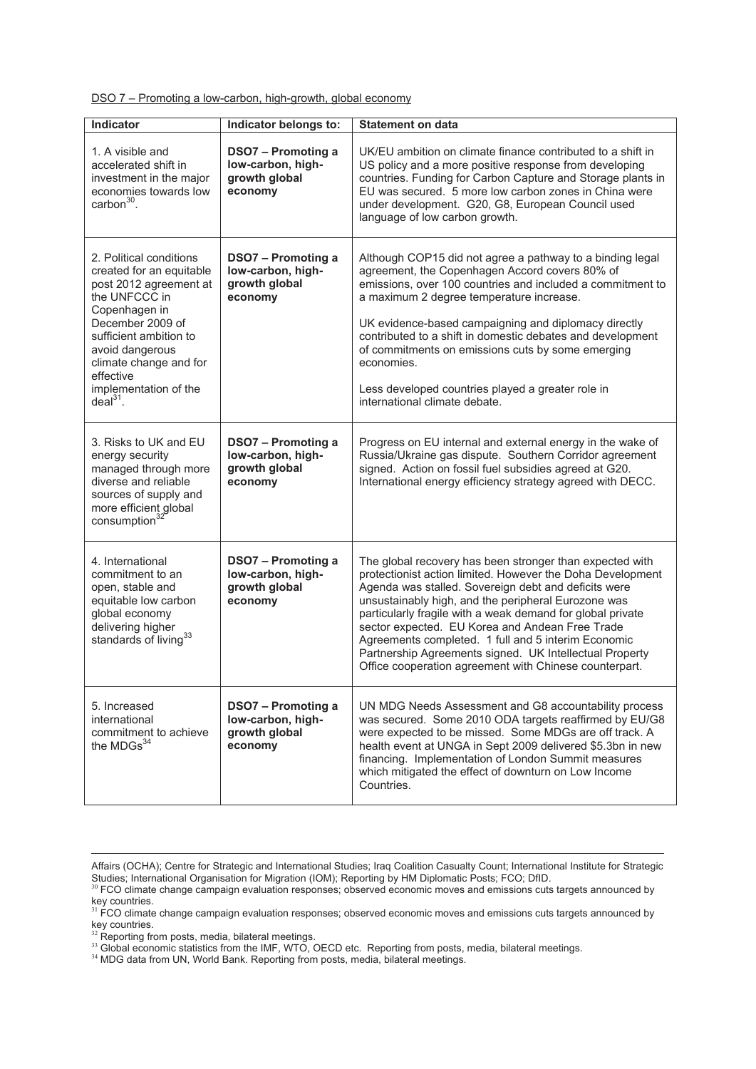| DSO 7 - Promoting a low-carbon, high-growth, global economy |
|-------------------------------------------------------------|
|-------------------------------------------------------------|

| Indicator                                                                                                                                                                                                                                                      | Indicator belongs to:                                               | <b>Statement on data</b>                                                                                                                                                                                                                                                                                                                                                                                                                                                                                                           |
|----------------------------------------------------------------------------------------------------------------------------------------------------------------------------------------------------------------------------------------------------------------|---------------------------------------------------------------------|------------------------------------------------------------------------------------------------------------------------------------------------------------------------------------------------------------------------------------------------------------------------------------------------------------------------------------------------------------------------------------------------------------------------------------------------------------------------------------------------------------------------------------|
| 1. A visible and<br>accelerated shift in<br>investment in the major<br>economies towards low<br>carbon <sup>30</sup> .                                                                                                                                         | DSO7 - Promoting a<br>low-carbon, high-<br>growth global<br>economy | UK/EU ambition on climate finance contributed to a shift in<br>US policy and a more positive response from developing<br>countries. Funding for Carbon Capture and Storage plants in<br>EU was secured. 5 more low carbon zones in China were<br>under development. G20, G8, European Council used<br>language of low carbon growth.                                                                                                                                                                                               |
| 2. Political conditions<br>created for an equitable<br>post 2012 agreement at<br>the UNFCCC in<br>Copenhagen in<br>December 2009 of<br>sufficient ambition to<br>avoid dangerous<br>climate change and for<br>effective<br>implementation of the<br>$deal31$ . | DSO7 - Promoting a<br>low-carbon, high-<br>growth global<br>economy | Although COP15 did not agree a pathway to a binding legal<br>agreement, the Copenhagen Accord covers 80% of<br>emissions, over 100 countries and included a commitment to<br>a maximum 2 degree temperature increase.<br>UK evidence-based campaigning and diplomacy directly<br>contributed to a shift in domestic debates and development<br>of commitments on emissions cuts by some emerging<br>economies.<br>Less developed countries played a greater role in<br>international climate debate.                               |
| 3. Risks to UK and EU<br>energy security<br>managed through more<br>diverse and reliable<br>sources of supply and<br>more efficient global<br>consumption <sup>32</sup>                                                                                        | DSO7 - Promoting a<br>low-carbon, high-<br>growth global<br>economy | Progress on EU internal and external energy in the wake of<br>Russia/Ukraine gas dispute. Southern Corridor agreement<br>signed. Action on fossil fuel subsidies agreed at G20.<br>International energy efficiency strategy agreed with DECC.                                                                                                                                                                                                                                                                                      |
| 4. International<br>commitment to an<br>open, stable and<br>equitable low carbon<br>global economy<br>delivering higher<br>standards of living <sup>33</sup>                                                                                                   | DSO7 - Promoting a<br>low-carbon, high-<br>growth global<br>economy | The global recovery has been stronger than expected with<br>protectionist action limited. However the Doha Development<br>Agenda was stalled. Sovereign debt and deficits were<br>unsustainably high, and the peripheral Eurozone was<br>particularly fragile with a weak demand for global private<br>sector expected. EU Korea and Andean Free Trade<br>Agreements completed. 1 full and 5 interim Economic<br>Partnership Agreements signed. UK Intellectual Property<br>Office cooperation agreement with Chinese counterpart. |
| 5. Increased<br>international<br>commitment to achieve<br>the $MDGs^{34}$                                                                                                                                                                                      | DSO7 - Promoting a<br>low-carbon, high-<br>growth global<br>economy | UN MDG Needs Assessment and G8 accountability process<br>was secured. Some 2010 ODA targets reaffirmed by EU/G8<br>were expected to be missed. Some MDGs are off track. A<br>health event at UNGA in Sept 2009 delivered \$5.3bn in new<br>financing. Implementation of London Summit measures<br>which mitigated the effect of downturn on Low Income<br>Countries.                                                                                                                                                               |

 $\overline{a}$ 

Affairs (OCHA); Centre for Strategic and International Studies; Iraq Coalition Casualty Count; International Institute for Strategic Studies; International Organisation for Migration (IOM); Reporting by HM Diplomatic Posts; FCO; DfID.<br><sup>30</sup> FCO climate change campaign evaluation responses; observed economic moves and emissions cuts targets announced by

key countries.<br><sup>31</sup> FCO climate change campaign evaluation responses; observed economic moves and emissions cuts targets announced by

key countries.<br><sup>32</sup> Reporting from posts, media, bilateral meetings.<br><sup>33</sup> Global economic statistics from the IMF, WTO, OECD etc. Reporting from posts, media, bilateral meetings.<br><sup>34</sup> MDG data from UN, World Bank. Reporti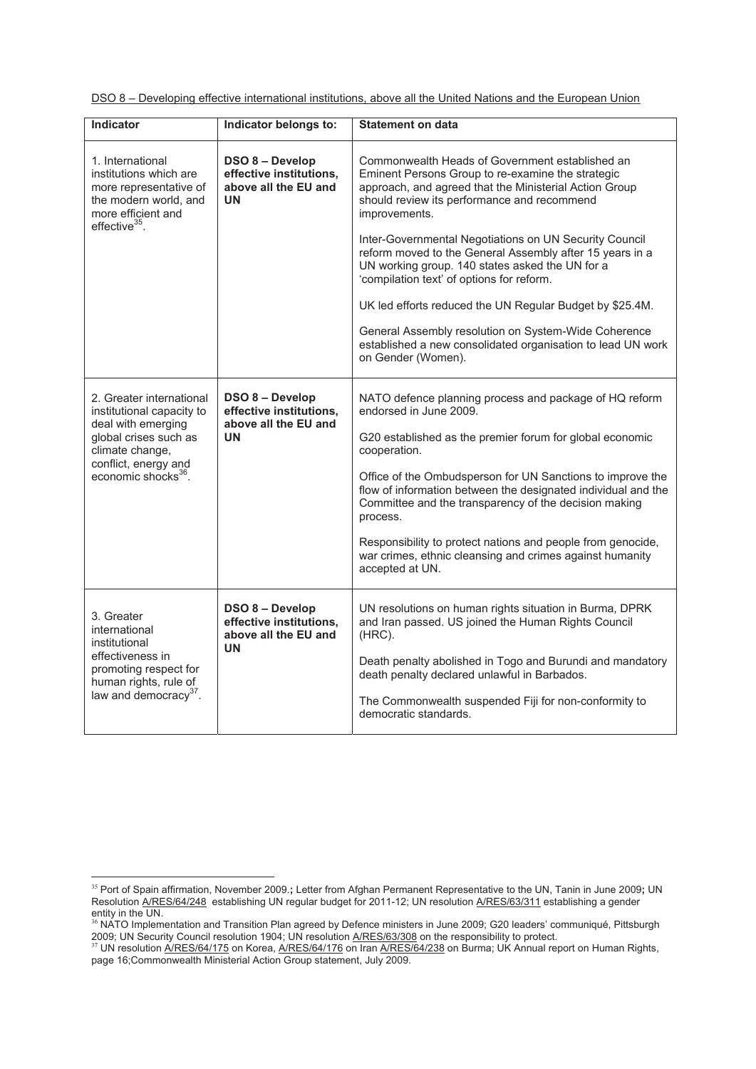| DSO 8 - Developing effective international institutions, above all the United Nations and the European Union |  |
|--------------------------------------------------------------------------------------------------------------|--|
|--------------------------------------------------------------------------------------------------------------|--|

| <b>Indicator</b>                                                                                                                                                                   | Indicator belongs to:                                                                  | <b>Statement on data</b>                                                                                                                                                                                                                                                                                                                                                                                                                                                                                                                                                                                                                                      |
|------------------------------------------------------------------------------------------------------------------------------------------------------------------------------------|----------------------------------------------------------------------------------------|---------------------------------------------------------------------------------------------------------------------------------------------------------------------------------------------------------------------------------------------------------------------------------------------------------------------------------------------------------------------------------------------------------------------------------------------------------------------------------------------------------------------------------------------------------------------------------------------------------------------------------------------------------------|
| 1. International<br>institutions which are<br>more representative of<br>the modern world, and<br>more efficient and<br>$effective^{35}$ .                                          | DSO 8 - Develop<br>effective institutions,<br>above all the EU and<br><b>UN</b>        | Commonwealth Heads of Government established an<br>Eminent Persons Group to re-examine the strategic<br>approach, and agreed that the Ministerial Action Group<br>should review its performance and recommend<br>improvements.<br>Inter-Governmental Negotiations on UN Security Council<br>reform moved to the General Assembly after 15 years in a<br>UN working group. 140 states asked the UN for a<br>'compilation text' of options for reform.<br>UK led efforts reduced the UN Regular Budget by \$25.4M.<br>General Assembly resolution on System-Wide Coherence<br>established a new consolidated organisation to lead UN work<br>on Gender (Women). |
| 2. Greater international<br>institutional capacity to<br>deal with emerging<br>global crises such as<br>climate change,<br>conflict, energy and<br>economic shocks <sup>36</sup> . | <b>DSO 8 - Develop</b><br>effective institutions,<br>above all the EU and<br><b>UN</b> | NATO defence planning process and package of HQ reform<br>endorsed in June 2009.<br>G20 established as the premier forum for global economic<br>cooperation.<br>Office of the Ombudsperson for UN Sanctions to improve the<br>flow of information between the designated individual and the<br>Committee and the transparency of the decision making<br>process.<br>Responsibility to protect nations and people from genocide,<br>war crimes, ethnic cleansing and crimes against humanity<br>accepted at UN.                                                                                                                                                |
| 3. Greater<br>international<br>institutional<br>effectiveness in<br>promoting respect for<br>human rights, rule of<br>law and democracy <sup>37</sup> .                            | DSO 8 - Develop<br>effective institutions,<br>above all the EU and<br><b>UN</b>        | UN resolutions on human rights situation in Burma, DPRK<br>and Iran passed. US joined the Human Rights Council<br>(HRC).<br>Death penalty abolished in Togo and Burundi and mandatory<br>death penalty declared unlawful in Barbados.<br>The Commonwealth suspended Fiji for non-conformity to<br>democratic standards.                                                                                                                                                                                                                                                                                                                                       |

 $\overline{a}$ 

<sup>35</sup> Port of Spain affirmation, November 2009.**;** Letter from Afghan Permanent Representative to the UN, Tanin in June 2009**;** UN Resolution **A/RES/64/248** establishing UN regular budget for 2011-12; UN resolution **A/RES/63/311** establishing a gender

entity in the UN.<br><sup>36</sup> NATO Implementation and Transition Plan agreed by Defence ministers in June 2009; G20 leaders' communiqué, Pittsburgh

<sup>2009;</sup> UN Security Council resolution 1904; UN resolution <u>A/RES/63/308</u> on the responsibility to protect.<br><sup>37</sup> UN resolution <u>A/RES/64/175</u> on Korea, <u>A/RES/64/176</u> on Iran <u>A/RES/64/238</u> on Burma; UK Annual report on Huma page 16;Commonwealth Ministerial Action Group statement, July 2009.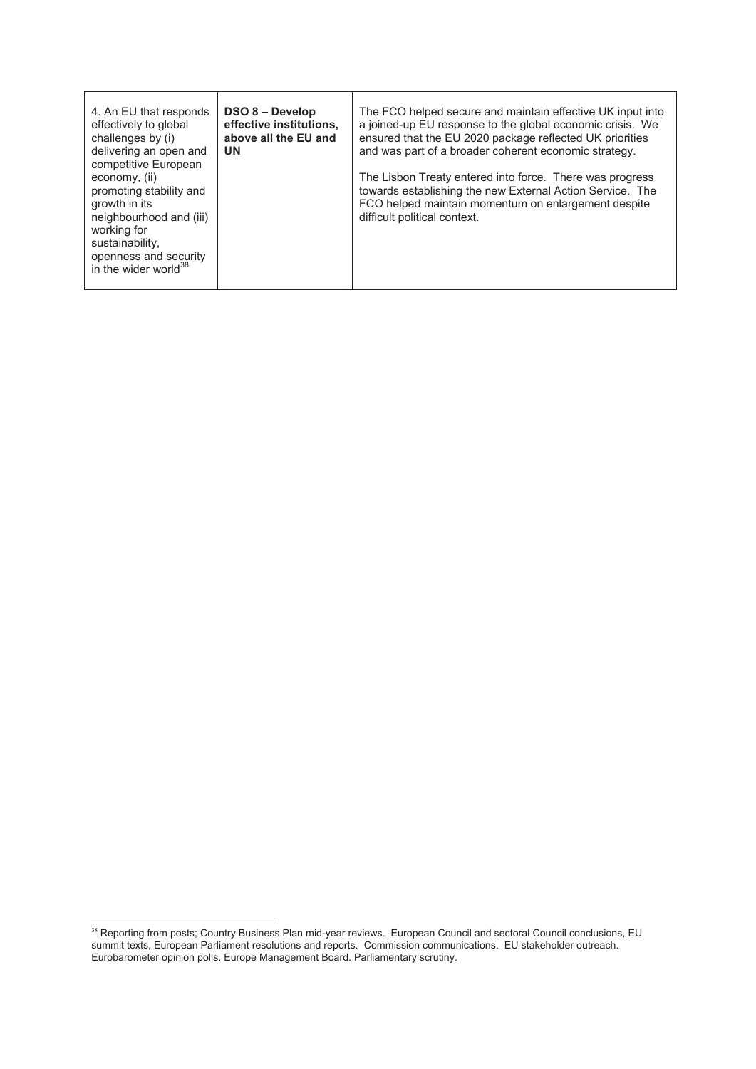| 4. An EU that responds<br>effectively to global<br>challenges by (i)<br>delivering an open and<br>competitive European<br>economy, (ii)<br>promoting stability and<br>growth in its<br>neighbourhood and (iii)<br>working for<br>sustainability,<br>openness and security<br>in the wider world <sup>38</sup> | <b>DSO 8 - Develop</b><br>effective institutions,<br>above all the EU and<br><b>UN</b> | The FCO helped secure and maintain effective UK input into<br>a joined-up EU response to the global economic crisis. We<br>ensured that the EU 2020 package reflected UK priorities<br>and was part of a broader coherent economic strategy.<br>The Lisbon Treaty entered into force. There was progress<br>towards establishing the new External Action Service. The<br>FCO helped maintain momentum on enlargement despite<br>difficult political context. |
|---------------------------------------------------------------------------------------------------------------------------------------------------------------------------------------------------------------------------------------------------------------------------------------------------------------|----------------------------------------------------------------------------------------|--------------------------------------------------------------------------------------------------------------------------------------------------------------------------------------------------------------------------------------------------------------------------------------------------------------------------------------------------------------------------------------------------------------------------------------------------------------|
|---------------------------------------------------------------------------------------------------------------------------------------------------------------------------------------------------------------------------------------------------------------------------------------------------------------|----------------------------------------------------------------------------------------|--------------------------------------------------------------------------------------------------------------------------------------------------------------------------------------------------------------------------------------------------------------------------------------------------------------------------------------------------------------------------------------------------------------------------------------------------------------|

<sup>-</sup><sup>38</sup> Reporting from posts; Country Business Plan mid-year reviews. European Council and sectoral Council conclusions, EU summit texts, European Parliament resolutions and reports. Commission communications. EU stakeholder outreach. Eurobarometer opinion polls. Europe Management Board. Parliamentary scrutiny.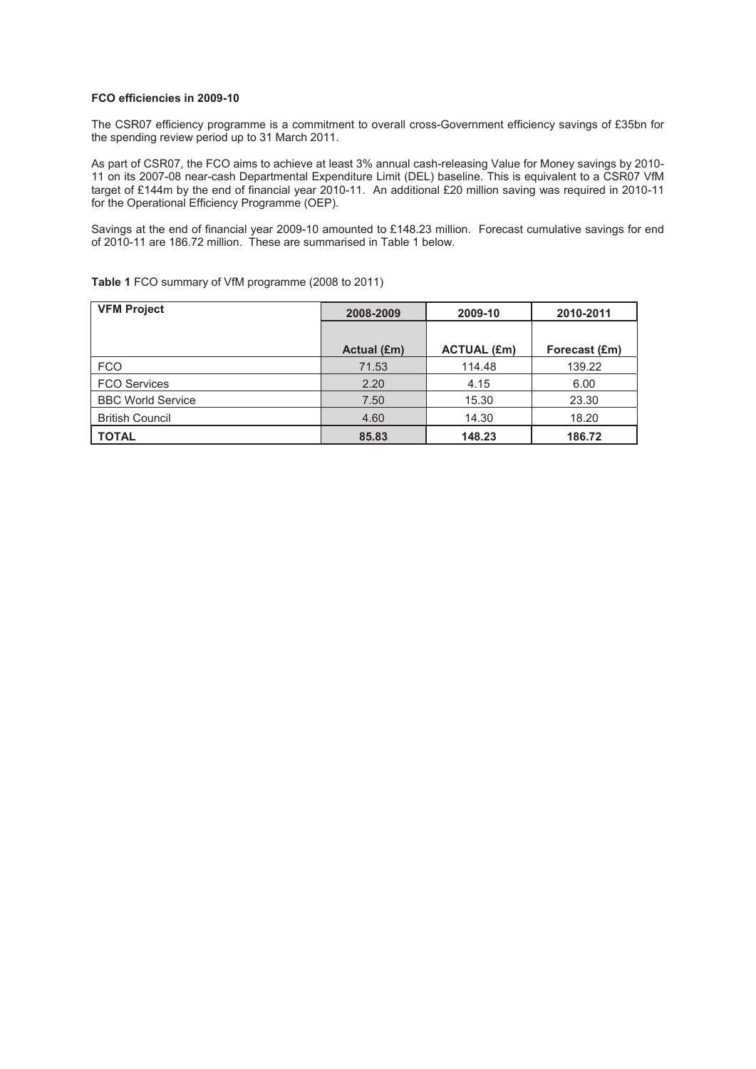## **FCO efficiencies in 2009-10**

The CSR07 efficiency programme is a commitment to overall cross-Government efficiency savings of £35bn for the spending review period up to 31 March 2011.

As part of CSR07, the FCO aims to achieve at least 3% annual cash-releasing Value for Money savings by 2010- 11 on its 2007-08 near-cash Departmental Expenditure Limit (DEL) baseline. This is equivalent to a CSR07 VfM target of £144m by the end of financial year 2010-11. An additional £20 million saving was required in 2010-11 for the Operational Efficiency Programme (OEP).

Savings at the end of financial year 2009-10 amounted to £148.23 million. Forecast cumulative savings for end of 2010-11 are 186.72 million. These are summarised in Table 1 below.

|  |  |  |  | Table 1 FCO summary of VfM programme (2008 to 2011) |  |
|--|--|--|--|-----------------------------------------------------|--|
|--|--|--|--|-----------------------------------------------------|--|

| <b>VFM Project</b>       | 2008-2009   | 2009-10            | 2010-2011     |
|--------------------------|-------------|--------------------|---------------|
|                          |             |                    |               |
|                          | Actual (£m) | <b>ACTUAL (£m)</b> | Forecast (£m) |
| <b>FCO</b>               | 71.53       | 114.48             | 139.22        |
| <b>FCO Services</b>      | 2.20        | 4.15               | 6.00          |
| <b>BBC World Service</b> | 7.50        | 15.30              | 23.30         |
| <b>British Council</b>   | 4.60        | 14.30              | 18.20         |
| <b>TOTAL</b>             | 85.83       | 148.23             | 186.72        |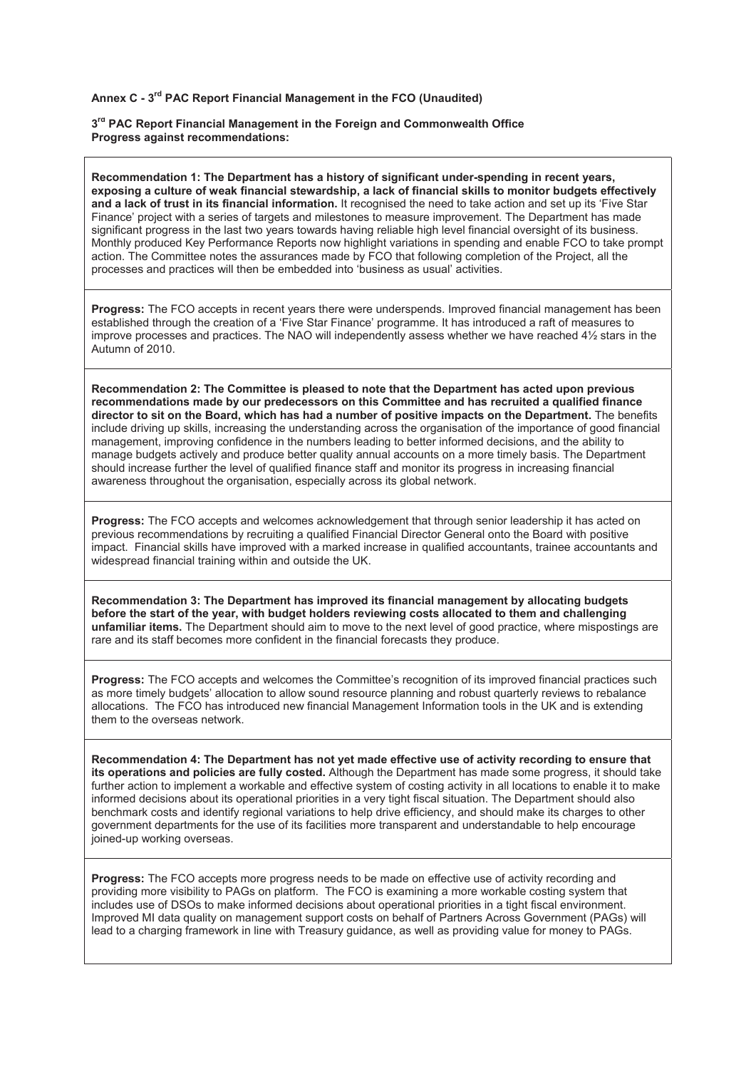# **Annex C - 3rd PAC Report Financial Management in the FCO (Unaudited)**

 $\overline{a}$ 

### **3rd PAC Report Financial Management in the Foreign and Commonwealth Office Progress against recommendations:**

**Recommendation 1: The Department has a history of significant under-spending in recent years, exposing a culture of weak financial stewardship, a lack of financial skills to monitor budgets effectively and a lack of trust in its financial information.** It recognised the need to take action and set up its 'Five Star Finance' project with a series of targets and milestones to measure improvement. The Department has made significant progress in the last two years towards having reliable high level financial oversight of its business. Monthly produced Key Performance Reports now highlight variations in spending and enable FCO to take prompt action. The Committee notes the assurances made by FCO that following completion of the Project, all the processes and practices will then be embedded into 'business as usual' activities.

**Progress:** The FCO accepts in recent years there were underspends. Improved financial management has been established through the creation of a 'Five Star Finance' programme. It has introduced a raft of measures to improve processes and practices. The NAO will independently assess whether we have reached 4½ stars in the Autumn of 2010.

**Recommendation 2: The Committee is pleased to note that the Department has acted upon previous recommendations made by our predecessors on this Committee and has recruited a qualified finance director to sit on the Board, which has had a number of positive impacts on the Department.** The benefits include driving up skills, increasing the understanding across the organisation of the importance of good financial management, improving confidence in the numbers leading to better informed decisions, and the ability to manage budgets actively and produce better quality annual accounts on a more timely basis. The Department should increase further the level of qualified finance staff and monitor its progress in increasing financial awareness throughout the organisation, especially across its global network.

**Progress:** The FCO accepts and welcomes acknowledgement that through senior leadership it has acted on previous recommendations by recruiting a qualified Financial Director General onto the Board with positive impact. Financial skills have improved with a marked increase in qualified accountants, trainee accountants and widespread financial training within and outside the UK.

**Recommendation 3: The Department has improved its financial management by allocating budgets before the start of the year, with budget holders reviewing costs allocated to them and challenging unfamiliar items.** The Department should aim to move to the next level of good practice, where mispostings are rare and its staff becomes more confident in the financial forecasts they produce.

**Progress:** The FCO accepts and welcomes the Committee's recognition of its improved financial practices such as more timely budgets' allocation to allow sound resource planning and robust quarterly reviews to rebalance allocations. The FCO has introduced new financial Management Information tools in the UK and is extending them to the overseas network.

**Recommendation 4: The Department has not yet made effective use of activity recording to ensure that its operations and policies are fully costed.** Although the Department has made some progress, it should take further action to implement a workable and effective system of costing activity in all locations to enable it to make informed decisions about its operational priorities in a very tight fiscal situation. The Department should also benchmark costs and identify regional variations to help drive efficiency, and should make its charges to other government departments for the use of its facilities more transparent and understandable to help encourage joined-up working overseas.

**Progress:** The FCO accepts more progress needs to be made on effective use of activity recording and providing more visibility to PAGs on platform. The FCO is examining a more workable costing system that includes use of DSOs to make informed decisions about operational priorities in a tight fiscal environment. Improved MI data quality on management support costs on behalf of Partners Across Government (PAGs) will lead to a charging framework in line with Treasury guidance, as well as providing value for money to PAGs.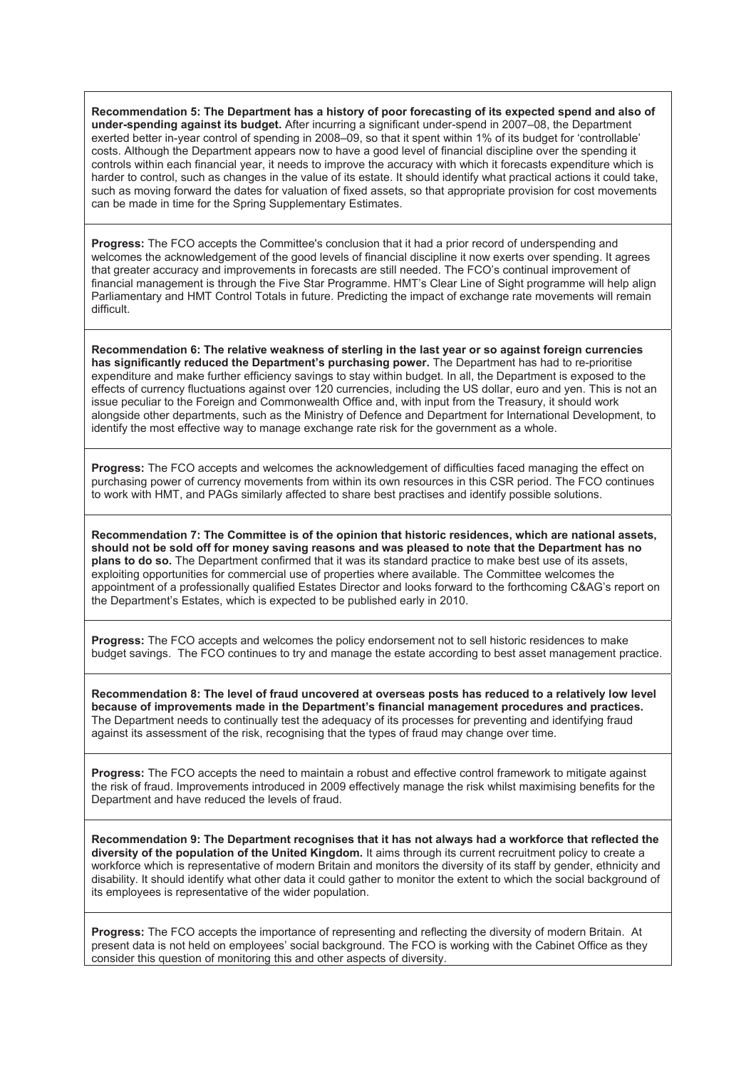**Recommendation 5: The Department has a history of poor forecasting of its expected spend and also of**  under-spending against its budget. After incurring a significant under-spend in 2007–08, the Department exerted better in-year control of spending in 2008–09, so that it spent within 1% of its budget for 'controllable' costs. Although the Department appears now to have a good level of financial discipline over the spending it controls within each financial year, it needs to improve the accuracy with which it forecasts expenditure which is harder to control, such as changes in the value of its estate. It should identify what practical actions it could take, such as moving forward the dates for valuation of fixed assets, so that appropriate provision for cost movements can be made in time for the Spring Supplementary Estimates.

**Progress:** The FCO accepts the Committee's conclusion that it had a prior record of underspending and welcomes the acknowledgement of the good levels of financial discipline it now exerts over spending. It agrees that greater accuracy and improvements in forecasts are still needed. The FCO's continual improvement of financial management is through the Five Star Programme. HMT's Clear Line of Sight programme will help align Parliamentary and HMT Control Totals in future. Predicting the impact of exchange rate movements will remain difficult.

**Recommendation 6: The relative weakness of sterling in the last year or so against foreign currencies**  has significantly reduced the Department's purchasing power. The Department has had to re-prioritise expenditure and make further efficiency savings to stay within budget. In all, the Department is exposed to the effects of currency fluctuations against over 120 currencies, including the US dollar, euro and yen. This is not an issue peculiar to the Foreign and Commonwealth Office and, with input from the Treasury, it should work alongside other departments, such as the Ministry of Defence and Department for International Development, to identify the most effective way to manage exchange rate risk for the government as a whole.

**Progress:** The FCO accepts and welcomes the acknowledgement of difficulties faced managing the effect on purchasing power of currency movements from within its own resources in this CSR period. The FCO continues to work with HMT, and PAGs similarly affected to share best practises and identify possible solutions.

**Recommendation 7: The Committee is of the opinion that historic residences, which are national assets, should not be sold off for money saving reasons and was pleased to note that the Department has no plans to do so.** The Department confirmed that it was its standard practice to make best use of its assets, exploiting opportunities for commercial use of properties where available. The Committee welcomes the appointment of a professionally qualified Estates Director and looks forward to the forthcoming C&AG's report on the Department's Estates, which is expected to be published early in 2010.

**Progress:** The FCO accepts and welcomes the policy endorsement not to sell historic residences to make budget savings. The FCO continues to try and manage the estate according to best asset management practice.

**Recommendation 8: The level of fraud uncovered at overseas posts has reduced to a relatively low level**  because of improvements made in the Department's financial management procedures and practices. The Department needs to continually test the adequacy of its processes for preventing and identifying fraud against its assessment of the risk, recognising that the types of fraud may change over time.

**Progress:** The FCO accepts the need to maintain a robust and effective control framework to mitigate against the risk of fraud. Improvements introduced in 2009 effectively manage the risk whilst maximising benefits for the Department and have reduced the levels of fraud.

**Recommendation 9: The Department recognises that it has not always had a workforce that reflected the diversity of the population of the United Kingdom.** It aims through its current recruitment policy to create a workforce which is representative of modern Britain and monitors the diversity of its staff by gender, ethnicity and disability. It should identify what other data it could gather to monitor the extent to which the social background of its employees is representative of the wider population.

**Progress:** The FCO accepts the importance of representing and reflecting the diversity of modern Britain. At present data is not held on employees' social background. The FCO is working with the Cabinet Office as they consider this question of monitoring this and other aspects of diversity.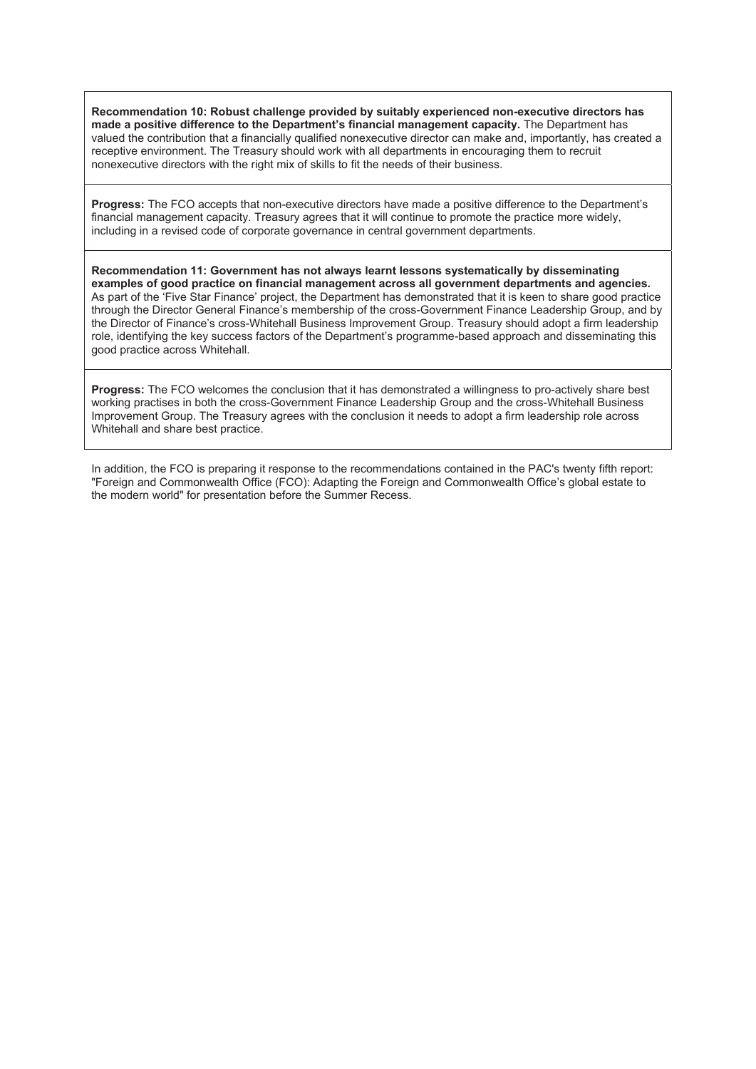**Recommendation 10: Robust challenge provided by suitably experienced non-executive directors has**  made a positive difference to the Department's financial management capacity. The Department has valued the contribution that a financially qualified nonexecutive director can make and, importantly, has created a receptive environment. The Treasury should work with all departments in encouraging them to recruit nonexecutive directors with the right mix of skills to fit the needs of their business.

**Progress:** The FCO accepts that non-executive directors have made a positive difference to the Department's financial management capacity. Treasury agrees that it will continue to promote the practice more widely, including in a revised code of corporate governance in central government departments.

**Recommendation 11: Government has not always learnt lessons systematically by disseminating examples of good practice on financial management across all government departments and agencies.**  As part of the 'Five Star Finance' project, the Department has demonstrated that it is keen to share good practice through the Director General Finance's membership of the cross-Government Finance Leadership Group, and by the Director of Finance's cross-Whitehall Business Improvement Group. Treasury should adopt a firm leadership role, identifying the key success factors of the Department's programme-based approach and disseminating this good practice across Whitehall.

**Progress:** The FCO welcomes the conclusion that it has demonstrated a willingness to pro-actively share best working practises in both the cross-Government Finance Leadership Group and the cross-Whitehall Business Improvement Group. The Treasury agrees with the conclusion it needs to adopt a firm leadership role across Whitehall and share best practice.

In addition, the FCO is preparing it response to the recommendations contained in the PAC's twenty fifth report: "Foreign and Commonwealth Office (FCO): Adapting the Foreign and Commonwealth Office's global estate to the modern world" for presentation before the Summer Recess.